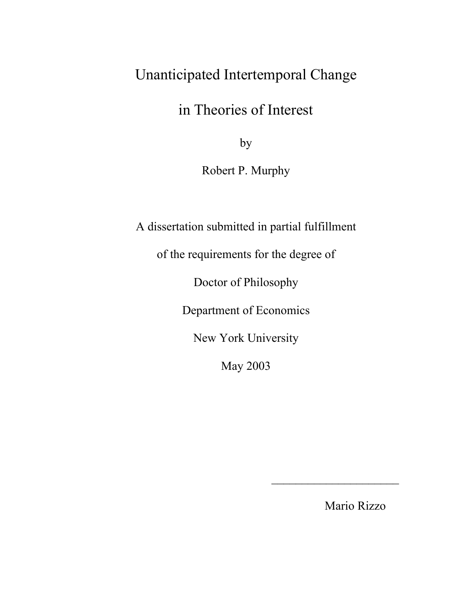# Unanticipated Intertemporal Change

in Theories of Interest

by

Robert P. Murphy

A dissertation submitted in partial fulfillment

of the requirements for the degree of

Doctor of Philosophy

Department of Economics

New York University

May 2003

Mario Rizzo

 $\mathcal{L}_\text{max}$  , we are the set of the set of the set of the set of the set of the set of the set of the set of the set of the set of the set of the set of the set of the set of the set of the set of the set of the set of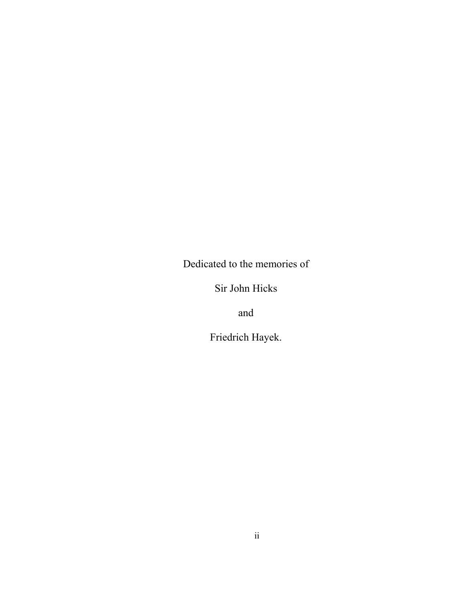Dedicated to the memories of

Sir John Hicks

and

Friedrich Hayek.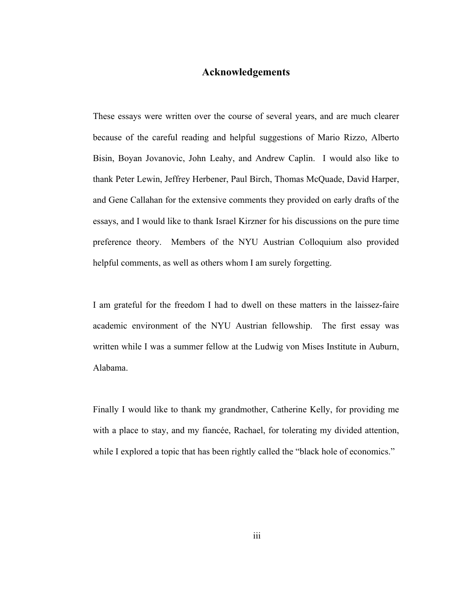### **Acknowledgements**

These essays were written over the course of several years, and are much clearer because of the careful reading and helpful suggestions of Mario Rizzo, Alberto Bisin, Boyan Jovanovic, John Leahy, and Andrew Caplin. I would also like to thank Peter Lewin, Jeffrey Herbener, Paul Birch, Thomas McQuade, David Harper, and Gene Callahan for the extensive comments they provided on early drafts of the essays, and I would like to thank Israel Kirzner for his discussions on the pure time preference theory. Members of the NYU Austrian Colloquium also provided helpful comments, as well as others whom I am surely forgetting.

I am grateful for the freedom I had to dwell on these matters in the laissez-faire academic environment of the NYU Austrian fellowship. The first essay was written while I was a summer fellow at the Ludwig von Mises Institute in Auburn, Alabama.

Finally I would like to thank my grandmother, Catherine Kelly, for providing me with a place to stay, and my fiancée, Rachael, for tolerating my divided attention, while I explored a topic that has been rightly called the "black hole of economics."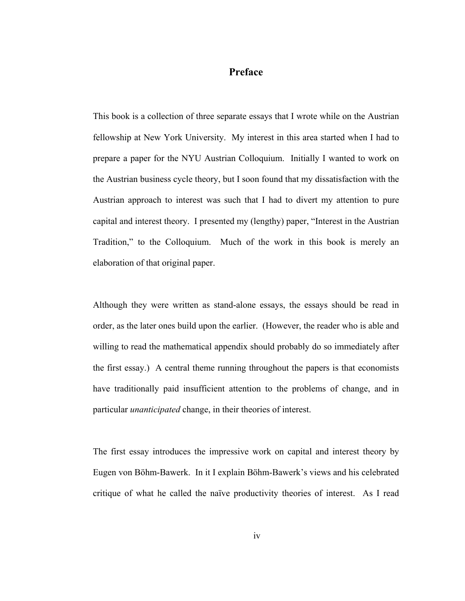## **Preface**

This book is a collection of three separate essays that I wrote while on the Austrian fellowship at New York University. My interest in this area started when I had to prepare a paper for the NYU Austrian Colloquium. Initially I wanted to work on the Austrian business cycle theory, but I soon found that my dissatisfaction with the Austrian approach to interest was such that I had to divert my attention to pure capital and interest theory. I presented my (lengthy) paper, "Interest in the Austrian Tradition," to the Colloquium. Much of the work in this book is merely an elaboration of that original paper.

Although they were written as stand-alone essays, the essays should be read in order, as the later ones build upon the earlier. (However, the reader who is able and willing to read the mathematical appendix should probably do so immediately after the first essay.) A central theme running throughout the papers is that economists have traditionally paid insufficient attention to the problems of change, and in particular *unanticipated* change, in their theories of interest.

The first essay introduces the impressive work on capital and interest theory by Eugen von Böhm-Bawerk. In it I explain Böhm-Bawerk's views and his celebrated critique of what he called the naïve productivity theories of interest. As I read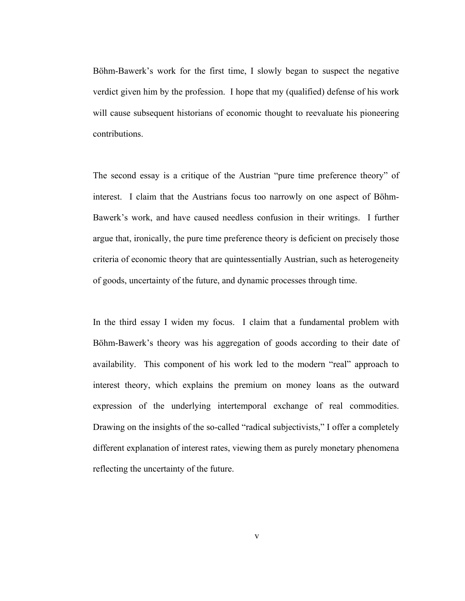Böhm-Bawerk's work for the first time, I slowly began to suspect the negative verdict given him by the profession. I hope that my (qualified) defense of his work will cause subsequent historians of economic thought to reevaluate his pioneering contributions.

The second essay is a critique of the Austrian "pure time preference theory" of interest. I claim that the Austrians focus too narrowly on one aspect of Böhm-Bawerk's work, and have caused needless confusion in their writings. I further argue that, ironically, the pure time preference theory is deficient on precisely those criteria of economic theory that are quintessentially Austrian, such as heterogeneity of goods, uncertainty of the future, and dynamic processes through time.

In the third essay I widen my focus. I claim that a fundamental problem with Böhm-Bawerk's theory was his aggregation of goods according to their date of availability. This component of his work led to the modern "real" approach to interest theory, which explains the premium on money loans as the outward expression of the underlying intertemporal exchange of real commodities. Drawing on the insights of the so-called "radical subjectivists," I offer a completely different explanation of interest rates, viewing them as purely monetary phenomena reflecting the uncertainty of the future.

v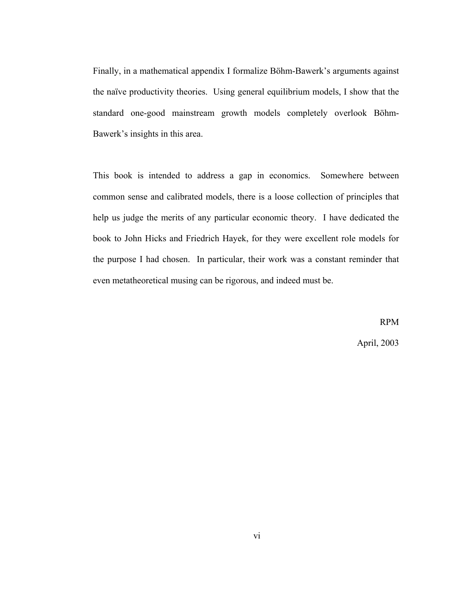Finally, in a mathematical appendix I formalize Böhm-Bawerk's arguments against the naïve productivity theories. Using general equilibrium models, I show that the standard one-good mainstream growth models completely overlook Böhm-Bawerk's insights in this area.

This book is intended to address a gap in economics. Somewhere between common sense and calibrated models, there is a loose collection of principles that help us judge the merits of any particular economic theory. I have dedicated the book to John Hicks and Friedrich Hayek, for they were excellent role models for the purpose I had chosen. In particular, their work was a constant reminder that even metatheoretical musing can be rigorous, and indeed must be.

> RPM April, 2003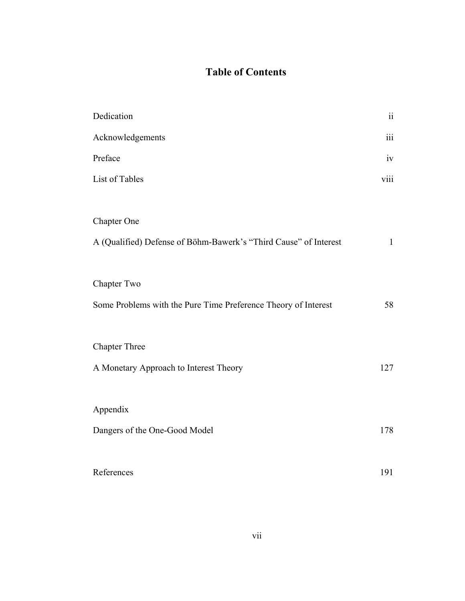# **Table of Contents**

| Dedication                                                       | $\ddot{\rm ii}$ |
|------------------------------------------------------------------|-----------------|
| Acknowledgements                                                 | iii             |
| Preface                                                          | iv              |
| List of Tables                                                   | viii            |
|                                                                  |                 |
| <b>Chapter One</b>                                               |                 |
| A (Qualified) Defense of Böhm-Bawerk's "Third Cause" of Interest | $\mathbf{1}$    |
|                                                                  |                 |
| Chapter Two                                                      |                 |
| Some Problems with the Pure Time Preference Theory of Interest   | 58              |
|                                                                  |                 |
| <b>Chapter Three</b>                                             |                 |
| A Monetary Approach to Interest Theory                           | 127             |
|                                                                  |                 |
| Appendix                                                         |                 |
| Dangers of the One-Good Model                                    | 178             |
|                                                                  |                 |
| References                                                       | 191             |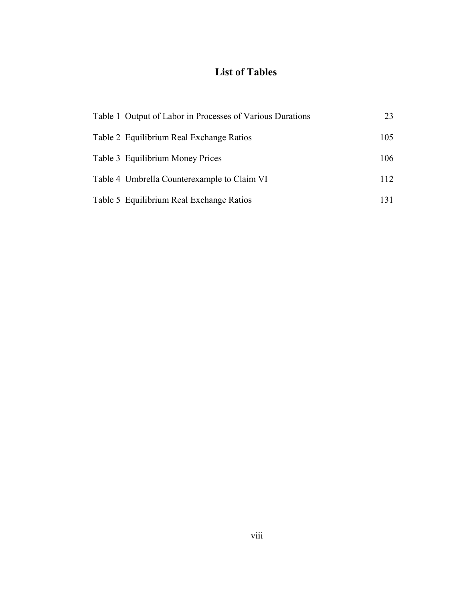# **List of Tables**

| Table 1 Output of Labor in Processes of Various Durations | 23  |
|-----------------------------------------------------------|-----|
| Table 2 Equilibrium Real Exchange Ratios                  | 105 |
| Table 3 Equilibrium Money Prices                          | 106 |
| Table 4 Umbrella Counterexample to Claim VI               | 112 |
| Table 5 Equilibrium Real Exchange Ratios                  | 131 |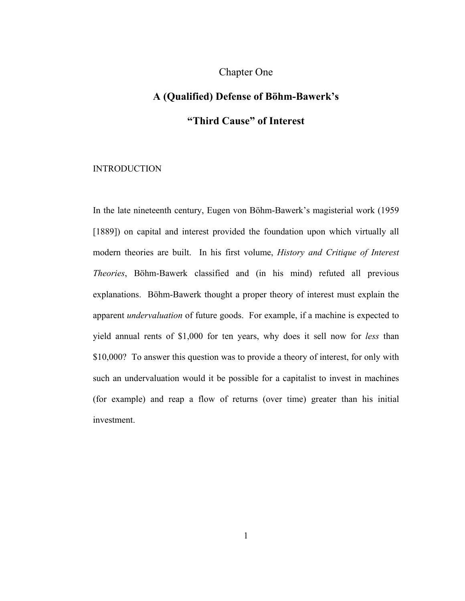### Chapter One

# **A (Qualified) Defense of Böhm-Bawerk's "Third Cause" of Interest**

#### INTRODUCTION

In the late nineteenth century, Eugen von Böhm-Bawerk's magisterial work (1959 [1889]) on capital and interest provided the foundation upon which virtually all modern theories are built. In his first volume, *History and Critique of Interest Theories*, Böhm-Bawerk classified and (in his mind) refuted all previous explanations. Böhm-Bawerk thought a proper theory of interest must explain the apparent *undervaluation* of future goods. For example, if a machine is expected to yield annual rents of \$1,000 for ten years, why does it sell now for *less* than \$10,000? To answer this question was to provide a theory of interest, for only with such an undervaluation would it be possible for a capitalist to invest in machines (for example) and reap a flow of returns (over time) greater than his initial investment.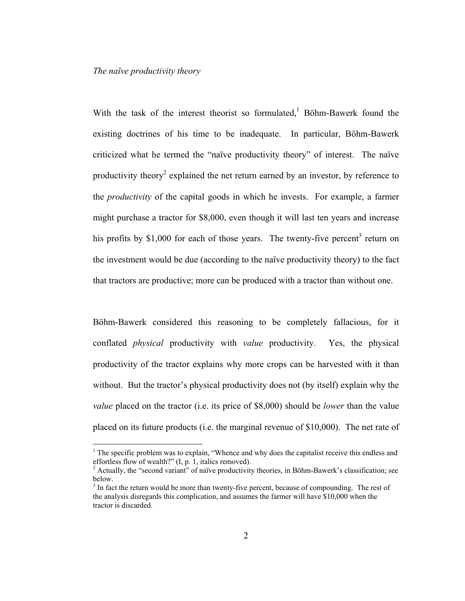#### *The naïve productivity theory*

 $\overline{a}$ 

With the task of the interest theorist so formulated,  $\overline{B}$  Böhm-Bawerk found the existing doctrines of his time to be inadequate. In particular, Böhm-Bawerk criticized what he termed the "naïve productivity theory" of interest. The naïve productivity theory<sup>2</sup> explained the net return earned by an investor, by reference to the *productivity* of the capital goods in which he invests. For example, a farmer might purchase a tractor for \$8,000, even though it will last ten years and increase his profits by \$1,000 for each of those years. The twenty-five percent<sup>3</sup> return on the investment would be due (according to the naïve productivity theory) to the fact that tractors are productive; more can be produced with a tractor than without one.

Böhm-Bawerk considered this reasoning to be completely fallacious, for it conflated *physical* productivity with *value* productivity. Yes, the physical productivity of the tractor explains why more crops can be harvested with it than without. But the tractor's physical productivity does not (by itself) explain why the *value* placed on the tractor (i.e. its price of \$8,000) should be *lower* than the value placed on its future products (i.e. the marginal revenue of \$10,000). The net rate of

 $<sup>1</sup>$  The specific problem was to explain, "Whence and why does the capitalist receive this endless and</sup> effortless flow of wealth?" (I, p. 1, italics removed).

 $2$  Actually, the "second variant" of naïve productivity theories, in Böhm-Bawerk's classification; see below.

<sup>&</sup>lt;sup>3</sup> In fact the return would be more than twenty-five percent, because of compounding. The rest of the analysis disregards this complication, and assumes the farmer will have \$10,000 when the tractor is discarded.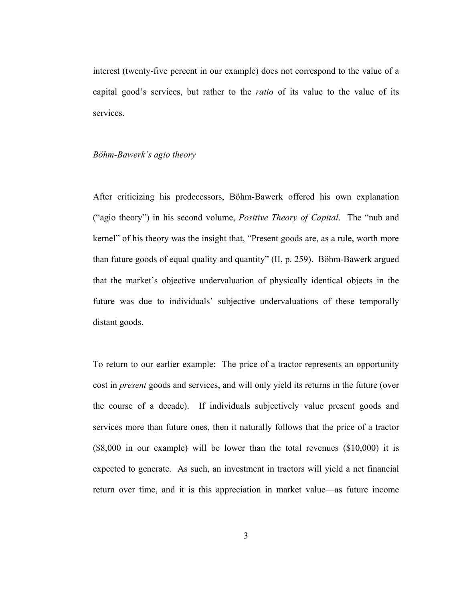interest (twenty-five percent in our example) does not correspond to the value of a capital good's services, but rather to the *ratio* of its value to the value of its services.

#### *Böhm-Bawerk's agio theory*

After criticizing his predecessors, Böhm-Bawerk offered his own explanation ("agio theory") in his second volume, *Positive Theory of Capital*. The "nub and kernel" of his theory was the insight that, "Present goods are, as a rule, worth more than future goods of equal quality and quantity" (II, p. 259). Böhm-Bawerk argued that the market's objective undervaluation of physically identical objects in the future was due to individuals' subjective undervaluations of these temporally distant goods.

To return to our earlier example: The price of a tractor represents an opportunity cost in *present* goods and services, and will only yield its returns in the future (over the course of a decade). If individuals subjectively value present goods and services more than future ones, then it naturally follows that the price of a tractor (\$8,000 in our example) will be lower than the total revenues (\$10,000) it is expected to generate. As such, an investment in tractors will yield a net financial return over time, and it is this appreciation in market value—as future income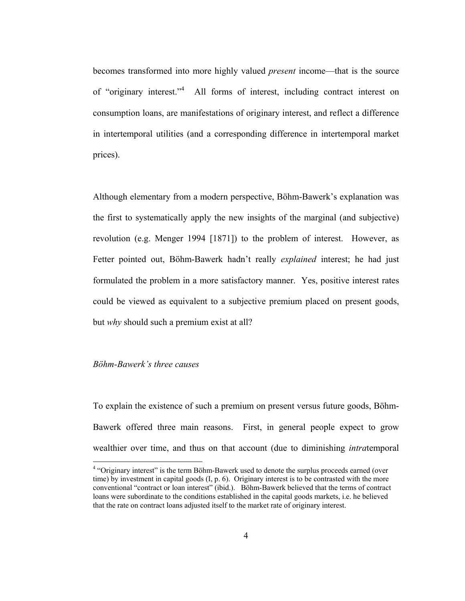becomes transformed into more highly valued *present* income—that is the source of "originary interest."4 All forms of interest, including contract interest on consumption loans, are manifestations of originary interest, and reflect a difference in intertemporal utilities (and a corresponding difference in intertemporal market prices).

Although elementary from a modern perspective, Böhm-Bawerk's explanation was the first to systematically apply the new insights of the marginal (and subjective) revolution (e.g. Menger 1994 [1871]) to the problem of interest. However, as Fetter pointed out, Böhm-Bawerk hadn't really *explained* interest; he had just formulated the problem in a more satisfactory manner. Yes, positive interest rates could be viewed as equivalent to a subjective premium placed on present goods, but *why* should such a premium exist at all?

#### *Böhm-Bawerk's three causes*

 $\overline{a}$ 

To explain the existence of such a premium on present versus future goods, Böhm-Bawerk offered three main reasons. First, in general people expect to grow wealthier over time, and thus on that account (due to diminishing *intra*temporal

<sup>&</sup>lt;sup>4</sup> "Originary interest" is the term Böhm-Bawerk used to denote the surplus proceeds earned (over time) by investment in capital goods (I, p. 6). Originary interest is to be contrasted with the more conventional "contract or loan interest" (ibid.). Böhm-Bawerk believed that the terms of contract loans were subordinate to the conditions established in the capital goods markets, i.e. he believed that the rate on contract loans adjusted itself to the market rate of originary interest.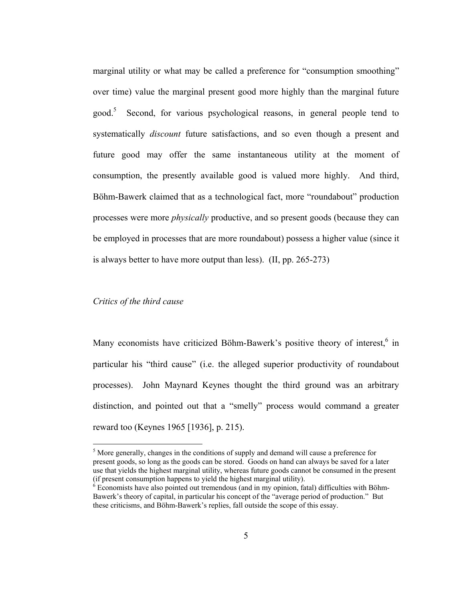marginal utility or what may be called a preference for "consumption smoothing" over time) value the marginal present good more highly than the marginal future good.<sup>5</sup> Second, for various psychological reasons, in general people tend to systematically *discount* future satisfactions, and so even though a present and future good may offer the same instantaneous utility at the moment of consumption, the presently available good is valued more highly. And third, Böhm-Bawerk claimed that as a technological fact, more "roundabout" production processes were more *physically* productive, and so present goods (because they can be employed in processes that are more roundabout) possess a higher value (since it is always better to have more output than less). (II, pp. 265-273)

#### *Critics of the third cause*

 $\overline{a}$ 

Many economists have criticized Böhm-Bawerk's positive theory of interest,<sup>6</sup> in particular his "third cause" (i.e. the alleged superior productivity of roundabout processes). John Maynard Keynes thought the third ground was an arbitrary distinction, and pointed out that a "smelly" process would command a greater reward too (Keynes 1965 [1936], p. 215).

<sup>&</sup>lt;sup>5</sup> More generally, changes in the conditions of supply and demand will cause a preference for present goods, so long as the goods can be stored. Goods on hand can always be saved for a later use that yields the highest marginal utility, whereas future goods cannot be consumed in the present (if present consumption happens to yield the highest marginal utility).

 $6$  Economists have also pointed out tremendous (and in my opinion, fatal) difficulties with Böhm-Bawerk's theory of capital, in particular his concept of the "average period of production." But these criticisms, and Böhm-Bawerk's replies, fall outside the scope of this essay.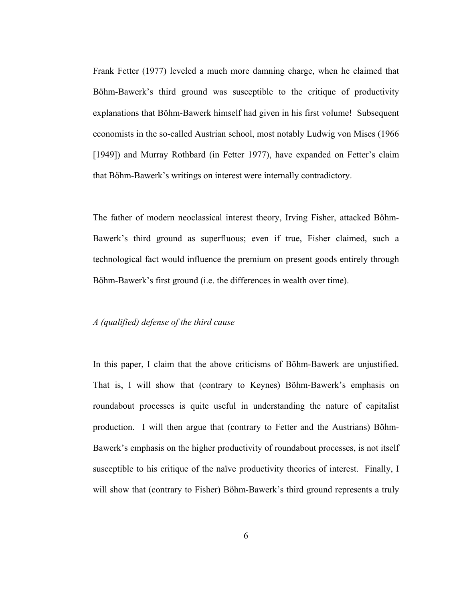Frank Fetter (1977) leveled a much more damning charge, when he claimed that Böhm-Bawerk's third ground was susceptible to the critique of productivity explanations that Böhm-Bawerk himself had given in his first volume! Subsequent economists in the so-called Austrian school, most notably Ludwig von Mises (1966 [1949]) and Murray Rothbard (in Fetter 1977), have expanded on Fetter's claim that Böhm-Bawerk's writings on interest were internally contradictory.

The father of modern neoclassical interest theory, Irving Fisher, attacked Böhm-Bawerk's third ground as superfluous; even if true, Fisher claimed, such a technological fact would influence the premium on present goods entirely through Böhm-Bawerk's first ground (i.e. the differences in wealth over time).

#### *A (qualified) defense of the third cause*

In this paper, I claim that the above criticisms of Böhm-Bawerk are unjustified. That is, I will show that (contrary to Keynes) Böhm-Bawerk's emphasis on roundabout processes is quite useful in understanding the nature of capitalist production. I will then argue that (contrary to Fetter and the Austrians) Böhm-Bawerk's emphasis on the higher productivity of roundabout processes, is not itself susceptible to his critique of the naïve productivity theories of interest. Finally, I will show that (contrary to Fisher) Böhm-Bawerk's third ground represents a truly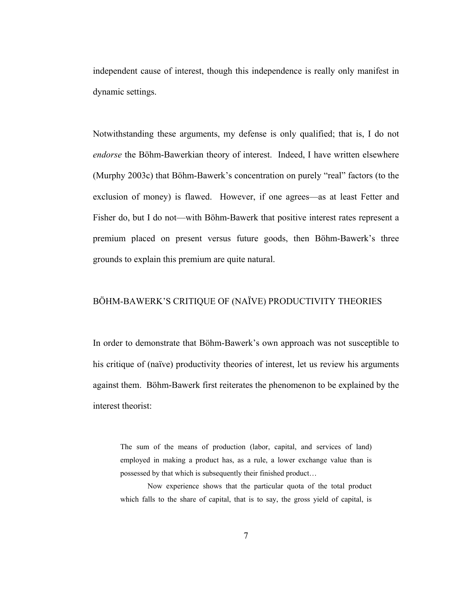independent cause of interest, though this independence is really only manifest in dynamic settings.

Notwithstanding these arguments, my defense is only qualified; that is, I do not *endorse* the Böhm-Bawerkian theory of interest. Indeed, I have written elsewhere (Murphy 2003c) that Böhm-Bawerk's concentration on purely "real" factors (to the exclusion of money) is flawed. However, if one agrees—as at least Fetter and Fisher do, but I do not—with Böhm-Bawerk that positive interest rates represent a premium placed on present versus future goods, then Böhm-Bawerk's three grounds to explain this premium are quite natural.

#### BÖHM-BAWERK'S CRITIQUE OF (NAÏVE) PRODUCTIVITY THEORIES

In order to demonstrate that Böhm-Bawerk's own approach was not susceptible to his critique of (naïve) productivity theories of interest, let us review his arguments against them. Böhm-Bawerk first reiterates the phenomenon to be explained by the interest theorist:

The sum of the means of production (labor, capital, and services of land) employed in making a product has, as a rule, a lower exchange value than is possessed by that which is subsequently their finished product…

 Now experience shows that the particular quota of the total product which falls to the share of capital, that is to say, the gross yield of capital, is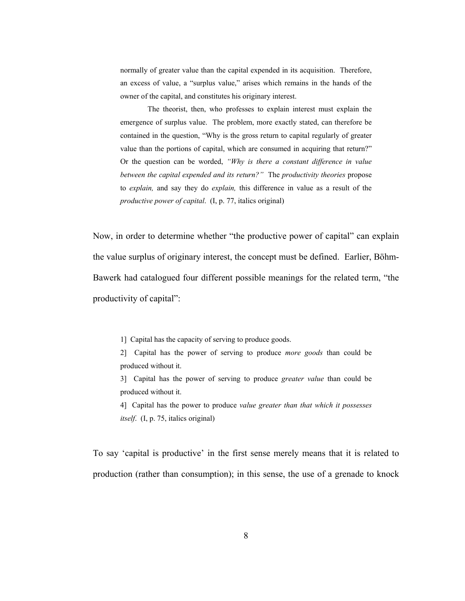normally of greater value than the capital expended in its acquisition. Therefore, an excess of value, a "surplus value," arises which remains in the hands of the owner of the capital, and constitutes his originary interest.

The theorist, then, who professes to explain interest must explain the emergence of surplus value. The problem, more exactly stated, can therefore be contained in the question, "Why is the gross return to capital regularly of greater value than the portions of capital, which are consumed in acquiring that return?" Or the question can be worded, *"Why is there a constant difference in value between the capital expended and its return?"* The *productivity theories* propose to *explain,* and say they do *explain,* this difference in value as a result of the *productive power of capital*. (I, p. 77, italics original)

Now, in order to determine whether "the productive power of capital" can explain the value surplus of originary interest, the concept must be defined. Earlier, Böhm-Bawerk had catalogued four different possible meanings for the related term, "the productivity of capital":

1] Capital has the capacity of serving to produce goods.

2] Capital has the power of serving to produce *more goods* than could be produced without it.

3] Capital has the power of serving to produce *greater value* than could be produced without it.

4] Capital has the power to produce *value greater than that which it possesses itself*. (I, p. 75, italics original)

To say 'capital is productive' in the first sense merely means that it is related to production (rather than consumption); in this sense, the use of a grenade to knock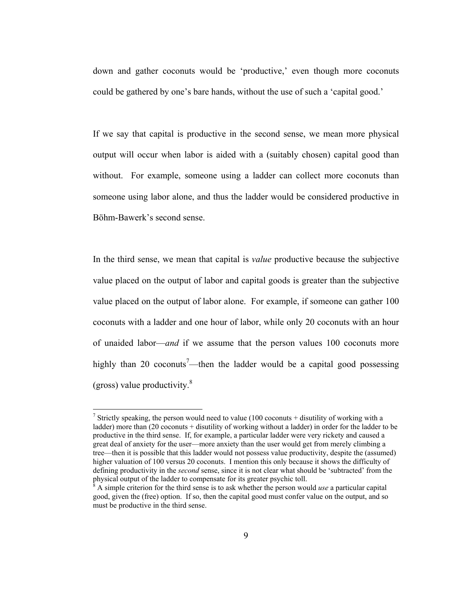down and gather coconuts would be 'productive,' even though more coconuts could be gathered by one's bare hands, without the use of such a 'capital good.'

If we say that capital is productive in the second sense, we mean more physical output will occur when labor is aided with a (suitably chosen) capital good than without. For example, someone using a ladder can collect more coconuts than someone using labor alone, and thus the ladder would be considered productive in Böhm-Bawerk's second sense.

In the third sense, we mean that capital is *value* productive because the subjective value placed on the output of labor and capital goods is greater than the subjective value placed on the output of labor alone. For example, if someone can gather 100 coconuts with a ladder and one hour of labor, while only 20 coconuts with an hour of unaided labor—*and* if we assume that the person values 100 coconuts more highly than 20 coconuts<sup>7</sup>—then the ladder would be a capital good possessing (gross) value productivity. $\frac{8}{3}$ 

<sup>&</sup>lt;sup>7</sup> Strictly speaking, the person would need to value (100 coconuts + disutility of working with a ladder) more than (20 coconuts + disutility of working without a ladder) in order for the ladder to be productive in the third sense. If, for example, a particular ladder were very rickety and caused a great deal of anxiety for the user—more anxiety than the user would get from merely climbing a tree—then it is possible that this ladder would not possess value productivity, despite the (assumed) higher valuation of 100 versus 20 coconuts. I mention this only because it shows the difficulty of defining productivity in the *second* sense, since it is not clear what should be 'subtracted' from the physical output of the ladder to compensate for its greater psychic toll. 8

A simple criterion for the third sense is to ask whether the person would *use* a particular capital good, given the (free) option. If so, then the capital good must confer value on the output, and so must be productive in the third sense.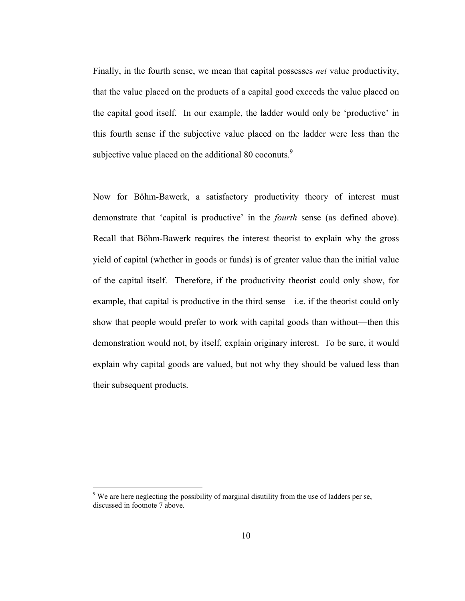Finally, in the fourth sense, we mean that capital possesses *net* value productivity, that the value placed on the products of a capital good exceeds the value placed on the capital good itself. In our example, the ladder would only be 'productive' in this fourth sense if the subjective value placed on the ladder were less than the subjective value placed on the additional 80 coconuts.<sup>9</sup>

Now for Böhm-Bawerk, a satisfactory productivity theory of interest must demonstrate that 'capital is productive' in the *fourth* sense (as defined above). Recall that Böhm-Bawerk requires the interest theorist to explain why the gross yield of capital (whether in goods or funds) is of greater value than the initial value of the capital itself. Therefore, if the productivity theorist could only show, for example, that capital is productive in the third sense—i.e. if the theorist could only show that people would prefer to work with capital goods than without—then this demonstration would not, by itself, explain originary interest. To be sure, it would explain why capital goods are valued, but not why they should be valued less than their subsequent products.

 $9$  We are here neglecting the possibility of marginal disutility from the use of ladders per se, discussed in footnote 7 above.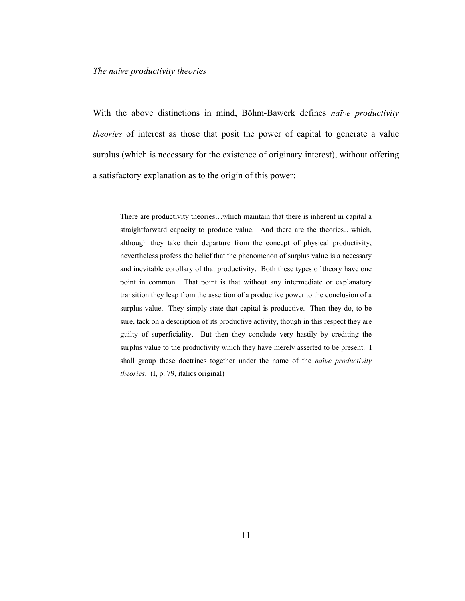#### *The naïve productivity theories*

With the above distinctions in mind, Böhm-Bawerk defines *naïve productivity theories* of interest as those that posit the power of capital to generate a value surplus (which is necessary for the existence of originary interest), without offering a satisfactory explanation as to the origin of this power:

There are productivity theories…which maintain that there is inherent in capital a straightforward capacity to produce value. And there are the theories…which, although they take their departure from the concept of physical productivity, nevertheless profess the belief that the phenomenon of surplus value is a necessary and inevitable corollary of that productivity. Both these types of theory have one point in common. That point is that without any intermediate or explanatory transition they leap from the assertion of a productive power to the conclusion of a surplus value. They simply state that capital is productive. Then they do, to be sure, tack on a description of its productive activity, though in this respect they are guilty of superficiality. But then they conclude very hastily by crediting the surplus value to the productivity which they have merely asserted to be present. I shall group these doctrines together under the name of the *naïve productivity theories*. (I, p. 79, italics original)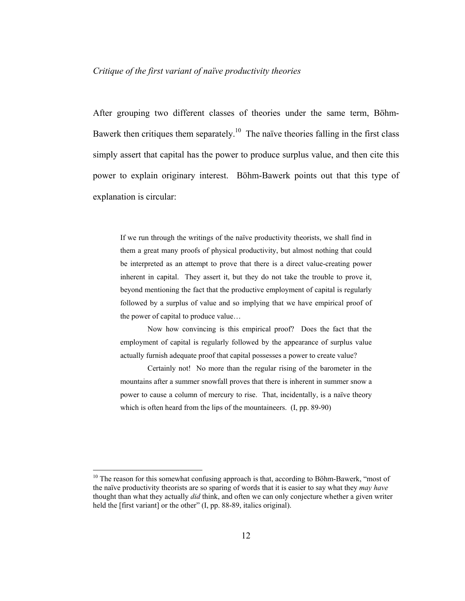#### *Critique of the first variant of naïve productivity theories*

After grouping two different classes of theories under the same term, Böhm-Bawerk then critiques them separately.<sup>10</sup> The naïve theories falling in the first class simply assert that capital has the power to produce surplus value, and then cite this power to explain originary interest. Böhm-Bawerk points out that this type of explanation is circular:

If we run through the writings of the naïve productivity theorists, we shall find in them a great many proofs of physical productivity, but almost nothing that could be interpreted as an attempt to prove that there is a direct value-creating power inherent in capital. They assert it, but they do not take the trouble to prove it, beyond mentioning the fact that the productive employment of capital is regularly followed by a surplus of value and so implying that we have empirical proof of the power of capital to produce value…

 Now how convincing is this empirical proof? Does the fact that the employment of capital is regularly followed by the appearance of surplus value actually furnish adequate proof that capital possesses a power to create value?

 Certainly not! No more than the regular rising of the barometer in the mountains after a summer snowfall proves that there is inherent in summer snow a power to cause a column of mercury to rise. That, incidentally, is a naïve theory which is often heard from the lips of the mountaineers. (I, pp. 89-90)

<sup>&</sup>lt;sup>10</sup> The reason for this somewhat confusing approach is that, according to Böhm-Bawerk, "most of the naïve productivity theorists are so sparing of words that it is easier to say what they *may have*  thought than what they actually *did* think, and often we can only conjecture whether a given writer held the [first variant] or the other" (I, pp. 88-89, italics original).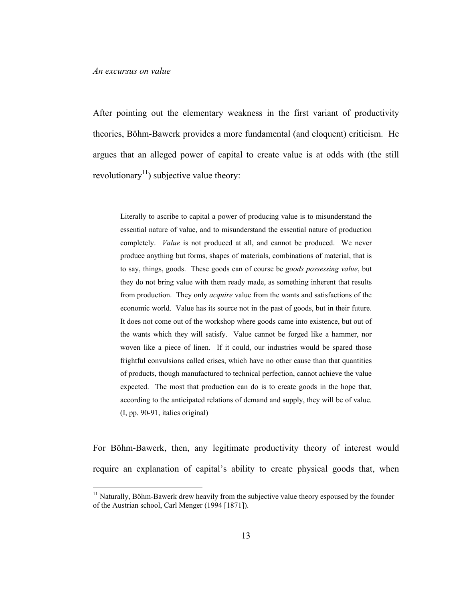$\overline{a}$ 

After pointing out the elementary weakness in the first variant of productivity theories, Böhm-Bawerk provides a more fundamental (and eloquent) criticism. He argues that an alleged power of capital to create value is at odds with (the still revolutionary<sup>11</sup>) subjective value theory:

Literally to ascribe to capital a power of producing value is to misunderstand the essential nature of value, and to misunderstand the essential nature of production completely. *Value* is not produced at all, and cannot be produced. We never produce anything but forms, shapes of materials, combinations of material, that is to say, things, goods. These goods can of course be *goods possessing value*, but they do not bring value with them ready made, as something inherent that results from production. They only *acquire* value from the wants and satisfactions of the economic world. Value has its source not in the past of goods, but in their future. It does not come out of the workshop where goods came into existence, but out of the wants which they will satisfy. Value cannot be forged like a hammer, nor woven like a piece of linen. If it could, our industries would be spared those frightful convulsions called crises, which have no other cause than that quantities of products, though manufactured to technical perfection, cannot achieve the value expected. The most that production can do is to create goods in the hope that, according to the anticipated relations of demand and supply, they will be of value. (I, pp. 90-91, italics original)

For Böhm-Bawerk, then, any legitimate productivity theory of interest would require an explanation of capital's ability to create physical goods that, when

 $<sup>11</sup>$  Naturally, Böhm-Bawerk drew heavily from the subjective value theory espoused by the founder</sup> of the Austrian school, Carl Menger (1994 [1871]).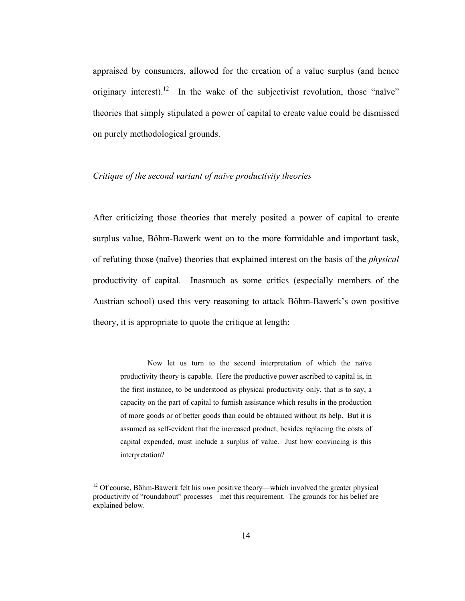appraised by consumers, allowed for the creation of a value surplus (and hence originary interest).<sup>12</sup> In the wake of the subjectivist revolution, those "naïve" theories that simply stipulated a power of capital to create value could be dismissed on purely methodological grounds.

#### *Critique of the second variant of naïve productivity theories*

After criticizing those theories that merely posited a power of capital to create surplus value, Böhm-Bawerk went on to the more formidable and important task, of refuting those (naïve) theories that explained interest on the basis of the *physical*  productivity of capital. Inasmuch as some critics (especially members of the Austrian school) used this very reasoning to attack Böhm-Bawerk's own positive theory, it is appropriate to quote the critique at length:

Now let us turn to the second interpretation of which the naïve productivity theory is capable. Here the productive power ascribed to capital is, in the first instance, to be understood as physical productivity only, that is to say, a capacity on the part of capital to furnish assistance which results in the production of more goods or of better goods than could be obtained without its help. But it is assumed as self-evident that the increased product, besides replacing the costs of capital expended, must include a surplus of value. Just how convincing is this interpretation?

<sup>12</sup> Of course, Böhm-Bawerk felt his *own* positive theory—which involved the greater physical productivity of "roundabout" processes—met this requirement. The grounds for his belief are explained below.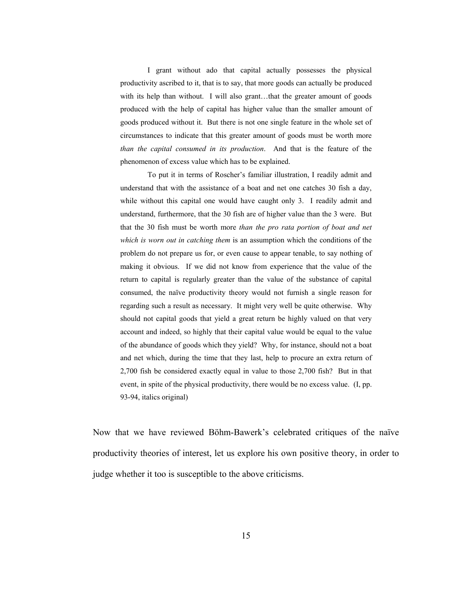I grant without ado that capital actually possesses the physical productivity ascribed to it, that is to say, that more goods can actually be produced with its help than without. I will also grant...that the greater amount of goods produced with the help of capital has higher value than the smaller amount of goods produced without it. But there is not one single feature in the whole set of circumstances to indicate that this greater amount of goods must be worth more *than the capital consumed in its production*. And that is the feature of the phenomenon of excess value which has to be explained.

 To put it in terms of Roscher's familiar illustration, I readily admit and understand that with the assistance of a boat and net one catches 30 fish a day, while without this capital one would have caught only 3. I readily admit and understand, furthermore, that the 30 fish are of higher value than the 3 were. But that the 30 fish must be worth more *than the pro rata portion of boat and net which is worn out in catching them* is an assumption which the conditions of the problem do not prepare us for, or even cause to appear tenable, to say nothing of making it obvious. If we did not know from experience that the value of the return to capital is regularly greater than the value of the substance of capital consumed, the naïve productivity theory would not furnish a single reason for regarding such a result as necessary. It might very well be quite otherwise. Why should not capital goods that yield a great return be highly valued on that very account and indeed, so highly that their capital value would be equal to the value of the abundance of goods which they yield? Why, for instance, should not a boat and net which, during the time that they last, help to procure an extra return of 2,700 fish be considered exactly equal in value to those 2,700 fish? But in that event, in spite of the physical productivity, there would be no excess value. (I, pp. 93-94, italics original)

Now that we have reviewed Böhm-Bawerk's celebrated critiques of the naïve productivity theories of interest, let us explore his own positive theory, in order to judge whether it too is susceptible to the above criticisms.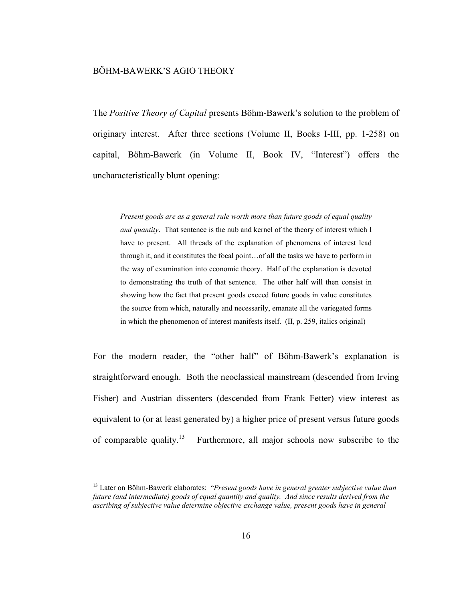#### BÖHM-BAWERK'S AGIO THEORY

 $\overline{a}$ 

The *Positive Theory of Capital* presents Böhm-Bawerk's solution to the problem of originary interest. After three sections (Volume II, Books I-III, pp. 1-258) on capital, Böhm-Bawerk (in Volume II, Book IV, "Interest") offers the uncharacteristically blunt opening:

*Present goods are as a general rule worth more than future goods of equal quality and quantity*. That sentence is the nub and kernel of the theory of interest which I have to present. All threads of the explanation of phenomena of interest lead through it, and it constitutes the focal point…of all the tasks we have to perform in the way of examination into economic theory. Half of the explanation is devoted to demonstrating the truth of that sentence. The other half will then consist in showing how the fact that present goods exceed future goods in value constitutes the source from which, naturally and necessarily, emanate all the variegated forms in which the phenomenon of interest manifests itself. (II, p. 259, italics original)

For the modern reader, the "other half" of Böhm-Bawerk's explanation is straightforward enough. Both the neoclassical mainstream (descended from Irving Fisher) and Austrian dissenters (descended from Frank Fetter) view interest as equivalent to (or at least generated by) a higher price of present versus future goods of comparable quality.<sup>13</sup> Furthermore, all major schools now subscribe to the

<sup>13</sup> Later on Böhm-Bawerk elaborates: "*Present goods have in general greater subjective value than future (and intermediate) goods of equal quantity and quality. And since results derived from the ascribing of subjective value determine objective exchange value, present goods have in general*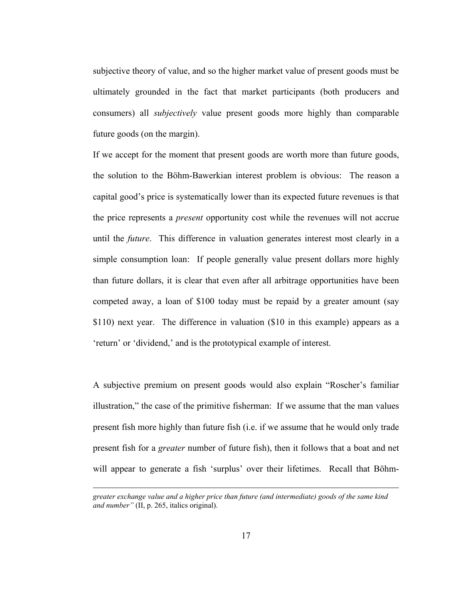subjective theory of value, and so the higher market value of present goods must be ultimately grounded in the fact that market participants (both producers and consumers) all *subjectively* value present goods more highly than comparable future goods (on the margin).

If we accept for the moment that present goods are worth more than future goods, the solution to the Böhm-Bawerkian interest problem is obvious: The reason a capital good's price is systematically lower than its expected future revenues is that the price represents a *present* opportunity cost while the revenues will not accrue until the *future*. This difference in valuation generates interest most clearly in a simple consumption loan: If people generally value present dollars more highly than future dollars, it is clear that even after all arbitrage opportunities have been competed away, a loan of \$100 today must be repaid by a greater amount (say \$110) next year. The difference in valuation (\$10 in this example) appears as a 'return' or 'dividend,' and is the prototypical example of interest.

A subjective premium on present goods would also explain "Roscher's familiar illustration," the case of the primitive fisherman: If we assume that the man values present fish more highly than future fish (i.e. if we assume that he would only trade present fish for a *greater* number of future fish), then it follows that a boat and net will appear to generate a fish 'surplus' over their lifetimes. Recall that Böhm-

*greater exchange value and a higher price than future (and intermediate) goods of the same kind and number"* (II, p. 265, italics original).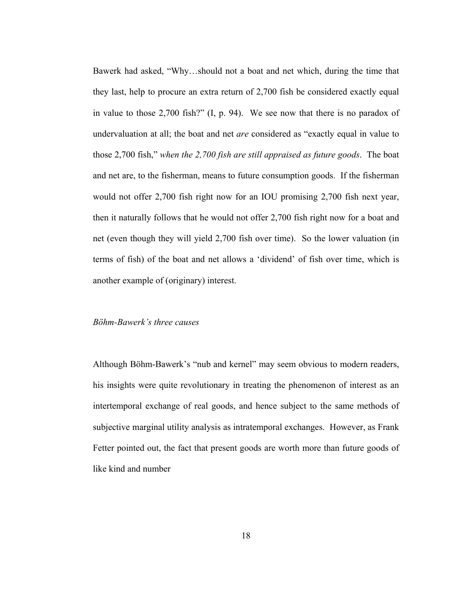Bawerk had asked, "Why…should not a boat and net which, during the time that they last, help to procure an extra return of 2,700 fish be considered exactly equal in value to those 2,700 fish?" (I, p. 94). We see now that there is no paradox of undervaluation at all; the boat and net *are* considered as "exactly equal in value to those 2,700 fish," *when the 2,700 fish are still appraised as future goods*. The boat and net are, to the fisherman, means to future consumption goods. If the fisherman would not offer 2,700 fish right now for an IOU promising 2,700 fish next year, then it naturally follows that he would not offer 2,700 fish right now for a boat and net (even though they will yield 2,700 fish over time). So the lower valuation (in terms of fish) of the boat and net allows a 'dividend' of fish over time, which is another example of (originary) interest.

#### *Böhm-Bawerk's three causes*

Although Böhm-Bawerk's "nub and kernel" may seem obvious to modern readers, his insights were quite revolutionary in treating the phenomenon of interest as an intertemporal exchange of real goods, and hence subject to the same methods of subjective marginal utility analysis as intratemporal exchanges. However, as Frank Fetter pointed out, the fact that present goods are worth more than future goods of like kind and number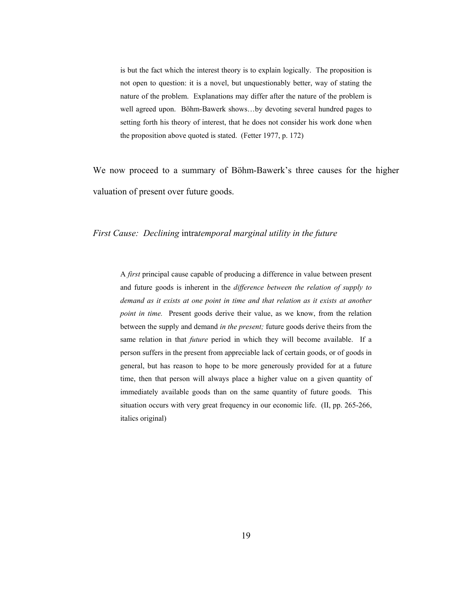is but the fact which the interest theory is to explain logically. The proposition is not open to question: it is a novel, but unquestionably better, way of stating the nature of the problem. Explanations may differ after the nature of the problem is well agreed upon. Böhm-Bawerk shows…by devoting several hundred pages to setting forth his theory of interest, that he does not consider his work done when the proposition above quoted is stated. (Fetter 1977, p. 172)

We now proceed to a summary of Böhm-Bawerk's three causes for the higher valuation of present over future goods.

#### *First Cause: Declining* intra*temporal marginal utility in the future*

A *first* principal cause capable of producing a difference in value between present and future goods is inherent in the *difference between the relation of supply to demand as it exists at one point in time and that relation as it exists at another point in time.* Present goods derive their value, as we know, from the relation between the supply and demand *in the present;* future goods derive theirs from the same relation in that *future* period in which they will become available. If a person suffers in the present from appreciable lack of certain goods, or of goods in general, but has reason to hope to be more generously provided for at a future time, then that person will always place a higher value on a given quantity of immediately available goods than on the same quantity of future goods. This situation occurs with very great frequency in our economic life. (II, pp. 265-266, italics original)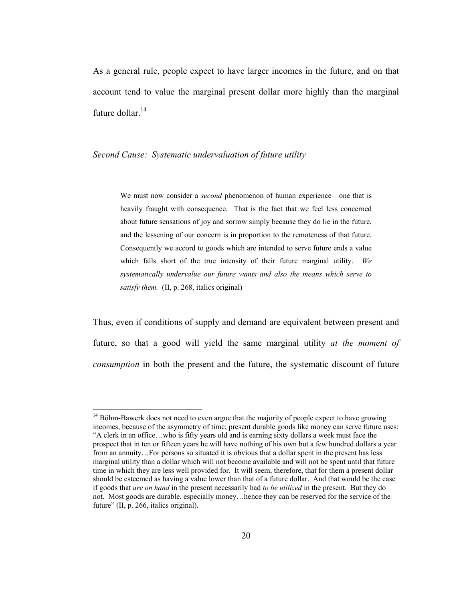As a general rule, people expect to have larger incomes in the future, and on that account tend to value the marginal present dollar more highly than the marginal future dollar.<sup>14</sup>

#### *Second Cause: Systematic undervaluation of future utility*

 $\overline{a}$ 

We must now consider a *second* phenomenon of human experience—one that is heavily fraught with consequence. That is the fact that we feel less concerned about future sensations of joy and sorrow simply because they do lie in the future, and the lessening of our concern is in proportion to the remoteness of that future. Consequently we accord to goods which are intended to serve future ends a value which falls short of the true intensity of their future marginal utility. *We systematically undervalue our future wants and also the means which serve to satisfy them.* (II, p. 268, italics original)

Thus, even if conditions of supply and demand are equivalent between present and future, so that a good will yield the same marginal utility *at the moment of consumption* in both the present and the future, the systematic discount of future

 $14$  Böhm-Bawerk does not need to even argue that the majority of people expect to have growing incomes, because of the asymmetry of time; present durable goods like money can serve future uses: "A clerk in an office…who is fifty years old and is earning sixty dollars a week must face the prospect that in ten or fifteen years he will have nothing of his own but a few hundred dollars a year from an annuity…For persons so situated it is obvious that a dollar spent in the present has less marginal utility than a dollar which will not become available and will not be spent until that future time in which they are less well provided for. It will seem, therefore, that for them a present dollar should be esteemed as having a value lower than that of a future dollar. And that would be the case if goods that *are on hand* in the present necessarily had *to be utilized* in the present. But they do not. Most goods are durable, especially money…hence they can be reserved for the service of the future" (II, p. 266, italics original).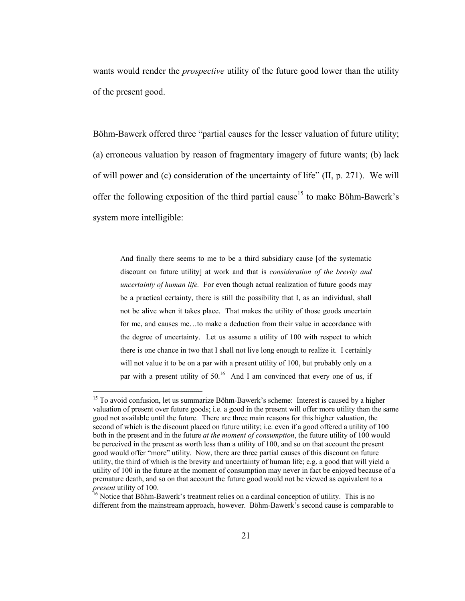wants would render the *prospective* utility of the future good lower than the utility of the present good.

Böhm-Bawerk offered three "partial causes for the lesser valuation of future utility; (a) erroneous valuation by reason of fragmentary imagery of future wants; (b) lack of will power and (c) consideration of the uncertainty of life" (II, p. 271). We will offer the following exposition of the third partial cause<sup>15</sup> to make Böhm-Bawerk's system more intelligible:

And finally there seems to me to be a third subsidiary cause [of the systematic discount on future utility] at work and that is *consideration of the brevity and uncertainty of human life.* For even though actual realization of future goods may be a practical certainty, there is still the possibility that I, as an individual, shall not be alive when it takes place. That makes the utility of those goods uncertain for me, and causes me…to make a deduction from their value in accordance with the degree of uncertainty. Let us assume a utility of 100 with respect to which there is one chance in two that I shall not live long enough to realize it. I certainly will not value it to be on a par with a present utility of 100, but probably only on a par with a present utility of  $50<sup>16</sup>$  And I am convinced that every one of us, if

<sup>&</sup>lt;sup>15</sup> To avoid confusion, let us summarize Böhm-Bawerk's scheme: Interest is caused by a higher valuation of present over future goods; i.e. a good in the present will offer more utility than the same good not available until the future. There are three main reasons for this higher valuation, the second of which is the discount placed on future utility; i.e. even if a good offered a utility of 100 both in the present and in the future *at the moment of consumption*, the future utility of 100 would be perceived in the present as worth less than a utility of 100, and so on that account the present good would offer "more" utility. Now, there are three partial causes of this discount on future utility, the third of which is the brevity and uncertainty of human life; e.g. a good that will yield a utility of 100 in the future at the moment of consumption may never in fact be enjoyed because of a premature death, and so on that account the future good would not be viewed as equivalent to a *present* utility of 100.<br><sup>16</sup> Notice that Böhm-Bawerk's treatment relies on a cardinal conception of utility. This is no

different from the mainstream approach, however. Böhm-Bawerk's second cause is comparable to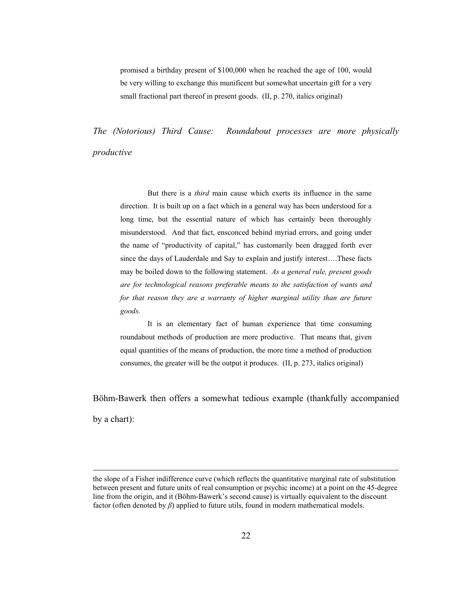promised a birthday present of \$100,000 when he reached the age of 100, would be very willing to exchange this munificent but somewhat uncertain gift for a very small fractional part thereof in present goods. (II, p. 270, italics original)

*The (Notorious) Third Cause: Roundabout processes are more physically productive* 

But there is a *third* main cause which exerts its influence in the same direction. It is built up on a fact which in a general way has been understood for a long time, but the essential nature of which has certainly been thoroughly misunderstood. And that fact, ensconced behind myriad errors, and going under the name of "productivity of capital," has customarily been dragged forth ever since the days of Lauderdale and Say to explain and justify interest….These facts may be boiled down to the following statement. *As a general rule, present goods are for technological reasons preferable means to the satisfaction of wants and*  for that reason they are a warranty of higher marginal utility than are future *goods.* 

It is an elementary fact of human experience that time consuming roundabout methods of production are more productive. That means that, given equal quantities of the means of production, the more time a method of production consumes, the greater will be the output it produces. (II, p. 273, italics original)

Böhm-Bawerk then offers a somewhat tedious example (thankfully accompanied by a chart):

the slope of a Fisher indifference curve (which reflects the quantitative marginal rate of substitution between present and future units of real consumption or psychic income) at a point on the 45-degree line from the origin, and it (Böhm-Bawerk's second cause) is virtually equivalent to the discount factor (often denoted by *β*) applied to future utils, found in modern mathematical models.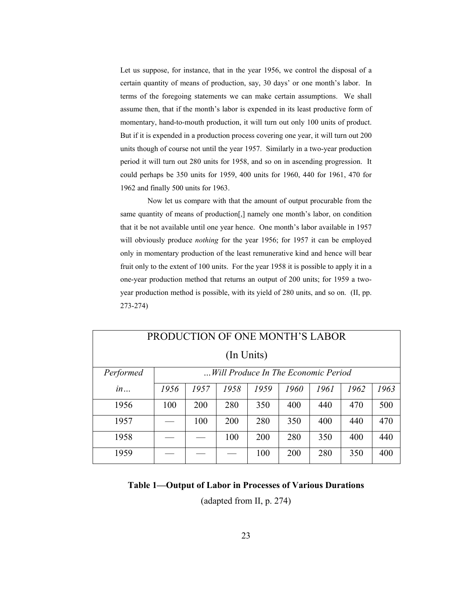Let us suppose, for instance, that in the year 1956, we control the disposal of a certain quantity of means of production, say, 30 days' or one month's labor. In terms of the foregoing statements we can make certain assumptions. We shall assume then, that if the month's labor is expended in its least productive form of momentary, hand-to-mouth production, it will turn out only 100 units of product. But if it is expended in a production process covering one year, it will turn out 200 units though of course not until the year 1957. Similarly in a two-year production period it will turn out 280 units for 1958, and so on in ascending progression. It could perhaps be 350 units for 1959, 400 units for 1960, 440 for 1961, 470 for 1962 and finally 500 units for 1963.

 Now let us compare with that the amount of output procurable from the same quantity of means of production[,] namely one month's labor, on condition that it be not available until one year hence. One month's labor available in 1957 will obviously produce *nothing* for the year 1956; for 1957 it can be employed only in momentary production of the least remunerative kind and hence will bear fruit only to the extent of 100 units. For the year 1958 it is possible to apply it in a one-year production method that returns an output of 200 units; for 1959 a twoyear production method is possible, with its yield of 280 units, and so on. (II, pp. 273-274)

| PRODUCTION OF ONE MONTH'S LABOR |                                     |      |      |      |      |      |      |      |  |  |
|---------------------------------|-------------------------------------|------|------|------|------|------|------|------|--|--|
| (In Units)                      |                                     |      |      |      |      |      |      |      |  |  |
| Performed                       | Will Produce In The Economic Period |      |      |      |      |      |      |      |  |  |
| in                              | 1956                                | 1957 | 1958 | 1959 | 1960 | 1961 | 1962 | 1963 |  |  |
| 1956                            | 100                                 | 200  | 280  | 350  | 400  | 440  | 470  | 500  |  |  |
| 1957                            |                                     | 100  | 200  | 280  | 350  | 400  | 440  | 470  |  |  |
| 1958                            |                                     |      | 100  | 200  | 280  | 350  | 400  | 440  |  |  |
| 1959                            |                                     |      |      | 100  | 200  | 280  | 350  | 400  |  |  |

#### **Table 1—Output of Labor in Processes of Various Durations**

(adapted from II, p. 274)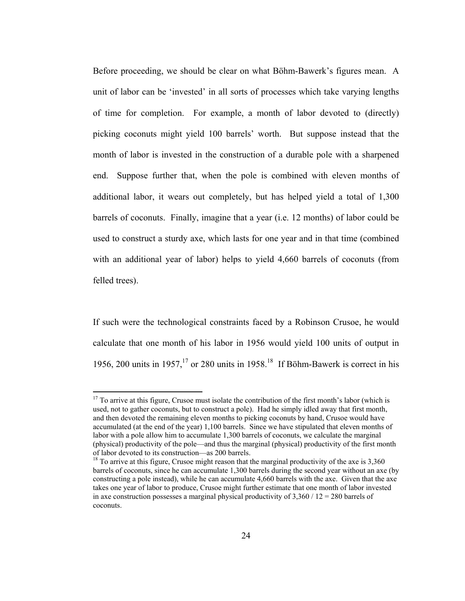Before proceeding, we should be clear on what Böhm-Bawerk's figures mean. A unit of labor can be 'invested' in all sorts of processes which take varying lengths of time for completion. For example, a month of labor devoted to (directly) picking coconuts might yield 100 barrels' worth. But suppose instead that the month of labor is invested in the construction of a durable pole with a sharpened end. Suppose further that, when the pole is combined with eleven months of additional labor, it wears out completely, but has helped yield a total of 1,300 barrels of coconuts. Finally, imagine that a year (i.e. 12 months) of labor could be used to construct a sturdy axe, which lasts for one year and in that time (combined with an additional year of labor) helps to yield 4,660 barrels of coconuts (from felled trees).

If such were the technological constraints faced by a Robinson Crusoe, he would calculate that one month of his labor in 1956 would yield 100 units of output in 1956, 200 units in 1957,<sup>17</sup> or 280 units in 1958.<sup>18</sup> If Böhm-Bawerk is correct in his

 $17$  To arrive at this figure, Crusoe must isolate the contribution of the first month's labor (which is used, not to gather coconuts, but to construct a pole). Had he simply idled away that first month, and then devoted the remaining eleven months to picking coconuts by hand, Crusoe would have accumulated (at the end of the year) 1,100 barrels. Since we have stipulated that eleven months of labor with a pole allow him to accumulate 1,300 barrels of coconuts, we calculate the marginal (physical) productivity of the pole—and thus the marginal (physical) productivity of the first month of labor devoted to its construction—as 200 barrels.

<sup>&</sup>lt;sup>18</sup> To arrive at this figure, Crusoe might reason that the marginal productivity of the axe is 3,360 barrels of coconuts, since he can accumulate 1,300 barrels during the second year without an axe (by constructing a pole instead), while he can accumulate 4,660 barrels with the axe. Given that the axe takes one year of labor to produce, Crusoe might further estimate that one month of labor invested in axe construction possesses a marginal physical productivity of  $3,360 / 12 = 280$  barrels of coconuts.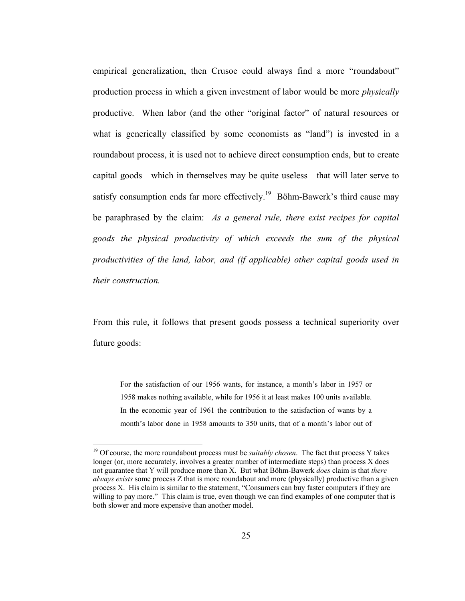empirical generalization, then Crusoe could always find a more "roundabout" production process in which a given investment of labor would be more *physically*  productive. When labor (and the other "original factor" of natural resources or what is generically classified by some economists as "land") is invested in a roundabout process, it is used not to achieve direct consumption ends, but to create capital goods—which in themselves may be quite useless—that will later serve to satisfy consumption ends far more effectively.<sup>19</sup> Böhm-Bawerk's third cause may be paraphrased by the claim: *As a general rule, there exist recipes for capital goods the physical productivity of which exceeds the sum of the physical productivities of the land, labor, and (if applicable) other capital goods used in their construction.*

From this rule, it follows that present goods possess a technical superiority over future goods:

For the satisfaction of our 1956 wants, for instance, a month's labor in 1957 or 1958 makes nothing available, while for 1956 it at least makes 100 units available. In the economic year of 1961 the contribution to the satisfaction of wants by a month's labor done in 1958 amounts to 350 units, that of a month's labor out of

<sup>&</sup>lt;sup>19</sup> Of course, the more roundabout process must be *suitably chosen*. The fact that process Y takes longer (or, more accurately, involves a greater number of intermediate steps) than process X does not guarantee that Y will produce more than X. But what Böhm-Bawerk *does* claim is that *there always exists* some process Z that is more roundabout and more (physically) productive than a given process X. His claim is similar to the statement, "Consumers can buy faster computers if they are willing to pay more." This claim is true, even though we can find examples of one computer that is both slower and more expensive than another model.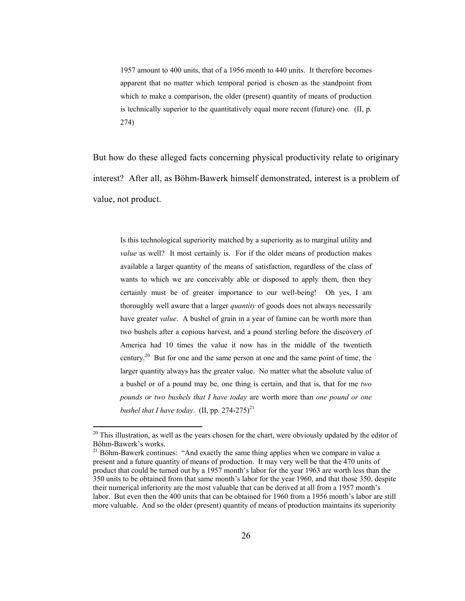1957 amount to 400 units, that of a 1956 month to 440 units. It therefore becomes apparent that no matter which temporal period is chosen as the standpoint from which to make a comparison, the older (present) quantity of means of production is technically superior to the quantitatively equal more recent (future) one. (II, p. 274)

But how do these alleged facts concerning physical productivity relate to originary interest? After all, as Böhm-Bawerk himself demonstrated, interest is a problem of value, not product.

Is this technological superiority matched by a superiority as to marginal utility and *value* as well? It most certainly is. For if the older means of production makes available a larger quantity of the means of satisfaction, regardless of the class of wants to which we are conceivably able or disposed to apply them, then they certainly must be of greater importance to our well-being! Oh yes, I am thoroughly well aware that a larger *quantity* of goods does not always necessarily have greater *value*. A bushel of grain in a year of famine can be worth more than two bushels after a copious harvest, and a pound sterling before the discovery of America had 10 times the value it now has in the middle of the twentieth century.<sup>20</sup> But for one and the same person at one and the same point of time, the larger quantity always has the greater value. No matter what the absolute value of a bushel or of a pound may be, one thing is certain, and that is, that for me *two pounds or two bushels that I have today* are worth more than *one pound or one bushel that I have today.* (II, pp.  $274-275$ )<sup>21</sup>

 $20$  This illustration, as well as the years chosen for the chart, were obviously updated by the editor of Böhm-Bawerk's works.

 $21$  Böhm-Bawerk continues: "And exactly the same thing applies when we compare in value a present and a future quantity of means of production. It may very well be that the 470 units of product that could be turned out by a 1957 month's labor for the year 1963 are worth less than the 350 units to be obtained from that same month's labor for the year 1960, and that those 350, despite their numerical inferiority are the most valuable that can be derived at all from a 1957 month's labor. But even then the 400 units that can be obtained for 1960 from a 1956 month's labor are still more valuable. And so the older (present) quantity of means of production maintains its superiority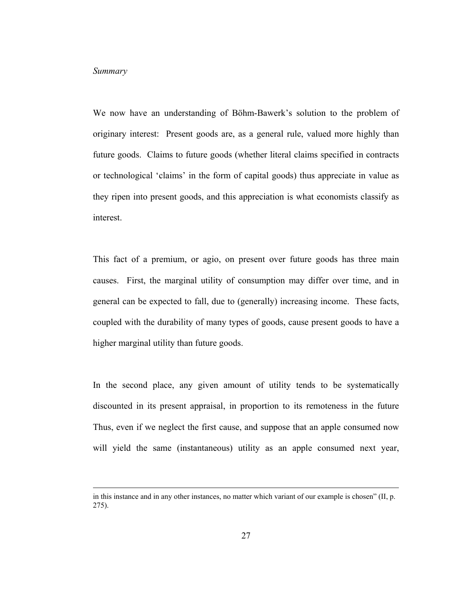#### *Summary*

We now have an understanding of Böhm-Bawerk's solution to the problem of originary interest: Present goods are, as a general rule, valued more highly than future goods. Claims to future goods (whether literal claims specified in contracts or technological 'claims' in the form of capital goods) thus appreciate in value as they ripen into present goods, and this appreciation is what economists classify as interest.

This fact of a premium, or agio, on present over future goods has three main causes. First, the marginal utility of consumption may differ over time, and in general can be expected to fall, due to (generally) increasing income. These facts, coupled with the durability of many types of goods, cause present goods to have a higher marginal utility than future goods.

In the second place, any given amount of utility tends to be systematically discounted in its present appraisal, in proportion to its remoteness in the future Thus, even if we neglect the first cause, and suppose that an apple consumed now will yield the same (instantaneous) utility as an apple consumed next year,

in this instance and in any other instances, no matter which variant of our example is chosen" (II, p. 275).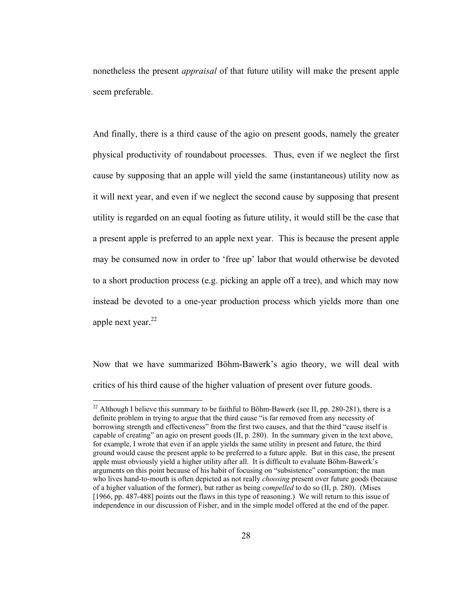nonetheless the present *appraisal* of that future utility will make the present apple seem preferable.

And finally, there is a third cause of the agio on present goods, namely the greater physical productivity of roundabout processes. Thus, even if we neglect the first cause by supposing that an apple will yield the same (instantaneous) utility now as it will next year, and even if we neglect the second cause by supposing that present utility is regarded on an equal footing as future utility, it would still be the case that a present apple is preferred to an apple next year. This is because the present apple may be consumed now in order to 'free up' labor that would otherwise be devoted to a short production process (e.g. picking an apple off a tree), and which may now instead be devoted to a one-year production process which yields more than one apple next year. $^{22}$ 

Now that we have summarized Böhm-Bawerk's agio theory, we will deal with critics of his third cause of the higher valuation of present over future goods.

<sup>&</sup>lt;sup>22</sup> Although I believe this summary to be faithful to Böhm-Bawerk (see II, pp. 280-281), there is a definite problem in trying to argue that the third cause "is far removed from any necessity of borrowing strength and effectiveness" from the first two causes, and that the third "cause itself is capable of creating" an agio on present goods (II, p. 280). In the summary given in the text above, for example, I wrote that even if an apple yields the same utility in present and future, the third ground would cause the present apple to be preferred to a future apple. But in this case, the present apple must obviously yield a higher utility after all. It is difficult to evaluate Böhm-Bawerk's arguments on this point because of his habit of focusing on "subsistence" consumption; the man who lives hand-to-mouth is often depicted as not really *choosing* present over future goods (because of a higher valuation of the former), but rather as being *compelled* to do so (II, p. 280). (Mises [1966, pp. 487-488] points out the flaws in this type of reasoning.) We will return to this issue of independence in our discussion of Fisher, and in the simple model offered at the end of the paper.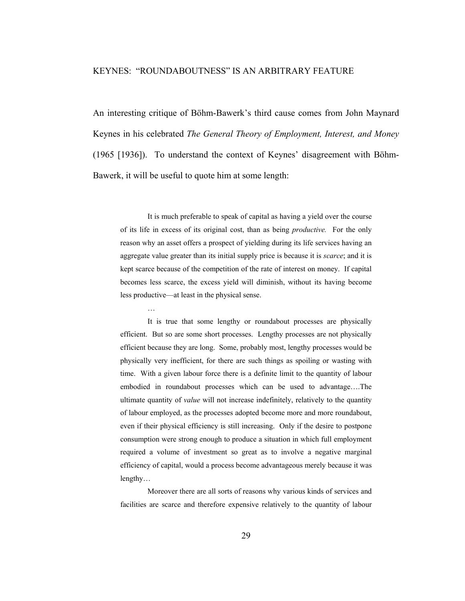### KEYNES: "ROUNDABOUTNESS" IS AN ARBITRARY FEATURE

An interesting critique of Böhm-Bawerk's third cause comes from John Maynard Keynes in his celebrated *The General Theory of Employment, Interest, and Money* (1965 [1936]). To understand the context of Keynes' disagreement with Böhm-Bawerk, it will be useful to quote him at some length:

 It is much preferable to speak of capital as having a yield over the course of its life in excess of its original cost, than as being *productive.* For the only reason why an asset offers a prospect of yielding during its life services having an aggregate value greater than its initial supply price is because it is *scarce*; and it is kept scarce because of the competition of the rate of interest on money. If capital becomes less scarce, the excess yield will diminish, without its having become less productive—at least in the physical sense.

…

 It is true that some lengthy or roundabout processes are physically efficient. But so are some short processes. Lengthy processes are not physically efficient because they are long. Some, probably most, lengthy processes would be physically very inefficient, for there are such things as spoiling or wasting with time. With a given labour force there is a definite limit to the quantity of labour embodied in roundabout processes which can be used to advantage….The ultimate quantity of *value* will not increase indefinitely, relatively to the quantity of labour employed, as the processes adopted become more and more roundabout, even if their physical efficiency is still increasing. Only if the desire to postpone consumption were strong enough to produce a situation in which full employment required a volume of investment so great as to involve a negative marginal efficiency of capital, would a process become advantageous merely because it was lengthy…

 Moreover there are all sorts of reasons why various kinds of services and facilities are scarce and therefore expensive relatively to the quantity of labour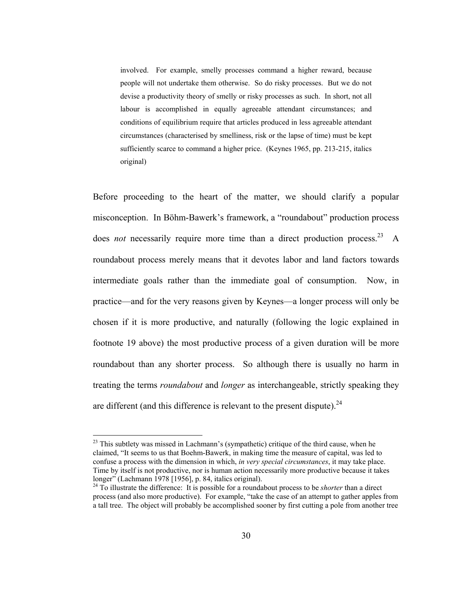involved. For example, smelly processes command a higher reward, because people will not undertake them otherwise. So do risky processes. But we do not devise a productivity theory of smelly or risky processes as such. In short, not all labour is accomplished in equally agreeable attendant circumstances; and conditions of equilibrium require that articles produced in less agreeable attendant circumstances (characterised by smelliness, risk or the lapse of time) must be kept sufficiently scarce to command a higher price. (Keynes 1965, pp. 213-215, italics original)

Before proceeding to the heart of the matter, we should clarify a popular misconception. In Böhm-Bawerk's framework, a "roundabout" production process does *not* necessarily require more time than a direct production process.<sup>23</sup> A roundabout process merely means that it devotes labor and land factors towards intermediate goals rather than the immediate goal of consumption. Now, in practice—and for the very reasons given by Keynes—a longer process will only be chosen if it is more productive, and naturally (following the logic explained in footnote 19 above) the most productive process of a given duration will be more roundabout than any shorter process. So although there is usually no harm in treating the terms *roundabout* and *longer* as interchangeable, strictly speaking they are different (and this difference is relevant to the present dispute). $^{24}$ 

 $23$  This subtlety was missed in Lachmann's (sympathetic) critique of the third cause, when he claimed, "It seems to us that Boehm-Bawerk, in making time the measure of capital, was led to confuse a process with the dimension in which, *in very special circumstances*, it may take place. Time by itself is not productive, nor is human action necessarily more productive because it takes longer" (Lachmann 1978 [1956], p. 84, italics original).

<sup>24</sup> To illustrate the difference: It is possible for a roundabout process to be *shorter* than a direct process (and also more productive). For example, "take the case of an attempt to gather apples from a tall tree. The object will probably be accomplished sooner by first cutting a pole from another tree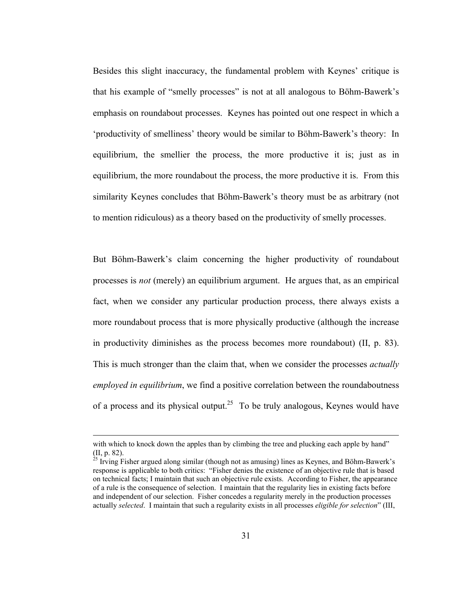Besides this slight inaccuracy, the fundamental problem with Keynes' critique is that his example of "smelly processes" is not at all analogous to Böhm-Bawerk's emphasis on roundabout processes. Keynes has pointed out one respect in which a 'productivity of smelliness' theory would be similar to Böhm-Bawerk's theory: In equilibrium, the smellier the process, the more productive it is; just as in equilibrium, the more roundabout the process, the more productive it is. From this similarity Keynes concludes that Böhm-Bawerk's theory must be as arbitrary (not to mention ridiculous) as a theory based on the productivity of smelly processes.

But Böhm-Bawerk's claim concerning the higher productivity of roundabout processes is *not* (merely) an equilibrium argument. He argues that, as an empirical fact, when we consider any particular production process, there always exists a more roundabout process that is more physically productive (although the increase in productivity diminishes as the process becomes more roundabout) (II, p. 83). This is much stronger than the claim that, when we consider the processes *actually employed in equilibrium*, we find a positive correlation between the roundaboutness of a process and its physical output.<sup>25</sup> To be truly analogous, Keynes would have

with which to knock down the apples than by climbing the tree and plucking each apple by hand" (II, p. 82).

 $^{25}$  Irving Fisher argued along similar (though not as amusing) lines as Keynes, and Böhm-Bawerk's response is applicable to both critics: "Fisher denies the existence of an objective rule that is based on technical facts; I maintain that such an objective rule exists. According to Fisher, the appearance of a rule is the consequence of selection. I maintain that the regularity lies in existing facts before and independent of our selection. Fisher concedes a regularity merely in the production processes actually *selected*. I maintain that such a regularity exists in all processes *eligible for selection*" (III,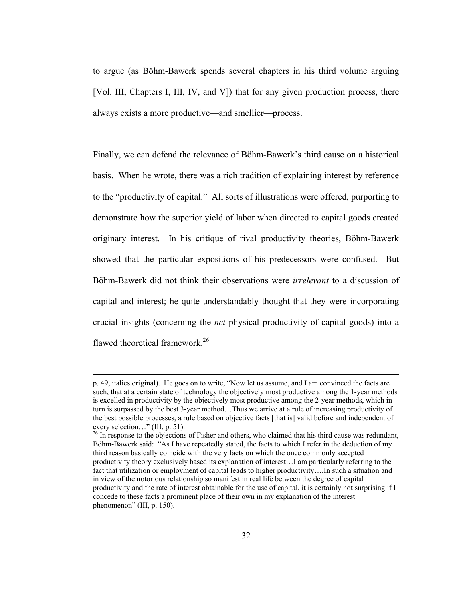to argue (as Böhm-Bawerk spends several chapters in his third volume arguing [Vol. III, Chapters I, III, IV, and V]) that for any given production process, there always exists a more productive—and smellier—process.

Finally, we can defend the relevance of Böhm-Bawerk's third cause on a historical basis. When he wrote, there was a rich tradition of explaining interest by reference to the "productivity of capital." All sorts of illustrations were offered, purporting to demonstrate how the superior yield of labor when directed to capital goods created originary interest. In his critique of rival productivity theories, Böhm-Bawerk showed that the particular expositions of his predecessors were confused. But Böhm-Bawerk did not think their observations were *irrelevant* to a discussion of capital and interest; he quite understandably thought that they were incorporating crucial insights (concerning the *net* physical productivity of capital goods) into a flawed theoretical framework.<sup>26</sup>

p. 49, italics original). He goes on to write, "Now let us assume, and I am convinced the facts are such, that at a certain state of technology the objectively most productive among the 1-year methods is excelled in productivity by the objectively most productive among the 2-year methods, which in turn is surpassed by the best 3-year method…Thus we arrive at a rule of increasing productivity of the best possible processes, a rule based on objective facts [that is] valid before and independent of every selection…" (III, p. 51).

<sup>&</sup>lt;sup>26</sup> In response to the objections of Fisher and others, who claimed that his third cause was redundant, Böhm-Bawerk said: "As I have repeatedly stated, the facts to which I refer in the deduction of my third reason basically coincide with the very facts on which the once commonly accepted productivity theory exclusively based its explanation of interest…I am particularly referring to the fact that utilization or employment of capital leads to higher productivity….In such a situation and in view of the notorious relationship so manifest in real life between the degree of capital productivity and the rate of interest obtainable for the use of capital, it is certainly not surprising if I concede to these facts a prominent place of their own in my explanation of the interest phenomenon" (III, p. 150).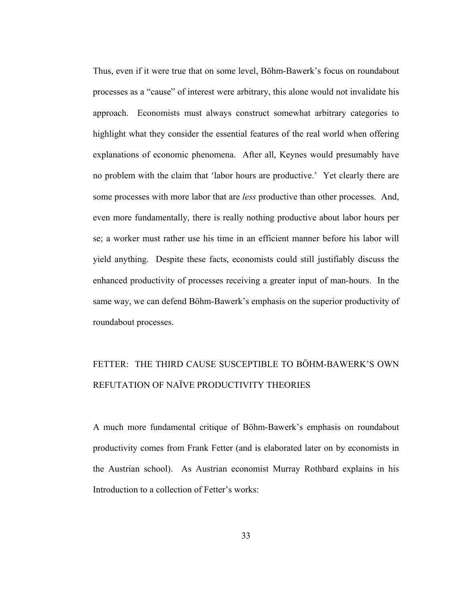Thus, even if it were true that on some level, Böhm-Bawerk's focus on roundabout processes as a "cause" of interest were arbitrary, this alone would not invalidate his approach. Economists must always construct somewhat arbitrary categories to highlight what they consider the essential features of the real world when offering explanations of economic phenomena. After all, Keynes would presumably have no problem with the claim that 'labor hours are productive.' Yet clearly there are some processes with more labor that are *less* productive than other processes. And, even more fundamentally, there is really nothing productive about labor hours per se; a worker must rather use his time in an efficient manner before his labor will yield anything. Despite these facts, economists could still justifiably discuss the enhanced productivity of processes receiving a greater input of man-hours. In the same way, we can defend Böhm-Bawerk's emphasis on the superior productivity of roundabout processes.

# FETTER: THE THIRD CAUSE SUSCEPTIBLE TO BÖHM-BAWERK'S OWN REFUTATION OF NAÏVE PRODUCTIVITY THEORIES

A much more fundamental critique of Böhm-Bawerk's emphasis on roundabout productivity comes from Frank Fetter (and is elaborated later on by economists in the Austrian school). As Austrian economist Murray Rothbard explains in his Introduction to a collection of Fetter's works: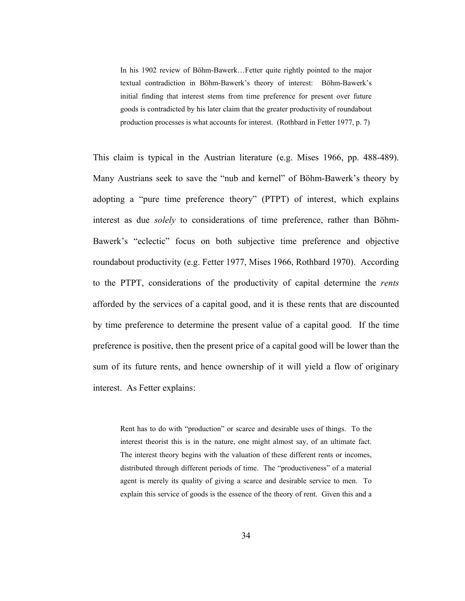In his 1902 review of Böhm-Bawerk…Fetter quite rightly pointed to the major textual contradiction in Böhm-Bawerk's theory of interest: Böhm-Bawerk's initial finding that interest stems from time preference for present over future goods is contradicted by his later claim that the greater productivity of roundabout production processes is what accounts for interest. (Rothbard in Fetter 1977, p. 7)

This claim is typical in the Austrian literature (e.g. Mises 1966, pp. 488-489). Many Austrians seek to save the "nub and kernel" of Böhm-Bawerk's theory by adopting a "pure time preference theory" (PTPT) of interest, which explains interest as due *solely* to considerations of time preference, rather than Böhm-Bawerk's "eclectic" focus on both subjective time preference and objective roundabout productivity (e.g. Fetter 1977, Mises 1966, Rothbard 1970). According to the PTPT, considerations of the productivity of capital determine the *rents* afforded by the services of a capital good, and it is these rents that are discounted by time preference to determine the present value of a capital good. If the time preference is positive, then the present price of a capital good will be lower than the sum of its future rents, and hence ownership of it will yield a flow of originary interest. As Fetter explains:

Rent has to do with "production" or scarce and desirable uses of things. To the interest theorist this is in the nature, one might almost say, of an ultimate fact. The interest theory begins with the valuation of these different rents or incomes, distributed through different periods of time. The "productiveness" of a material agent is merely its quality of giving a scarce and desirable service to men. To explain this service of goods is the essence of the theory of rent. Given this and a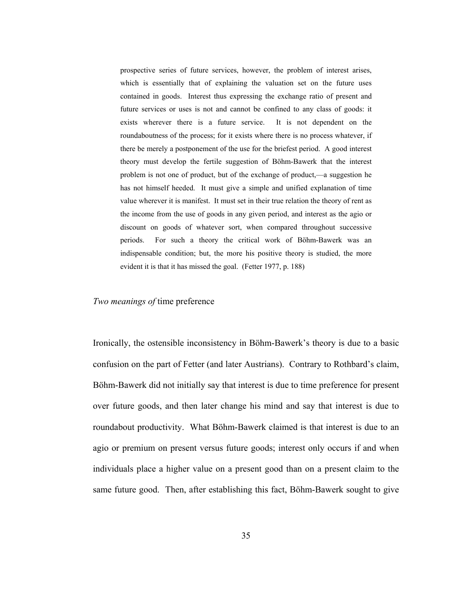prospective series of future services, however, the problem of interest arises, which is essentially that of explaining the valuation set on the future uses contained in goods. Interest thus expressing the exchange ratio of present and future services or uses is not and cannot be confined to any class of goods: it exists wherever there is a future service. It is not dependent on the roundaboutness of the process; for it exists where there is no process whatever, if there be merely a postponement of the use for the briefest period. A good interest theory must develop the fertile suggestion of Böhm-Bawerk that the interest problem is not one of product, but of the exchange of product,—a suggestion he has not himself heeded. It must give a simple and unified explanation of time value wherever it is manifest. It must set in their true relation the theory of rent as the income from the use of goods in any given period, and interest as the agio or discount on goods of whatever sort, when compared throughout successive periods. For such a theory the critical work of Böhm-Bawerk was an indispensable condition; but, the more his positive theory is studied, the more evident it is that it has missed the goal. (Fetter 1977, p. 188)

#### *Two meanings of* time preference

Ironically, the ostensible inconsistency in Böhm-Bawerk's theory is due to a basic confusion on the part of Fetter (and later Austrians). Contrary to Rothbard's claim, Böhm-Bawerk did not initially say that interest is due to time preference for present over future goods, and then later change his mind and say that interest is due to roundabout productivity. What Böhm-Bawerk claimed is that interest is due to an agio or premium on present versus future goods; interest only occurs if and when individuals place a higher value on a present good than on a present claim to the same future good. Then, after establishing this fact, Böhm-Bawerk sought to give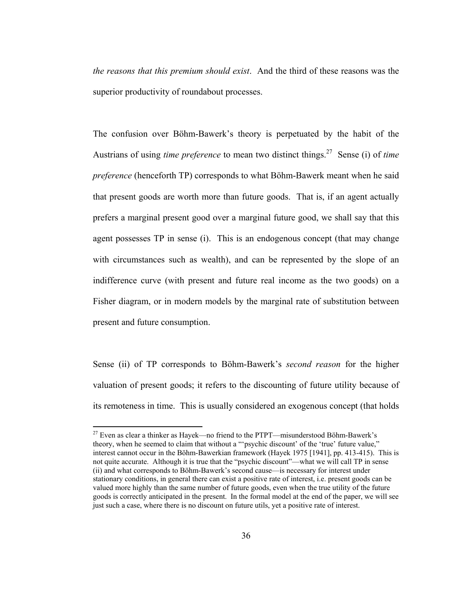*the reasons that this premium should exist*. And the third of these reasons was the superior productivity of roundabout processes.

The confusion over Böhm-Bawerk's theory is perpetuated by the habit of the Austrians of using *time preference* to mean two distinct things.27 Sense (i) of *time preference* (henceforth TP) corresponds to what Böhm-Bawerk meant when he said that present goods are worth more than future goods. That is, if an agent actually prefers a marginal present good over a marginal future good, we shall say that this agent possesses TP in sense (i). This is an endogenous concept (that may change with circumstances such as wealth), and can be represented by the slope of an indifference curve (with present and future real income as the two goods) on a Fisher diagram, or in modern models by the marginal rate of substitution between present and future consumption.

Sense (ii) of TP corresponds to Böhm-Bawerk's *second reason* for the higher valuation of present goods; it refers to the discounting of future utility because of its remoteness in time. This is usually considered an exogenous concept (that holds

 $27$  Even as clear a thinker as Hayek—no friend to the PTPT—misunderstood Böhm-Bawerk's theory, when he seemed to claim that without a "'psychic discount' of the 'true' future value," interest cannot occur in the Böhm-Bawerkian framework (Hayek 1975 [1941], pp. 413-415). This is not quite accurate. Although it is true that the "psychic discount"—what we will call TP in sense (ii) and what corresponds to Böhm-Bawerk's second cause—is necessary for interest under stationary conditions, in general there can exist a positive rate of interest, i.e. present goods can be valued more highly than the same number of future goods, even when the true utility of the future goods is correctly anticipated in the present. In the formal model at the end of the paper, we will see just such a case, where there is no discount on future utils, yet a positive rate of interest.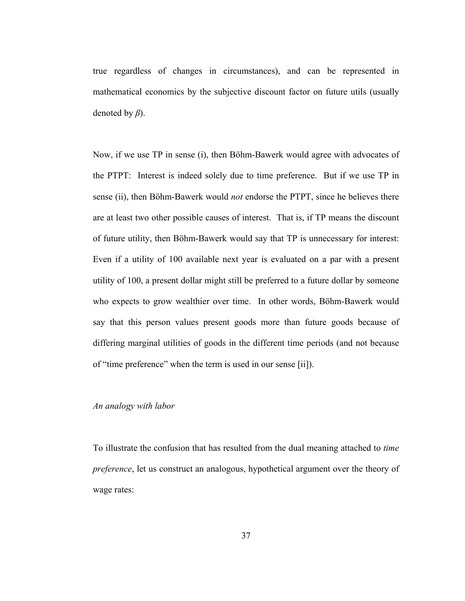true regardless of changes in circumstances), and can be represented in mathematical economics by the subjective discount factor on future utils (usually denoted by *β*).

Now, if we use TP in sense (i), then Böhm-Bawerk would agree with advocates of the PTPT: Interest is indeed solely due to time preference. But if we use TP in sense (ii), then Böhm-Bawerk would *not* endorse the PTPT, since he believes there are at least two other possible causes of interest. That is, if TP means the discount of future utility, then Böhm-Bawerk would say that TP is unnecessary for interest: Even if a utility of 100 available next year is evaluated on a par with a present utility of 100, a present dollar might still be preferred to a future dollar by someone who expects to grow wealthier over time. In other words, Böhm-Bawerk would say that this person values present goods more than future goods because of differing marginal utilities of goods in the different time periods (and not because of "time preference" when the term is used in our sense [ii]).

## *An analogy with labor*

To illustrate the confusion that has resulted from the dual meaning attached to *time preference*, let us construct an analogous, hypothetical argument over the theory of wage rates: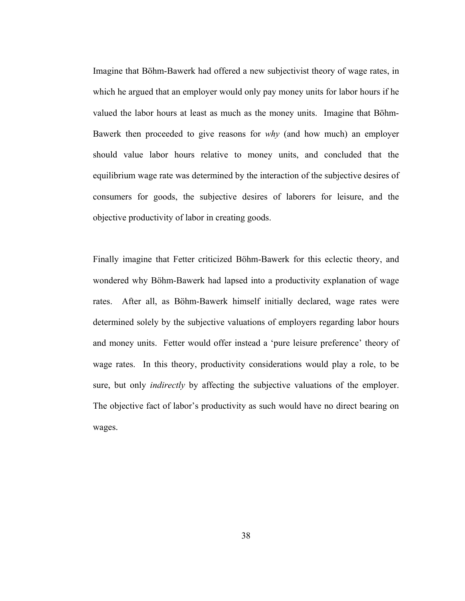Imagine that Böhm-Bawerk had offered a new subjectivist theory of wage rates, in which he argued that an employer would only pay money units for labor hours if he valued the labor hours at least as much as the money units. Imagine that Böhm-Bawerk then proceeded to give reasons for *why* (and how much) an employer should value labor hours relative to money units, and concluded that the equilibrium wage rate was determined by the interaction of the subjective desires of consumers for goods, the subjective desires of laborers for leisure, and the objective productivity of labor in creating goods.

Finally imagine that Fetter criticized Böhm-Bawerk for this eclectic theory, and wondered why Böhm-Bawerk had lapsed into a productivity explanation of wage rates. After all, as Böhm-Bawerk himself initially declared, wage rates were determined solely by the subjective valuations of employers regarding labor hours and money units. Fetter would offer instead a 'pure leisure preference' theory of wage rates. In this theory, productivity considerations would play a role, to be sure, but only *indirectly* by affecting the subjective valuations of the employer. The objective fact of labor's productivity as such would have no direct bearing on wages.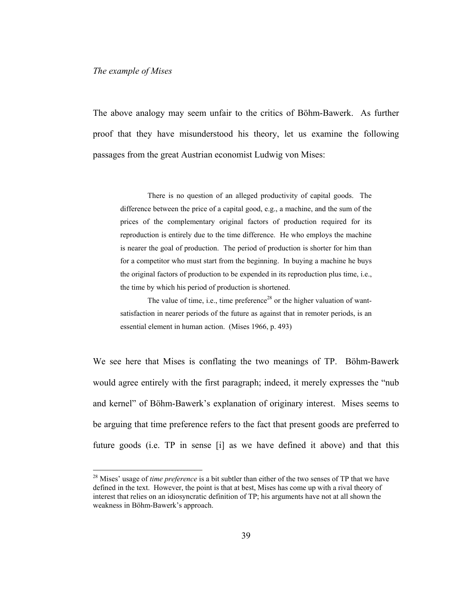#### *The example of Mises*

 $\overline{a}$ 

The above analogy may seem unfair to the critics of Böhm-Bawerk. As further proof that they have misunderstood his theory, let us examine the following passages from the great Austrian economist Ludwig von Mises:

There is no question of an alleged productivity of capital goods. The difference between the price of a capital good, e.g., a machine, and the sum of the prices of the complementary original factors of production required for its reproduction is entirely due to the time difference. He who employs the machine is nearer the goal of production. The period of production is shorter for him than for a competitor who must start from the beginning. In buying a machine he buys the original factors of production to be expended in its reproduction plus time, i.e., the time by which his period of production is shortened.

The value of time, i.e., time preference<sup>28</sup> or the higher valuation of wantsatisfaction in nearer periods of the future as against that in remoter periods, is an essential element in human action. (Mises 1966, p. 493)

We see here that Mises is conflating the two meanings of TP. Böhm-Bawerk would agree entirely with the first paragraph; indeed, it merely expresses the "nub and kernel" of Böhm-Bawerk's explanation of originary interest. Mises seems to be arguing that time preference refers to the fact that present goods are preferred to future goods (i.e. TP in sense [i] as we have defined it above) and that this

<sup>28</sup> Mises' usage of *time preference* is a bit subtler than either of the two senses of TP that we have defined in the text. However, the point is that at best, Mises has come up with a rival theory of interest that relies on an idiosyncratic definition of TP; his arguments have not at all shown the weakness in Böhm-Bawerk's approach.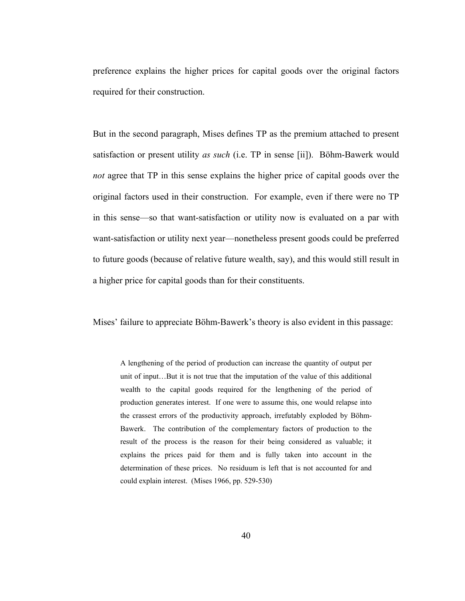preference explains the higher prices for capital goods over the original factors required for their construction.

But in the second paragraph, Mises defines TP as the premium attached to present satisfaction or present utility *as such* (i.e. TP in sense [ii]). Böhm-Bawerk would *not* agree that TP in this sense explains the higher price of capital goods over the original factors used in their construction. For example, even if there were no TP in this sense—so that want-satisfaction or utility now is evaluated on a par with want-satisfaction or utility next year—nonetheless present goods could be preferred to future goods (because of relative future wealth, say), and this would still result in a higher price for capital goods than for their constituents.

Mises' failure to appreciate Böhm-Bawerk's theory is also evident in this passage:

A lengthening of the period of production can increase the quantity of output per unit of input…But it is not true that the imputation of the value of this additional wealth to the capital goods required for the lengthening of the period of production generates interest. If one were to assume this, one would relapse into the crassest errors of the productivity approach, irrefutably exploded by Böhm-Bawerk. The contribution of the complementary factors of production to the result of the process is the reason for their being considered as valuable; it explains the prices paid for them and is fully taken into account in the determination of these prices. No residuum is left that is not accounted for and could explain interest. (Mises 1966, pp. 529-530)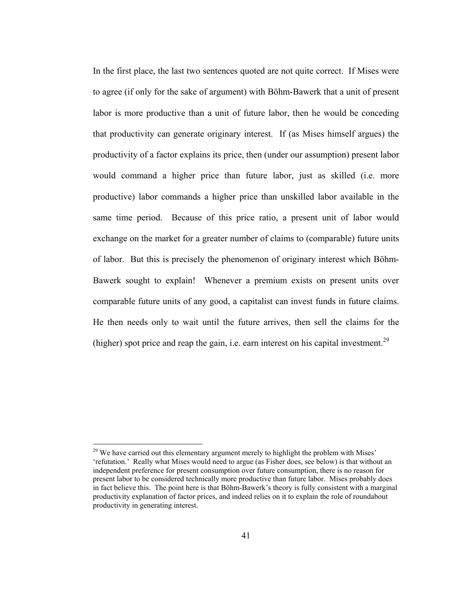In the first place, the last two sentences quoted are not quite correct. If Mises were to agree (if only for the sake of argument) with Böhm-Bawerk that a unit of present labor is more productive than a unit of future labor, then he would be conceding that productivity can generate originary interest. If (as Mises himself argues) the productivity of a factor explains its price, then (under our assumption) present labor would command a higher price than future labor, just as skilled (i.e. more productive) labor commands a higher price than unskilled labor available in the same time period. Because of this price ratio, a present unit of labor would exchange on the market for a greater number of claims to (comparable) future units of labor. But this is precisely the phenomenon of originary interest which Böhm-Bawerk sought to explain! Whenever a premium exists on present units over comparable future units of any good, a capitalist can invest funds in future claims. He then needs only to wait until the future arrives, then sell the claims for the (higher) spot price and reap the gain, i.e. earn interest on his capital investment.<sup>29</sup>

 $29$  We have carried out this elementary argument merely to highlight the problem with Mises' 'refutation.' Really what Mises would need to argue (as Fisher does, see below) is that without an independent preference for present consumption over future consumption, there is no reason for present labor to be considered technically more productive than future labor. Mises probably does in fact believe this. The point here is that Böhm-Bawerk's theory is fully consistent with a marginal productivity explanation of factor prices, and indeed relies on it to explain the role of roundabout productivity in generating interest.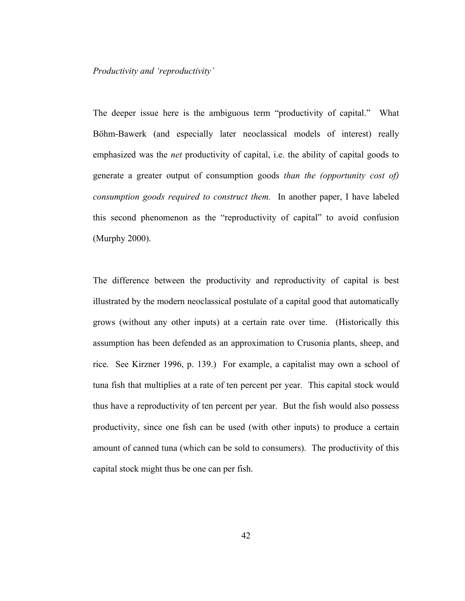*Productivity and 'reproductivity'* 

The deeper issue here is the ambiguous term "productivity of capital." What Böhm-Bawerk (and especially later neoclassical models of interest) really emphasized was the *net* productivity of capital, i.e. the ability of capital goods to generate a greater output of consumption goods *than the (opportunity cost of) consumption goods required to construct them.* In another paper, I have labeled this second phenomenon as the "reproductivity of capital" to avoid confusion (Murphy 2000).

The difference between the productivity and reproductivity of capital is best illustrated by the modern neoclassical postulate of a capital good that automatically grows (without any other inputs) at a certain rate over time. (Historically this assumption has been defended as an approximation to Crusonia plants, sheep, and rice. See Kirzner 1996, p. 139.) For example, a capitalist may own a school of tuna fish that multiplies at a rate of ten percent per year. This capital stock would thus have a reproductivity of ten percent per year. But the fish would also possess productivity, since one fish can be used (with other inputs) to produce a certain amount of canned tuna (which can be sold to consumers). The productivity of this capital stock might thus be one can per fish.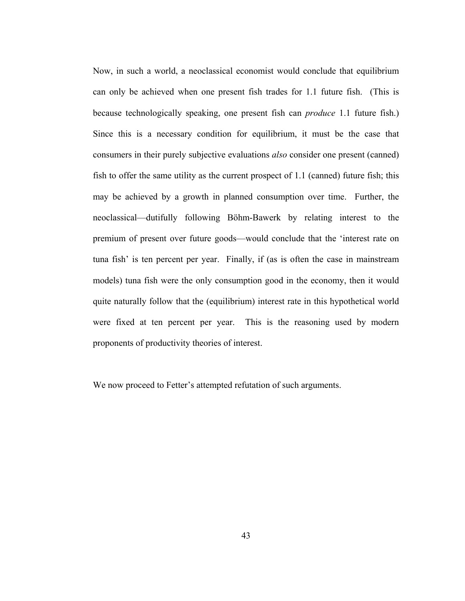Now, in such a world, a neoclassical economist would conclude that equilibrium can only be achieved when one present fish trades for 1.1 future fish. (This is because technologically speaking, one present fish can *produce* 1.1 future fish.) Since this is a necessary condition for equilibrium, it must be the case that consumers in their purely subjective evaluations *also* consider one present (canned) fish to offer the same utility as the current prospect of 1.1 (canned) future fish; this may be achieved by a growth in planned consumption over time. Further, the neoclassical—dutifully following Böhm-Bawerk by relating interest to the premium of present over future goods—would conclude that the 'interest rate on tuna fish' is ten percent per year. Finally, if (as is often the case in mainstream models) tuna fish were the only consumption good in the economy, then it would quite naturally follow that the (equilibrium) interest rate in this hypothetical world were fixed at ten percent per year. This is the reasoning used by modern proponents of productivity theories of interest.

We now proceed to Fetter's attempted refutation of such arguments.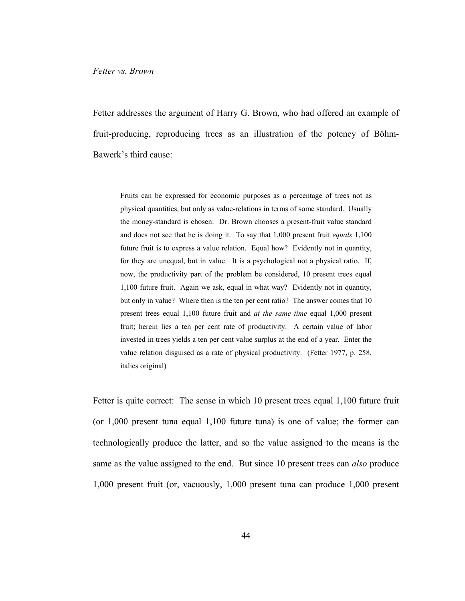Fetter addresses the argument of Harry G. Brown, who had offered an example of fruit-producing, reproducing trees as an illustration of the potency of Böhm-Bawerk's third cause:

Fruits can be expressed for economic purposes as a percentage of trees not as physical quantities, but only as value-relations in terms of some standard. Usually the money-standard is chosen: Dr. Brown chooses a present-fruit value standard and does not see that he is doing it. To say that 1,000 present fruit *equals* 1,100 future fruit is to express a value relation. Equal how? Evidently not in quantity, for they are unequal, but in value. It is a psychological not a physical ratio. If, now, the productivity part of the problem be considered, 10 present trees equal 1,100 future fruit. Again we ask, equal in what way? Evidently not in quantity, but only in value? Where then is the ten per cent ratio? The answer comes that 10 present trees equal 1,100 future fruit and *at the same time* equal 1,000 present fruit; herein lies a ten per cent rate of productivity. A certain value of labor invested in trees yields a ten per cent value surplus at the end of a year. Enter the value relation disguised as a rate of physical productivity. (Fetter 1977, p. 258, italics original)

Fetter is quite correct: The sense in which 10 present trees equal 1,100 future fruit (or 1,000 present tuna equal 1,100 future tuna) is one of value; the former can technologically produce the latter, and so the value assigned to the means is the same as the value assigned to the end. But since 10 present trees can *also* produce 1,000 present fruit (or, vacuously, 1,000 present tuna can produce 1,000 present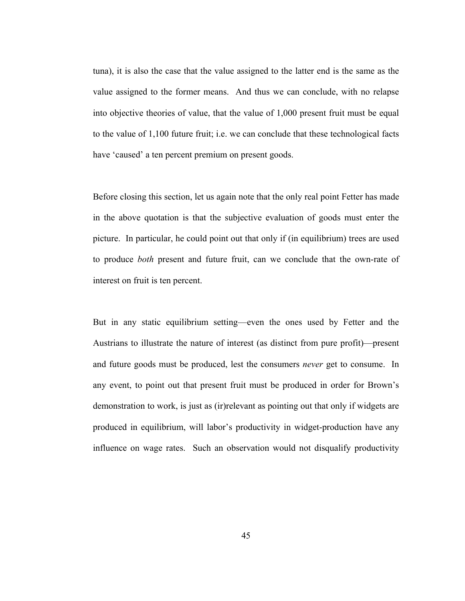tuna), it is also the case that the value assigned to the latter end is the same as the value assigned to the former means. And thus we can conclude, with no relapse into objective theories of value, that the value of 1,000 present fruit must be equal to the value of 1,100 future fruit; i.e. we can conclude that these technological facts have 'caused' a ten percent premium on present goods.

Before closing this section, let us again note that the only real point Fetter has made in the above quotation is that the subjective evaluation of goods must enter the picture. In particular, he could point out that only if (in equilibrium) trees are used to produce *both* present and future fruit, can we conclude that the own-rate of interest on fruit is ten percent.

But in any static equilibrium setting—even the ones used by Fetter and the Austrians to illustrate the nature of interest (as distinct from pure profit)—present and future goods must be produced, lest the consumers *never* get to consume. In any event, to point out that present fruit must be produced in order for Brown's demonstration to work, is just as (ir)relevant as pointing out that only if widgets are produced in equilibrium, will labor's productivity in widget-production have any influence on wage rates. Such an observation would not disqualify productivity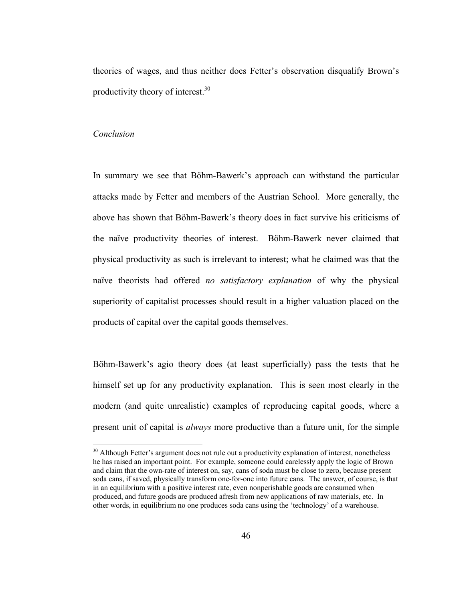theories of wages, and thus neither does Fetter's observation disqualify Brown's productivity theory of interest.30

#### *Conclusion*

 $\overline{a}$ 

In summary we see that Böhm-Bawerk's approach can withstand the particular attacks made by Fetter and members of the Austrian School. More generally, the above has shown that Böhm-Bawerk's theory does in fact survive his criticisms of the naïve productivity theories of interest. Böhm-Bawerk never claimed that physical productivity as such is irrelevant to interest; what he claimed was that the naïve theorists had offered *no satisfactory explanation* of why the physical superiority of capitalist processes should result in a higher valuation placed on the products of capital over the capital goods themselves.

Böhm-Bawerk's agio theory does (at least superficially) pass the tests that he himself set up for any productivity explanation. This is seen most clearly in the modern (and quite unrealistic) examples of reproducing capital goods, where a present unit of capital is *always* more productive than a future unit, for the simple

<sup>&</sup>lt;sup>30</sup> Although Fetter's argument does not rule out a productivity explanation of interest, nonetheless he has raised an important point. For example, someone could carelessly apply the logic of Brown and claim that the own-rate of interest on, say, cans of soda must be close to zero, because present soda cans, if saved, physically transform one-for-one into future cans. The answer, of course, is that in an equilibrium with a positive interest rate, even nonperishable goods are consumed when produced, and future goods are produced afresh from new applications of raw materials, etc. In other words, in equilibrium no one produces soda cans using the 'technology' of a warehouse.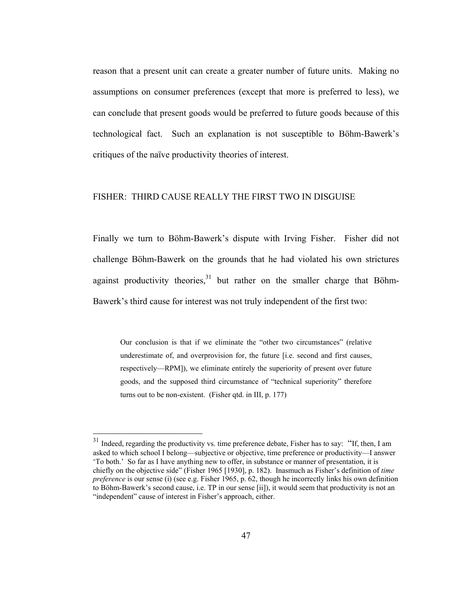reason that a present unit can create a greater number of future units. Making no assumptions on consumer preferences (except that more is preferred to less), we can conclude that present goods would be preferred to future goods because of this technological fact. Such an explanation is not susceptible to Böhm-Bawerk's critiques of the naïve productivity theories of interest.

#### FISHER: THIRD CAUSE REALLY THE FIRST TWO IN DISGUISE

Finally we turn to Böhm-Bawerk's dispute with Irving Fisher. Fisher did not challenge Böhm-Bawerk on the grounds that he had violated his own strictures against productivity theories, $31$  but rather on the smaller charge that Böhm-Bawerk's third cause for interest was not truly independent of the first two:

Our conclusion is that if we eliminate the "other two circumstances" (relative underestimate of, and overprovision for, the future [i.e. second and first causes, respectively—RPM]), we eliminate entirely the superiority of present over future goods, and the supposed third circumstance of "technical superiority" therefore turns out to be non-existent. (Fisher qtd. in III, p. 177)

<sup>&</sup>lt;sup>31</sup> Indeed, regarding the productivity vs. time preference debate, Fisher has to say: "If, then, I am asked to which school I belong—subjective or objective, time preference or productivity—I answer 'To both.' So far as I have anything new to offer, in substance or manner of presentation, it is chiefly on the objective side" (Fisher 1965 [1930], p. 182). Inasmuch as Fisher's definition of *time preference* is our sense (i) (see e.g. Fisher 1965, p. 62, though he incorrectly links his own definition to Böhm-Bawerk's second cause, i.e. TP in our sense [ii]), it would seem that productivity is not an "independent" cause of interest in Fisher's approach, either.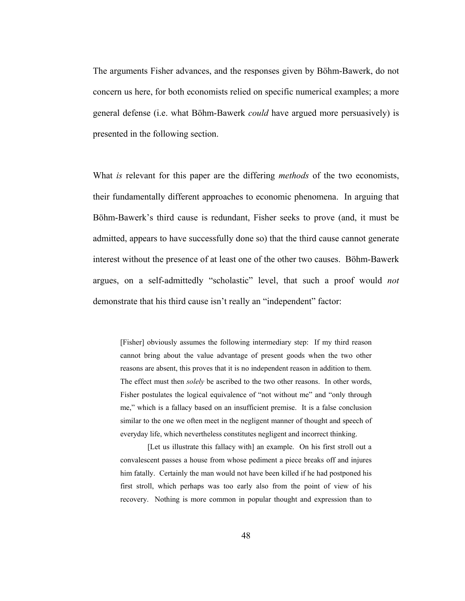The arguments Fisher advances, and the responses given by Böhm-Bawerk, do not concern us here, for both economists relied on specific numerical examples; a more general defense (i.e. what Böhm-Bawerk *could* have argued more persuasively) is presented in the following section.

What *is* relevant for this paper are the differing *methods* of the two economists, their fundamentally different approaches to economic phenomena. In arguing that Böhm-Bawerk's third cause is redundant, Fisher seeks to prove (and, it must be admitted, appears to have successfully done so) that the third cause cannot generate interest without the presence of at least one of the other two causes. Böhm-Bawerk argues, on a self-admittedly "scholastic" level, that such a proof would *not* demonstrate that his third cause isn't really an "independent" factor:

[Fisher] obviously assumes the following intermediary step: If my third reason cannot bring about the value advantage of present goods when the two other reasons are absent, this proves that it is no independent reason in addition to them. The effect must then *solely* be ascribed to the two other reasons. In other words, Fisher postulates the logical equivalence of "not without me" and "only through me," which is a fallacy based on an insufficient premise. It is a false conclusion similar to the one we often meet in the negligent manner of thought and speech of everyday life, which nevertheless constitutes negligent and incorrect thinking.

[Let us illustrate this fallacy with] an example. On his first stroll out a convalescent passes a house from whose pediment a piece breaks off and injures him fatally. Certainly the man would not have been killed if he had postponed his first stroll, which perhaps was too early also from the point of view of his recovery. Nothing is more common in popular thought and expression than to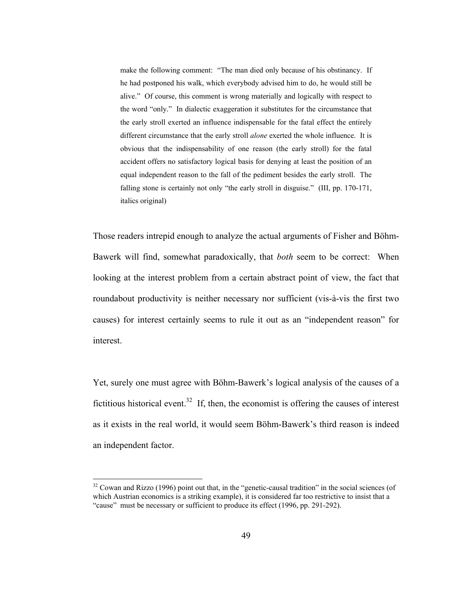make the following comment: "The man died only because of his obstinancy. If he had postponed his walk, which everybody advised him to do, he would still be alive." Of course, this comment is wrong materially and logically with respect to the word "only." In dialectic exaggeration it substitutes for the circumstance that the early stroll exerted an influence indispensable for the fatal effect the entirely different circumstance that the early stroll *alone* exerted the whole influence. It is obvious that the indispensability of one reason (the early stroll) for the fatal accident offers no satisfactory logical basis for denying at least the position of an equal independent reason to the fall of the pediment besides the early stroll. The falling stone is certainly not only "the early stroll in disguise." (III, pp. 170-171, italics original)

Those readers intrepid enough to analyze the actual arguments of Fisher and Böhm-Bawerk will find, somewhat paradoxically, that *both* seem to be correct: When looking at the interest problem from a certain abstract point of view, the fact that roundabout productivity is neither necessary nor sufficient (vis-à-vis the first two causes) for interest certainly seems to rule it out as an "independent reason" for interest.

Yet, surely one must agree with Böhm-Bawerk's logical analysis of the causes of a fictitious historical event.<sup>32</sup> If, then, the economist is offering the causes of interest as it exists in the real world, it would seem Böhm-Bawerk's third reason is indeed an independent factor.

 $32$  Cowan and Rizzo (1996) point out that, in the "genetic-causal tradition" in the social sciences (of which Austrian economics is a striking example), it is considered far too restrictive to insist that a "cause" must be necessary or sufficient to produce its effect (1996, pp. 291-292).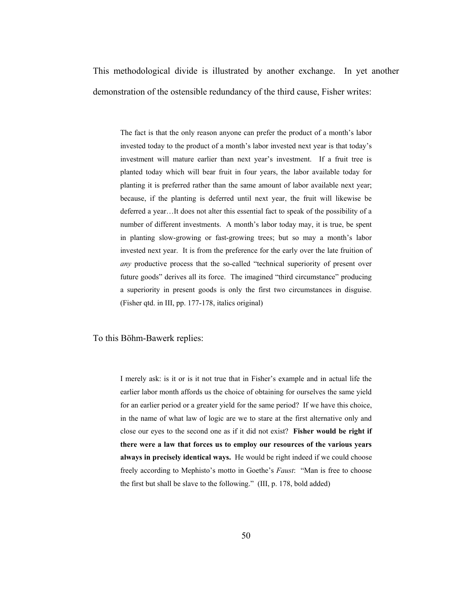This methodological divide is illustrated by another exchange. In yet another demonstration of the ostensible redundancy of the third cause, Fisher writes:

The fact is that the only reason anyone can prefer the product of a month's labor invested today to the product of a month's labor invested next year is that today's investment will mature earlier than next year's investment. If a fruit tree is planted today which will bear fruit in four years, the labor available today for planting it is preferred rather than the same amount of labor available next year; because, if the planting is deferred until next year, the fruit will likewise be deferred a year…It does not alter this essential fact to speak of the possibility of a number of different investments. A month's labor today may, it is true, be spent in planting slow-growing or fast-growing trees; but so may a month's labor invested next year. It is from the preference for the early over the late fruition of *any* productive process that the so-called "technical superiority of present over future goods" derives all its force. The imagined "third circumstance" producing a superiority in present goods is only the first two circumstances in disguise. (Fisher qtd. in III, pp. 177-178, italics original)

To this Böhm-Bawerk replies:

I merely ask: is it or is it not true that in Fisher's example and in actual life the earlier labor month affords us the choice of obtaining for ourselves the same yield for an earlier period or a greater yield for the same period? If we have this choice, in the name of what law of logic are we to stare at the first alternative only and close our eyes to the second one as if it did not exist? **Fisher would be right if there were a law that forces us to employ our resources of the various years always in precisely identical ways.** He would be right indeed if we could choose freely according to Mephisto's motto in Goethe's *Faust*: "Man is free to choose the first but shall be slave to the following." (III, p. 178, bold added)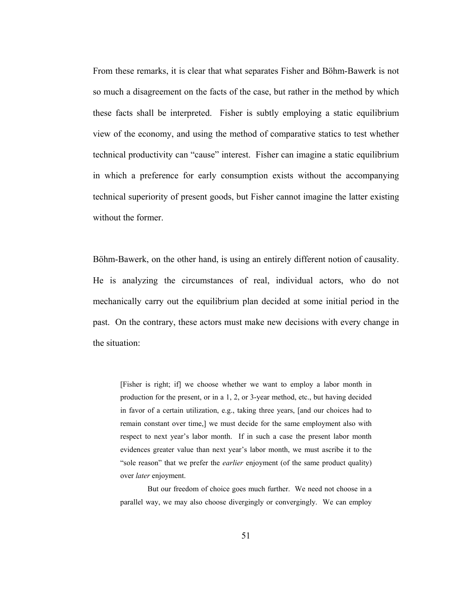From these remarks, it is clear that what separates Fisher and Böhm-Bawerk is not so much a disagreement on the facts of the case, but rather in the method by which these facts shall be interpreted. Fisher is subtly employing a static equilibrium view of the economy, and using the method of comparative statics to test whether technical productivity can "cause" interest. Fisher can imagine a static equilibrium in which a preference for early consumption exists without the accompanying technical superiority of present goods, but Fisher cannot imagine the latter existing without the former.

Böhm-Bawerk, on the other hand, is using an entirely different notion of causality. He is analyzing the circumstances of real, individual actors, who do not mechanically carry out the equilibrium plan decided at some initial period in the past. On the contrary, these actors must make new decisions with every change in the situation:

[Fisher is right; if] we choose whether we want to employ a labor month in production for the present, or in a 1, 2, or 3-year method, etc., but having decided in favor of a certain utilization, e.g., taking three years, [and our choices had to remain constant over time,] we must decide for the same employment also with respect to next year's labor month. If in such a case the present labor month evidences greater value than next year's labor month, we must ascribe it to the "sole reason" that we prefer the *earlier* enjoyment (of the same product quality) over *later* enjoyment.

 But our freedom of choice goes much further. We need not choose in a parallel way, we may also choose divergingly or convergingly. We can employ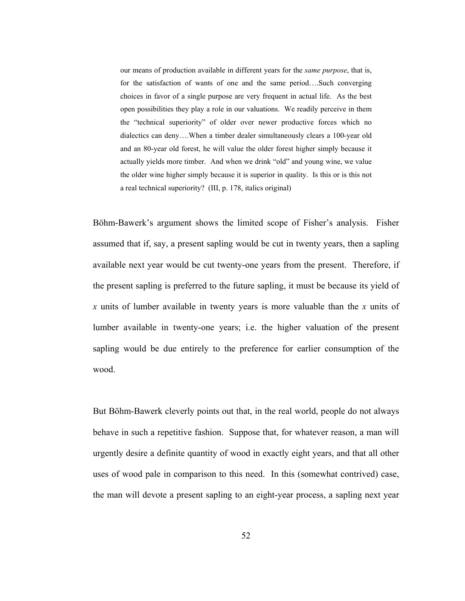our means of production available in different years for the *same purpose*, that is, for the satisfaction of wants of one and the same period….Such converging choices in favor of a single purpose are very frequent in actual life. As the best open possibilities they play a role in our valuations. We readily perceive in them the "technical superiority" of older over newer productive forces which no dialectics can deny….When a timber dealer simultaneously clears a 100-year old and an 80-year old forest, he will value the older forest higher simply because it actually yields more timber. And when we drink "old" and young wine, we value the older wine higher simply because it is superior in quality. Is this or is this not a real technical superiority? (III, p. 178, italics original)

Böhm-Bawerk's argument shows the limited scope of Fisher's analysis. Fisher assumed that if, say, a present sapling would be cut in twenty years, then a sapling available next year would be cut twenty-one years from the present. Therefore, if the present sapling is preferred to the future sapling, it must be because its yield of *x* units of lumber available in twenty years is more valuable than the *x* units of lumber available in twenty-one years; i.e. the higher valuation of the present sapling would be due entirely to the preference for earlier consumption of the wood.

But Böhm-Bawerk cleverly points out that, in the real world, people do not always behave in such a repetitive fashion. Suppose that, for whatever reason, a man will urgently desire a definite quantity of wood in exactly eight years, and that all other uses of wood pale in comparison to this need. In this (somewhat contrived) case, the man will devote a present sapling to an eight-year process, a sapling next year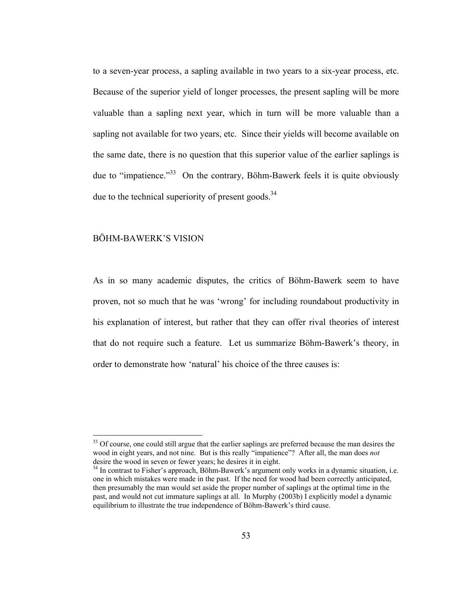to a seven-year process, a sapling available in two years to a six-year process, etc. Because of the superior yield of longer processes, the present sapling will be more valuable than a sapling next year, which in turn will be more valuable than a sapling not available for two years, etc. Since their yields will become available on the same date, there is no question that this superior value of the earlier saplings is due to "impatience."<sup>33</sup> On the contrary, Böhm-Bawerk feels it is quite obviously due to the technical superiority of present goods. $34$ 

#### BÖHM-BAWERK'S VISION

 $\overline{a}$ 

As in so many academic disputes, the critics of Böhm-Bawerk seem to have proven, not so much that he was 'wrong' for including roundabout productivity in his explanation of interest, but rather that they can offer rival theories of interest that do not require such a feature. Let us summarize Böhm-Bawerk's theory, in order to demonstrate how 'natural' his choice of the three causes is:

<sup>&</sup>lt;sup>33</sup> Of course, one could still argue that the earlier saplings are preferred because the man desires the wood in eight years, and not nine. But is this really "impatience"? After all, the man does *not*  desire the wood in seven or fewer years; he desires it in eight.<br><sup>34</sup> In contrast to Fisher's approach, Böhm-Bawerk's argument only works in a dynamic situation, i.e.

one in which mistakes were made in the past. If the need for wood had been correctly anticipated, then presumably the man would set aside the proper number of saplings at the optimal time in the past, and would not cut immature saplings at all. In Murphy (2003b) I explicitly model a dynamic equilibrium to illustrate the true independence of Böhm-Bawerk's third cause.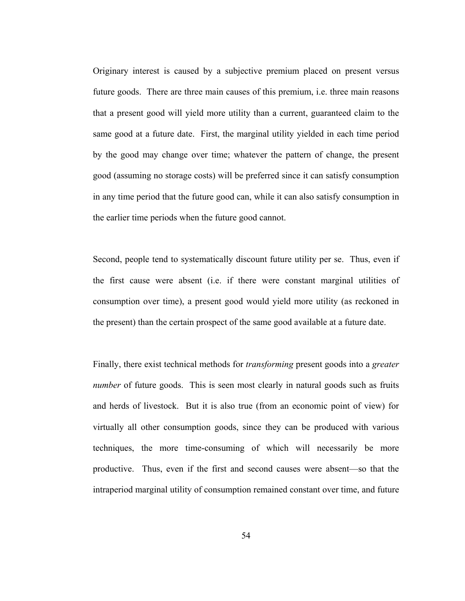Originary interest is caused by a subjective premium placed on present versus future goods. There are three main causes of this premium, i.e. three main reasons that a present good will yield more utility than a current, guaranteed claim to the same good at a future date. First, the marginal utility yielded in each time period by the good may change over time; whatever the pattern of change, the present good (assuming no storage costs) will be preferred since it can satisfy consumption in any time period that the future good can, while it can also satisfy consumption in the earlier time periods when the future good cannot.

Second, people tend to systematically discount future utility per se. Thus, even if the first cause were absent (i.e. if there were constant marginal utilities of consumption over time), a present good would yield more utility (as reckoned in the present) than the certain prospect of the same good available at a future date.

Finally, there exist technical methods for *transforming* present goods into a *greater number* of future goods. This is seen most clearly in natural goods such as fruits and herds of livestock. But it is also true (from an economic point of view) for virtually all other consumption goods, since they can be produced with various techniques, the more time-consuming of which will necessarily be more productive. Thus, even if the first and second causes were absent—so that the intraperiod marginal utility of consumption remained constant over time, and future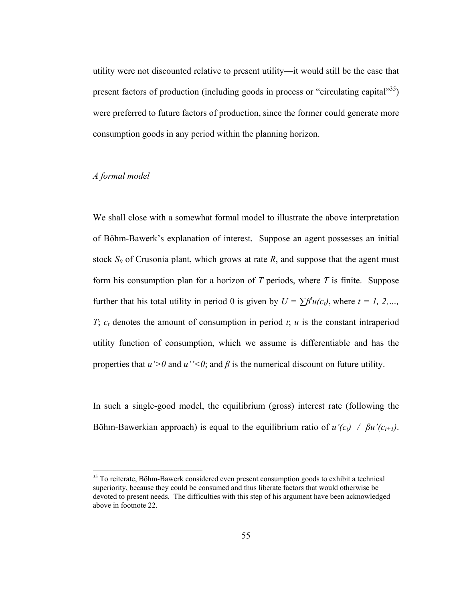utility were not discounted relative to present utility—it would still be the case that present factors of production (including goods in process or "circulating capital"<sup>35</sup>) were preferred to future factors of production, since the former could generate more consumption goods in any period within the planning horizon.

## *A formal model*

 $\overline{a}$ 

We shall close with a somewhat formal model to illustrate the above interpretation of Böhm-Bawerk's explanation of interest. Suppose an agent possesses an initial stock  $S_0$  of Crusonia plant, which grows at rate  $R$ , and suppose that the agent must form his consumption plan for a horizon of *T* periods, where *T* is finite. Suppose further that his total utility in period 0 is given by  $U = \sum \beta^t u(c_i)$ , where  $t = 1, 2, \dots$ *T*;  $c_t$  denotes the amount of consumption in period *t*; *u* is the constant intraperiod utility function of consumption, which we assume is differentiable and has the properties that  $u' > 0$  and  $u'' < 0$ ; and  $\beta$  is the numerical discount on future utility.

In such a single-good model, the equilibrium (gross) interest rate (following the Böhm-Bawerkian approach) is equal to the equilibrium ratio of  $u'(c_t)$  /  $\beta u'(c_{t+1})$ .

<sup>&</sup>lt;sup>35</sup> To reiterate, Böhm-Bawerk considered even present consumption goods to exhibit a technical superiority, because they could be consumed and thus liberate factors that would otherwise be devoted to present needs. The difficulties with this step of his argument have been acknowledged above in footnote 22.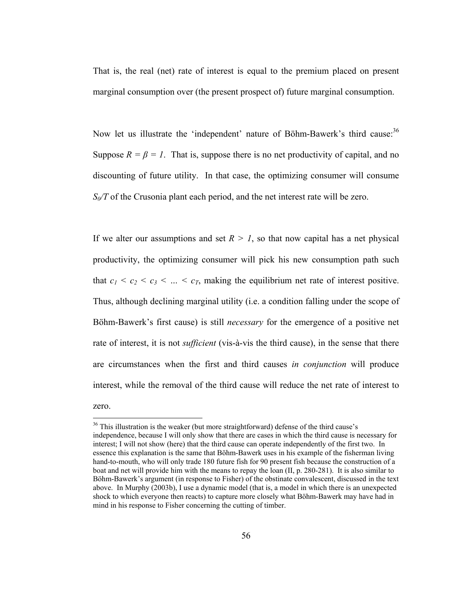That is, the real (net) rate of interest is equal to the premium placed on present marginal consumption over (the present prospect of) future marginal consumption.

Now let us illustrate the 'independent' nature of Böhm-Bawerk's third cause:<sup>36</sup> Suppose  $R = \beta = 1$ . That is, suppose there is no net productivity of capital, and no discounting of future utility. In that case, the optimizing consumer will consume *S<sub>0</sub>/T* of the Crusonia plant each period, and the net interest rate will be zero.

If we alter our assumptions and set  $R > 1$ , so that now capital has a net physical productivity, the optimizing consumer will pick his new consumption path such that  $c_1 < c_2 < c_3 < ... < c_T$ , making the equilibrium net rate of interest positive. Thus, although declining marginal utility (i.e. a condition falling under the scope of Böhm-Bawerk's first cause) is still *necessary* for the emergence of a positive net rate of interest, it is not *sufficient* (vis-à-vis the third cause), in the sense that there are circumstances when the first and third causes *in conjunction* will produce interest, while the removal of the third cause will reduce the net rate of interest to

zero.

<sup>&</sup>lt;sup>36</sup> This illustration is the weaker (but more straightforward) defense of the third cause's independence, because I will only show that there are cases in which the third cause is necessary for interest; I will not show (here) that the third cause can operate independently of the first two. In essence this explanation is the same that Böhm-Bawerk uses in his example of the fisherman living hand-to-mouth, who will only trade 180 future fish for 90 present fish because the construction of a boat and net will provide him with the means to repay the loan (II, p. 280-281). It is also similar to Böhm-Bawerk's argument (in response to Fisher) of the obstinate convalescent, discussed in the text above. In Murphy (2003b), I use a dynamic model (that is, a model in which there is an unexpected shock to which everyone then reacts) to capture more closely what Böhm-Bawerk may have had in mind in his response to Fisher concerning the cutting of timber.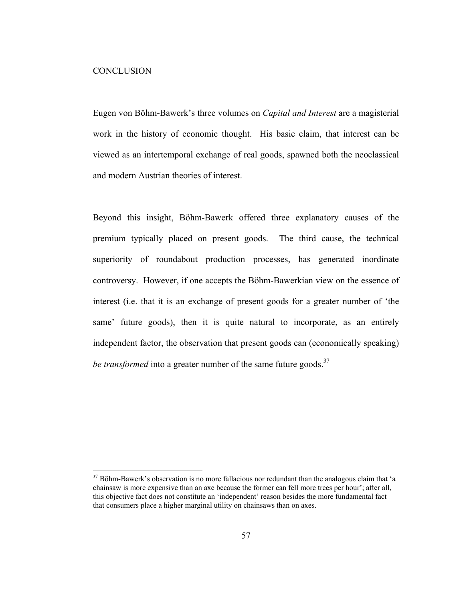#### **CONCLUSION**

 $\overline{a}$ 

Eugen von Böhm-Bawerk's three volumes on *Capital and Interest* are a magisterial work in the history of economic thought. His basic claim, that interest can be viewed as an intertemporal exchange of real goods, spawned both the neoclassical and modern Austrian theories of interest.

Beyond this insight, Böhm-Bawerk offered three explanatory causes of the premium typically placed on present goods. The third cause, the technical superiority of roundabout production processes, has generated inordinate controversy. However, if one accepts the Böhm-Bawerkian view on the essence of interest (i.e. that it is an exchange of present goods for a greater number of 'the same' future goods), then it is quite natural to incorporate, as an entirely independent factor, the observation that present goods can (economically speaking) *be transformed* into a greater number of the same future goods.<sup>37</sup>

<sup>&</sup>lt;sup>37</sup> Böhm-Bawerk's observation is no more fallacious nor redundant than the analogous claim that 'a chainsaw is more expensive than an axe because the former can fell more trees per hour'; after all, this objective fact does not constitute an 'independent' reason besides the more fundamental fact that consumers place a higher marginal utility on chainsaws than on axes.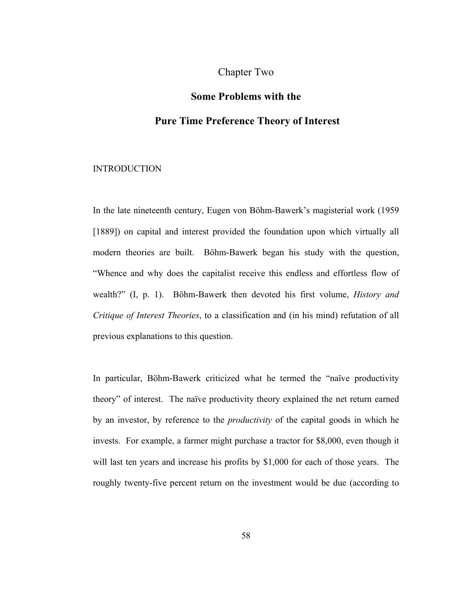# Chapter Two

# **Some Problems with the**

## **Pure Time Preference Theory of Interest**

#### INTRODUCTION

In the late nineteenth century, Eugen von Böhm-Bawerk's magisterial work (1959 [1889]) on capital and interest provided the foundation upon which virtually all modern theories are built. Böhm-Bawerk began his study with the question, "Whence and why does the capitalist receive this endless and effortless flow of wealth?" (I, p. 1). Böhm-Bawerk then devoted his first volume, *History and Critique of Interest Theories*, to a classification and (in his mind) refutation of all previous explanations to this question.

In particular, Böhm-Bawerk criticized what he termed the "naïve productivity theory" of interest. The naïve productivity theory explained the net return earned by an investor, by reference to the *productivity* of the capital goods in which he invests. For example, a farmer might purchase a tractor for \$8,000, even though it will last ten years and increase his profits by \$1,000 for each of those years. The roughly twenty-five percent return on the investment would be due (according to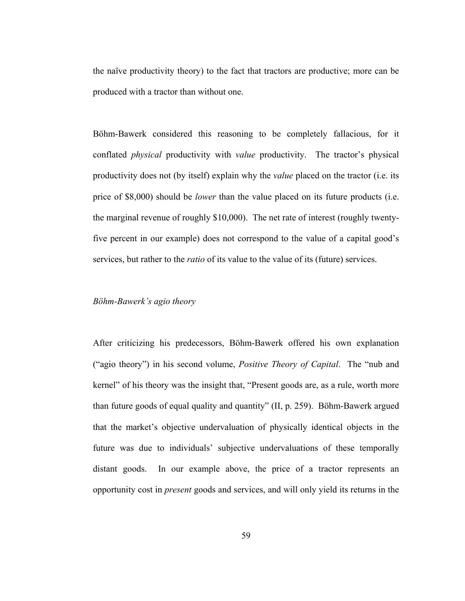the naïve productivity theory) to the fact that tractors are productive; more can be produced with a tractor than without one.

Böhm-Bawerk considered this reasoning to be completely fallacious, for it conflated *physical* productivity with *value* productivity. The tractor's physical productivity does not (by itself) explain why the *value* placed on the tractor (i.e. its price of \$8,000) should be *lower* than the value placed on its future products (i.e. the marginal revenue of roughly \$10,000). The net rate of interest (roughly twentyfive percent in our example) does not correspond to the value of a capital good's services, but rather to the *ratio* of its value to the value of its (future) services.

### *Böhm-Bawerk's agio theory*

After criticizing his predecessors, Böhm-Bawerk offered his own explanation ("agio theory") in his second volume, *Positive Theory of Capital*. The "nub and kernel" of his theory was the insight that, "Present goods are, as a rule, worth more than future goods of equal quality and quantity" (II, p. 259). Böhm-Bawerk argued that the market's objective undervaluation of physically identical objects in the future was due to individuals' subjective undervaluations of these temporally distant goods. In our example above, the price of a tractor represents an opportunity cost in *present* goods and services, and will only yield its returns in the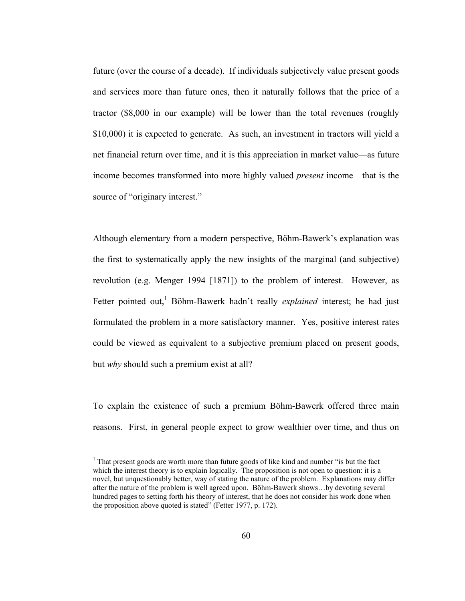future (over the course of a decade). If individuals subjectively value present goods and services more than future ones, then it naturally follows that the price of a tractor (\$8,000 in our example) will be lower than the total revenues (roughly \$10,000) it is expected to generate. As such, an investment in tractors will yield a net financial return over time, and it is this appreciation in market value—as future income becomes transformed into more highly valued *present* income—that is the source of "originary interest."

Although elementary from a modern perspective, Böhm-Bawerk's explanation was the first to systematically apply the new insights of the marginal (and subjective) revolution (e.g. Menger 1994 [1871]) to the problem of interest. However, as Fetter pointed out,<sup>1</sup> Böhm-Bawerk hadn't really *explained* interest; he had just formulated the problem in a more satisfactory manner. Yes, positive interest rates could be viewed as equivalent to a subjective premium placed on present goods, but *why* should such a premium exist at all?

To explain the existence of such a premium Böhm-Bawerk offered three main reasons. First, in general people expect to grow wealthier over time, and thus on

<sup>&</sup>lt;sup>1</sup> That present goods are worth more than future goods of like kind and number "is but the fact which the interest theory is to explain logically. The proposition is not open to question: it is a novel, but unquestionably better, way of stating the nature of the problem. Explanations may differ after the nature of the problem is well agreed upon. Böhm-Bawerk shows…by devoting several hundred pages to setting forth his theory of interest, that he does not consider his work done when the proposition above quoted is stated" (Fetter 1977, p. 172).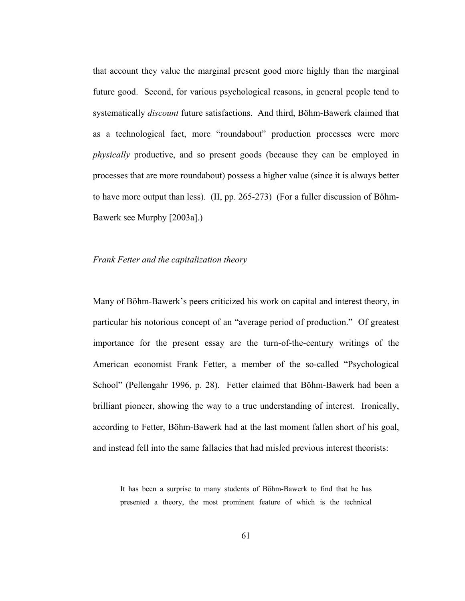that account they value the marginal present good more highly than the marginal future good. Second, for various psychological reasons, in general people tend to systematically *discount* future satisfactions. And third, Böhm-Bawerk claimed that as a technological fact, more "roundabout" production processes were more *physically* productive, and so present goods (because they can be employed in processes that are more roundabout) possess a higher value (since it is always better to have more output than less). (II, pp. 265-273) (For a fuller discussion of Böhm-Bawerk see Murphy [2003a].)

#### *Frank Fetter and the capitalization theory*

Many of Böhm-Bawerk's peers criticized his work on capital and interest theory, in particular his notorious concept of an "average period of production." Of greatest importance for the present essay are the turn-of-the-century writings of the American economist Frank Fetter, a member of the so-called "Psychological School" (Pellengahr 1996, p. 28). Fetter claimed that Böhm-Bawerk had been a brilliant pioneer, showing the way to a true understanding of interest. Ironically, according to Fetter, Böhm-Bawerk had at the last moment fallen short of his goal, and instead fell into the same fallacies that had misled previous interest theorists:

It has been a surprise to many students of Böhm-Bawerk to find that he has presented a theory, the most prominent feature of which is the technical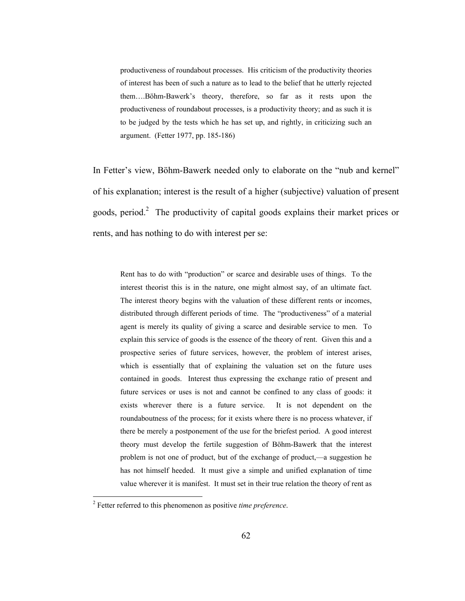productiveness of roundabout processes. His criticism of the productivity theories of interest has been of such a nature as to lead to the belief that he utterly rejected them….Böhm-Bawerk's theory, therefore, so far as it rests upon the productiveness of roundabout processes, is a productivity theory; and as such it is to be judged by the tests which he has set up, and rightly, in criticizing such an argument. (Fetter 1977, pp. 185-186)

In Fetter's view, Böhm-Bawerk needed only to elaborate on the "nub and kernel" of his explanation; interest is the result of a higher (subjective) valuation of present goods, period.<sup>2</sup> The productivity of capital goods explains their market prices or rents, and has nothing to do with interest per se:

Rent has to do with "production" or scarce and desirable uses of things. To the interest theorist this is in the nature, one might almost say, of an ultimate fact. The interest theory begins with the valuation of these different rents or incomes, distributed through different periods of time. The "productiveness" of a material agent is merely its quality of giving a scarce and desirable service to men. To explain this service of goods is the essence of the theory of rent. Given this and a prospective series of future services, however, the problem of interest arises, which is essentially that of explaining the valuation set on the future uses contained in goods. Interest thus expressing the exchange ratio of present and future services or uses is not and cannot be confined to any class of goods: it exists wherever there is a future service. It is not dependent on the roundaboutness of the process; for it exists where there is no process whatever, if there be merely a postponement of the use for the briefest period. A good interest theory must develop the fertile suggestion of Böhm-Bawerk that the interest problem is not one of product, but of the exchange of product,—a suggestion he has not himself heeded. It must give a simple and unified explanation of time value wherever it is manifest. It must set in their true relation the theory of rent as

<sup>2</sup> Fetter referred to this phenomenon as positive *time preference*.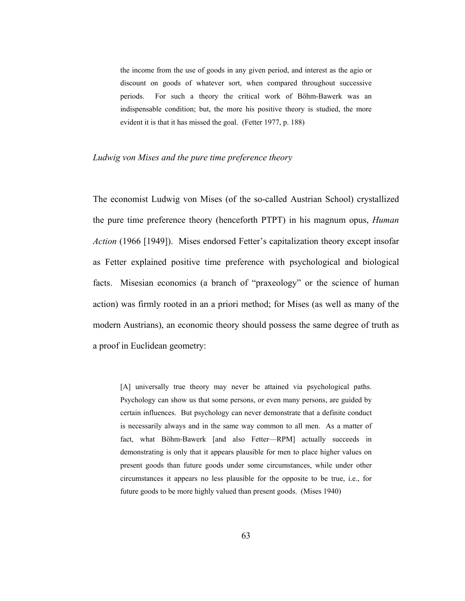the income from the use of goods in any given period, and interest as the agio or discount on goods of whatever sort, when compared throughout successive periods. For such a theory the critical work of Böhm-Bawerk was an indispensable condition; but, the more his positive theory is studied, the more evident it is that it has missed the goal. (Fetter 1977, p. 188)

#### *Ludwig von Mises and the pure time preference theory*

The economist Ludwig von Mises (of the so-called Austrian School) crystallized the pure time preference theory (henceforth PTPT) in his magnum opus, *Human Action* (1966 [1949]). Mises endorsed Fetter's capitalization theory except insofar as Fetter explained positive time preference with psychological and biological facts. Misesian economics (a branch of "praxeology" or the science of human action) was firmly rooted in an a priori method; for Mises (as well as many of the modern Austrians), an economic theory should possess the same degree of truth as a proof in Euclidean geometry:

[A] universally true theory may never be attained via psychological paths. Psychology can show us that some persons, or even many persons, are guided by certain influences. But psychology can never demonstrate that a definite conduct is necessarily always and in the same way common to all men. As a matter of fact, what Böhm-Bawerk [and also Fetter—RPM] actually succeeds in demonstrating is only that it appears plausible for men to place higher values on present goods than future goods under some circumstances, while under other circumstances it appears no less plausible for the opposite to be true, i.e., for future goods to be more highly valued than present goods. (Mises 1940)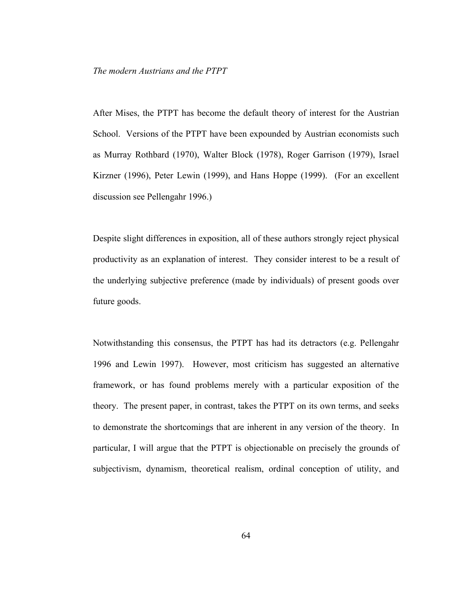After Mises, the PTPT has become the default theory of interest for the Austrian School. Versions of the PTPT have been expounded by Austrian economists such as Murray Rothbard (1970), Walter Block (1978), Roger Garrison (1979), Israel Kirzner (1996), Peter Lewin (1999), and Hans Hoppe (1999). (For an excellent discussion see Pellengahr 1996.)

Despite slight differences in exposition, all of these authors strongly reject physical productivity as an explanation of interest. They consider interest to be a result of the underlying subjective preference (made by individuals) of present goods over future goods.

Notwithstanding this consensus, the PTPT has had its detractors (e.g. Pellengahr 1996 and Lewin 1997). However, most criticism has suggested an alternative framework, or has found problems merely with a particular exposition of the theory. The present paper, in contrast, takes the PTPT on its own terms, and seeks to demonstrate the shortcomings that are inherent in any version of the theory. In particular, I will argue that the PTPT is objectionable on precisely the grounds of subjectivism, dynamism, theoretical realism, ordinal conception of utility, and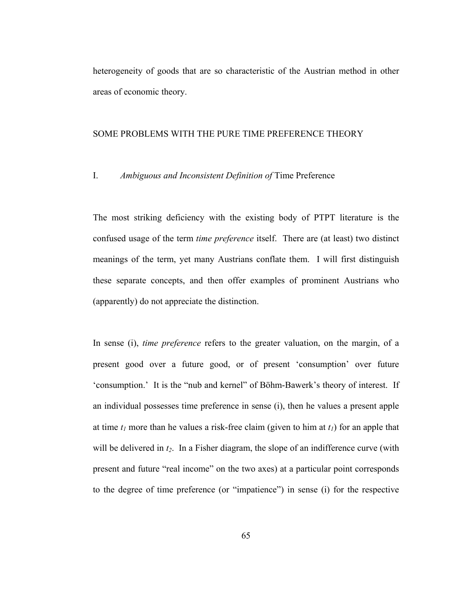heterogeneity of goods that are so characteristic of the Austrian method in other areas of economic theory.

#### SOME PROBLEMS WITH THE PURE TIME PREFERENCE THEORY

## I. *Ambiguous and Inconsistent Definition of* Time Preference

The most striking deficiency with the existing body of PTPT literature is the confused usage of the term *time preference* itself. There are (at least) two distinct meanings of the term, yet many Austrians conflate them. I will first distinguish these separate concepts, and then offer examples of prominent Austrians who (apparently) do not appreciate the distinction.

In sense (i), *time preference* refers to the greater valuation, on the margin, of a present good over a future good, or of present 'consumption' over future 'consumption.' It is the "nub and kernel" of Böhm-Bawerk's theory of interest. If an individual possesses time preference in sense (i), then he values a present apple at time  $t_1$  more than he values a risk-free claim (given to him at  $t_1$ ) for an apple that will be delivered in  $t_2$ . In a Fisher diagram, the slope of an indifference curve (with present and future "real income" on the two axes) at a particular point corresponds to the degree of time preference (or "impatience") in sense (i) for the respective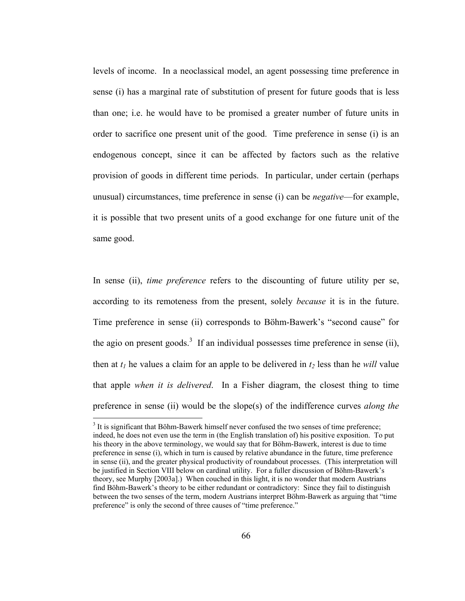levels of income. In a neoclassical model, an agent possessing time preference in sense (i) has a marginal rate of substitution of present for future goods that is less than one; i.e. he would have to be promised a greater number of future units in order to sacrifice one present unit of the good. Time preference in sense (i) is an endogenous concept, since it can be affected by factors such as the relative provision of goods in different time periods. In particular, under certain (perhaps unusual) circumstances, time preference in sense (i) can be *negative*—for example, it is possible that two present units of a good exchange for one future unit of the same good.

In sense (ii), *time preference* refers to the discounting of future utility per se, according to its remoteness from the present, solely *because* it is in the future. Time preference in sense (ii) corresponds to Böhm-Bawerk's "second cause" for the agio on present goods.<sup>3</sup> If an individual possesses time preference in sense (ii), then at  $t_1$  he values a claim for an apple to be delivered in  $t_2$  less than he *will* value that apple *when it is delivered*. In a Fisher diagram, the closest thing to time preference in sense (ii) would be the slope(s) of the indifference curves *along the* 

 $3$  It is significant that Böhm-Bawerk himself never confused the two senses of time preference; indeed, he does not even use the term in (the English translation of) his positive exposition. To put his theory in the above terminology, we would say that for Böhm-Bawerk, interest is due to time preference in sense (i), which in turn is caused by relative abundance in the future, time preference in sense (ii), and the greater physical productivity of roundabout processes. (This interpretation will be justified in Section VIII below on cardinal utility. For a fuller discussion of Böhm-Bawerk's theory, see Murphy [2003a].) When couched in this light, it is no wonder that modern Austrians find Böhm-Bawerk's theory to be either redundant or contradictory: Since they fail to distinguish between the two senses of the term, modern Austrians interpret Böhm-Bawerk as arguing that "time preference" is only the second of three causes of "time preference."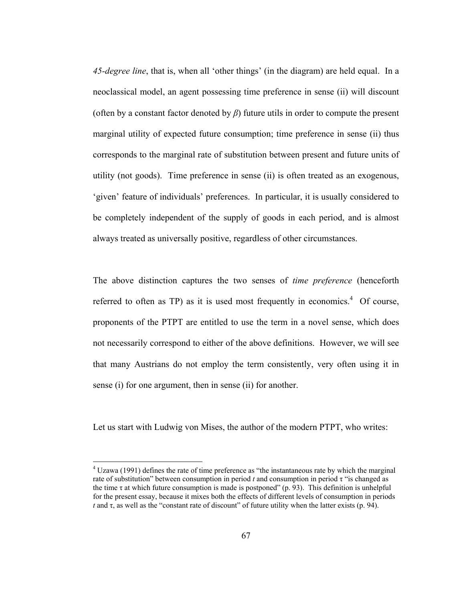*45-degree line*, that is, when all 'other things' (in the diagram) are held equal. In a neoclassical model, an agent possessing time preference in sense (ii) will discount (often by a constant factor denoted by  $\beta$ ) future utils in order to compute the present marginal utility of expected future consumption; time preference in sense (ii) thus corresponds to the marginal rate of substitution between present and future units of utility (not goods). Time preference in sense (ii) is often treated as an exogenous, 'given' feature of individuals' preferences. In particular, it is usually considered to be completely independent of the supply of goods in each period, and is almost always treated as universally positive, regardless of other circumstances.

The above distinction captures the two senses of *time preference* (henceforth referred to often as  $TP$ ) as it is used most frequently in economics.<sup>4</sup> Of course, proponents of the PTPT are entitled to use the term in a novel sense, which does not necessarily correspond to either of the above definitions. However, we will see that many Austrians do not employ the term consistently, very often using it in sense (i) for one argument, then in sense (ii) for another.

Let us start with Ludwig von Mises, the author of the modern PTPT, who writes:

 $4$  Uzawa (1991) defines the rate of time preference as "the instantaneous rate by which the marginal rate of substitution" between consumption in period *t* and consumption in period τ "is changed as the time  $\tau$  at which future consumption is made is postponed" (p. 93). This definition is unhelpful for the present essay, because it mixes both the effects of different levels of consumption in periods *t* and  $\tau$ , as well as the "constant rate of discount" of future utility when the latter exists (p. 94).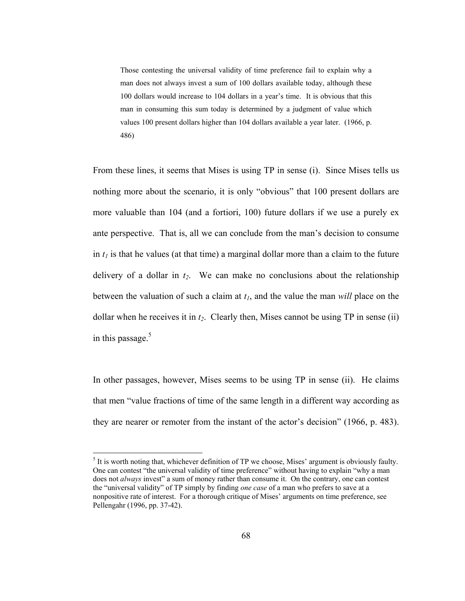Those contesting the universal validity of time preference fail to explain why a man does not always invest a sum of 100 dollars available today, although these 100 dollars would increase to 104 dollars in a year's time. It is obvious that this man in consuming this sum today is determined by a judgment of value which values 100 present dollars higher than 104 dollars available a year later. (1966, p. 486)

From these lines, it seems that Mises is using TP in sense (i). Since Mises tells us nothing more about the scenario, it is only "obvious" that 100 present dollars are more valuable than 104 (and a fortiori, 100) future dollars if we use a purely ex ante perspective. That is, all we can conclude from the man's decision to consume in  $t_1$  is that he values (at that time) a marginal dollar more than a claim to the future delivery of a dollar in  $t_2$ . We can make no conclusions about the relationship between the valuation of such a claim at *t1*, and the value the man *will* place on the dollar when he receives it in  $t_2$ . Clearly then, Mises cannot be using TP in sense (ii) in this passage. $5$ 

In other passages, however, Mises seems to be using TP in sense (ii). He claims that men "value fractions of time of the same length in a different way according as they are nearer or remoter from the instant of the actor's decision" (1966, p. 483).

 $<sup>5</sup>$  It is worth noting that, whichever definition of TP we choose, Mises' argument is obviously faulty.</sup> One can contest "the universal validity of time preference" without having to explain "why a man does not *always* invest" a sum of money rather than consume it. On the contrary, one can contest the "universal validity" of TP simply by finding *one case* of a man who prefers to save at a nonpositive rate of interest. For a thorough critique of Mises' arguments on time preference, see Pellengahr (1996, pp. 37-42).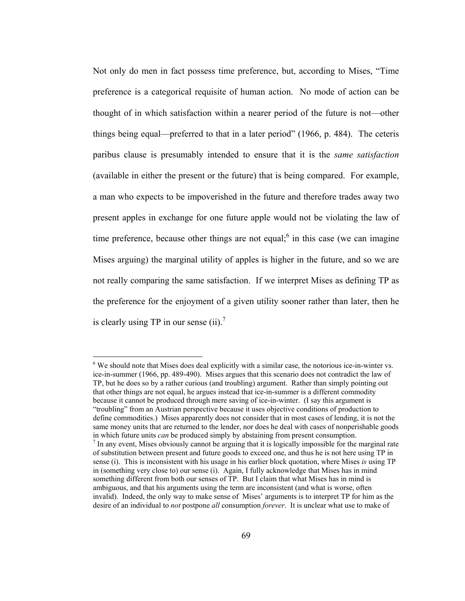Not only do men in fact possess time preference, but, according to Mises, "Time preference is a categorical requisite of human action. No mode of action can be thought of in which satisfaction within a nearer period of the future is not—other things being equal—preferred to that in a later period" (1966, p. 484). The ceteris paribus clause is presumably intended to ensure that it is the *same satisfaction*  (available in either the present or the future) that is being compared. For example, a man who expects to be impoverished in the future and therefore trades away two present apples in exchange for one future apple would not be violating the law of time preference, because other things are not equal;  $6$  in this case (we can imagine Mises arguing) the marginal utility of apples is higher in the future, and so we are not really comparing the same satisfaction. If we interpret Mises as defining TP as the preference for the enjoyment of a given utility sooner rather than later, then he is clearly using TP in our sense  $(ii)$ .<sup>7</sup>

<sup>&</sup>lt;sup>6</sup> We should note that Mises does deal explicitly with a similar case, the notorious ice-in-winter vs. ice-in-summer (1966, pp. 489-490). Mises argues that this scenario does not contradict the law of TP, but he does so by a rather curious (and troubling) argument. Rather than simply pointing out that other things are not equal, he argues instead that ice-in-summer is a different commodity because it cannot be produced through mere saving of ice-in-winter. (I say this argument is "troubling" from an Austrian perspective because it uses objective conditions of production to define commodities.) Mises apparently does not consider that in most cases of lending, it is not the same money units that are returned to the lender, nor does he deal with cases of nonperishable goods in which future units *can* be produced simply by abstaining from present consumption. 7

 $<sup>7</sup>$  In any event, Mises obviously cannot be arguing that it is logically impossible for the marginal rate</sup> of substitution between present and future goods to exceed one, and thus he is not here using TP in sense (i). This is inconsistent with his usage in his earlier block quotation, where Mises *is* using TP in (something very close to) our sense (i). Again, I fully acknowledge that Mises has in mind something different from both our senses of TP. But I claim that what Mises has in mind is ambiguous, and that his arguments using the term are inconsistent (and what is worse, often invalid). Indeed, the only way to make sense of Mises' arguments is to interpret TP for him as the desire of an individual to *not* postpone *all* consumption *forever*. It is unclear what use to make of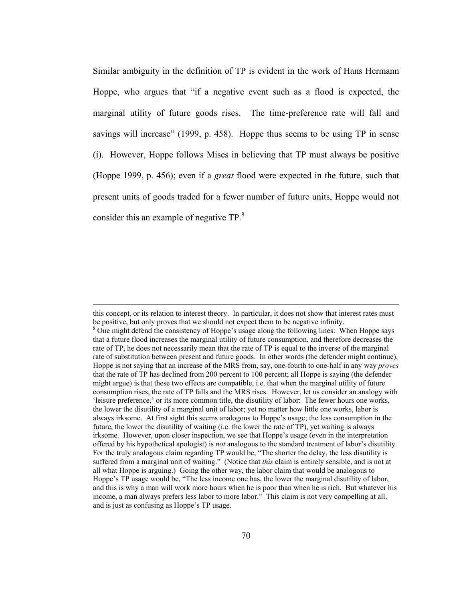Similar ambiguity in the definition of TP is evident in the work of Hans Hermann Hoppe, who argues that "if a negative event such as a flood is expected, the marginal utility of future goods rises. The time-preference rate will fall and savings will increase" (1999, p. 458). Hoppe thus seems to be using TP in sense (i). However, Hoppe follows Mises in believing that TP must always be positive (Hoppe 1999, p. 456); even if a *great* flood were expected in the future, such that present units of goods traded for a fewer number of future units, Hoppe would not consider this an example of negative TP.<sup>8</sup>

this concept, or its relation to interest theory. In particular, it does not show that interest rates must be positive, but only proves that we should not expect them to be negative infinity. <sup>8</sup> One might defend the consistency of Hoppe's usage along the following lines: When Hoppe says that a future flood increases the marginal utility of future consumption, and therefore decreases the rate of TP, he does not necessarily mean that the rate of TP is equal to the inverse of the marginal rate of substitution between present and future goods. In other words (the defender might continue), Hoppe is not saying that an increase of the MRS from, say, one-fourth to one-half in any way *proves*  that the rate of TP has declined from 200 percent to 100 percent; all Hoppe is saying (the defender might argue) is that these two effects are compatible, i.e. that when the marginal utility of future consumption rises, the rate of TP falls and the MRS rises. However, let us consider an analogy with 'leisure preference,' or its more common title, the disutility of labor: The fewer hours one works, the lower the disutility of a marginal unit of labor; yet no matter how little one works, labor is always irksome. At first sight this seems analogous to Hoppe's usage; the less consumption in the future, the lower the disutility of waiting (i.e. the lower the rate of TP), yet waiting is always irksome. However, upon closer inspection, we see that Hoppe's usage (even in the interpretation offered by his hypothetical apologist) is *not* analogous to the standard treatment of labor's disutility. For the truly analogous claim regarding TP would be, "The shorter the delay, the less disutility is suffered from a marginal unit of waiting." (Notice that *this* claim is entirely sensible, and is not at all what Hoppe is arguing.) Going the other way, the labor claim that would be analogous to Hoppe's TP usage would be, "The less income one has, the lower the marginal disutility of labor, and this is why a man will work more hours when he is poor than when he is rich. But whatever his income, a man always prefers less labor to more labor." This claim is not very compelling at all, and is just as confusing as Hoppe's TP usage.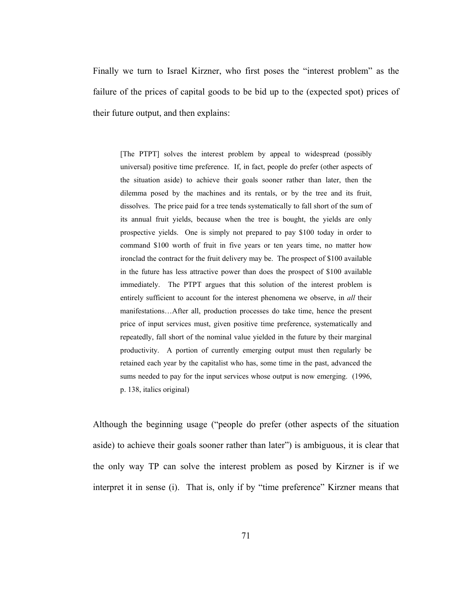Finally we turn to Israel Kirzner, who first poses the "interest problem" as the failure of the prices of capital goods to be bid up to the (expected spot) prices of their future output, and then explains:

[The PTPT] solves the interest problem by appeal to widespread (possibly universal) positive time preference. If, in fact, people do prefer (other aspects of the situation aside) to achieve their goals sooner rather than later, then the dilemma posed by the machines and its rentals, or by the tree and its fruit, dissolves. The price paid for a tree tends systematically to fall short of the sum of its annual fruit yields, because when the tree is bought, the yields are only prospective yields. One is simply not prepared to pay \$100 today in order to command \$100 worth of fruit in five years or ten years time, no matter how ironclad the contract for the fruit delivery may be. The prospect of \$100 available in the future has less attractive power than does the prospect of \$100 available immediately. The PTPT argues that this solution of the interest problem is entirely sufficient to account for the interest phenomena we observe, in *all* their manifestations…After all, production processes do take time, hence the present price of input services must, given positive time preference, systematically and repeatedly, fall short of the nominal value yielded in the future by their marginal productivity. A portion of currently emerging output must then regularly be retained each year by the capitalist who has, some time in the past, advanced the sums needed to pay for the input services whose output is now emerging. (1996, p. 138, italics original)

Although the beginning usage ("people do prefer (other aspects of the situation aside) to achieve their goals sooner rather than later") is ambiguous, it is clear that the only way TP can solve the interest problem as posed by Kirzner is if we interpret it in sense (i). That is, only if by "time preference" Kirzner means that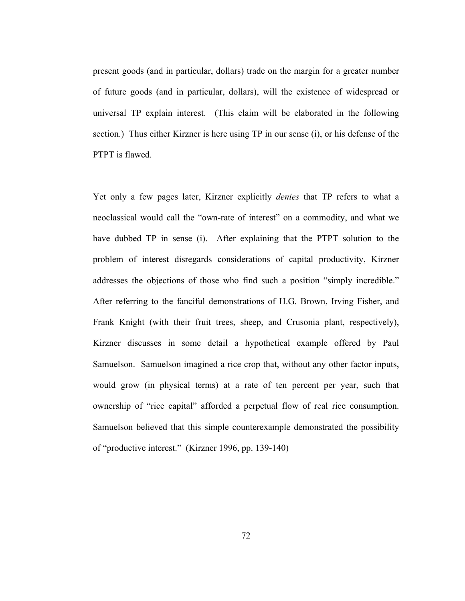present goods (and in particular, dollars) trade on the margin for a greater number of future goods (and in particular, dollars), will the existence of widespread or universal TP explain interest. (This claim will be elaborated in the following section.) Thus either Kirzner is here using TP in our sense (i), or his defense of the PTPT is flawed.

Yet only a few pages later, Kirzner explicitly *denies* that TP refers to what a neoclassical would call the "own-rate of interest" on a commodity, and what we have dubbed TP in sense (i). After explaining that the PTPT solution to the problem of interest disregards considerations of capital productivity, Kirzner addresses the objections of those who find such a position "simply incredible." After referring to the fanciful demonstrations of H.G. Brown, Irving Fisher, and Frank Knight (with their fruit trees, sheep, and Crusonia plant, respectively), Kirzner discusses in some detail a hypothetical example offered by Paul Samuelson. Samuelson imagined a rice crop that, without any other factor inputs, would grow (in physical terms) at a rate of ten percent per year, such that ownership of "rice capital" afforded a perpetual flow of real rice consumption. Samuelson believed that this simple counterexample demonstrated the possibility of "productive interest." (Kirzner 1996, pp. 139-140)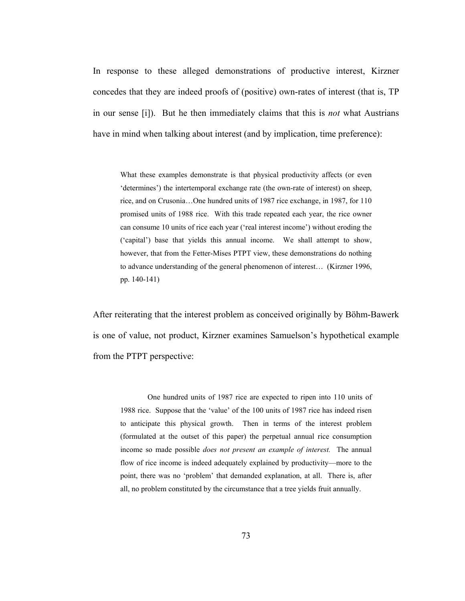In response to these alleged demonstrations of productive interest, Kirzner concedes that they are indeed proofs of (positive) own-rates of interest (that is, TP in our sense [i]). But he then immediately claims that this is *not* what Austrians have in mind when talking about interest (and by implication, time preference):

What these examples demonstrate is that physical productivity affects (or even 'determines') the intertemporal exchange rate (the own-rate of interest) on sheep, rice, and on Crusonia…One hundred units of 1987 rice exchange, in 1987, for 110 promised units of 1988 rice. With this trade repeated each year, the rice owner can consume 10 units of rice each year ('real interest income') without eroding the ('capital') base that yields this annual income. We shall attempt to show, however, that from the Fetter-Mises PTPT view, these demonstrations do nothing to advance understanding of the general phenomenon of interest… (Kirzner 1996, pp. 140-141)

After reiterating that the interest problem as conceived originally by Böhm-Bawerk is one of value, not product, Kirzner examines Samuelson's hypothetical example from the PTPT perspective:

One hundred units of 1987 rice are expected to ripen into 110 units of 1988 rice. Suppose that the 'value' of the 100 units of 1987 rice has indeed risen to anticipate this physical growth. Then in terms of the interest problem (formulated at the outset of this paper) the perpetual annual rice consumption income so made possible *does not present an example of interest.* The annual flow of rice income is indeed adequately explained by productivity—more to the point, there was no 'problem' that demanded explanation, at all. There is, after all, no problem constituted by the circumstance that a tree yields fruit annually.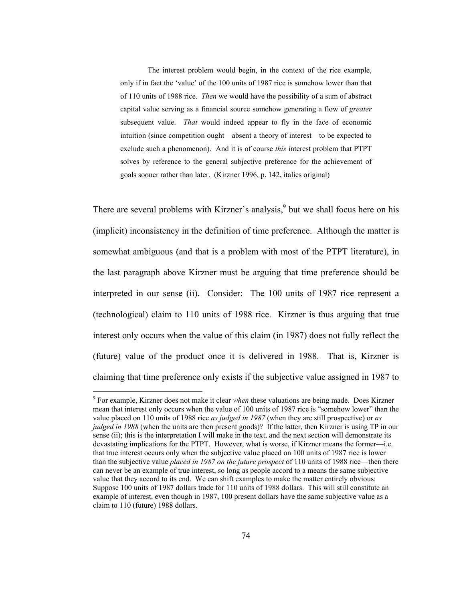The interest problem would begin, in the context of the rice example, only if in fact the 'value' of the 100 units of 1987 rice is somehow lower than that of 110 units of 1988 rice. *Then* we would have the possibility of a sum of abstract capital value serving as a financial source somehow generating a flow of *greater*  subsequent value. *That* would indeed appear to fly in the face of economic intuition (since competition ought—absent a theory of interest—to be expected to exclude such a phenomenon). And it is of course *this* interest problem that PTPT solves by reference to the general subjective preference for the achievement of goals sooner rather than later. (Kirzner 1996, p. 142, italics original)

There are several problems with Kirzner's analysis,  $9$  but we shall focus here on his (implicit) inconsistency in the definition of time preference. Although the matter is somewhat ambiguous (and that is a problem with most of the PTPT literature), in the last paragraph above Kirzner must be arguing that time preference should be interpreted in our sense (ii). Consider: The 100 units of 1987 rice represent a (technological) claim to 110 units of 1988 rice. Kirzner is thus arguing that true interest only occurs when the value of this claim (in 1987) does not fully reflect the (future) value of the product once it is delivered in 1988. That is, Kirzner is claiming that time preference only exists if the subjective value assigned in 1987 to

<sup>9</sup> For example, Kirzner does not make it clear *when* these valuations are being made. Does Kirzner mean that interest only occurs when the value of 100 units of 1987 rice is "somehow lower" than the value placed on 110 units of 1988 rice *as judged in 1987* (when they are still prospective) or *as judged in 1988* (when the units are then present goods)? If the latter, then Kirzner is using TP in our sense (ii); this is the interpretation I will make in the text, and the next section will demonstrate its devastating implications for the PTPT. However, what is worse, if Kirzner means the former—i.e. that true interest occurs only when the subjective value placed on 100 units of 1987 rice is lower than the subjective value *placed in 1987 on the future prospect* of 110 units of 1988 rice—then there can never be an example of true interest, so long as people accord to a means the same subjective value that they accord to its end. We can shift examples to make the matter entirely obvious: Suppose 100 units of 1987 dollars trade for 110 units of 1988 dollars. This will still constitute an example of interest, even though in 1987, 100 present dollars have the same subjective value as a claim to 110 (future) 1988 dollars.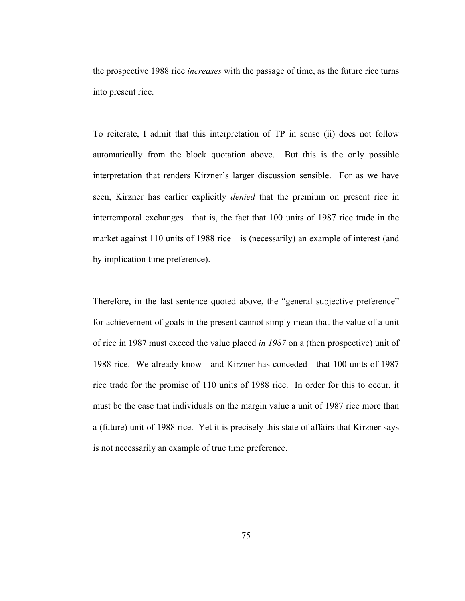the prospective 1988 rice *increases* with the passage of time, as the future rice turns into present rice.

To reiterate, I admit that this interpretation of TP in sense (ii) does not follow automatically from the block quotation above. But this is the only possible interpretation that renders Kirzner's larger discussion sensible. For as we have seen, Kirzner has earlier explicitly *denied* that the premium on present rice in intertemporal exchanges—that is, the fact that 100 units of 1987 rice trade in the market against 110 units of 1988 rice—is (necessarily) an example of interest (and by implication time preference).

Therefore, in the last sentence quoted above, the "general subjective preference" for achievement of goals in the present cannot simply mean that the value of a unit of rice in 1987 must exceed the value placed *in 1987* on a (then prospective) unit of 1988 rice. We already know—and Kirzner has conceded—that 100 units of 1987 rice trade for the promise of 110 units of 1988 rice. In order for this to occur, it must be the case that individuals on the margin value a unit of 1987 rice more than a (future) unit of 1988 rice. Yet it is precisely this state of affairs that Kirzner says is not necessarily an example of true time preference.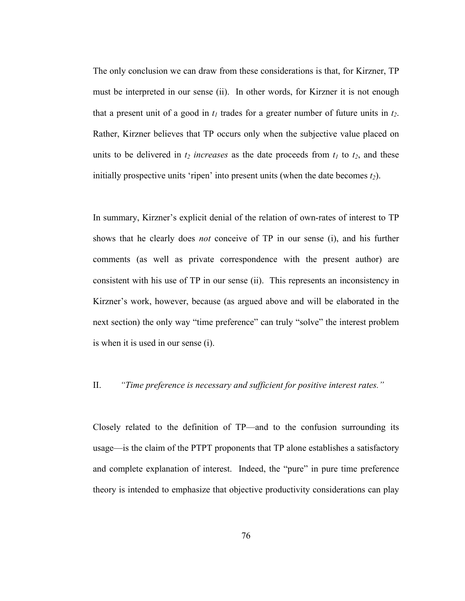The only conclusion we can draw from these considerations is that, for Kirzner, TP must be interpreted in our sense (ii). In other words, for Kirzner it is not enough that a present unit of a good in  $t_1$  trades for a greater number of future units in  $t_2$ . Rather, Kirzner believes that TP occurs only when the subjective value placed on units to be delivered in  $t_2$  *increases* as the date proceeds from  $t_1$  to  $t_2$ , and these initially prospective units 'ripen' into present units (when the date becomes  $t_2$ ).

In summary, Kirzner's explicit denial of the relation of own-rates of interest to TP shows that he clearly does *not* conceive of TP in our sense (i), and his further comments (as well as private correspondence with the present author) are consistent with his use of TP in our sense (ii). This represents an inconsistency in Kirzner's work, however, because (as argued above and will be elaborated in the next section) the only way "time preference" can truly "solve" the interest problem is when it is used in our sense (i).

### II. *"Time preference is necessary and sufficient for positive interest rates."*

Closely related to the definition of TP—and to the confusion surrounding its usage—is the claim of the PTPT proponents that TP alone establishes a satisfactory and complete explanation of interest. Indeed, the "pure" in pure time preference theory is intended to emphasize that objective productivity considerations can play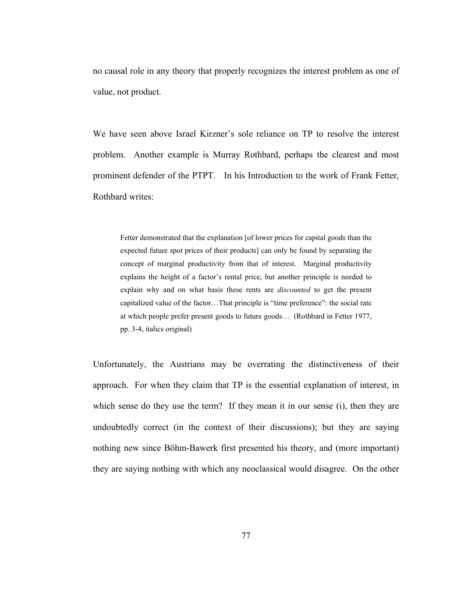no causal role in any theory that properly recognizes the interest problem as one of value, not product.

We have seen above Israel Kirzner's sole reliance on TP to resolve the interest problem. Another example is Murray Rothbard, perhaps the clearest and most prominent defender of the PTPT. In his Introduction to the work of Frank Fetter, Rothbard writes:

Fetter demonstrated that the explanation [of lower prices for capital goods than the expected future spot prices of their products] can only be found by separating the concept of marginal productivity from that of interest. Marginal productivity explains the height of a factor's rental price, but another principle is needed to explain why and on what basis these rents are *discounted* to get the present capitalized value of the factor…That principle is "time preference": the social rate at which people prefer present goods to future goods… (Rothbard in Fetter 1977, pp. 3-4, italics original)

Unfortunately, the Austrians may be overrating the distinctiveness of their approach. For when they claim that TP is the essential explanation of interest, in which sense do they use the term? If they mean it in our sense (i), then they are undoubtedly correct (in the context of their discussions); but they are saying nothing new since Böhm-Bawerk first presented his theory, and (more important) they are saying nothing with which any neoclassical would disagree. On the other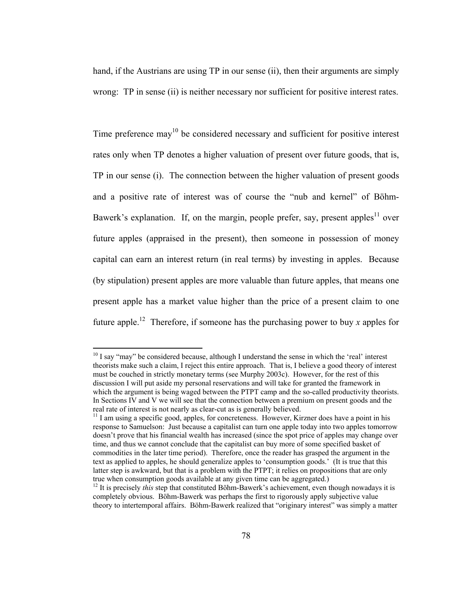hand, if the Austrians are using TP in our sense (ii), then their arguments are simply wrong: TP in sense (ii) is neither necessary nor sufficient for positive interest rates.

Time preference  $\text{max}^{10}$  be considered necessary and sufficient for positive interest rates only when TP denotes a higher valuation of present over future goods, that is, TP in our sense (i). The connection between the higher valuation of present goods and a positive rate of interest was of course the "nub and kernel" of Böhm-Bawerk's explanation. If, on the margin, people prefer, say, present apples<sup>11</sup> over future apples (appraised in the present), then someone in possession of money capital can earn an interest return (in real terms) by investing in apples. Because (by stipulation) present apples are more valuable than future apples, that means one present apple has a market value higher than the price of a present claim to one future apple.<sup>12</sup> Therefore, if someone has the purchasing power to buy x apples for

 $10$  I say "may" be considered because, although I understand the sense in which the 'real' interest theorists make such a claim, I reject this entire approach. That is, I believe a good theory of interest must be couched in strictly monetary terms (see Murphy 2003c). However, for the rest of this discussion I will put aside my personal reservations and will take for granted the framework in which the argument is being waged between the PTPT camp and the so-called productivity theorists. In Sections IV and V we will see that the connection between a premium on present goods and the real rate of interest is not nearly as clear-cut as is generally believed.

 $11$  I am using a specific good, apples, for concreteness. However, Kirzner does have a point in his response to Samuelson: Just because a capitalist can turn one apple today into two apples tomorrow doesn't prove that his financial wealth has increased (since the spot price of apples may change over time, and thus we cannot conclude that the capitalist can buy more of some specified basket of commodities in the later time period). Therefore, once the reader has grasped the argument in the text as applied to apples, he should generalize apples to 'consumption goods.' (It is true that this latter step is awkward, but that is a problem with the PTPT; it relies on propositions that are only true when consumption goods available at any given time can be aggregated.)

<sup>&</sup>lt;sup>12</sup> It is precisely *this* step that constituted Böhm-Bawerk's achievement, even though nowadays it is completely obvious. Böhm-Bawerk was perhaps the first to rigorously apply subjective value theory to intertemporal affairs. Böhm-Bawerk realized that "originary interest" was simply a matter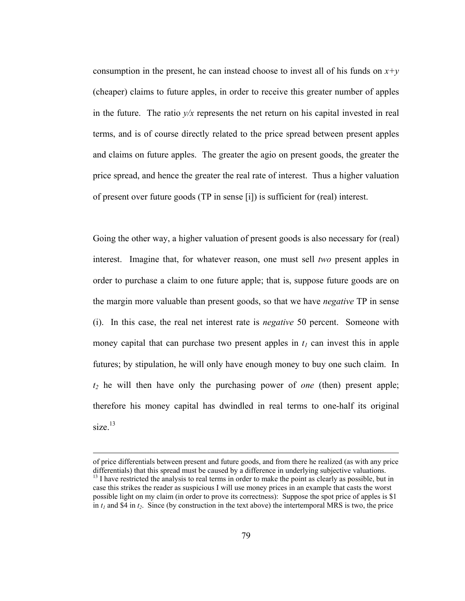consumption in the present, he can instead choose to invest all of his funds on  $x+y$ (cheaper) claims to future apples, in order to receive this greater number of apples in the future. The ratio  $y/x$  represents the net return on his capital invested in real terms, and is of course directly related to the price spread between present apples and claims on future apples. The greater the agio on present goods, the greater the price spread, and hence the greater the real rate of interest. Thus a higher valuation of present over future goods (TP in sense [i]) is sufficient for (real) interest.

Going the other way, a higher valuation of present goods is also necessary for (real) interest. Imagine that, for whatever reason, one must sell *two* present apples in order to purchase a claim to one future apple; that is, suppose future goods are on the margin more valuable than present goods, so that we have *negative* TP in sense (i). In this case, the real net interest rate is *negative* 50 percent. Someone with money capital that can purchase two present apples in  $t_1$  can invest this in apple futures; by stipulation, he will only have enough money to buy one such claim. In *t2* he will then have only the purchasing power of *one* (then) present apple; therefore his money capital has dwindled in real terms to one-half its original size. $13$ 

of price differentials between present and future goods, and from there he realized (as with any price  $13$  I have restricted the analysis to real terms in order to make the point as clearly as possible, but in case this strikes the reader as suspicious I will use money prices in an example that casts the worst possible light on my claim (in order to prove its correctness): Suppose the spot price of apples is \$1 in  $t_1$  and \$4 in  $t_2$ . Since (by construction in the text above) the intertemporal MRS is two, the price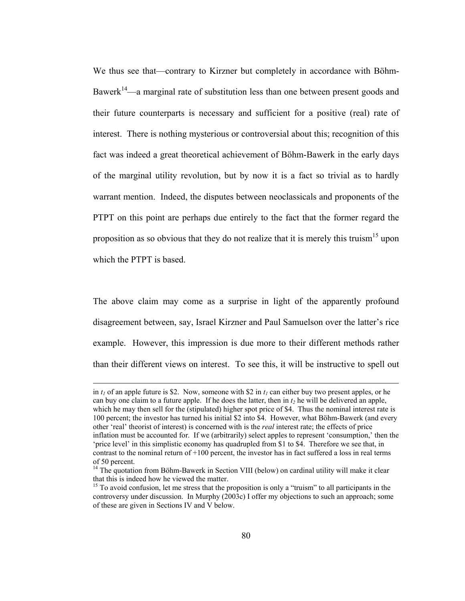We thus see that—contrary to Kirzner but completely in accordance with Böhm-Bawerk<sup>14</sup>—a marginal rate of substitution less than one between present goods and their future counterparts is necessary and sufficient for a positive (real) rate of interest. There is nothing mysterious or controversial about this; recognition of this fact was indeed a great theoretical achievement of Böhm-Bawerk in the early days of the marginal utility revolution, but by now it is a fact so trivial as to hardly warrant mention. Indeed, the disputes between neoclassicals and proponents of the PTPT on this point are perhaps due entirely to the fact that the former regard the proposition as so obvious that they do not realize that it is merely this truism<sup>15</sup> upon which the PTPT is based.

The above claim may come as a surprise in light of the apparently profound disagreement between, say, Israel Kirzner and Paul Samuelson over the latter's rice example. However, this impression is due more to their different methods rather than their different views on interest. To see this, it will be instructive to spell out

in  $t_1$  of an apple future is \$2. Now, someone with \$2 in  $t_1$  can either buy two present apples, or he can buy one claim to a future apple. If he does the latter, then in  $t<sub>2</sub>$  he will be delivered an apple, which he may then sell for the (stipulated) higher spot price of \$4. Thus the nominal interest rate is 100 percent; the investor has turned his initial \$2 into \$4. However, what Böhm-Bawerk (and every other 'real' theorist of interest) is concerned with is the *real* interest rate; the effects of price inflation must be accounted for. If we (arbitrarily) select apples to represent 'consumption,' then the 'price level' in this simplistic economy has quadrupled from \$1 to \$4. Therefore we see that, in contrast to the nominal return of  $+100$  percent, the investor has in fact suffered a loss in real terms of 50 percent.

 $14$  The quotation from Böhm-Bawerk in Section VIII (below) on cardinal utility will make it clear that this is indeed how he viewed the matter.

<sup>&</sup>lt;sup>15</sup> To avoid confusion, let me stress that the proposition is only a "truism" to all participants in the controversy under discussion. In Murphy (2003c) I offer my objections to such an approach; some of these are given in Sections IV and V below.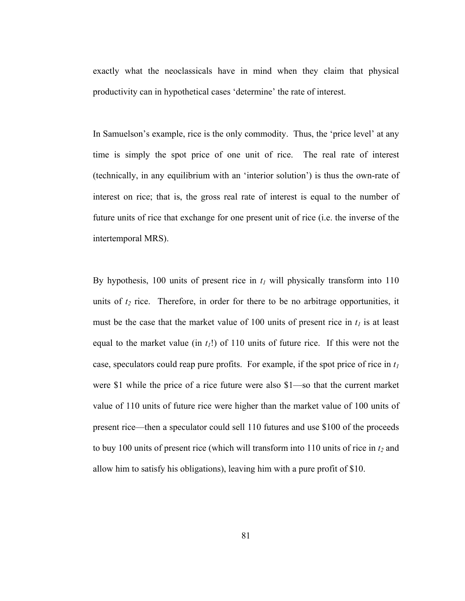exactly what the neoclassicals have in mind when they claim that physical productivity can in hypothetical cases 'determine' the rate of interest.

In Samuelson's example, rice is the only commodity. Thus, the 'price level' at any time is simply the spot price of one unit of rice. The real rate of interest (technically, in any equilibrium with an 'interior solution') is thus the own-rate of interest on rice; that is, the gross real rate of interest is equal to the number of future units of rice that exchange for one present unit of rice (i.e. the inverse of the intertemporal MRS).

By hypothesis, 100 units of present rice in  $t_1$  will physically transform into 110 units of  $t_2$  rice. Therefore, in order for there to be no arbitrage opportunities, it must be the case that the market value of 100 units of present rice in  $t_1$  is at least equal to the market value (in  $t_1$ !) of 110 units of future rice. If this were not the case, speculators could reap pure profits. For example, if the spot price of rice in  $t_1$ were \$1 while the price of a rice future were also \$1—so that the current market value of 110 units of future rice were higher than the market value of 100 units of present rice—then a speculator could sell 110 futures and use \$100 of the proceeds to buy 100 units of present rice (which will transform into  $110$  units of rice in  $t_2$  and allow him to satisfy his obligations), leaving him with a pure profit of \$10.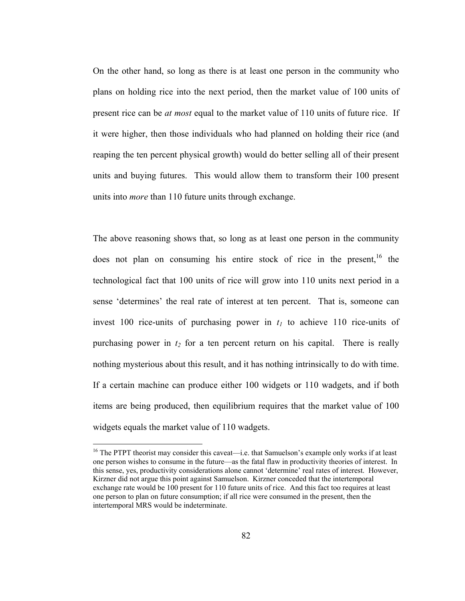On the other hand, so long as there is at least one person in the community who plans on holding rice into the next period, then the market value of 100 units of present rice can be *at most* equal to the market value of 110 units of future rice. If it were higher, then those individuals who had planned on holding their rice (and reaping the ten percent physical growth) would do better selling all of their present units and buying futures. This would allow them to transform their 100 present units into *more* than 110 future units through exchange.

The above reasoning shows that, so long as at least one person in the community does not plan on consuming his entire stock of rice in the present,  $16$  the technological fact that 100 units of rice will grow into 110 units next period in a sense 'determines' the real rate of interest at ten percent. That is, someone can invest 100 rice-units of purchasing power in  $t_1$  to achieve 110 rice-units of purchasing power in  $t_2$  for a ten percent return on his capital. There is really nothing mysterious about this result, and it has nothing intrinsically to do with time. If a certain machine can produce either 100 widgets or 110 wadgets, and if both items are being produced, then equilibrium requires that the market value of 100 widgets equals the market value of 110 wadgets.

<sup>&</sup>lt;sup>16</sup> The PTPT theorist may consider this caveat—i.e. that Samuelson's example only works if at least one person wishes to consume in the future—as the fatal flaw in productivity theories of interest. In this sense, yes, productivity considerations alone cannot 'determine' real rates of interest. However, Kirzner did not argue this point against Samuelson. Kirzner conceded that the intertemporal exchange rate would be 100 present for 110 future units of rice. And this fact too requires at least one person to plan on future consumption; if all rice were consumed in the present, then the intertemporal MRS would be indeterminate.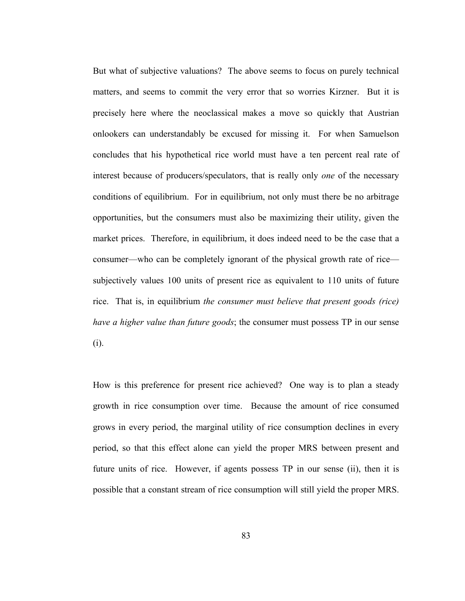But what of subjective valuations? The above seems to focus on purely technical matters, and seems to commit the very error that so worries Kirzner. But it is precisely here where the neoclassical makes a move so quickly that Austrian onlookers can understandably be excused for missing it. For when Samuelson concludes that his hypothetical rice world must have a ten percent real rate of interest because of producers/speculators, that is really only *one* of the necessary conditions of equilibrium. For in equilibrium, not only must there be no arbitrage opportunities, but the consumers must also be maximizing their utility, given the market prices. Therefore, in equilibrium, it does indeed need to be the case that a consumer—who can be completely ignorant of the physical growth rate of rice subjectively values 100 units of present rice as equivalent to 110 units of future rice. That is, in equilibrium *the consumer must believe that present goods (rice) have a higher value than future goods*; the consumer must possess TP in our sense (i).

How is this preference for present rice achieved? One way is to plan a steady growth in rice consumption over time. Because the amount of rice consumed grows in every period, the marginal utility of rice consumption declines in every period, so that this effect alone can yield the proper MRS between present and future units of rice. However, if agents possess TP in our sense (ii), then it is possible that a constant stream of rice consumption will still yield the proper MRS.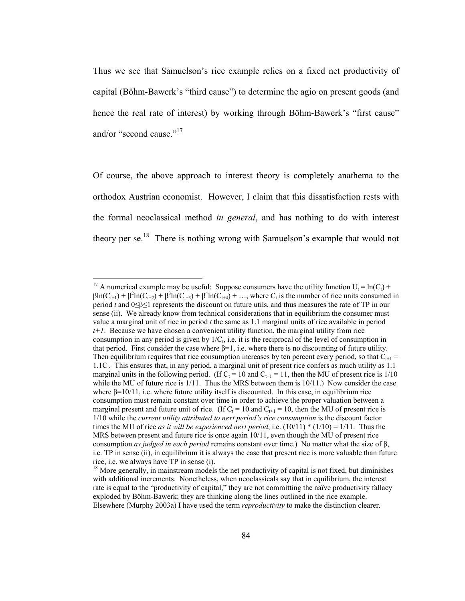Thus we see that Samuelson's rice example relies on a fixed net productivity of capital (Böhm-Bawerk's "third cause") to determine the agio on present goods (and hence the real rate of interest) by working through Böhm-Bawerk's "first cause" and/or "second cause."<sup>17</sup>

Of course, the above approach to interest theory is completely anathema to the orthodox Austrian economist. However, I claim that this dissatisfaction rests with the formal neoclassical method *in general*, and has nothing to do with interest theory per se.<sup>18</sup> There is nothing wrong with Samuelson's example that would not

<sup>&</sup>lt;sup>17</sup> A numerical example may be useful: Suppose consumers have the utility function  $U_t = ln(C_t)$  +  $\beta$ ln(C<sub>t+1</sub>) +  $\beta$ <sup>2</sup>ln(C<sub>t+2</sub>) +  $\beta$ <sup>3</sup>ln(C<sub>t+3</sub>) +  $\beta$ <sup>4</sup>ln(C<sub>t+4</sub>) + ..., where C<sub>t</sub> is the number of rice units consumed in period *t* and 0≤β≤1 represents the discount on future utils, and thus measures the rate of TP in our sense (ii). We already know from technical considerations that in equilibrium the consumer must value a marginal unit of rice in period *t* the same as 1.1 marginal units of rice available in period *t+1*. Because we have chosen a convenient utility function, the marginal utility from rice consumption in any period is given by  $1/C<sub>t</sub>$ , i.e. it is the reciprocal of the level of consumption in that period. First consider the case where  $\beta=1$ , i.e. where there is no discounting of future utility. Then equilibrium requires that rice consumption increases by ten percent every period, so that  $C_{t+1}$  = 1.1Ct. This ensures that, in any period, a marginal unit of present rice confers as much utility as 1.1 marginal units in the following period. (If  $C_t = 10$  and  $C_{t+1} = 11$ , then the MU of present rice is 1/10 while the MU of future rice is  $1/11$ . Thus the MRS between them is  $10/11$ .) Now consider the case where  $\beta = 10/11$ , i.e. where future utility itself is discounted. In this case, in equilibrium rice consumption must remain constant over time in order to achieve the proper valuation between a marginal present and future unit of rice. (If  $C_t = 10$  and  $C_{t+1} = 10$ , then the MU of present rice is 1/10 while the *current utility attributed to next period's rice consumption* is the discount factor times the MU of rice *as it will be experienced next period*, i.e.  $(10/11) * (1/10) = 1/11$ . Thus the MRS between present and future rice is once again 10/11, even though the MU of present rice consumption *as judged in each period* remains constant over time.) No matter what the size of β, i.e. TP in sense (ii), in equilibrium it is always the case that present rice is more valuable than future rice, i.e. we always have TP in sense (i).

 $<sup>18</sup>$  More generally, in mainstream models the net productivity of capital is not fixed, but diminishes</sup> with additional increments. Nonetheless, when neoclassicals say that in equilibrium, the interest rate is equal to the "productivity of capital," they are not committing the naïve productivity fallacy exploded by Böhm-Bawerk; they are thinking along the lines outlined in the rice example. Elsewhere (Murphy 2003a) I have used the term *reproductivity* to make the distinction clearer.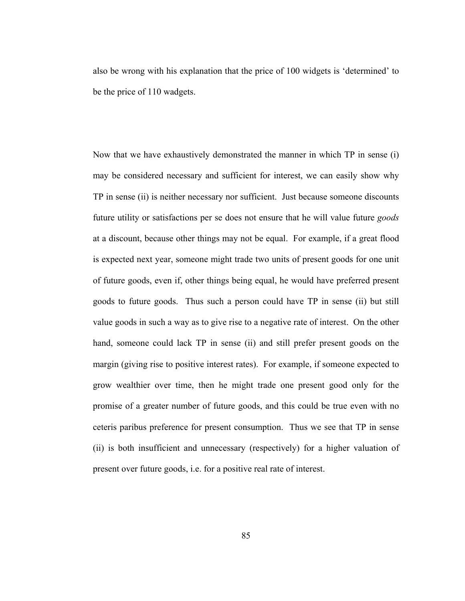also be wrong with his explanation that the price of 100 widgets is 'determined' to be the price of 110 wadgets.

Now that we have exhaustively demonstrated the manner in which TP in sense (i) may be considered necessary and sufficient for interest, we can easily show why TP in sense (ii) is neither necessary nor sufficient. Just because someone discounts future utility or satisfactions per se does not ensure that he will value future *goods*  at a discount, because other things may not be equal. For example, if a great flood is expected next year, someone might trade two units of present goods for one unit of future goods, even if, other things being equal, he would have preferred present goods to future goods. Thus such a person could have TP in sense (ii) but still value goods in such a way as to give rise to a negative rate of interest. On the other hand, someone could lack TP in sense (ii) and still prefer present goods on the margin (giving rise to positive interest rates). For example, if someone expected to grow wealthier over time, then he might trade one present good only for the promise of a greater number of future goods, and this could be true even with no ceteris paribus preference for present consumption. Thus we see that TP in sense (ii) is both insufficient and unnecessary (respectively) for a higher valuation of present over future goods, i.e. for a positive real rate of interest.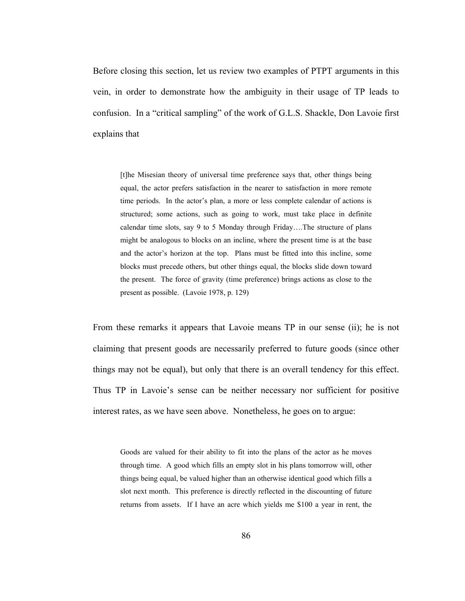Before closing this section, let us review two examples of PTPT arguments in this vein, in order to demonstrate how the ambiguity in their usage of TP leads to confusion. In a "critical sampling" of the work of G.L.S. Shackle, Don Lavoie first explains that

[t]he Misesian theory of universal time preference says that, other things being equal, the actor prefers satisfaction in the nearer to satisfaction in more remote time periods. In the actor's plan, a more or less complete calendar of actions is structured; some actions, such as going to work, must take place in definite calendar time slots, say 9 to 5 Monday through Friday….The structure of plans might be analogous to blocks on an incline, where the present time is at the base and the actor's horizon at the top. Plans must be fitted into this incline, some blocks must precede others, but other things equal, the blocks slide down toward the present. The force of gravity (time preference) brings actions as close to the present as possible. (Lavoie 1978, p. 129)

From these remarks it appears that Lavoie means TP in our sense (ii); he is not claiming that present goods are necessarily preferred to future goods (since other things may not be equal), but only that there is an overall tendency for this effect. Thus TP in Lavoie's sense can be neither necessary nor sufficient for positive interest rates, as we have seen above. Nonetheless, he goes on to argue:

Goods are valued for their ability to fit into the plans of the actor as he moves through time. A good which fills an empty slot in his plans tomorrow will, other things being equal, be valued higher than an otherwise identical good which fills a slot next month. This preference is directly reflected in the discounting of future returns from assets. If I have an acre which yields me \$100 a year in rent, the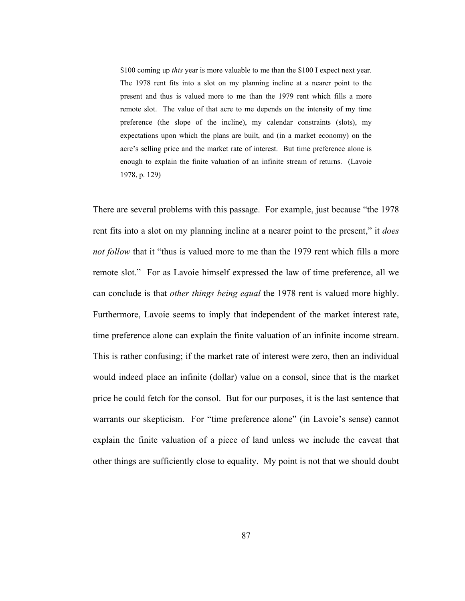\$100 coming up *this* year is more valuable to me than the \$100 I expect next year. The 1978 rent fits into a slot on my planning incline at a nearer point to the present and thus is valued more to me than the 1979 rent which fills a more remote slot. The value of that acre to me depends on the intensity of my time preference (the slope of the incline), my calendar constraints (slots), my expectations upon which the plans are built, and (in a market economy) on the acre's selling price and the market rate of interest. But time preference alone is enough to explain the finite valuation of an infinite stream of returns. (Lavoie 1978, p. 129)

There are several problems with this passage. For example, just because "the 1978 rent fits into a slot on my planning incline at a nearer point to the present," it *does not follow that it "thus is valued more to me than the 1979 rent which fills a more* remote slot." For as Lavoie himself expressed the law of time preference, all we can conclude is that *other things being equal* the 1978 rent is valued more highly. Furthermore, Lavoie seems to imply that independent of the market interest rate, time preference alone can explain the finite valuation of an infinite income stream. This is rather confusing; if the market rate of interest were zero, then an individual would indeed place an infinite (dollar) value on a consol, since that is the market price he could fetch for the consol. But for our purposes, it is the last sentence that warrants our skepticism. For "time preference alone" (in Lavoie's sense) cannot explain the finite valuation of a piece of land unless we include the caveat that other things are sufficiently close to equality. My point is not that we should doubt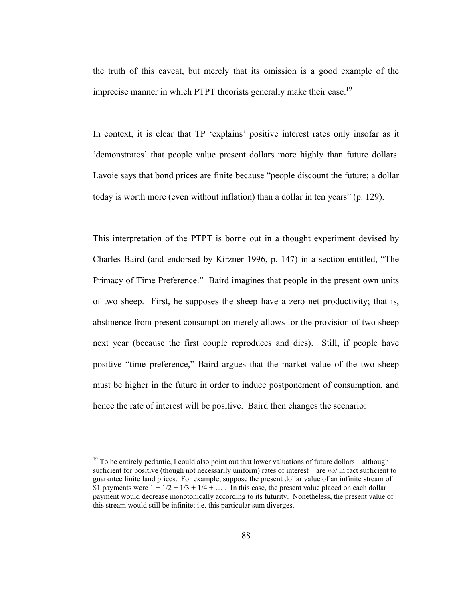the truth of this caveat, but merely that its omission is a good example of the imprecise manner in which PTPT theorists generally make their case.<sup>19</sup>

In context, it is clear that TP 'explains' positive interest rates only insofar as it 'demonstrates' that people value present dollars more highly than future dollars. Lavoie says that bond prices are finite because "people discount the future; a dollar today is worth more (even without inflation) than a dollar in ten years" (p. 129).

This interpretation of the PTPT is borne out in a thought experiment devised by Charles Baird (and endorsed by Kirzner 1996, p. 147) in a section entitled, "The Primacy of Time Preference." Baird imagines that people in the present own units of two sheep. First, he supposes the sheep have a zero net productivity; that is, abstinence from present consumption merely allows for the provision of two sheep next year (because the first couple reproduces and dies). Still, if people have positive "time preference," Baird argues that the market value of the two sheep must be higher in the future in order to induce postponement of consumption, and hence the rate of interest will be positive. Baird then changes the scenario:

<sup>&</sup>lt;sup>19</sup> To be entirely pedantic, I could also point out that lower valuations of future dollars—although sufficient for positive (though not necessarily uniform) rates of interest—are *not* in fact sufficient to guarantee finite land prices. For example, suppose the present dollar value of an infinite stream of \$1 payments were  $1 + 1/2 + 1/3 + 1/4 + \dots$  In this case, the present value placed on each dollar payment would decrease monotonically according to its futurity. Nonetheless, the present value of this stream would still be infinite; i.e. this particular sum diverges.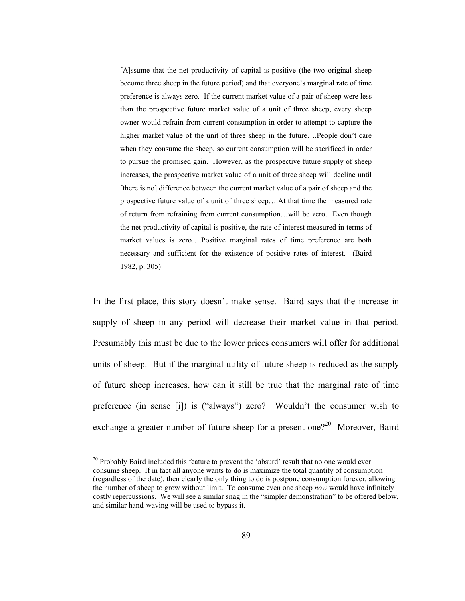[A]ssume that the net productivity of capital is positive (the two original sheep become three sheep in the future period) and that everyone's marginal rate of time preference is always zero. If the current market value of a pair of sheep were less than the prospective future market value of a unit of three sheep, every sheep owner would refrain from current consumption in order to attempt to capture the higher market value of the unit of three sheep in the future....People don't care when they consume the sheep, so current consumption will be sacrificed in order to pursue the promised gain. However, as the prospective future supply of sheep increases, the prospective market value of a unit of three sheep will decline until [there is no] difference between the current market value of a pair of sheep and the prospective future value of a unit of three sheep….At that time the measured rate of return from refraining from current consumption…will be zero. Even though the net productivity of capital is positive, the rate of interest measured in terms of market values is zero….Positive marginal rates of time preference are both necessary and sufficient for the existence of positive rates of interest. (Baird 1982, p. 305)

In the first place, this story doesn't make sense. Baird says that the increase in supply of sheep in any period will decrease their market value in that period. Presumably this must be due to the lower prices consumers will offer for additional units of sheep. But if the marginal utility of future sheep is reduced as the supply of future sheep increases, how can it still be true that the marginal rate of time preference (in sense [i]) is ("always") zero? Wouldn't the consumer wish to exchange a greater number of future sheep for a present one?<sup>20</sup> Moreover, Baird

<sup>&</sup>lt;sup>20</sup> Probably Baird included this feature to prevent the 'absurd' result that no one would ever consume sheep. If in fact all anyone wants to do is maximize the total quantity of consumption (regardless of the date), then clearly the only thing to do is postpone consumption forever, allowing the number of sheep to grow without limit. To consume even one sheep *now* would have infinitely costly repercussions. We will see a similar snag in the "simpler demonstration" to be offered below, and similar hand-waving will be used to bypass it.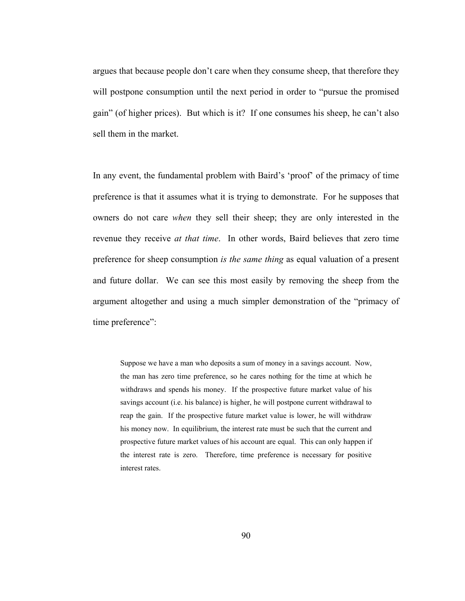argues that because people don't care when they consume sheep, that therefore they will postpone consumption until the next period in order to "pursue the promised gain" (of higher prices). But which is it? If one consumes his sheep, he can't also sell them in the market.

In any event, the fundamental problem with Baird's 'proof' of the primacy of time preference is that it assumes what it is trying to demonstrate. For he supposes that owners do not care *when* they sell their sheep; they are only interested in the revenue they receive *at that time*. In other words, Baird believes that zero time preference for sheep consumption *is the same thing* as equal valuation of a present and future dollar. We can see this most easily by removing the sheep from the argument altogether and using a much simpler demonstration of the "primacy of time preference":

Suppose we have a man who deposits a sum of money in a savings account. Now, the man has zero time preference, so he cares nothing for the time at which he withdraws and spends his money. If the prospective future market value of his savings account (i.e. his balance) is higher, he will postpone current withdrawal to reap the gain. If the prospective future market value is lower, he will withdraw his money now. In equilibrium, the interest rate must be such that the current and prospective future market values of his account are equal. This can only happen if the interest rate is zero. Therefore, time preference is necessary for positive interest rates.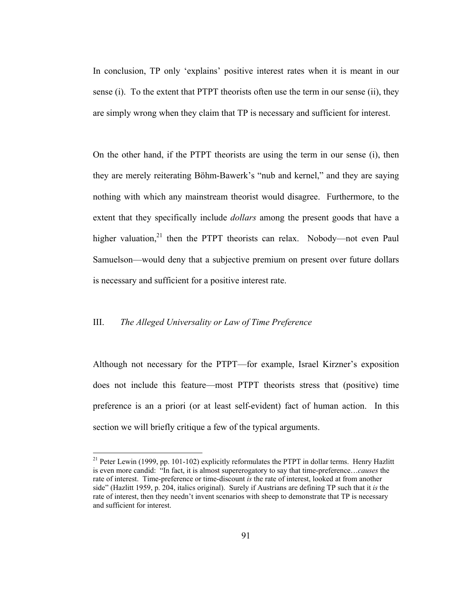In conclusion, TP only 'explains' positive interest rates when it is meant in our sense (i). To the extent that PTPT theorists often use the term in our sense (ii), they are simply wrong when they claim that TP is necessary and sufficient for interest.

On the other hand, if the PTPT theorists are using the term in our sense (i), then they are merely reiterating Böhm-Bawerk's "nub and kernel," and they are saying nothing with which any mainstream theorist would disagree. Furthermore, to the extent that they specifically include *dollars* among the present goods that have a higher valuation, $21$  then the PTPT theorists can relax. Nobody—not even Paul Samuelson—would deny that a subjective premium on present over future dollars is necessary and sufficient for a positive interest rate.

## III. *The Alleged Universality or Law of Time Preference*

 $\overline{a}$ 

Although not necessary for the PTPT—for example, Israel Kirzner's exposition does not include this feature—most PTPT theorists stress that (positive) time preference is an a priori (or at least self-evident) fact of human action. In this section we will briefly critique a few of the typical arguments.

<sup>&</sup>lt;sup>21</sup> Peter Lewin (1999, pp. 101-102) explicitly reformulates the PTPT in dollar terms. Henry Hazlitt is even more candid: "In fact, it is almost supererogatory to say that time-preference…*causes* the rate of interest. Time-preference or time-discount *is* the rate of interest, looked at from another side" (Hazlitt 1959, p. 204, italics original). Surely if Austrians are defining TP such that it *is* the rate of interest, then they needn't invent scenarios with sheep to demonstrate that TP is necessary and sufficient for interest.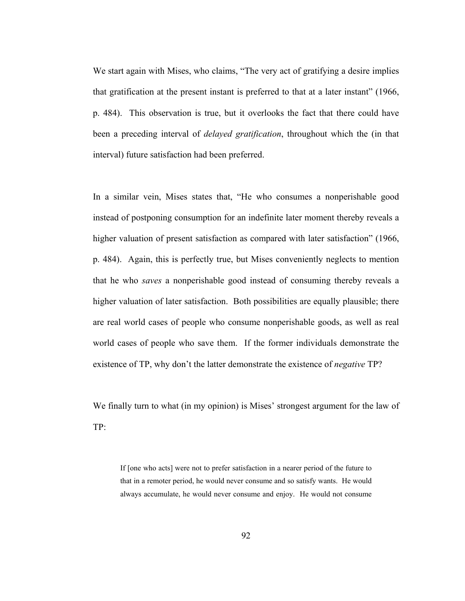We start again with Mises, who claims, "The very act of gratifying a desire implies that gratification at the present instant is preferred to that at a later instant" (1966, p. 484). This observation is true, but it overlooks the fact that there could have been a preceding interval of *delayed gratification*, throughout which the (in that interval) future satisfaction had been preferred.

In a similar vein, Mises states that, "He who consumes a nonperishable good instead of postponing consumption for an indefinite later moment thereby reveals a higher valuation of present satisfaction as compared with later satisfaction" (1966, p. 484). Again, this is perfectly true, but Mises conveniently neglects to mention that he who *saves* a nonperishable good instead of consuming thereby reveals a higher valuation of later satisfaction. Both possibilities are equally plausible; there are real world cases of people who consume nonperishable goods, as well as real world cases of people who save them. If the former individuals demonstrate the existence of TP, why don't the latter demonstrate the existence of *negative* TP?

We finally turn to what (in my opinion) is Mises' strongest argument for the law of TP:

If [one who acts] were not to prefer satisfaction in a nearer period of the future to that in a remoter period, he would never consume and so satisfy wants. He would always accumulate, he would never consume and enjoy. He would not consume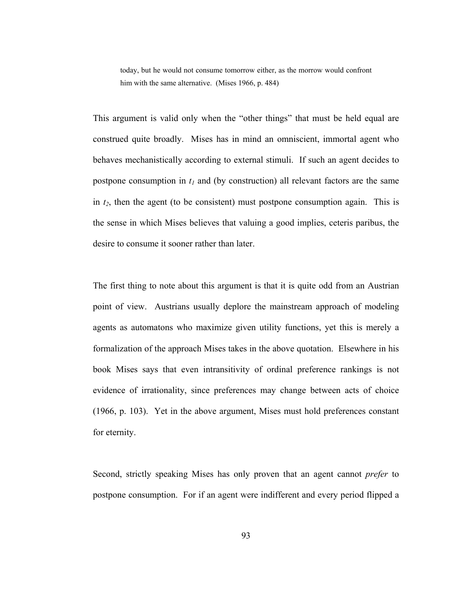today, but he would not consume tomorrow either, as the morrow would confront him with the same alternative. (Mises 1966, p. 484)

This argument is valid only when the "other things" that must be held equal are construed quite broadly. Mises has in mind an omniscient, immortal agent who behaves mechanistically according to external stimuli. If such an agent decides to postpone consumption in  $t_1$  and (by construction) all relevant factors are the same in  $t_2$ , then the agent (to be consistent) must postpone consumption again. This is the sense in which Mises believes that valuing a good implies, ceteris paribus, the desire to consume it sooner rather than later.

The first thing to note about this argument is that it is quite odd from an Austrian point of view. Austrians usually deplore the mainstream approach of modeling agents as automatons who maximize given utility functions, yet this is merely a formalization of the approach Mises takes in the above quotation. Elsewhere in his book Mises says that even intransitivity of ordinal preference rankings is not evidence of irrationality, since preferences may change between acts of choice (1966, p. 103). Yet in the above argument, Mises must hold preferences constant for eternity.

Second, strictly speaking Mises has only proven that an agent cannot *prefer* to postpone consumption. For if an agent were indifferent and every period flipped a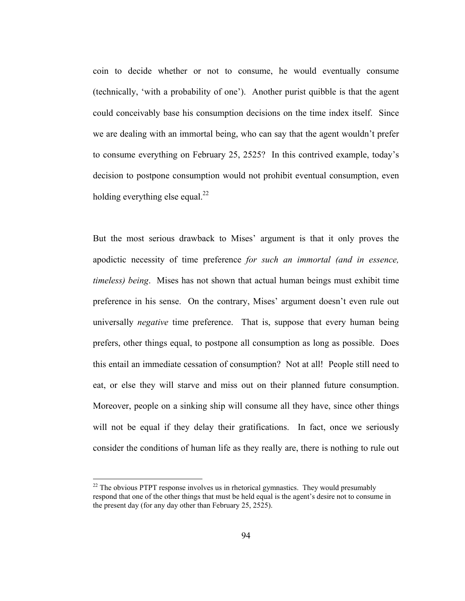coin to decide whether or not to consume, he would eventually consume (technically, 'with a probability of one'). Another purist quibble is that the agent could conceivably base his consumption decisions on the time index itself. Since we are dealing with an immortal being, who can say that the agent wouldn't prefer to consume everything on February 25, 2525? In this contrived example, today's decision to postpone consumption would not prohibit eventual consumption, even holding everything else equal. $^{22}$ 

But the most serious drawback to Mises' argument is that it only proves the apodictic necessity of time preference *for such an immortal (and in essence, timeless) being*. Mises has not shown that actual human beings must exhibit time preference in his sense. On the contrary, Mises' argument doesn't even rule out universally *negative* time preference. That is, suppose that every human being prefers, other things equal, to postpone all consumption as long as possible. Does this entail an immediate cessation of consumption? Not at all! People still need to eat, or else they will starve and miss out on their planned future consumption. Moreover, people on a sinking ship will consume all they have, since other things will not be equal if they delay their gratifications. In fact, once we seriously consider the conditions of human life as they really are, there is nothing to rule out

 $22$ <sup>22</sup> The obvious PTPT response involves us in rhetorical gymnastics. They would presumably respond that one of the other things that must be held equal is the agent's desire not to consume in the present day (for any day other than February 25, 2525).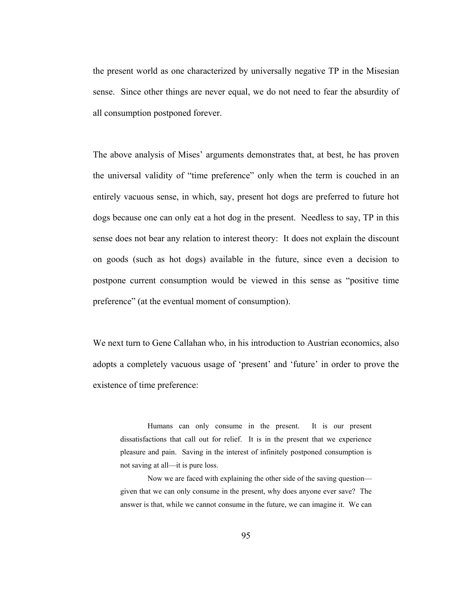the present world as one characterized by universally negative TP in the Misesian sense. Since other things are never equal, we do not need to fear the absurdity of all consumption postponed forever.

The above analysis of Mises' arguments demonstrates that, at best, he has proven the universal validity of "time preference" only when the term is couched in an entirely vacuous sense, in which, say, present hot dogs are preferred to future hot dogs because one can only eat a hot dog in the present. Needless to say, TP in this sense does not bear any relation to interest theory: It does not explain the discount on goods (such as hot dogs) available in the future, since even a decision to postpone current consumption would be viewed in this sense as "positive time preference" (at the eventual moment of consumption).

We next turn to Gene Callahan who, in his introduction to Austrian economics, also adopts a completely vacuous usage of 'present' and 'future' in order to prove the existence of time preference:

Humans can only consume in the present. It is our present dissatisfactions that call out for relief. It is in the present that we experience pleasure and pain. Saving in the interest of infinitely postponed consumption is not saving at all—it is pure loss.

 Now we are faced with explaining the other side of the saving question given that we can only consume in the present, why does anyone ever save? The answer is that, while we cannot consume in the future, we can imagine it. We can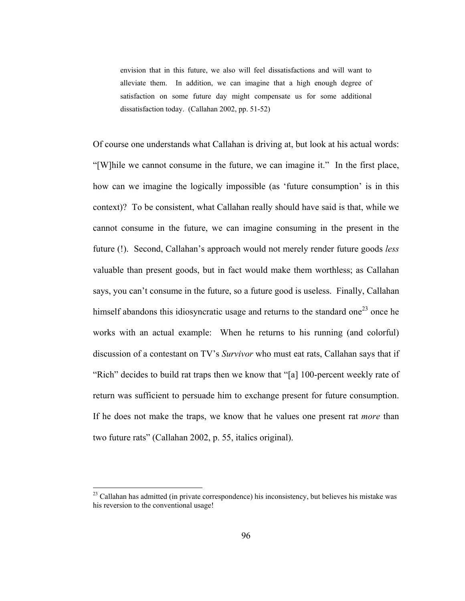envision that in this future, we also will feel dissatisfactions and will want to alleviate them. In addition, we can imagine that a high enough degree of satisfaction on some future day might compensate us for some additional dissatisfaction today. (Callahan 2002, pp. 51-52)

Of course one understands what Callahan is driving at, but look at his actual words: "[W]hile we cannot consume in the future, we can imagine it." In the first place, how can we imagine the logically impossible (as 'future consumption' is in this context)? To be consistent, what Callahan really should have said is that, while we cannot consume in the future, we can imagine consuming in the present in the future (!). Second, Callahan's approach would not merely render future goods *less* valuable than present goods, but in fact would make them worthless; as Callahan says, you can't consume in the future, so a future good is useless. Finally, Callahan himself abandons this idiosyncratic usage and returns to the standard one<sup>23</sup> once he works with an actual example: When he returns to his running (and colorful) discussion of a contestant on TV's *Survivor* who must eat rats, Callahan says that if "Rich" decides to build rat traps then we know that "[a] 100-percent weekly rate of return was sufficient to persuade him to exchange present for future consumption. If he does not make the traps, we know that he values one present rat *more* than two future rats" (Callahan 2002, p. 55, italics original).

 $2<sup>23</sup>$  Callahan has admitted (in private correspondence) his inconsistency, but believes his mistake was his reversion to the conventional usage!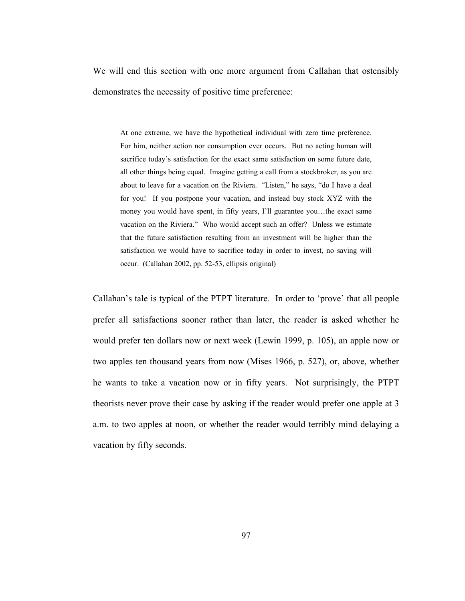We will end this section with one more argument from Callahan that ostensibly demonstrates the necessity of positive time preference:

At one extreme, we have the hypothetical individual with zero time preference. For him, neither action nor consumption ever occurs. But no acting human will sacrifice today's satisfaction for the exact same satisfaction on some future date, all other things being equal. Imagine getting a call from a stockbroker, as you are about to leave for a vacation on the Riviera. "Listen," he says, "do I have a deal for you! If you postpone your vacation, and instead buy stock XYZ with the money you would have spent, in fifty years, I'll guarantee you…the exact same vacation on the Riviera." Who would accept such an offer? Unless we estimate that the future satisfaction resulting from an investment will be higher than the satisfaction we would have to sacrifice today in order to invest, no saving will occur. (Callahan 2002, pp. 52-53, ellipsis original)

Callahan's tale is typical of the PTPT literature. In order to 'prove' that all people prefer all satisfactions sooner rather than later, the reader is asked whether he would prefer ten dollars now or next week (Lewin 1999, p. 105), an apple now or two apples ten thousand years from now (Mises 1966, p. 527), or, above, whether he wants to take a vacation now or in fifty years. Not surprisingly, the PTPT theorists never prove their case by asking if the reader would prefer one apple at 3 a.m. to two apples at noon, or whether the reader would terribly mind delaying a vacation by fifty seconds.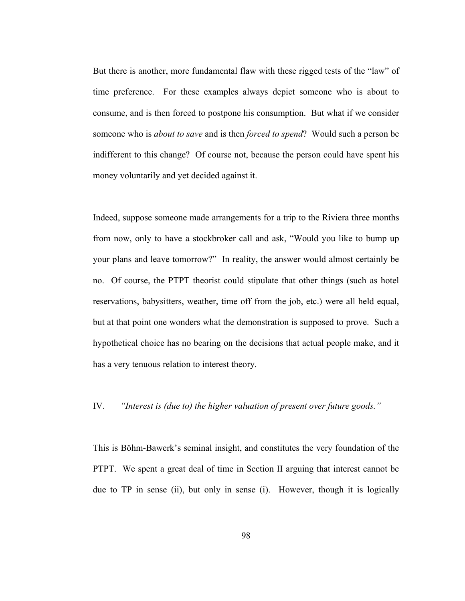But there is another, more fundamental flaw with these rigged tests of the "law" of time preference. For these examples always depict someone who is about to consume, and is then forced to postpone his consumption. But what if we consider someone who is *about to save* and is then *forced to spend*? Would such a person be indifferent to this change? Of course not, because the person could have spent his money voluntarily and yet decided against it.

Indeed, suppose someone made arrangements for a trip to the Riviera three months from now, only to have a stockbroker call and ask, "Would you like to bump up your plans and leave tomorrow?" In reality, the answer would almost certainly be no. Of course, the PTPT theorist could stipulate that other things (such as hotel reservations, babysitters, weather, time off from the job, etc.) were all held equal, but at that point one wonders what the demonstration is supposed to prove. Such a hypothetical choice has no bearing on the decisions that actual people make, and it has a very tenuous relation to interest theory.

# IV. *"Interest is (due to) the higher valuation of present over future goods."*

This is Böhm-Bawerk's seminal insight, and constitutes the very foundation of the PTPT. We spent a great deal of time in Section II arguing that interest cannot be due to TP in sense (ii), but only in sense (i). However, though it is logically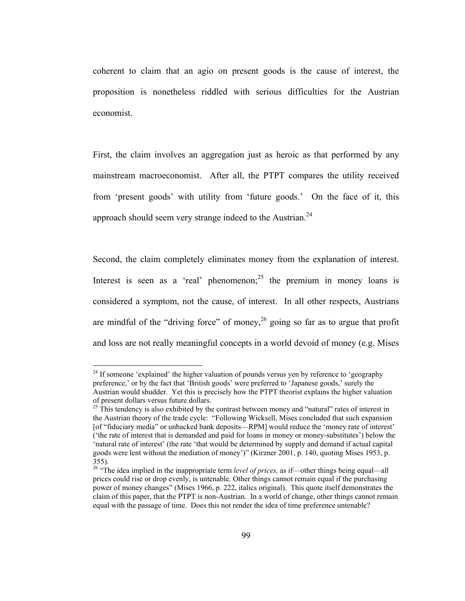coherent to claim that an agio on present goods is the cause of interest, the proposition is nonetheless riddled with serious difficulties for the Austrian economist.

First, the claim involves an aggregation just as heroic as that performed by any mainstream macroeconomist. After all, the PTPT compares the utility received from 'present goods' with utility from 'future goods.' On the face of it, this approach should seem very strange indeed to the Austrian.<sup>24</sup>

Second, the claim completely eliminates money from the explanation of interest. Interest is seen as a 'real' phenomenon;  $2^5$  the premium in money loans is considered a symptom, not the cause, of interest. In all other respects, Austrians are mindful of the "driving force" of money,  $^{26}$  going so far as to argue that profit and loss are not really meaningful concepts in a world devoid of money (e.g. Mises

 $2<sup>24</sup>$  If someone 'explained' the higher valuation of pounds versus yen by reference to 'geography preference,' or by the fact that 'British goods' were preferred to 'Japanese goods,' surely the Austrian would shudder. Yet this is precisely how the PTPT theorist explains the higher valuation of present dollars versus future dollars.

 $25$  This tendency is also exhibited by the contrast between money and "natural" rates of interest in the Austrian theory of the trade cycle: "Following Wicksell, Mises concluded that such expansion [of "fiduciary media" or unbacked bank deposits—RPM] would reduce the 'money rate of interest' ('the rate of interest that is demanded and paid for loans in money or money-substitutes') below the 'natural rate of interest' (the rate 'that would be determined by supply and demand if actual capital goods were lent without the mediation of money')" (Kirzner 2001, p. 140, quoting Mises 1953, p. 355).

<sup>&</sup>lt;sup>26</sup> "The idea implied in the inappropriate term *level of prices*, as if—other things being equal—all prices could rise or drop evenly, is untenable. Other things cannot remain equal if the purchasing power of money changes" (Mises 1966, p. 222, italics original). This quote itself demonstrates the claim of this paper, that the PTPT is non-Austrian. In a world of change, other things cannot remain equal with the passage of time. Does this not render the idea of time preference untenable?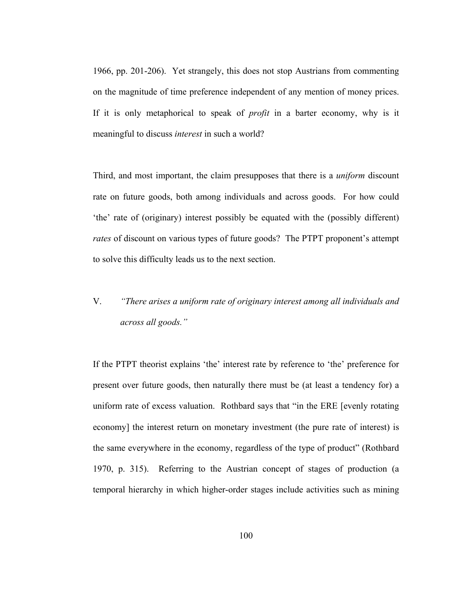1966, pp. 201-206). Yet strangely, this does not stop Austrians from commenting on the magnitude of time preference independent of any mention of money prices. If it is only metaphorical to speak of *profit* in a barter economy, why is it meaningful to discuss *interest* in such a world?

Third, and most important, the claim presupposes that there is a *uniform* discount rate on future goods, both among individuals and across goods. For how could 'the' rate of (originary) interest possibly be equated with the (possibly different) *rates* of discount on various types of future goods? The PTPT proponent's attempt to solve this difficulty leads us to the next section.

# V. *"There arises a uniform rate of originary interest among all individuals and across all goods."*

If the PTPT theorist explains 'the' interest rate by reference to 'the' preference for present over future goods, then naturally there must be (at least a tendency for) a uniform rate of excess valuation. Rothbard says that "in the ERE [evenly rotating economy] the interest return on monetary investment (the pure rate of interest) is the same everywhere in the economy, regardless of the type of product" (Rothbard 1970, p. 315). Referring to the Austrian concept of stages of production (a temporal hierarchy in which higher-order stages include activities such as mining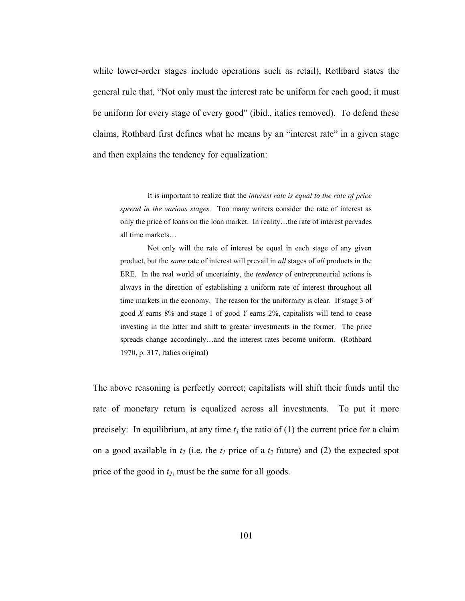while lower-order stages include operations such as retail), Rothbard states the general rule that, "Not only must the interest rate be uniform for each good; it must be uniform for every stage of every good" (ibid., italics removed). To defend these claims, Rothbard first defines what he means by an "interest rate" in a given stage and then explains the tendency for equalization:

 It is important to realize that the *interest rate is equal to the rate of price spread in the various stages.* Too many writers consider the rate of interest as only the price of loans on the loan market. In reality…the rate of interest pervades all time markets…

 Not only will the rate of interest be equal in each stage of any given product, but the *same* rate of interest will prevail in *all* stages of *all* products in the ERE. In the real world of uncertainty, the *tendency* of entrepreneurial actions is always in the direction of establishing a uniform rate of interest throughout all time markets in the economy. The reason for the uniformity is clear. If stage 3 of good *X* earns 8% and stage 1 of good *Y* earns 2%, capitalists will tend to cease investing in the latter and shift to greater investments in the former. The price spreads change accordingly…and the interest rates become uniform. (Rothbard 1970, p. 317, italics original)

The above reasoning is perfectly correct; capitalists will shift their funds until the rate of monetary return is equalized across all investments. To put it more precisely: In equilibrium, at any time  $t_1$  the ratio of (1) the current price for a claim on a good available in  $t_2$  (i.e. the  $t_1$  price of a  $t_2$  future) and (2) the expected spot price of the good in  $t_2$ , must be the same for all goods.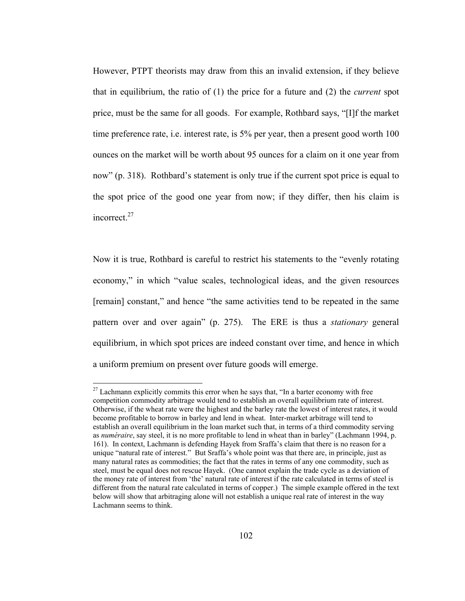However, PTPT theorists may draw from this an invalid extension, if they believe that in equilibrium, the ratio of (1) the price for a future and (2) the *current* spot price, must be the same for all goods. For example, Rothbard says, "[I]f the market time preference rate, i.e. interest rate, is 5% per year, then a present good worth 100 ounces on the market will be worth about 95 ounces for a claim on it one year from now" (p. 318). Rothbard's statement is only true if the current spot price is equal to the spot price of the good one year from now; if they differ, then his claim is incorrect.<sup>27</sup>

Now it is true, Rothbard is careful to restrict his statements to the "evenly rotating economy," in which "value scales, technological ideas, and the given resources [remain] constant," and hence "the same activities tend to be repeated in the same pattern over and over again" (p. 275). The ERE is thus a *stationary* general equilibrium, in which spot prices are indeed constant over time, and hence in which a uniform premium on present over future goods will emerge.

 $27$  Lachmann explicitly commits this error when he says that, "In a barter economy with free competition commodity arbitrage would tend to establish an overall equilibrium rate of interest. Otherwise, if the wheat rate were the highest and the barley rate the lowest of interest rates, it would become profitable to borrow in barley and lend in wheat. Inter-market arbitrage will tend to establish an overall equilibrium in the loan market such that, in terms of a third commodity serving as *numéraire*, say steel, it is no more profitable to lend in wheat than in barley" (Lachmann 1994, p. 161). In context, Lachmann is defending Hayek from Sraffa's claim that there is no reason for a unique "natural rate of interest." But Sraffa's whole point was that there are, in principle, just as many natural rates as commodities; the fact that the rates in terms of any one commodity, such as steel, must be equal does not rescue Hayek. (One cannot explain the trade cycle as a deviation of the money rate of interest from 'the' natural rate of interest if the rate calculated in terms of steel is different from the natural rate calculated in terms of copper.) The simple example offered in the text below will show that arbitraging alone will not establish a unique real rate of interest in the way Lachmann seems to think.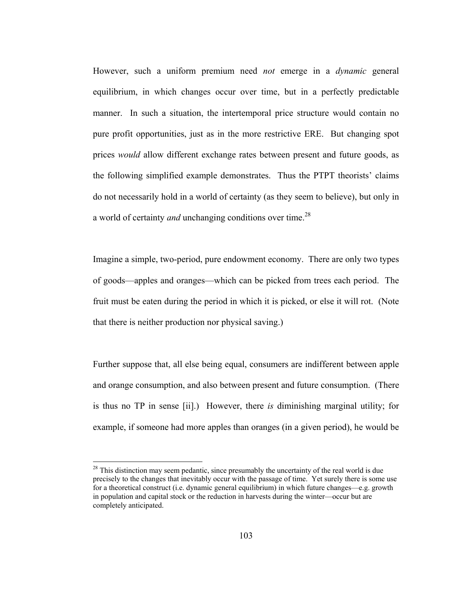However, such a uniform premium need *not* emerge in a *dynamic* general equilibrium, in which changes occur over time, but in a perfectly predictable manner. In such a situation, the intertemporal price structure would contain no pure profit opportunities, just as in the more restrictive ERE. But changing spot prices *would* allow different exchange rates between present and future goods, as the following simplified example demonstrates. Thus the PTPT theorists' claims do not necessarily hold in a world of certainty (as they seem to believe), but only in a world of certainty *and* unchanging conditions over time.<sup>28</sup>

Imagine a simple, two-period, pure endowment economy. There are only two types of goods—apples and oranges—which can be picked from trees each period. The fruit must be eaten during the period in which it is picked, or else it will rot. (Note that there is neither production nor physical saving.)

Further suppose that, all else being equal, consumers are indifferent between apple and orange consumption, and also between present and future consumption. (There is thus no TP in sense [ii].) However, there *is* diminishing marginal utility; for example, if someone had more apples than oranges (in a given period), he would be

 $28$  This distinction may seem pedantic, since presumably the uncertainty of the real world is due precisely to the changes that inevitably occur with the passage of time. Yet surely there is some use for a theoretical construct (i.e. dynamic general equilibrium) in which future changes—e.g. growth in population and capital stock or the reduction in harvests during the winter—occur but are completely anticipated.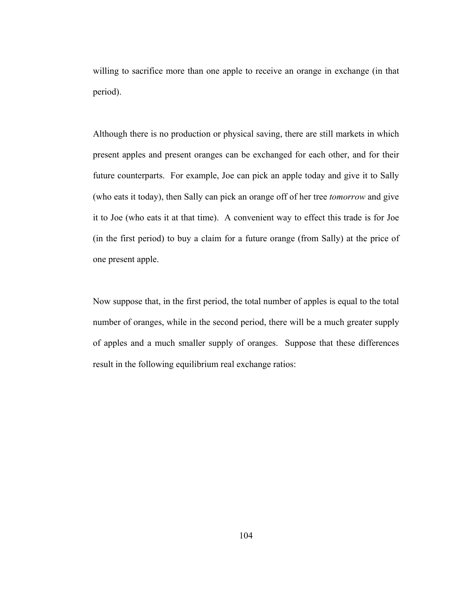willing to sacrifice more than one apple to receive an orange in exchange (in that period).

Although there is no production or physical saving, there are still markets in which present apples and present oranges can be exchanged for each other, and for their future counterparts. For example, Joe can pick an apple today and give it to Sally (who eats it today), then Sally can pick an orange off of her tree *tomorrow* and give it to Joe (who eats it at that time). A convenient way to effect this trade is for Joe (in the first period) to buy a claim for a future orange (from Sally) at the price of one present apple.

Now suppose that, in the first period, the total number of apples is equal to the total number of oranges, while in the second period, there will be a much greater supply of apples and a much smaller supply of oranges. Suppose that these differences result in the following equilibrium real exchange ratios: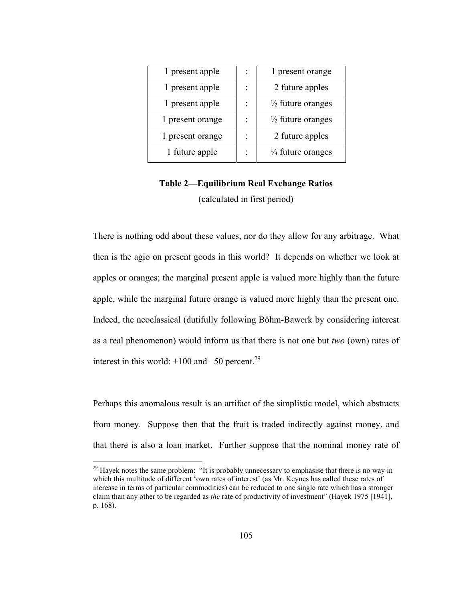| 1 present apple  | 1 present orange             |
|------------------|------------------------------|
| 1 present apple  | 2 future apples              |
| 1 present apple  | $\frac{1}{2}$ future oranges |
| 1 present orange | $\frac{1}{2}$ future oranges |
| 1 present orange | 2 future apples              |
| 1 future apple   | $\frac{1}{4}$ future oranges |

# **Table 2—Equilibrium Real Exchange Ratios**  (calculated in first period)

There is nothing odd about these values, nor do they allow for any arbitrage. What then is the agio on present goods in this world? It depends on whether we look at apples or oranges; the marginal present apple is valued more highly than the future apple, while the marginal future orange is valued more highly than the present one. Indeed, the neoclassical (dutifully following Böhm-Bawerk by considering interest as a real phenomenon) would inform us that there is not one but *two* (own) rates of interest in this world:  $+100$  and  $-50$  percent.<sup>29</sup>

Perhaps this anomalous result is an artifact of the simplistic model, which abstracts from money. Suppose then that the fruit is traded indirectly against money, and that there is also a loan market. Further suppose that the nominal money rate of

 $29$  Hayek notes the same problem: "It is probably unnecessary to emphasise that there is no way in which this multitude of different 'own rates of interest' (as Mr. Keynes has called these rates of increase in terms of particular commodities) can be reduced to one single rate which has a stronger claim than any other to be regarded as *the* rate of productivity of investment" (Hayek 1975 [1941], p. 168).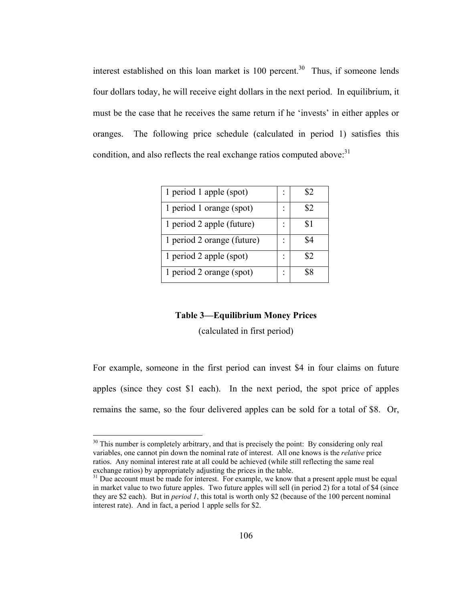interest established on this loan market is  $100$  percent.<sup>30</sup> Thus, if someone lends four dollars today, he will receive eight dollars in the next period. In equilibrium, it must be the case that he receives the same return if he 'invests' in either apples or oranges. The following price schedule (calculated in period 1) satisfies this condition, and also reflects the real exchange ratios computed above: $31$ 

| 1 period 1 apple (spot)    |               |
|----------------------------|---------------|
| 1 period 1 orange (spot)   |               |
| 1 period 2 apple (future)  | 81            |
| 1 period 2 orange (future) |               |
| 1 period 2 apple (spot)    | $\mathcal{L}$ |
| 1 period 2 orange (spot)   |               |

### **Table 3—Equilibrium Money Prices**

(calculated in first period)

For example, someone in the first period can invest \$4 in four claims on future apples (since they cost \$1 each). In the next period, the spot price of apples remains the same, so the four delivered apples can be sold for a total of \$8. Or,

 $30$  This number is completely arbitrary, and that is precisely the point: By considering only real variables, one cannot pin down the nominal rate of interest. All one knows is the *relative* price ratios. Any nominal interest rate at all could be achieved (while still reflecting the same real exchange ratios) by appropriately adjusting the prices in the table.

 $^{31}$  Due account must be made for interest. For example, we know that a present apple must be equal in market value to two future apples. Two future apples will sell (in period 2) for a total of \$4 (since they are \$2 each). But in *period 1*, this total is worth only \$2 (because of the 100 percent nominal interest rate). And in fact, a period 1 apple sells for \$2.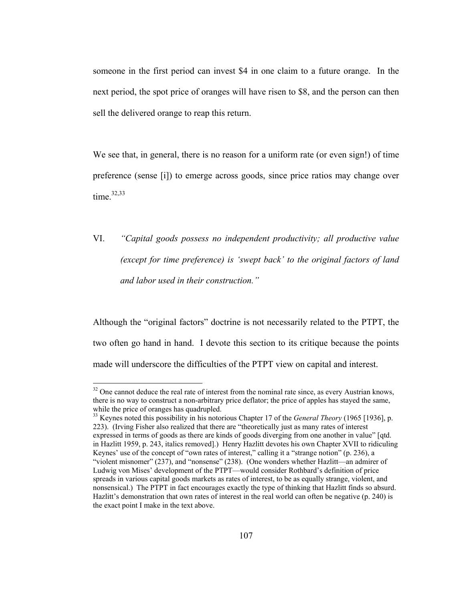someone in the first period can invest \$4 in one claim to a future orange. In the next period, the spot price of oranges will have risen to \$8, and the person can then sell the delivered orange to reap this return.

We see that, in general, there is no reason for a uniform rate (or even sign!) of time preference (sense [i]) to emerge across goods, since price ratios may change over time. $32,33$ 

VI. *"Capital goods possess no independent productivity; all productive value (except for time preference) is 'swept back' to the original factors of land and labor used in their construction."* 

Although the "original factors" doctrine is not necessarily related to the PTPT, the two often go hand in hand. I devote this section to its critique because the points made will underscore the difficulties of the PTPT view on capital and interest.

 $32$  One cannot deduce the real rate of interest from the nominal rate since, as every Austrian knows, there is no way to construct a non-arbitrary price deflator; the price of apples has stayed the same, while the price of oranges has quadrupled.

<sup>33</sup> Keynes noted this possibility in his notorious Chapter 17 of the *General Theory* (1965 [1936], p. 223). (Irving Fisher also realized that there are "theoretically just as many rates of interest expressed in terms of goods as there are kinds of goods diverging from one another in value" [qtd. in Hazlitt 1959, p. 243, italics removed].) Henry Hazlitt devotes his own Chapter XVII to ridiculing Keynes' use of the concept of "own rates of interest," calling it a "strange notion" (p. 236), a "violent misnomer" (237), and "nonsense" (238). (One wonders whether Hazlitt—an admirer of Ludwig von Mises' development of the PTPT—would consider Rothbard's definition of price spreads in various capital goods markets as rates of interest, to be as equally strange, violent, and nonsensical.) The PTPT in fact encourages exactly the type of thinking that Hazlitt finds so absurd. Hazlitt's demonstration that own rates of interest in the real world can often be negative (p. 240) is the exact point I make in the text above.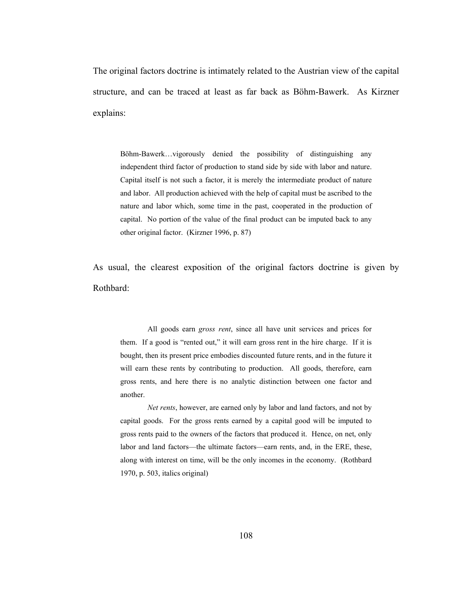The original factors doctrine is intimately related to the Austrian view of the capital structure, and can be traced at least as far back as Böhm-Bawerk. As Kirzner explains:

Böhm-Bawerk…vigorously denied the possibility of distinguishing any independent third factor of production to stand side by side with labor and nature. Capital itself is not such a factor, it is merely the intermediate product of nature and labor. All production achieved with the help of capital must be ascribed to the nature and labor which, some time in the past, cooperated in the production of capital. No portion of the value of the final product can be imputed back to any other original factor. (Kirzner 1996, p. 87)

As usual, the clearest exposition of the original factors doctrine is given by Rothbard:

 All goods earn *gross rent*, since all have unit services and prices for them. If a good is "rented out," it will earn gross rent in the hire charge. If it is bought, then its present price embodies discounted future rents, and in the future it will earn these rents by contributing to production. All goods, therefore, earn gross rents, and here there is no analytic distinction between one factor and another.

*Net rents*, however, are earned only by labor and land factors, and not by capital goods. For the gross rents earned by a capital good will be imputed to gross rents paid to the owners of the factors that produced it. Hence, on net, only labor and land factors—the ultimate factors—earn rents, and, in the ERE, these, along with interest on time, will be the only incomes in the economy. (Rothbard 1970, p. 503, italics original)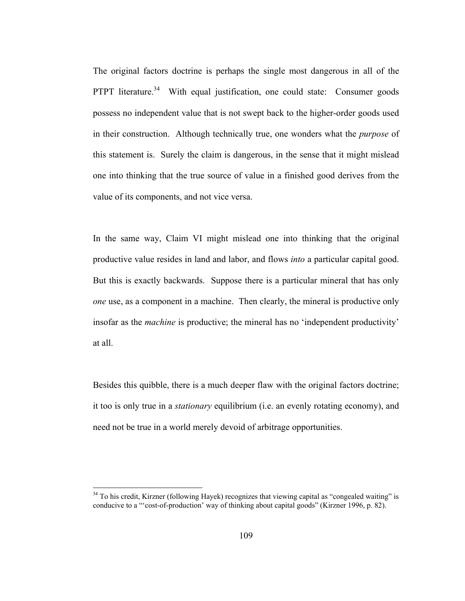The original factors doctrine is perhaps the single most dangerous in all of the PTPT literature.<sup>34</sup> With equal justification, one could state: Consumer goods possess no independent value that is not swept back to the higher-order goods used in their construction. Although technically true, one wonders what the *purpose* of this statement is. Surely the claim is dangerous, in the sense that it might mislead one into thinking that the true source of value in a finished good derives from the value of its components, and not vice versa.

In the same way, Claim VI might mislead one into thinking that the original productive value resides in land and labor, and flows *into* a particular capital good. But this is exactly backwards. Suppose there is a particular mineral that has only *one* use, as a component in a machine. Then clearly, the mineral is productive only insofar as the *machine* is productive; the mineral has no 'independent productivity' at all.

Besides this quibble, there is a much deeper flaw with the original factors doctrine; it too is only true in a *stationary* equilibrium (i.e. an evenly rotating economy), and need not be true in a world merely devoid of arbitrage opportunities.

<sup>&</sup>lt;sup>34</sup> To his credit, Kirzner (following Hayek) recognizes that viewing capital as "congealed waiting" is conducive to a "'cost-of-production' way of thinking about capital goods" (Kirzner 1996, p. 82).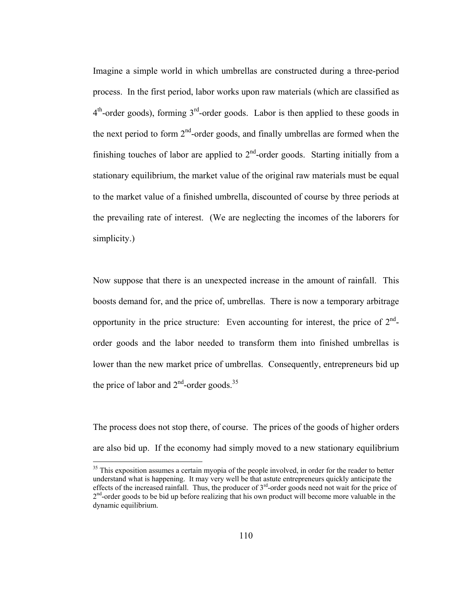Imagine a simple world in which umbrellas are constructed during a three-period process. In the first period, labor works upon raw materials (which are classified as  $4<sup>th</sup>$ -order goods), forming  $3<sup>rd</sup>$ -order goods. Labor is then applied to these goods in the next period to form  $2<sup>nd</sup>$ -order goods, and finally umbrellas are formed when the finishing touches of labor are applied to  $2<sup>nd</sup>$ -order goods. Starting initially from a stationary equilibrium, the market value of the original raw materials must be equal to the market value of a finished umbrella, discounted of course by three periods at the prevailing rate of interest. (We are neglecting the incomes of the laborers for simplicity.)

Now suppose that there is an unexpected increase in the amount of rainfall. This boosts demand for, and the price of, umbrellas. There is now a temporary arbitrage opportunity in the price structure: Even accounting for interest, the price of  $2<sup>nd</sup>$ order goods and the labor needed to transform them into finished umbrellas is lower than the new market price of umbrellas. Consequently, entrepreneurs bid up the price of labor and  $2<sup>nd</sup>$ -order goods.<sup>35</sup>

The process does not stop there, of course. The prices of the goods of higher orders are also bid up. If the economy had simply moved to a new stationary equilibrium

<sup>&</sup>lt;sup>35</sup> This exposition assumes a certain myopia of the people involved, in order for the reader to better understand what is happening. It may very well be that astute entrepreneurs quickly anticipate the effects of the increased rainfall. Thus, the producer of  $3<sup>rd</sup>$ -order goods need not wait for the price of  $2<sup>nd</sup>$ -order goods to be bid up before realizing that his own product will become more valuable in the dynamic equilibrium.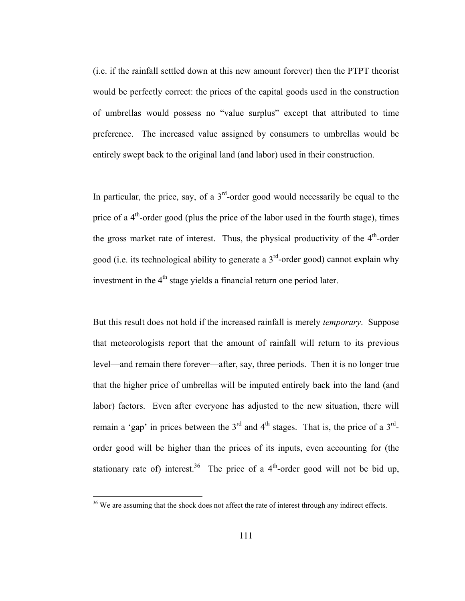(i.e. if the rainfall settled down at this new amount forever) then the PTPT theorist would be perfectly correct: the prices of the capital goods used in the construction of umbrellas would possess no "value surplus" except that attributed to time preference. The increased value assigned by consumers to umbrellas would be entirely swept back to the original land (and labor) used in their construction.

In particular, the price, say, of a  $3<sup>rd</sup>$ -order good would necessarily be equal to the price of a  $4<sup>th</sup>$ -order good (plus the price of the labor used in the fourth stage), times the gross market rate of interest. Thus, the physical productivity of the  $4<sup>th</sup>$ -order good (i.e. its technological ability to generate a  $3<sup>rd</sup>$ -order good) cannot explain why investment in the  $4<sup>th</sup>$  stage yields a financial return one period later.

But this result does not hold if the increased rainfall is merely *temporary*. Suppose that meteorologists report that the amount of rainfall will return to its previous level—and remain there forever—after, say, three periods. Then it is no longer true that the higher price of umbrellas will be imputed entirely back into the land (and labor) factors. Even after everyone has adjusted to the new situation, there will remain a 'gap' in prices between the  $3<sup>rd</sup>$  and  $4<sup>th</sup>$  stages. That is, the price of a  $3<sup>rd</sup>$ order good will be higher than the prices of its inputs, even accounting for (the stationary rate of) interest.<sup>36</sup> The price of a  $4<sup>th</sup>$ -order good will not be bid up,

<sup>&</sup>lt;sup>36</sup> We are assuming that the shock does not affect the rate of interest through any indirect effects.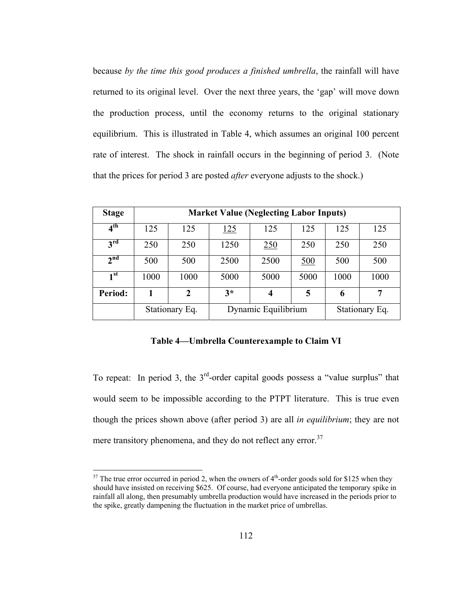because *by the time this good produces a finished umbrella*, the rainfall will have returned to its original level. Over the next three years, the 'gap' will move down the production process, until the economy returns to the original stationary equilibrium. This is illustrated in Table 4, which assumes an original 100 percent rate of interest. The shock in rainfall occurs in the beginning of period 3. (Note that the prices for period 3 are posted *after* everyone adjusts to the shock.)

| <b>Stage</b>    | <b>Market Value (Neglecting Labor Inputs)</b> |                |      |                     |      |                |      |
|-----------------|-----------------------------------------------|----------------|------|---------------------|------|----------------|------|
| 4 <sup>th</sup> | 125                                           | 125            | 125  | 125                 | 125  | 125            | 125  |
| $3^{\text{rd}}$ | 250                                           | 250            | 1250 | 250                 | 250  | 250            | 250  |
| 2 <sup>nd</sup> | 500                                           | 500            | 2500 | 2500                | 500  | 500            | 500  |
| 1 <sup>st</sup> | 1000                                          | 1000           | 5000 | 5000                | 5000 | 1000           | 1000 |
| Period:         | 1                                             | 2              | $3*$ | 4                   | 5    | 6              | 7    |
|                 |                                               | Stationary Eq. |      | Dynamic Equilibrium |      | Stationary Eq. |      |

## **Table 4—Umbrella Counterexample to Claim VI**

To repeat: In period 3, the  $3<sup>rd</sup>$ -order capital goods possess a "value surplus" that would seem to be impossible according to the PTPT literature. This is true even though the prices shown above (after period 3) are all *in equilibrium*; they are not mere transitory phenomena, and they do not reflect any error.<sup>37</sup>

 $37$  The true error occurred in period 2, when the owners of  $4<sup>th</sup>$ -order goods sold for \$125 when they should have insisted on receiving \$625. Of course, had everyone anticipated the temporary spike in rainfall all along, then presumably umbrella production would have increased in the periods prior to the spike, greatly dampening the fluctuation in the market price of umbrellas.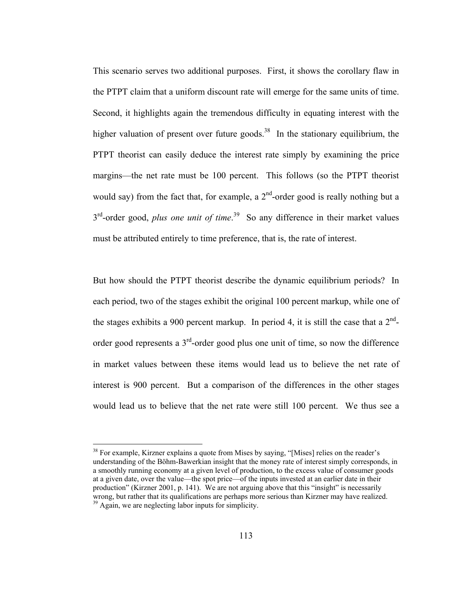This scenario serves two additional purposes. First, it shows the corollary flaw in the PTPT claim that a uniform discount rate will emerge for the same units of time. Second, it highlights again the tremendous difficulty in equating interest with the higher valuation of present over future goods.<sup>38</sup> In the stationary equilibrium, the PTPT theorist can easily deduce the interest rate simply by examining the price margins—the net rate must be 100 percent. This follows (so the PTPT theorist would say) from the fact that, for example, a  $2<sup>nd</sup>$ -order good is really nothing but a 3<sup>rd</sup>-order good, *plus one unit of time*.<sup>39</sup> So any difference in their market values must be attributed entirely to time preference, that is, the rate of interest.

But how should the PTPT theorist describe the dynamic equilibrium periods? In each period, two of the stages exhibit the original 100 percent markup, while one of the stages exhibits a 900 percent markup. In period 4, it is still the case that a  $2<sup>nd</sup>$ order good represents a  $3<sup>rd</sup>$ -order good plus one unit of time, so now the difference in market values between these items would lead us to believe the net rate of interest is 900 percent. But a comparison of the differences in the other stages would lead us to believe that the net rate were still 100 percent. We thus see a

 $38$  For example, Kirzner explains a quote from Mises by saying, "[Mises] relies on the reader's understanding of the Böhm-Bawerkian insight that the money rate of interest simply corresponds, in a smoothly running economy at a given level of production, to the excess value of consumer goods at a given date, over the value—the spot price—of the inputs invested at an earlier date in their production" (Kirzner 2001, p. 141). We are not arguing above that this "insight" is necessarily wrong, but rather that its qualifications are perhaps more serious than Kirzner may have realized.<br><sup>39</sup> Again, we are neglecting labor inputs for simplicity.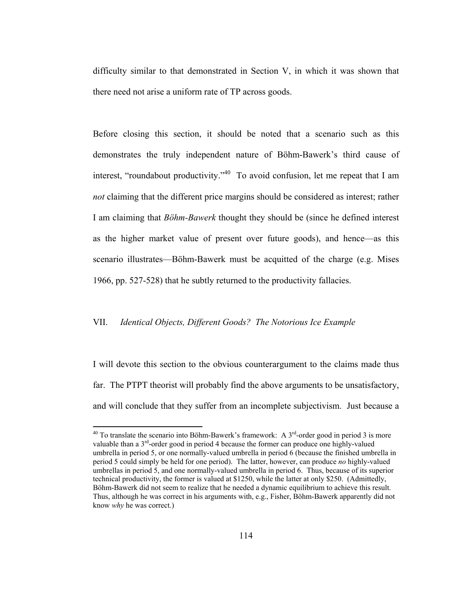difficulty similar to that demonstrated in Section V, in which it was shown that there need not arise a uniform rate of TP across goods.

Before closing this section, it should be noted that a scenario such as this demonstrates the truly independent nature of Böhm-Bawerk's third cause of interest, "roundabout productivity."<sup>40</sup> To avoid confusion, let me repeat that I am *not* claiming that the different price margins should be considered as interest; rather I am claiming that *Böhm-Bawerk* thought they should be (since he defined interest as the higher market value of present over future goods), and hence—as this scenario illustrates—Böhm-Bawerk must be acquitted of the charge (e.g. Mises 1966, pp. 527-528) that he subtly returned to the productivity fallacies.

# VII. *Identical Objects, Different Goods? The Notorious Ice Example*

 $\overline{a}$ 

I will devote this section to the obvious counterargument to the claims made thus far. The PTPT theorist will probably find the above arguments to be unsatisfactory, and will conclude that they suffer from an incomplete subjectivism. Just because a

 $40$  To translate the scenario into Böhm-Bawerk's framework: A  $3<sup>rd</sup>$ -order good in period 3 is more valuable than a  $3<sup>rd</sup>$ -order good in period 4 because the former can produce one highly-valued umbrella in period 5, or one normally-valued umbrella in period 6 (because the finished umbrella in period 5 could simply be held for one period). The latter, however, can produce *no* highly-valued umbrellas in period 5, and one normally-valued umbrella in period 6. Thus, because of its superior technical productivity, the former is valued at \$1250, while the latter at only \$250. (Admittedly, Böhm-Bawerk did not seem to realize that he needed a dynamic equilibrium to achieve this result. Thus, although he was correct in his arguments with, e.g., Fisher, Böhm-Bawerk apparently did not know *why* he was correct.)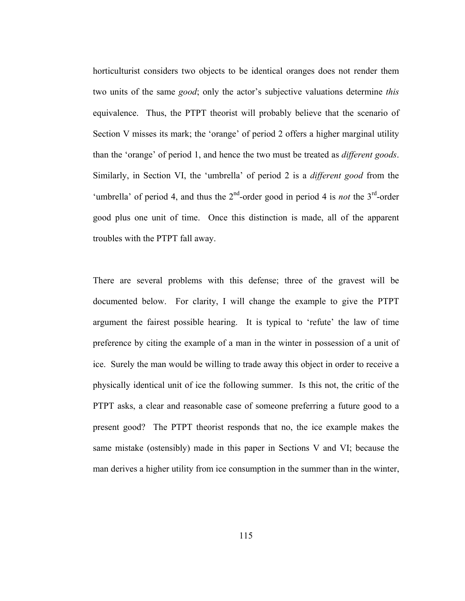horticulturist considers two objects to be identical oranges does not render them two units of the same *good*; only the actor's subjective valuations determine *this*  equivalence. Thus, the PTPT theorist will probably believe that the scenario of Section V misses its mark; the 'orange' of period 2 offers a higher marginal utility than the 'orange' of period 1, and hence the two must be treated as *different goods*. Similarly, in Section VI, the 'umbrella' of period 2 is a *different good* from the 'umbrella' of period 4, and thus the  $2<sup>nd</sup>$ -order good in period 4 is *not* the  $3<sup>rd</sup>$ -order good plus one unit of time. Once this distinction is made, all of the apparent troubles with the PTPT fall away.

There are several problems with this defense; three of the gravest will be documented below. For clarity, I will change the example to give the PTPT argument the fairest possible hearing. It is typical to 'refute' the law of time preference by citing the example of a man in the winter in possession of a unit of ice. Surely the man would be willing to trade away this object in order to receive a physically identical unit of ice the following summer. Is this not, the critic of the PTPT asks, a clear and reasonable case of someone preferring a future good to a present good? The PTPT theorist responds that no, the ice example makes the same mistake (ostensibly) made in this paper in Sections V and VI; because the man derives a higher utility from ice consumption in the summer than in the winter,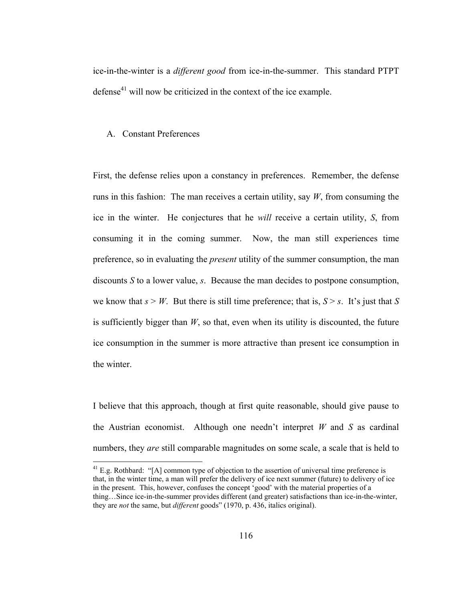ice-in-the-winter is a *different good* from ice-in-the-summer. This standard PTPT defense<sup>41</sup> will now be criticized in the context of the ice example.

# A. Constant Preferences

 $\overline{a}$ 

First, the defense relies upon a constancy in preferences. Remember, the defense runs in this fashion: The man receives a certain utility, say  $W$ , from consuming the ice in the winter. He conjectures that he *will* receive a certain utility, *S*, from consuming it in the coming summer. Now, the man still experiences time preference, so in evaluating the *present* utility of the summer consumption, the man discounts *S* to a lower value, *s*. Because the man decides to postpone consumption, we know that  $s > W$ . But there is still time preference; that is,  $S > s$ . It's just that *S* is sufficiently bigger than *W*, so that, even when its utility is discounted, the future ice consumption in the summer is more attractive than present ice consumption in the winter.

I believe that this approach, though at first quite reasonable, should give pause to the Austrian economist. Although one needn't interpret *W* and *S* as cardinal numbers, they *are* still comparable magnitudes on some scale, a scale that is held to

 $^{41}$  E.g. Rothbard: "[A] common type of objection to the assertion of universal time preference is that, in the winter time, a man will prefer the delivery of ice next summer (future) to delivery of ice in the present. This, however, confuses the concept 'good' with the material properties of a thing…Since ice-in-the-summer provides different (and greater) satisfactions than ice-in-the-winter, they are *not* the same, but *different* goods" (1970, p. 436, italics original).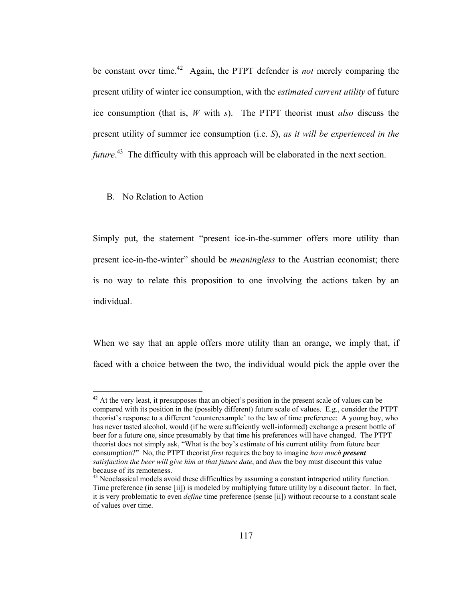be constant over time.42 Again, the PTPT defender is *not* merely comparing the present utility of winter ice consumption, with the *estimated current utility* of future ice consumption (that is, *W* with *s*). The PTPT theorist must *also* discuss the present utility of summer ice consumption (i.e. *S*), *as it will be experienced in the future*.<sup>43</sup> The difficulty with this approach will be elaborated in the next section.

#### B. No Relation to Action

 $\overline{a}$ 

Simply put, the statement "present ice-in-the-summer offers more utility than present ice-in-the-winter" should be *meaningless* to the Austrian economist; there is no way to relate this proposition to one involving the actions taken by an individual.

When we say that an apple offers more utility than an orange, we imply that, if faced with a choice between the two, the individual would pick the apple over the

 $42$  At the very least, it presupposes that an object's position in the present scale of values can be compared with its position in the (possibly different) future scale of values. E.g., consider the PTPT theorist's response to a different 'counterexample' to the law of time preference: A young boy, who has never tasted alcohol, would (if he were sufficiently well-informed) exchange a present bottle of beer for a future one, since presumably by that time his preferences will have changed. The PTPT theorist does not simply ask, "What is the boy's estimate of his current utility from future beer consumption?" No, the PTPT theorist *first* requires the boy to imagine *how much present satisfaction the beer will give him at that future date*, and *then* the boy must discount this value because of its remoteness.

 $43$  Neoclassical models avoid these difficulties by assuming a constant intraperiod utility function. Time preference (in sense [ii]) is modeled by multiplying future utility by a discount factor. In fact, it is very problematic to even *define* time preference (sense [ii]) without recourse to a constant scale of values over time.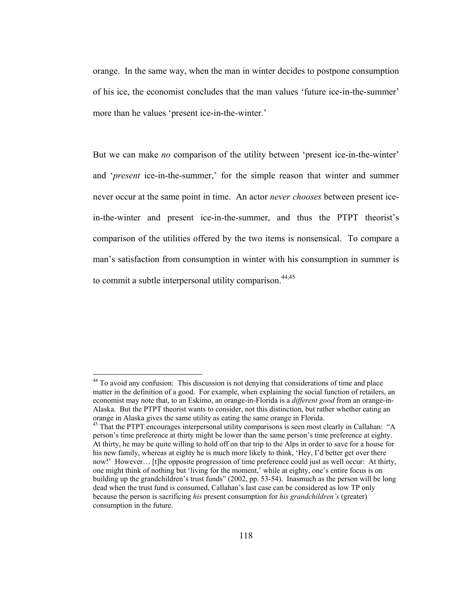orange. In the same way, when the man in winter decides to postpone consumption of his ice, the economist concludes that the man values 'future ice-in-the-summer' more than he values 'present ice-in-the-winter.'

But we can make *no* comparison of the utility between 'present ice-in-the-winter' and '*present* ice-in-the-summer,' for the simple reason that winter and summer never occur at the same point in time. An actor *never chooses* between present icein-the-winter and present ice-in-the-summer, and thus the PTPT theorist's comparison of the utilities offered by the two items is nonsensical. To compare a man's satisfaction from consumption in winter with his consumption in summer is to commit a subtle interpersonal utility comparison.  $44,45$ 

<sup>&</sup>lt;sup>44</sup> To avoid any confusion: This discussion is not denying that considerations of time and place matter in the definition of a good. For example, when explaining the social function of retailers, an economist may note that, to an Eskimo, an orange-in-Florida is a *different good* from an orange-in-Alaska. But the PTPT theorist wants to consider, not this distinction, but rather whether eating an orange in Alaska gives the same utility as eating the same orange in Florida.

<sup>&</sup>lt;sup>45</sup> That the PTPT encourages interpersonal utility comparisons is seen most clearly in Callahan: "A person's time preference at thirty might be lower than the same person's time preference at eighty. At thirty, he may be quite willing to hold off on that trip to the Alps in order to save for a house for his new family, whereas at eighty he is much more likely to think, 'Hey, I'd better get over there now!' However... [t]he opposite progression of time preference could just as well occur: At thirty, one might think of nothing but 'living for the moment,' while at eighty, one's entire focus is on building up the grandchildren's trust funds" (2002, pp. 53-54). Inasmuch as the person will be long dead when the trust fund is consumed, Callahan's last case can be considered as low TP only because the person is sacrificing *his* present consumption for *his grandchildren's* (greater) consumption in the future.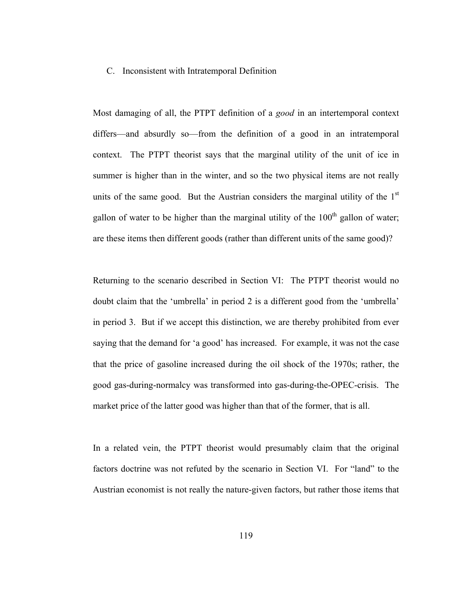### C. Inconsistent with Intratemporal Definition

Most damaging of all, the PTPT definition of a *good* in an intertemporal context differs—and absurdly so—from the definition of a good in an intratemporal context. The PTPT theorist says that the marginal utility of the unit of ice in summer is higher than in the winter, and so the two physical items are not really units of the same good. But the Austrian considers the marginal utility of the  $1<sup>st</sup>$ gallon of water to be higher than the marginal utility of the  $100<sup>th</sup>$  gallon of water; are these items then different goods (rather than different units of the same good)?

Returning to the scenario described in Section VI: The PTPT theorist would no doubt claim that the 'umbrella' in period 2 is a different good from the 'umbrella' in period 3. But if we accept this distinction, we are thereby prohibited from ever saying that the demand for 'a good' has increased. For example, it was not the case that the price of gasoline increased during the oil shock of the 1970s; rather, the good gas-during-normalcy was transformed into gas-during-the-OPEC-crisis. The market price of the latter good was higher than that of the former, that is all.

In a related vein, the PTPT theorist would presumably claim that the original factors doctrine was not refuted by the scenario in Section VI. For "land" to the Austrian economist is not really the nature-given factors, but rather those items that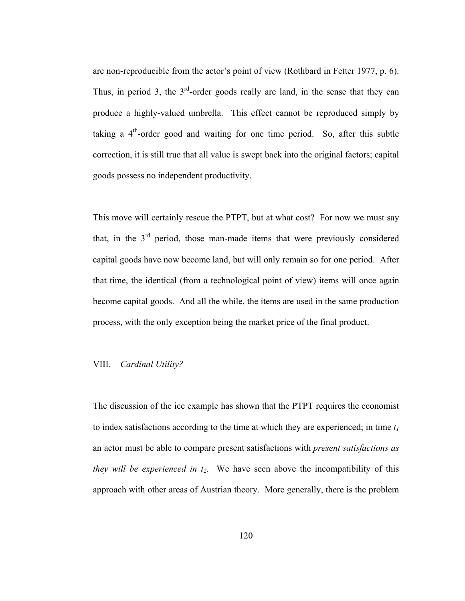are non-reproducible from the actor's point of view (Rothbard in Fetter 1977, p. 6). Thus, in period 3, the  $3<sup>rd</sup>$ -order goods really are land, in the sense that they can produce a highly-valued umbrella. This effect cannot be reproduced simply by taking a  $4<sup>th</sup>$ -order good and waiting for one time period. So, after this subtle correction, it is still true that all value is swept back into the original factors; capital goods possess no independent productivity.

This move will certainly rescue the PTPT, but at what cost? For now we must say that, in the  $3<sup>rd</sup>$  period, those man-made items that were previously considered capital goods have now become land, but will only remain so for one period. After that time, the identical (from a technological point of view) items will once again become capital goods. And all the while, the items are used in the same production process, with the only exception being the market price of the final product.

# VIII. *Cardinal Utility?*

The discussion of the ice example has shown that the PTPT requires the economist to index satisfactions according to the time at which they are experienced; in time  $t_1$ an actor must be able to compare present satisfactions with *present satisfactions as they will be experienced in*  $t_2$ *.* We have seen above the incompatibility of this approach with other areas of Austrian theory. More generally, there is the problem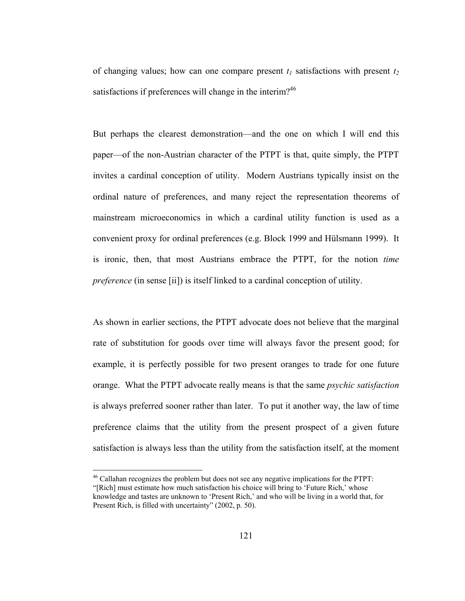of changing values; how can one compare present  $t_1$  satisfactions with present  $t_2$ satisfactions if preferences will change in the interim?<sup>46</sup>

But perhaps the clearest demonstration—and the one on which I will end this paper—of the non-Austrian character of the PTPT is that, quite simply, the PTPT invites a cardinal conception of utility. Modern Austrians typically insist on the ordinal nature of preferences, and many reject the representation theorems of mainstream microeconomics in which a cardinal utility function is used as a convenient proxy for ordinal preferences (e.g. Block 1999 and Hülsmann 1999). It is ironic, then, that most Austrians embrace the PTPT, for the notion *time preference* (in sense [ii]) is itself linked to a cardinal conception of utility.

As shown in earlier sections, the PTPT advocate does not believe that the marginal rate of substitution for goods over time will always favor the present good; for example, it is perfectly possible for two present oranges to trade for one future orange. What the PTPT advocate really means is that the same *psychic satisfaction* is always preferred sooner rather than later. To put it another way, the law of time preference claims that the utility from the present prospect of a given future satisfaction is always less than the utility from the satisfaction itself, at the moment

<sup>&</sup>lt;sup>46</sup> Callahan recognizes the problem but does not see any negative implications for the PTPT:

<sup>&</sup>quot;[Rich] must estimate how much satisfaction his choice will bring to 'Future Rich,' whose knowledge and tastes are unknown to 'Present Rich,' and who will be living in a world that, for Present Rich, is filled with uncertainty" (2002, p. 50).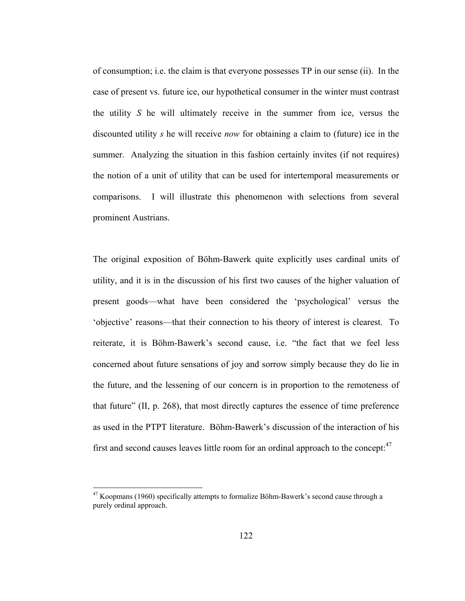of consumption; i.e. the claim is that everyone possesses TP in our sense (ii). In the case of present vs. future ice, our hypothetical consumer in the winter must contrast the utility *S* he will ultimately receive in the summer from ice, versus the discounted utility *s* he will receive *now* for obtaining a claim to (future) ice in the summer. Analyzing the situation in this fashion certainly invites (if not requires) the notion of a unit of utility that can be used for intertemporal measurements or comparisons. I will illustrate this phenomenon with selections from several prominent Austrians.

The original exposition of Böhm-Bawerk quite explicitly uses cardinal units of utility, and it is in the discussion of his first two causes of the higher valuation of present goods—what have been considered the 'psychological' versus the 'objective' reasons—that their connection to his theory of interest is clearest. To reiterate, it is Böhm-Bawerk's second cause, i.e. "the fact that we feel less concerned about future sensations of joy and sorrow simply because they do lie in the future, and the lessening of our concern is in proportion to the remoteness of that future" (II, p. 268), that most directly captures the essence of time preference as used in the PTPT literature. Böhm-Bawerk's discussion of the interaction of his first and second causes leaves little room for an ordinal approach to the concept: $47$ 

 $47$  Koopmans (1960) specifically attempts to formalize Böhm-Bawerk's second cause through a purely ordinal approach.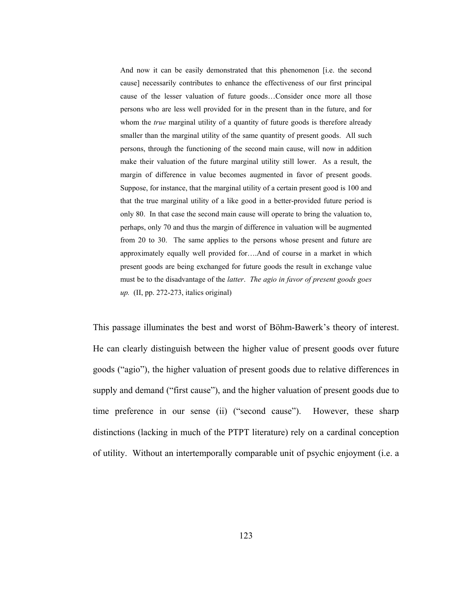And now it can be easily demonstrated that this phenomenon [i.e. the second cause] necessarily contributes to enhance the effectiveness of our first principal cause of the lesser valuation of future goods…Consider once more all those persons who are less well provided for in the present than in the future, and for whom the *true* marginal utility of a quantity of future goods is therefore already smaller than the marginal utility of the same quantity of present goods. All such persons, through the functioning of the second main cause, will now in addition make their valuation of the future marginal utility still lower. As a result, the margin of difference in value becomes augmented in favor of present goods. Suppose, for instance, that the marginal utility of a certain present good is 100 and that the true marginal utility of a like good in a better-provided future period is only 80. In that case the second main cause will operate to bring the valuation to, perhaps, only 70 and thus the margin of difference in valuation will be augmented from 20 to 30. The same applies to the persons whose present and future are approximately equally well provided for….And of course in a market in which present goods are being exchanged for future goods the result in exchange value must be to the disadvantage of the *latter*. *The agio in favor of present goods goes up.* (II, pp. 272-273, italics original)

This passage illuminates the best and worst of Böhm-Bawerk's theory of interest. He can clearly distinguish between the higher value of present goods over future goods ("agio"), the higher valuation of present goods due to relative differences in supply and demand ("first cause"), and the higher valuation of present goods due to time preference in our sense (ii) ("second cause"). However, these sharp distinctions (lacking in much of the PTPT literature) rely on a cardinal conception of utility. Without an intertemporally comparable unit of psychic enjoyment (i.e. a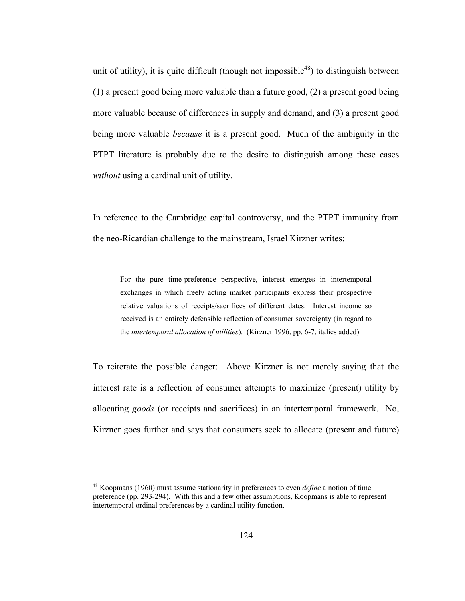unit of utility), it is quite difficult (though not impossible<sup>48</sup>) to distinguish between (1) a present good being more valuable than a future good, (2) a present good being more valuable because of differences in supply and demand, and (3) a present good being more valuable *because* it is a present good. Much of the ambiguity in the PTPT literature is probably due to the desire to distinguish among these cases *without* using a cardinal unit of utility.

In reference to the Cambridge capital controversy, and the PTPT immunity from the neo-Ricardian challenge to the mainstream, Israel Kirzner writes:

For the pure time-preference perspective, interest emerges in intertemporal exchanges in which freely acting market participants express their prospective relative valuations of receipts/sacrifices of different dates. Interest income so received is an entirely defensible reflection of consumer sovereignty (in regard to the *intertemporal allocation of utilities*). (Kirzner 1996, pp. 6-7, italics added)

To reiterate the possible danger: Above Kirzner is not merely saying that the interest rate is a reflection of consumer attempts to maximize (present) utility by allocating *goods* (or receipts and sacrifices) in an intertemporal framework. No, Kirzner goes further and says that consumers seek to allocate (present and future)

<sup>48</sup> Koopmans (1960) must assume stationarity in preferences to even *define* a notion of time preference (pp. 293-294). With this and a few other assumptions, Koopmans is able to represent intertemporal ordinal preferences by a cardinal utility function.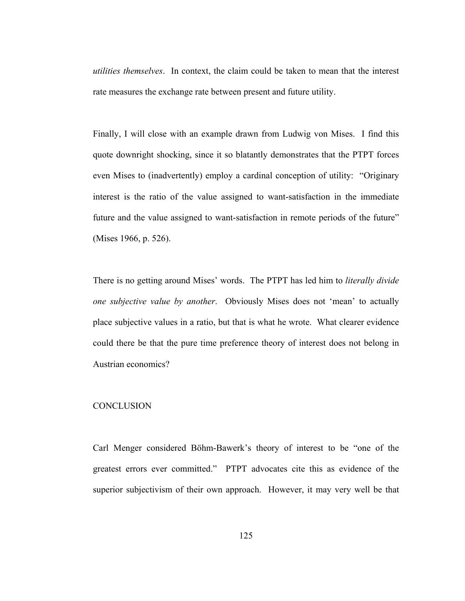*utilities themselves*. In context, the claim could be taken to mean that the interest rate measures the exchange rate between present and future utility.

Finally, I will close with an example drawn from Ludwig von Mises. I find this quote downright shocking, since it so blatantly demonstrates that the PTPT forces even Mises to (inadvertently) employ a cardinal conception of utility: "Originary interest is the ratio of the value assigned to want-satisfaction in the immediate future and the value assigned to want-satisfaction in remote periods of the future" (Mises 1966, p. 526).

There is no getting around Mises' words. The PTPT has led him to *literally divide one subjective value by another*. Obviously Mises does not 'mean' to actually place subjective values in a ratio, but that is what he wrote. What clearer evidence could there be that the pure time preference theory of interest does not belong in Austrian economics?

# **CONCLUSION**

Carl Menger considered Böhm-Bawerk's theory of interest to be "one of the greatest errors ever committed." PTPT advocates cite this as evidence of the superior subjectivism of their own approach. However, it may very well be that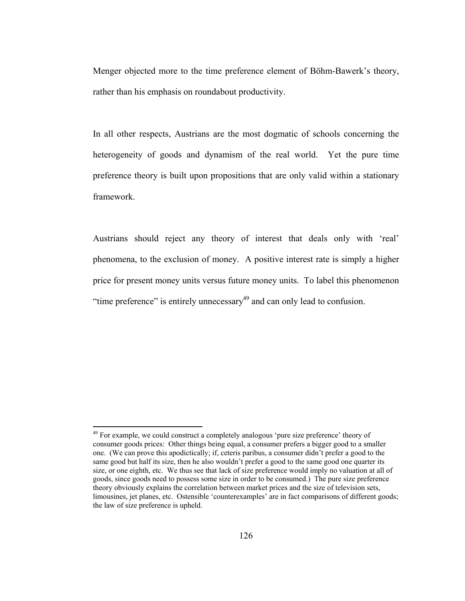Menger objected more to the time preference element of Böhm-Bawerk's theory, rather than his emphasis on roundabout productivity.

In all other respects, Austrians are the most dogmatic of schools concerning the heterogeneity of goods and dynamism of the real world. Yet the pure time preference theory is built upon propositions that are only valid within a stationary framework.

Austrians should reject any theory of interest that deals only with 'real' phenomena, to the exclusion of money. A positive interest rate is simply a higher price for present money units versus future money units. To label this phenomenon "time preference" is entirely unnecessary $^{49}$  and can only lead to confusion.

<sup>&</sup>lt;sup>49</sup> For example, we could construct a completely analogous 'pure size preference' theory of consumer goods prices: Other things being equal, a consumer prefers a bigger good to a smaller one. (We can prove this apodictically; if, ceteris paribus, a consumer didn't prefer a good to the same good but half its size, then he also wouldn't prefer a good to the same good one quarter its size, or one eighth, etc. We thus see that lack of size preference would imply no valuation at all of goods, since goods need to possess some size in order to be consumed.) The pure size preference theory obviously explains the correlation between market prices and the size of television sets, limousines, jet planes, etc. Ostensible 'counterexamples' are in fact comparisons of different goods; the law of size preference is upheld.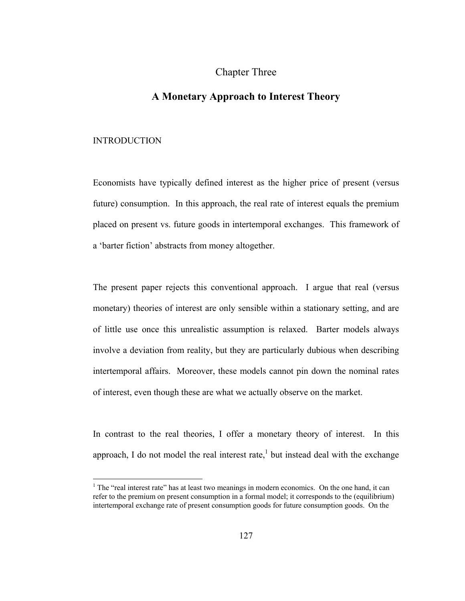# Chapter Three

# **A Monetary Approach to Interest Theory**

#### INTRODUCTION

Economists have typically defined interest as the higher price of present (versus future) consumption. In this approach, the real rate of interest equals the premium placed on present vs. future goods in intertemporal exchanges. This framework of a 'barter fiction' abstracts from money altogether.

The present paper rejects this conventional approach. I argue that real (versus monetary) theories of interest are only sensible within a stationary setting, and are of little use once this unrealistic assumption is relaxed. Barter models always involve a deviation from reality, but they are particularly dubious when describing intertemporal affairs. Moreover, these models cannot pin down the nominal rates of interest, even though these are what we actually observe on the market.

In contrast to the real theories, I offer a monetary theory of interest. In this approach, I do not model the real interest rate,<sup>1</sup> but instead deal with the exchange

<sup>&</sup>lt;sup>1</sup> The "real interest rate" has at least two meanings in modern economics. On the one hand, it can refer to the premium on present consumption in a formal model; it corresponds to the (equilibrium) intertemporal exchange rate of present consumption goods for future consumption goods. On the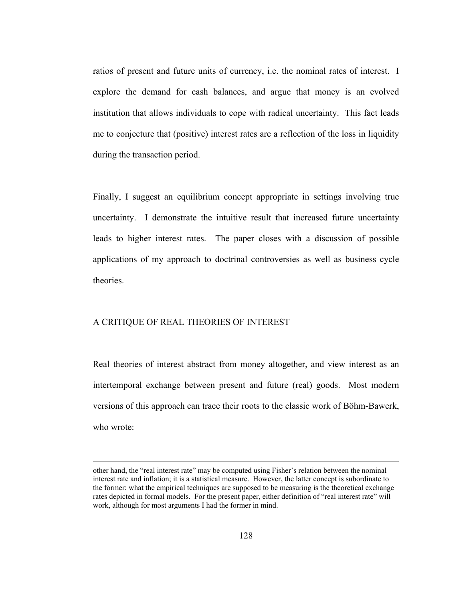ratios of present and future units of currency, i.e. the nominal rates of interest. I explore the demand for cash balances, and argue that money is an evolved institution that allows individuals to cope with radical uncertainty. This fact leads me to conjecture that (positive) interest rates are a reflection of the loss in liquidity during the transaction period.

Finally, I suggest an equilibrium concept appropriate in settings involving true uncertainty. I demonstrate the intuitive result that increased future uncertainty leads to higher interest rates. The paper closes with a discussion of possible applications of my approach to doctrinal controversies as well as business cycle theories.

#### A CRITIQUE OF REAL THEORIES OF INTEREST

Real theories of interest abstract from money altogether, and view interest as an intertemporal exchange between present and future (real) goods. Most modern versions of this approach can trace their roots to the classic work of Böhm-Bawerk, who wrote:

other hand, the "real interest rate" may be computed using Fisher's relation between the nominal interest rate and inflation; it is a statistical measure. However, the latter concept is subordinate to the former; what the empirical techniques are supposed to be measuring is the theoretical exchange rates depicted in formal models. For the present paper, either definition of "real interest rate" will work, although for most arguments I had the former in mind.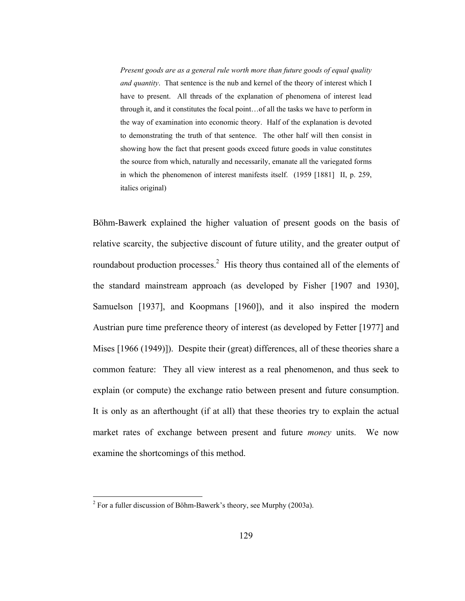*Present goods are as a general rule worth more than future goods of equal quality and quantity*. That sentence is the nub and kernel of the theory of interest which I have to present. All threads of the explanation of phenomena of interest lead through it, and it constitutes the focal point…of all the tasks we have to perform in the way of examination into economic theory. Half of the explanation is devoted to demonstrating the truth of that sentence. The other half will then consist in showing how the fact that present goods exceed future goods in value constitutes the source from which, naturally and necessarily, emanate all the variegated forms in which the phenomenon of interest manifests itself. (1959 [1881] II, p. 259, italics original)

Böhm-Bawerk explained the higher valuation of present goods on the basis of relative scarcity, the subjective discount of future utility, and the greater output of roundabout production processes.<sup>2</sup> His theory thus contained all of the elements of the standard mainstream approach (as developed by Fisher [1907 and 1930], Samuelson [1937], and Koopmans [1960]), and it also inspired the modern Austrian pure time preference theory of interest (as developed by Fetter [1977] and Mises [1966 (1949)]). Despite their (great) differences, all of these theories share a common feature: They all view interest as a real phenomenon, and thus seek to explain (or compute) the exchange ratio between present and future consumption. It is only as an afterthought (if at all) that these theories try to explain the actual market rates of exchange between present and future *money* units. We now examine the shortcomings of this method.

<sup>&</sup>lt;sup>2</sup> For a fuller discussion of Böhm-Bawerk's theory, see Murphy (2003a).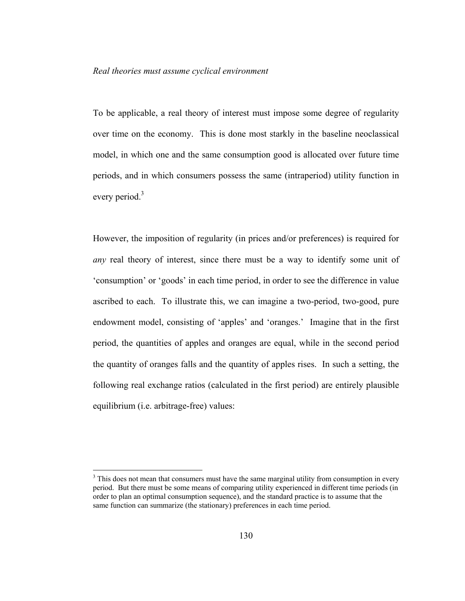## *Real theories must assume cyclical environment*

To be applicable, a real theory of interest must impose some degree of regularity over time on the economy. This is done most starkly in the baseline neoclassical model, in which one and the same consumption good is allocated over future time periods, and in which consumers possess the same (intraperiod) utility function in every period.<sup>3</sup>

However, the imposition of regularity (in prices and/or preferences) is required for *any* real theory of interest, since there must be a way to identify some unit of 'consumption' or 'goods' in each time period, in order to see the difference in value ascribed to each. To illustrate this, we can imagine a two-period, two-good, pure endowment model, consisting of 'apples' and 'oranges.' Imagine that in the first period, the quantities of apples and oranges are equal, while in the second period the quantity of oranges falls and the quantity of apples rises. In such a setting, the following real exchange ratios (calculated in the first period) are entirely plausible equilibrium (i.e. arbitrage-free) values:

 $3$  This does not mean that consumers must have the same marginal utility from consumption in every period. But there must be some means of comparing utility experienced in different time periods (in order to plan an optimal consumption sequence), and the standard practice is to assume that the same function can summarize (the stationary) preferences in each time period.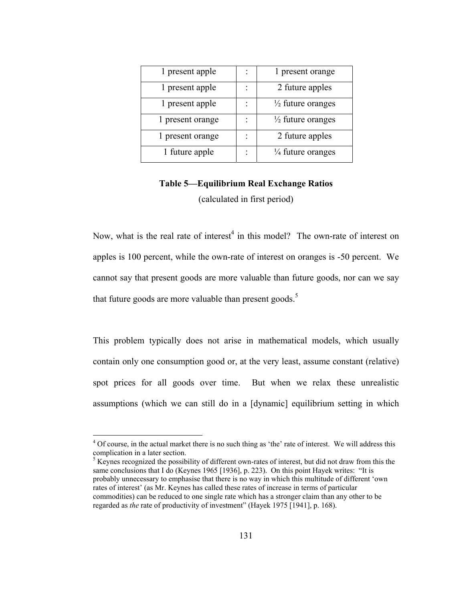| 1 present apple  | 1 present orange             |
|------------------|------------------------------|
| 1 present apple  | 2 future apples              |
| 1 present apple  | $\frac{1}{2}$ future oranges |
| 1 present orange | $\frac{1}{2}$ future oranges |
| 1 present orange | 2 future apples              |
| 1 future apple   | $\frac{1}{4}$ future oranges |

# **Table 5—Equilibrium Real Exchange Ratios**  (calculated in first period)

Now, what is the real rate of interest<sup>4</sup> in this model? The own-rate of interest on apples is 100 percent, while the own-rate of interest on oranges is -50 percent. We cannot say that present goods are more valuable than future goods, nor can we say that future goods are more valuable than present goods.<sup>5</sup>

This problem typically does not arise in mathematical models, which usually contain only one consumption good or, at the very least, assume constant (relative) spot prices for all goods over time. But when we relax these unrealistic assumptions (which we can still do in a [dynamic] equilibrium setting in which

 $4$  Of course, in the actual market there is no such thing as 'the' rate of interest. We will address this complication in a later section. 5 Keynes recognized the possibility of different own-rates of interest, but did not draw from this the

same conclusions that I do (Keynes 1965 [1936], p. 223). On this point Hayek writes: "It is probably unnecessary to emphasise that there is no way in which this multitude of different 'own rates of interest' (as Mr. Keynes has called these rates of increase in terms of particular commodities) can be reduced to one single rate which has a stronger claim than any other to be regarded as *the* rate of productivity of investment" (Hayek 1975 [1941], p. 168).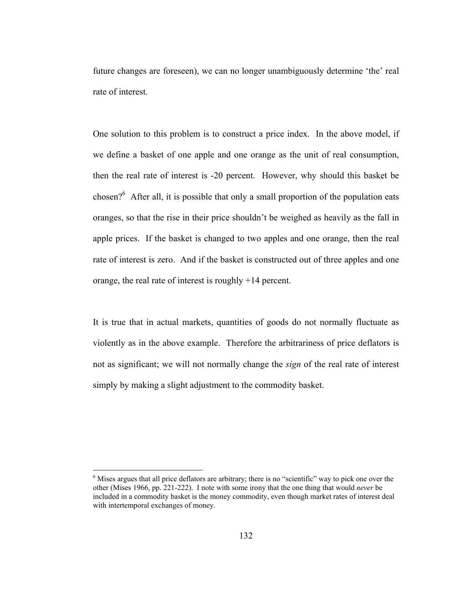future changes are foreseen), we can no longer unambiguously determine 'the' real rate of interest.

One solution to this problem is to construct a price index. In the above model, if we define a basket of one apple and one orange as the unit of real consumption, then the real rate of interest is -20 percent. However, why should this basket be chosen? $6$  After all, it is possible that only a small proportion of the population eats oranges, so that the rise in their price shouldn't be weighed as heavily as the fall in apple prices. If the basket is changed to two apples and one orange, then the real rate of interest is zero. And if the basket is constructed out of three apples and one orange, the real rate of interest is roughly +14 percent.

It is true that in actual markets, quantities of goods do not normally fluctuate as violently as in the above example. Therefore the arbitrariness of price deflators is not as significant; we will not normally change the *sign* of the real rate of interest simply by making a slight adjustment to the commodity basket.

<sup>&</sup>lt;sup>6</sup> Mises argues that all price deflators are arbitrary; there is no "scientific" way to pick one over the other (Mises 1966, pp. 221-222). I note with some irony that the one thing that would *never* be included in a commodity basket is the money commodity, even though market rates of interest deal with intertemporal exchanges of money.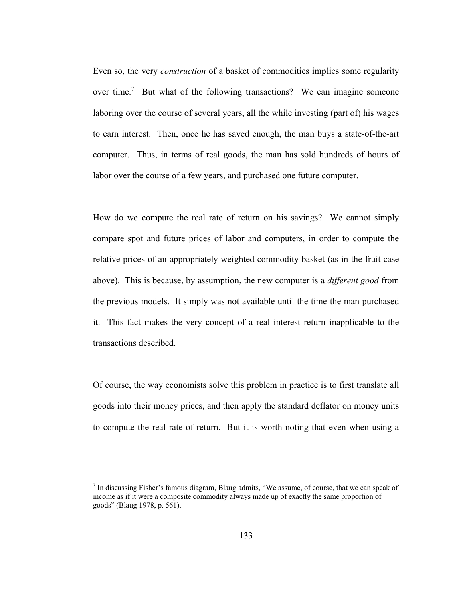Even so, the very *construction* of a basket of commodities implies some regularity over time.<sup>7</sup> But what of the following transactions? We can imagine someone laboring over the course of several years, all the while investing (part of) his wages to earn interest. Then, once he has saved enough, the man buys a state-of-the-art computer. Thus, in terms of real goods, the man has sold hundreds of hours of labor over the course of a few years, and purchased one future computer.

How do we compute the real rate of return on his savings? We cannot simply compare spot and future prices of labor and computers, in order to compute the relative prices of an appropriately weighted commodity basket (as in the fruit case above). This is because, by assumption, the new computer is a *different good* from the previous models. It simply was not available until the time the man purchased it. This fact makes the very concept of a real interest return inapplicable to the transactions described.

Of course, the way economists solve this problem in practice is to first translate all goods into their money prices, and then apply the standard deflator on money units to compute the real rate of return. But it is worth noting that even when using a

<sup>&</sup>lt;sup>7</sup> In discussing Fisher's famous diagram, Blaug admits, "We assume, of course, that we can speak of income as if it were a composite commodity always made up of exactly the same proportion of goods" (Blaug 1978, p. 561).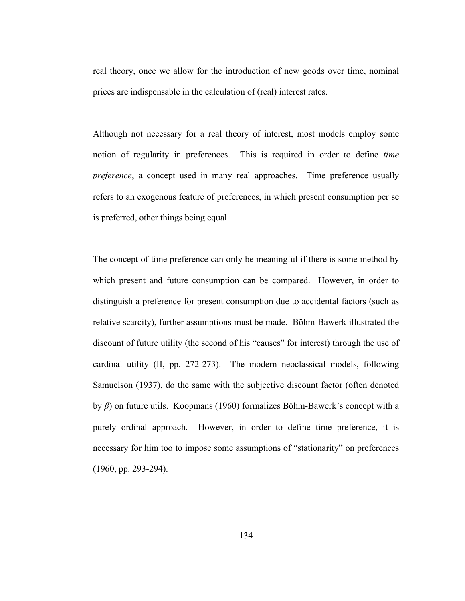real theory, once we allow for the introduction of new goods over time, nominal prices are indispensable in the calculation of (real) interest rates.

Although not necessary for a real theory of interest, most models employ some notion of regularity in preferences. This is required in order to define *time preference*, a concept used in many real approaches. Time preference usually refers to an exogenous feature of preferences, in which present consumption per se is preferred, other things being equal.

The concept of time preference can only be meaningful if there is some method by which present and future consumption can be compared. However, in order to distinguish a preference for present consumption due to accidental factors (such as relative scarcity), further assumptions must be made. Böhm-Bawerk illustrated the discount of future utility (the second of his "causes" for interest) through the use of cardinal utility (II, pp. 272-273). The modern neoclassical models, following Samuelson (1937), do the same with the subjective discount factor (often denoted by *β*) on future utils. Koopmans (1960) formalizes Böhm-Bawerk's concept with a purely ordinal approach. However, in order to define time preference, it is necessary for him too to impose some assumptions of "stationarity" on preferences (1960, pp. 293-294).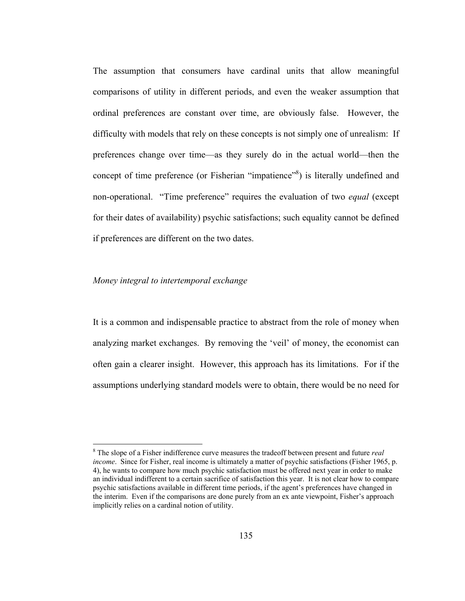The assumption that consumers have cardinal units that allow meaningful comparisons of utility in different periods, and even the weaker assumption that ordinal preferences are constant over time, are obviously false. However, the difficulty with models that rely on these concepts is not simply one of unrealism: If preferences change over time—as they surely do in the actual world—then the concept of time preference (or Fisherian "impatience"<sup>8</sup>) is literally undefined and non-operational. "Time preference" requires the evaluation of two *equal* (except for their dates of availability) psychic satisfactions; such equality cannot be defined if preferences are different on the two dates.

## *Money integral to intertemporal exchange*

 $\overline{a}$ 

It is a common and indispensable practice to abstract from the role of money when analyzing market exchanges. By removing the 'veil' of money, the economist can often gain a clearer insight. However, this approach has its limitations. For if the assumptions underlying standard models were to obtain, there would be no need for

<sup>8</sup> The slope of a Fisher indifference curve measures the tradeoff between present and future *real income*. Since for Fisher, real income is ultimately a matter of psychic satisfactions (Fisher 1965, p. 4), he wants to compare how much psychic satisfaction must be offered next year in order to make an individual indifferent to a certain sacrifice of satisfaction this year. It is not clear how to compare psychic satisfactions available in different time periods, if the agent's preferences have changed in the interim. Even if the comparisons are done purely from an ex ante viewpoint, Fisher's approach implicitly relies on a cardinal notion of utility.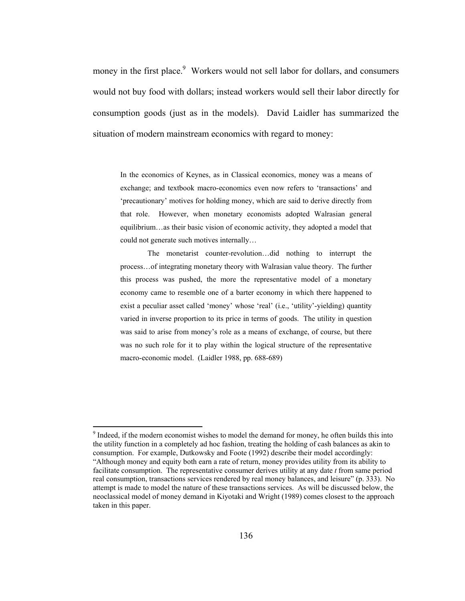money in the first place.<sup>9</sup> Workers would not sell labor for dollars, and consumers would not buy food with dollars; instead workers would sell their labor directly for consumption goods (just as in the models). David Laidler has summarized the situation of modern mainstream economics with regard to money:

In the economics of Keynes, as in Classical economics, money was a means of exchange; and textbook macro-economics even now refers to 'transactions' and 'precautionary' motives for holding money, which are said to derive directly from that role. However, when monetary economists adopted Walrasian general equilibrium…as their basic vision of economic activity, they adopted a model that could not generate such motives internally…

 The monetarist counter-revolution…did nothing to interrupt the process…of integrating monetary theory with Walrasian value theory. The further this process was pushed, the more the representative model of a monetary economy came to resemble one of a barter economy in which there happened to exist a peculiar asset called 'money' whose 'real' (i.e., 'utility'-yielding) quantity varied in inverse proportion to its price in terms of goods. The utility in question was said to arise from money's role as a means of exchange, of course, but there was no such role for it to play within the logical structure of the representative macro-economic model. (Laidler 1988, pp. 688-689)

<sup>&</sup>lt;sup>9</sup> Indeed, if the modern economist wishes to model the demand for money, he often builds this into the utility function in a completely ad hoc fashion, treating the holding of cash balances as akin to consumption. For example, Dutkowsky and Foote (1992) describe their model accordingly: "Although money and equity both earn a rate of return, money provides utility from its ability to facilitate consumption. The representative consumer derives utility at any date *t* from same period real consumption, transactions services rendered by real money balances, and leisure" (p. 333). No attempt is made to model the nature of these transactions services. As will be discussed below, the neoclassical model of money demand in Kiyotaki and Wright (1989) comes closest to the approach taken in this paper.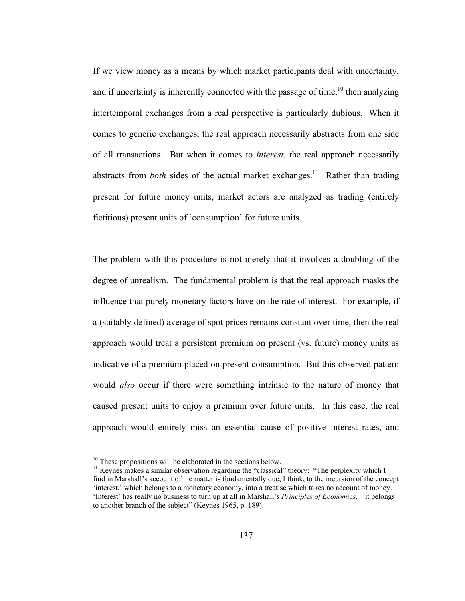If we view money as a means by which market participants deal with uncertainty, and if uncertainty is inherently connected with the passage of time,  $10$  then analyzing intertemporal exchanges from a real perspective is particularly dubious. When it comes to generic exchanges, the real approach necessarily abstracts from one side of all transactions. But when it comes to *interest*, the real approach necessarily abstracts from *both* sides of the actual market exchanges.<sup>11</sup> Rather than trading present for future money units, market actors are analyzed as trading (entirely fictitious) present units of 'consumption' for future units.

The problem with this procedure is not merely that it involves a doubling of the degree of unrealism. The fundamental problem is that the real approach masks the influence that purely monetary factors have on the rate of interest. For example, if a (suitably defined) average of spot prices remains constant over time, then the real approach would treat a persistent premium on present (vs. future) money units as indicative of a premium placed on present consumption. But this observed pattern would *also* occur if there were something intrinsic to the nature of money that caused present units to enjoy a premium over future units. In this case, the real approach would entirely miss an essential cause of positive interest rates, and

 $10$  These propositions will be elaborated in the sections below.

<sup>&</sup>lt;sup>11</sup> Keynes makes a similar observation regarding the "classical" theory: "The perplexity which I find in Marshall's account of the matter is fundamentally due, I think, to the incursion of the concept 'interest,' which belongs to a monetary economy, into a treatise which takes no account of money. 'Interest' has really no business to turn up at all in Marshall's *Principles of Economics*,—it belongs to another branch of the subject" (Keynes 1965, p. 189).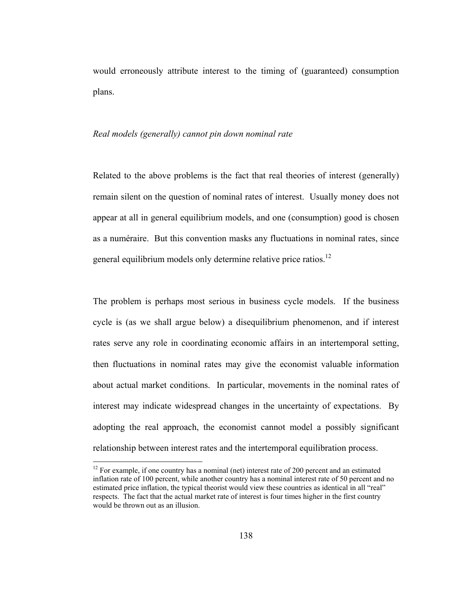would erroneously attribute interest to the timing of (guaranteed) consumption plans.

### *Real models (generally) cannot pin down nominal rate*

Related to the above problems is the fact that real theories of interest (generally) remain silent on the question of nominal rates of interest. Usually money does not appear at all in general equilibrium models, and one (consumption) good is chosen as a numéraire. But this convention masks any fluctuations in nominal rates, since general equilibrium models only determine relative price ratios.<sup>12</sup>

The problem is perhaps most serious in business cycle models. If the business cycle is (as we shall argue below) a disequilibrium phenomenon, and if interest rates serve any role in coordinating economic affairs in an intertemporal setting, then fluctuations in nominal rates may give the economist valuable information about actual market conditions. In particular, movements in the nominal rates of interest may indicate widespread changes in the uncertainty of expectations. By adopting the real approach, the economist cannot model a possibly significant relationship between interest rates and the intertemporal equilibration process.

 $12$  For example, if one country has a nominal (net) interest rate of 200 percent and an estimated inflation rate of 100 percent, while another country has a nominal interest rate of 50 percent and no estimated price inflation, the typical theorist would view these countries as identical in all "real" respects. The fact that the actual market rate of interest is four times higher in the first country would be thrown out as an illusion.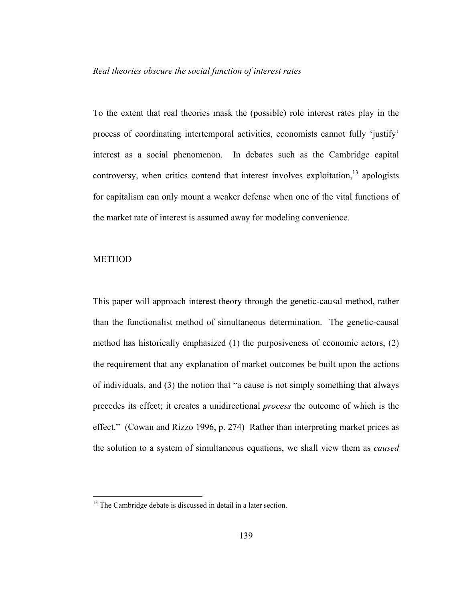# *Real theories obscure the social function of interest rates*

To the extent that real theories mask the (possible) role interest rates play in the process of coordinating intertemporal activities, economists cannot fully 'justify' interest as a social phenomenon. In debates such as the Cambridge capital controversy, when critics contend that interest involves exploitation,  $\frac{13}{13}$  apologists for capitalism can only mount a weaker defense when one of the vital functions of the market rate of interest is assumed away for modeling convenience.

# METHOD

 $\overline{a}$ 

This paper will approach interest theory through the genetic-causal method, rather than the functionalist method of simultaneous determination. The genetic-causal method has historically emphasized (1) the purposiveness of economic actors, (2) the requirement that any explanation of market outcomes be built upon the actions of individuals, and (3) the notion that "a cause is not simply something that always precedes its effect; it creates a unidirectional *process* the outcome of which is the effect." (Cowan and Rizzo 1996, p. 274) Rather than interpreting market prices as the solution to a system of simultaneous equations, we shall view them as *caused* 

<sup>&</sup>lt;sup>13</sup> The Cambridge debate is discussed in detail in a later section.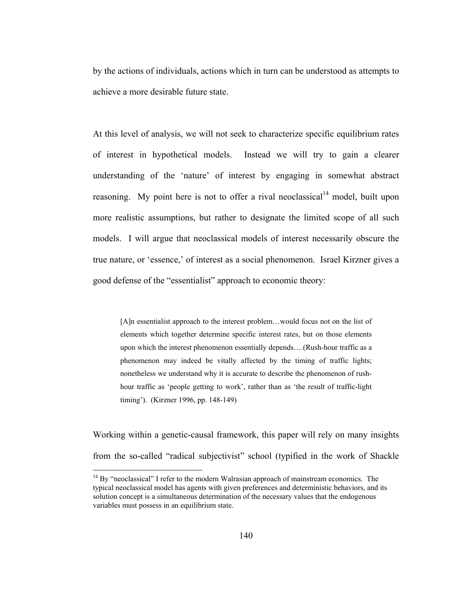by the actions of individuals, actions which in turn can be understood as attempts to achieve a more desirable future state.

At this level of analysis, we will not seek to characterize specific equilibrium rates of interest in hypothetical models. Instead we will try to gain a clearer understanding of the 'nature' of interest by engaging in somewhat abstract reasoning. My point here is not to offer a rival neoclassical<sup>14</sup> model, built upon more realistic assumptions, but rather to designate the limited scope of all such models. I will argue that neoclassical models of interest necessarily obscure the true nature, or 'essence,' of interest as a social phenomenon. Israel Kirzner gives a good defense of the "essentialist" approach to economic theory:

[A]n essentialist approach to the interest problem…would focus not on the list of elements which together determine specific interest rates, but on those elements upon which the interest phenomenon essentially depends….(Rush-hour traffic as a phenomenon may indeed be vitally affected by the timing of traffic lights; nonetheless we understand why it is accurate to describe the phenomenon of rushhour traffic as 'people getting to work', rather than as 'the result of traffic-light timing'). (Kirzner 1996, pp. 148-149)

Working within a genetic-causal framework, this paper will rely on many insights from the so-called "radical subjectivist" school (typified in the work of Shackle

 $14$  By "neoclassical" I refer to the modern Walrasian approach of mainstream economics. The typical neoclassical model has agents with given preferences and deterministic behaviors, and its solution concept is a simultaneous determination of the necessary values that the endogenous variables must possess in an equilibrium state.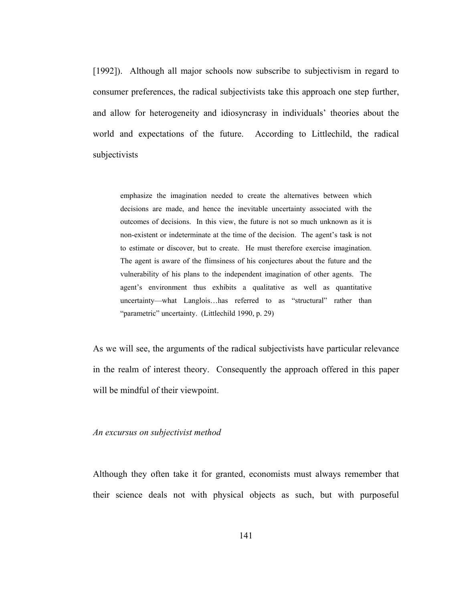[1992]). Although all major schools now subscribe to subjectivism in regard to consumer preferences, the radical subjectivists take this approach one step further, and allow for heterogeneity and idiosyncrasy in individuals' theories about the world and expectations of the future. According to Littlechild, the radical subjectivists

emphasize the imagination needed to create the alternatives between which decisions are made, and hence the inevitable uncertainty associated with the outcomes of decisions. In this view, the future is not so much unknown as it is non-existent or indeterminate at the time of the decision. The agent's task is not to estimate or discover, but to create. He must therefore exercise imagination. The agent is aware of the flimsiness of his conjectures about the future and the vulnerability of his plans to the independent imagination of other agents. The agent's environment thus exhibits a qualitative as well as quantitative uncertainty—what Langlois…has referred to as "structural" rather than "parametric" uncertainty. (Littlechild 1990, p. 29)

As we will see, the arguments of the radical subjectivists have particular relevance in the realm of interest theory. Consequently the approach offered in this paper will be mindful of their viewpoint.

#### *An excursus on subjectivist method*

Although they often take it for granted, economists must always remember that their science deals not with physical objects as such, but with purposeful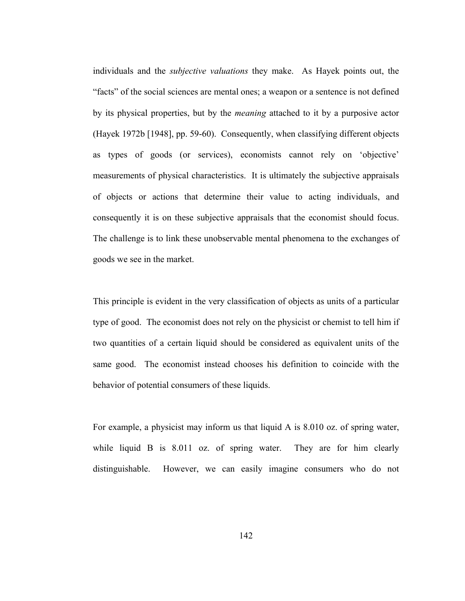individuals and the *subjective valuations* they make. As Hayek points out, the "facts" of the social sciences are mental ones; a weapon or a sentence is not defined by its physical properties, but by the *meaning* attached to it by a purposive actor (Hayek 1972b [1948], pp. 59-60). Consequently, when classifying different objects as types of goods (or services), economists cannot rely on 'objective' measurements of physical characteristics. It is ultimately the subjective appraisals of objects or actions that determine their value to acting individuals, and consequently it is on these subjective appraisals that the economist should focus. The challenge is to link these unobservable mental phenomena to the exchanges of goods we see in the market.

This principle is evident in the very classification of objects as units of a particular type of good. The economist does not rely on the physicist or chemist to tell him if two quantities of a certain liquid should be considered as equivalent units of the same good. The economist instead chooses his definition to coincide with the behavior of potential consumers of these liquids.

For example, a physicist may inform us that liquid A is 8.010 oz. of spring water, while liquid B is 8.011 oz. of spring water. They are for him clearly distinguishable. However, we can easily imagine consumers who do not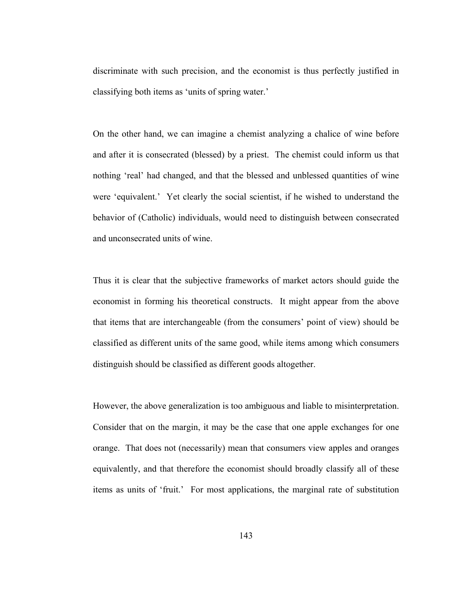discriminate with such precision, and the economist is thus perfectly justified in classifying both items as 'units of spring water.'

On the other hand, we can imagine a chemist analyzing a chalice of wine before and after it is consecrated (blessed) by a priest. The chemist could inform us that nothing 'real' had changed, and that the blessed and unblessed quantities of wine were 'equivalent.' Yet clearly the social scientist, if he wished to understand the behavior of (Catholic) individuals, would need to distinguish between consecrated and unconsecrated units of wine.

Thus it is clear that the subjective frameworks of market actors should guide the economist in forming his theoretical constructs. It might appear from the above that items that are interchangeable (from the consumers' point of view) should be classified as different units of the same good, while items among which consumers distinguish should be classified as different goods altogether.

However, the above generalization is too ambiguous and liable to misinterpretation. Consider that on the margin, it may be the case that one apple exchanges for one orange. That does not (necessarily) mean that consumers view apples and oranges equivalently, and that therefore the economist should broadly classify all of these items as units of 'fruit.' For most applications, the marginal rate of substitution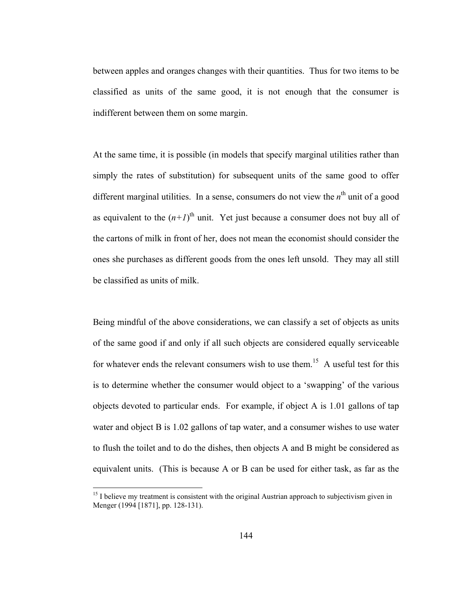between apples and oranges changes with their quantities. Thus for two items to be classified as units of the same good, it is not enough that the consumer is indifferent between them on some margin.

At the same time, it is possible (in models that specify marginal utilities rather than simply the rates of substitution) for subsequent units of the same good to offer different marginal utilities. In a sense, consumers do not view the  $n<sup>th</sup>$  unit of a good as equivalent to the  $(n+1)$ <sup>th</sup> unit. Yet just because a consumer does not buy all of the cartons of milk in front of her, does not mean the economist should consider the ones she purchases as different goods from the ones left unsold. They may all still be classified as units of milk.

Being mindful of the above considerations, we can classify a set of objects as units of the same good if and only if all such objects are considered equally serviceable for whatever ends the relevant consumers wish to use them.<sup>15</sup> A useful test for this is to determine whether the consumer would object to a 'swapping' of the various objects devoted to particular ends. For example, if object A is 1.01 gallons of tap water and object B is 1.02 gallons of tap water, and a consumer wishes to use water to flush the toilet and to do the dishes, then objects A and B might be considered as equivalent units. (This is because A or B can be used for either task, as far as the

 $<sup>15</sup>$  I believe my treatment is consistent with the original Austrian approach to subjectivism given in</sup> Menger (1994 [1871], pp. 128-131).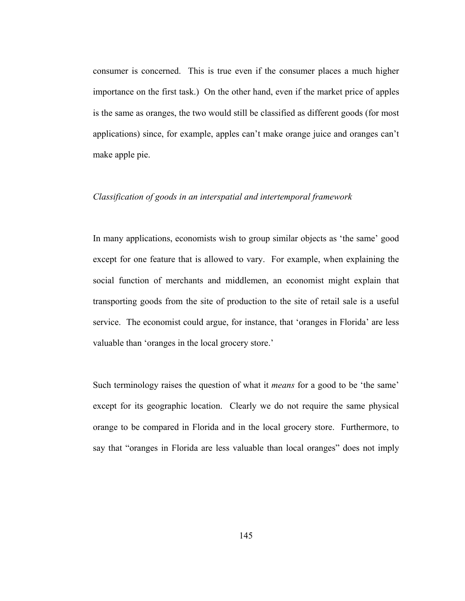consumer is concerned. This is true even if the consumer places a much higher importance on the first task.) On the other hand, even if the market price of apples is the same as oranges, the two would still be classified as different goods (for most applications) since, for example, apples can't make orange juice and oranges can't make apple pie.

## *Classification of goods in an interspatial and intertemporal framework*

In many applications, economists wish to group similar objects as 'the same' good except for one feature that is allowed to vary. For example, when explaining the social function of merchants and middlemen, an economist might explain that transporting goods from the site of production to the site of retail sale is a useful service. The economist could argue, for instance, that 'oranges in Florida' are less valuable than 'oranges in the local grocery store.'

Such terminology raises the question of what it *means* for a good to be 'the same' except for its geographic location. Clearly we do not require the same physical orange to be compared in Florida and in the local grocery store. Furthermore, to say that "oranges in Florida are less valuable than local oranges" does not imply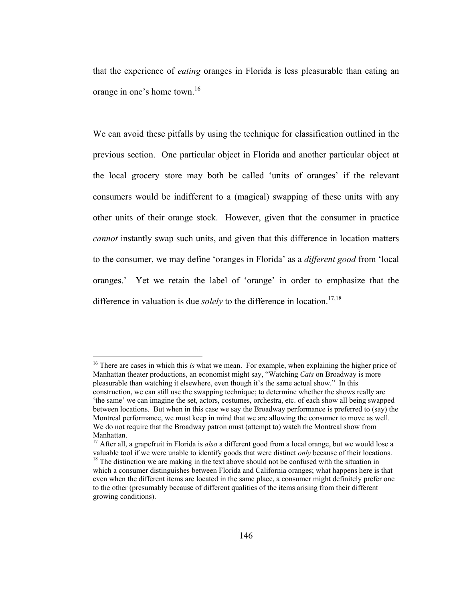that the experience of *eating* oranges in Florida is less pleasurable than eating an orange in one's home town.16

We can avoid these pitfalls by using the technique for classification outlined in the previous section. One particular object in Florida and another particular object at the local grocery store may both be called 'units of oranges' if the relevant consumers would be indifferent to a (magical) swapping of these units with any other units of their orange stock. However, given that the consumer in practice *cannot* instantly swap such units, and given that this difference in location matters to the consumer, we may define 'oranges in Florida' as a *different good* from 'local oranges.' Yet we retain the label of 'orange' in order to emphasize that the difference in valuation is due *solely* to the difference in location.<sup>17,18</sup>

<sup>16</sup> There are cases in which this *is* what we mean. For example, when explaining the higher price of Manhattan theater productions, an economist might say, "Watching *Cats* on Broadway is more pleasurable than watching it elsewhere, even though it's the same actual show." In this construction, we can still use the swapping technique; to determine whether the shows really are 'the same' we can imagine the set, actors, costumes, orchestra, etc. of each show all being swapped between locations. But when in this case we say the Broadway performance is preferred to (say) the Montreal performance, we must keep in mind that we are allowing the consumer to move as well. We do not require that the Broadway patron must (attempt to) watch the Montreal show from Manhattan.

<sup>&</sup>lt;sup>17</sup> After all, a grapefruit in Florida is *also* a different good from a local orange, but we would lose a valuable tool if we were unable to identify goods that were distinct *only* because of their locations. <sup>18</sup> The distinction we are making in the text above should not be confused with the situation in which a consumer distinguishes between Florida and California oranges; what happens here is that even when the different items are located in the same place, a consumer might definitely prefer one to the other (presumably because of different qualities of the items arising from their different growing conditions).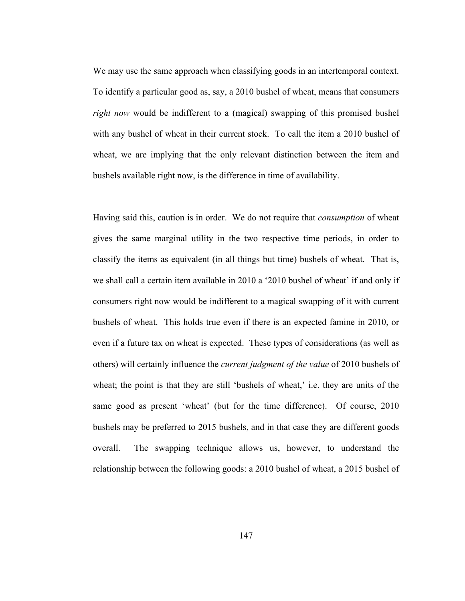We may use the same approach when classifying goods in an intertemporal context. To identify a particular good as, say, a 2010 bushel of wheat, means that consumers *right now* would be indifferent to a (magical) swapping of this promised bushel with any bushel of wheat in their current stock. To call the item a 2010 bushel of wheat, we are implying that the only relevant distinction between the item and bushels available right now, is the difference in time of availability.

Having said this, caution is in order. We do not require that *consumption* of wheat gives the same marginal utility in the two respective time periods, in order to classify the items as equivalent (in all things but time) bushels of wheat. That is, we shall call a certain item available in 2010 a '2010 bushel of wheat' if and only if consumers right now would be indifferent to a magical swapping of it with current bushels of wheat. This holds true even if there is an expected famine in 2010, or even if a future tax on wheat is expected. These types of considerations (as well as others) will certainly influence the *current judgment of the value* of 2010 bushels of wheat; the point is that they are still 'bushels of wheat,' i.e. they are units of the same good as present 'wheat' (but for the time difference). Of course, 2010 bushels may be preferred to 2015 bushels, and in that case they are different goods overall. The swapping technique allows us, however, to understand the relationship between the following goods: a 2010 bushel of wheat, a 2015 bushel of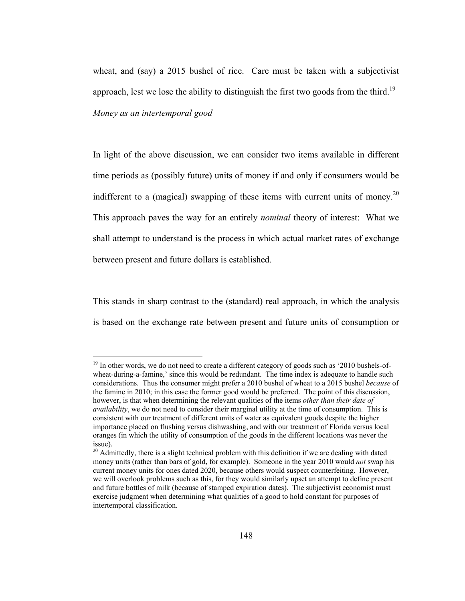wheat, and (say) a 2015 bushel of rice. Care must be taken with a subjectivist approach, lest we lose the ability to distinguish the first two goods from the third.<sup>19</sup> *Money as an intertemporal good* 

In light of the above discussion, we can consider two items available in different time periods as (possibly future) units of money if and only if consumers would be indifferent to a (magical) swapping of these items with current units of money.<sup>20</sup> This approach paves the way for an entirely *nominal* theory of interest: What we shall attempt to understand is the process in which actual market rates of exchange between present and future dollars is established.

This stands in sharp contrast to the (standard) real approach, in which the analysis is based on the exchange rate between present and future units of consumption or

 $19$  In other words, we do not need to create a different category of goods such as '2010 bushels-ofwheat-during-a-famine,' since this would be redundant. The time index is adequate to handle such considerations. Thus the consumer might prefer a 2010 bushel of wheat to a 2015 bushel *because* of the famine in 2010; in this case the former good would be preferred. The point of this discussion, however, is that when determining the relevant qualities of the items *other than their date of availability*, we do not need to consider their marginal utility at the time of consumption. This is consistent with our treatment of different units of water as equivalent goods despite the higher importance placed on flushing versus dishwashing, and with our treatment of Florida versus local oranges (in which the utility of consumption of the goods in the different locations was never the issue).

 $20$  Admittedly, there is a slight technical problem with this definition if we are dealing with dated money units (rather than bars of gold, for example). Someone in the year 2010 would *not* swap his current money units for ones dated 2020, because others would suspect counterfeiting. However, we will overlook problems such as this, for they would similarly upset an attempt to define present and future bottles of milk (because of stamped expiration dates). The subjectivist economist must exercise judgment when determining what qualities of a good to hold constant for purposes of intertemporal classification.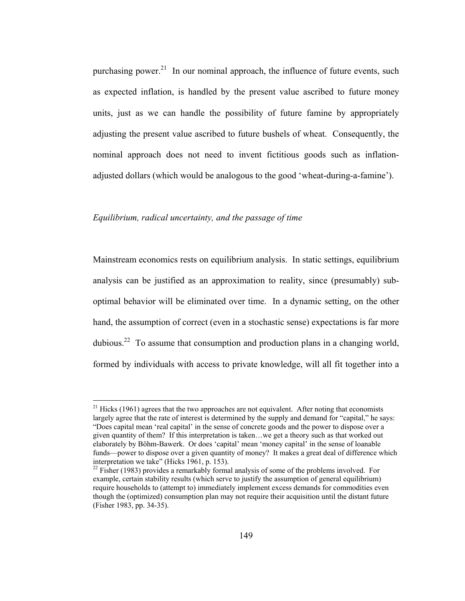purchasing power.<sup>21</sup> In our nominal approach, the influence of future events, such as expected inflation, is handled by the present value ascribed to future money units, just as we can handle the possibility of future famine by appropriately adjusting the present value ascribed to future bushels of wheat. Consequently, the nominal approach does not need to invent fictitious goods such as inflationadjusted dollars (which would be analogous to the good 'wheat-during-a-famine').

## *Equilibrium, radical uncertainty, and the passage of time*

 $\overline{a}$ 

Mainstream economics rests on equilibrium analysis. In static settings, equilibrium analysis can be justified as an approximation to reality, since (presumably) suboptimal behavior will be eliminated over time. In a dynamic setting, on the other hand, the assumption of correct (even in a stochastic sense) expectations is far more dubious.<sup>22</sup> To assume that consumption and production plans in a changing world, formed by individuals with access to private knowledge, will all fit together into a

 $21$  Hicks (1961) agrees that the two approaches are not equivalent. After noting that economists largely agree that the rate of interest is determined by the supply and demand for "capital," he says: "Does capital mean 'real capital' in the sense of concrete goods and the power to dispose over a given quantity of them? If this interpretation is taken…we get a theory such as that worked out elaborately by Böhm-Bawerk. Or does 'capital' mean 'money capital' in the sense of loanable funds—power to dispose over a given quantity of money? It makes a great deal of difference which interpretation we take" (Hicks 1961, p. 153).

 $^{22}$  Fisher (1983) provides a remarkably formal analysis of some of the problems involved. For example, certain stability results (which serve to justify the assumption of general equilibrium) require households to (attempt to) immediately implement excess demands for commodities even though the (optimized) consumption plan may not require their acquisition until the distant future (Fisher 1983, pp. 34-35).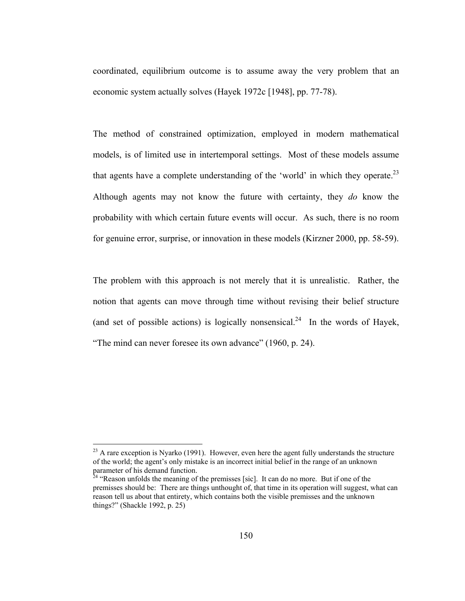coordinated, equilibrium outcome is to assume away the very problem that an economic system actually solves (Hayek 1972c [1948], pp. 77-78).

The method of constrained optimization, employed in modern mathematical models, is of limited use in intertemporal settings. Most of these models assume that agents have a complete understanding of the 'world' in which they operate.<sup>23</sup> Although agents may not know the future with certainty, they *do* know the probability with which certain future events will occur. As such, there is no room for genuine error, surprise, or innovation in these models (Kirzner 2000, pp. 58-59).

The problem with this approach is not merely that it is unrealistic. Rather, the notion that agents can move through time without revising their belief structure (and set of possible actions) is logically nonsensical.<sup>24</sup> In the words of Hayek, "The mind can never foresee its own advance" (1960, p. 24).

 $^{23}$  A rare exception is Nyarko (1991). However, even here the agent fully understands the structure of the world; the agent's only mistake is an incorrect initial belief in the range of an unknown parameter of his demand function.

 $24$  "Reason unfolds the meaning of the premisses [sic]. It can do no more. But if one of the premisses should be: There are things unthought of, that time in its operation will suggest, what can reason tell us about that entirety, which contains both the visible premisses and the unknown things?" (Shackle 1992, p. 25)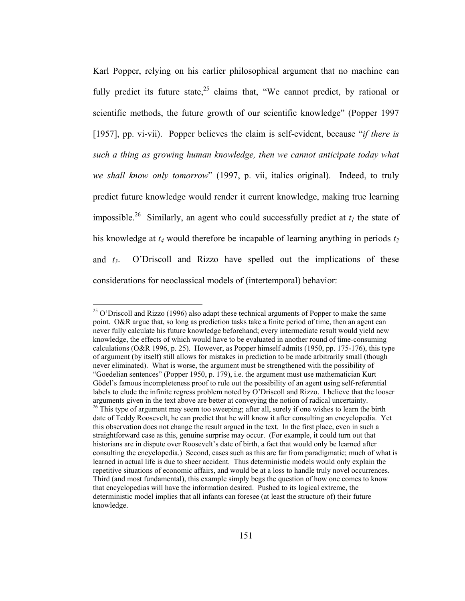Karl Popper, relying on his earlier philosophical argument that no machine can fully predict its future state,<sup>25</sup> claims that, "We cannot predict, by rational or scientific methods, the future growth of our scientific knowledge" (Popper 1997 [1957], pp. vi-vii). Popper believes the claim is self-evident, because "*if there is such a thing as growing human knowledge, then we cannot anticipate today what we shall know only tomorrow*" (1997, p. vii, italics original). Indeed, to truly predict future knowledge would render it current knowledge, making true learning impossible.<sup>26</sup> Similarly, an agent who could successfully predict at  $t_1$  the state of his knowledge at  $t_4$  would therefore be incapable of learning anything in periods  $t_2$ and  $t_3$ . O'Driscoll and Rizzo have spelled out the implications of these considerations for neoclassical models of (intertemporal) behavior:

 $^{25}$  O'Driscoll and Rizzo (1996) also adapt these technical arguments of Popper to make the same point. O&R argue that, so long as prediction tasks take a finite period of time, then an agent can never fully calculate his future knowledge beforehand; every intermediate result would yield new knowledge, the effects of which would have to be evaluated in another round of time-consuming calculations (O&R 1996, p. 25). However, as Popper himself admits (1950, pp. 175-176), this type of argument (by itself) still allows for mistakes in prediction to be made arbitrarily small (though never eliminated). What is worse, the argument must be strengthened with the possibility of "Goedelian sentences" (Popper 1950, p. 179), i.e. the argument must use mathematician Kurt Gödel's famous incompleteness proof to rule out the possibility of an agent using self-referential labels to elude the infinite regress problem noted by O'Driscoll and Rizzo. I believe that the looser arguments given in the text above are better at conveying the notion of radical uncertainty. <sup>26</sup> This type of argument may seem too sweeping; after all, surely if one wishes to learn the birth date of Teddy Roosevelt, he can predict that he will know it after consulting an encyclopedia. Yet this observation does not change the result argued in the text. In the first place, even in such a straightforward case as this, genuine surprise may occur. (For example, it could turn out that historians are in dispute over Roosevelt's date of birth, a fact that would only be learned after consulting the encyclopedia.) Second, cases such as this are far from paradigmatic; much of what is learned in actual life is due to sheer accident. Thus deterministic models would only explain the repetitive situations of economic affairs, and would be at a loss to handle truly novel occurrences. Third (and most fundamental), this example simply begs the question of how one comes to know that encyclopedias will have the information desired. Pushed to its logical extreme, the deterministic model implies that all infants can foresee (at least the structure of) their future knowledge.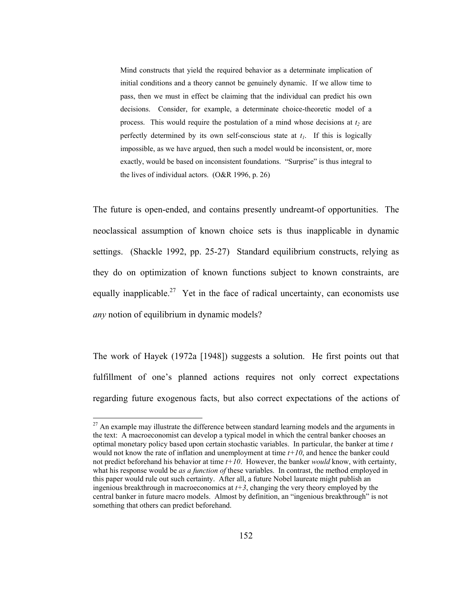Mind constructs that yield the required behavior as a determinate implication of initial conditions and a theory cannot be genuinely dynamic. If we allow time to pass, then we must in effect be claiming that the individual can predict his own decisions. Consider, for example, a determinate choice-theoretic model of a process. This would require the postulation of a mind whose decisions at  $t_2$  are perfectly determined by its own self-conscious state at  $t_1$ . If this is logically impossible, as we have argued, then such a model would be inconsistent, or, more exactly, would be based on inconsistent foundations. "Surprise" is thus integral to the lives of individual actors. (O&R 1996, p. 26)

The future is open-ended, and contains presently undreamt-of opportunities. The neoclassical assumption of known choice sets is thus inapplicable in dynamic settings. (Shackle 1992, pp. 25-27) Standard equilibrium constructs, relying as they do on optimization of known functions subject to known constraints, are equally inapplicable.<sup>27</sup> Yet in the face of radical uncertainty, can economists use *any* notion of equilibrium in dynamic models?

The work of Hayek (1972a [1948]) suggests a solution. He first points out that fulfillment of one's planned actions requires not only correct expectations regarding future exogenous facts, but also correct expectations of the actions of

 $27$  An example may illustrate the difference between standard learning models and the arguments in the text: A macroeconomist can develop a typical model in which the central banker chooses an optimal monetary policy based upon certain stochastic variables. In particular, the banker at time *t*  would not know the rate of inflation and unemployment at time *t+10*, and hence the banker could not predict beforehand his behavior at time *t+10*. However, the banker *would* know, with certainty, what his response would be *as a function of* these variables. In contrast, the method employed in this paper would rule out such certainty. After all, a future Nobel laureate might publish an ingenious breakthrough in macroeconomics at  $t+3$ , changing the very theory employed by the central banker in future macro models. Almost by definition, an "ingenious breakthrough" is not something that others can predict beforehand.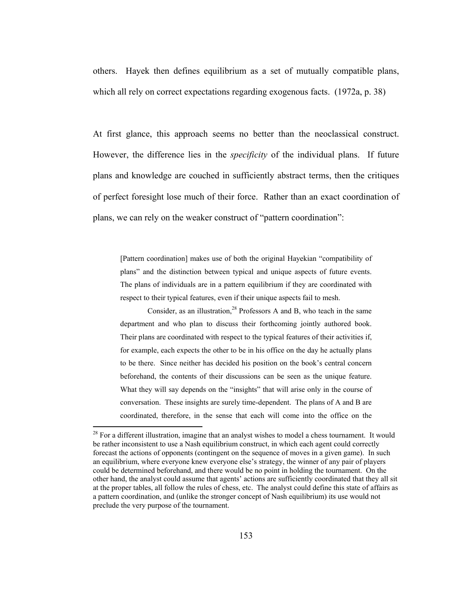others. Hayek then defines equilibrium as a set of mutually compatible plans, which all rely on correct expectations regarding exogenous facts. (1972a, p. 38)

At first glance, this approach seems no better than the neoclassical construct. However, the difference lies in the *specificity* of the individual plans. If future plans and knowledge are couched in sufficiently abstract terms, then the critiques of perfect foresight lose much of their force. Rather than an exact coordination of plans, we can rely on the weaker construct of "pattern coordination":

[Pattern coordination] makes use of both the original Hayekian "compatibility of plans" and the distinction between typical and unique aspects of future events. The plans of individuals are in a pattern equilibrium if they are coordinated with respect to their typical features, even if their unique aspects fail to mesh.

Consider, as an illustration,  $28$  Professors A and B, who teach in the same department and who plan to discuss their forthcoming jointly authored book. Their plans are coordinated with respect to the typical features of their activities if, for example, each expects the other to be in his office on the day he actually plans to be there. Since neither has decided his position on the book's central concern beforehand, the contents of their discussions can be seen as the unique feature. What they will say depends on the "insights" that will arise only in the course of conversation. These insights are surely time-dependent. The plans of A and B are coordinated, therefore, in the sense that each will come into the office on the

 $28$  For a different illustration, imagine that an analyst wishes to model a chess tournament. It would be rather inconsistent to use a Nash equilibrium construct, in which each agent could correctly forecast the actions of opponents (contingent on the sequence of moves in a given game). In such an equilibrium, where everyone knew everyone else's strategy, the winner of any pair of players could be determined beforehand, and there would be no point in holding the tournament. On the other hand, the analyst could assume that agents' actions are sufficiently coordinated that they all sit at the proper tables, all follow the rules of chess, etc. The analyst could define this state of affairs as a pattern coordination, and (unlike the stronger concept of Nash equilibrium) its use would not preclude the very purpose of the tournament.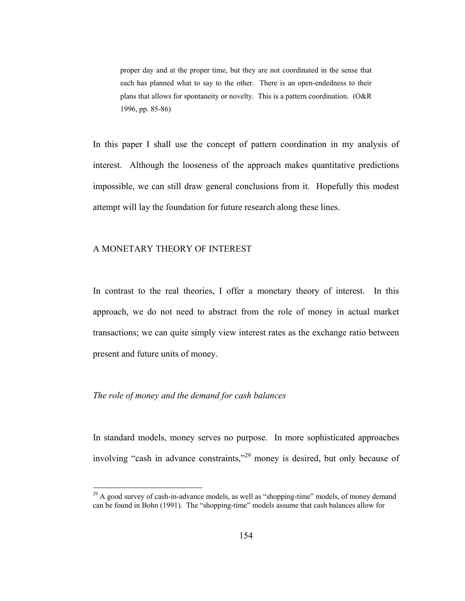proper day and at the proper time, but they are not coordinated in the sense that each has planned what to say to the other. There is an open-endedness to their plans that allows for spontaneity or novelty. This is a pattern coordination. (O&R 1996, pp. 85-86)

In this paper I shall use the concept of pattern coordination in my analysis of interest. Although the looseness of the approach makes quantitative predictions impossible, we can still draw general conclusions from it. Hopefully this modest attempt will lay the foundation for future research along these lines.

# A MONETARY THEORY OF INTEREST

In contrast to the real theories, I offer a monetary theory of interest. In this approach, we do not need to abstract from the role of money in actual market transactions; we can quite simply view interest rates as the exchange ratio between present and future units of money.

## *The role of money and the demand for cash balances*

 $\overline{a}$ 

In standard models, money serves no purpose. In more sophisticated approaches involving "cash in advance constraints,"29 money is desired, but only because of

 $2<sup>9</sup>$  A good survey of cash-in-advance models, as well as "shopping-time" models, of money demand can be found in Bohn (1991). The "shopping-time" models assume that cash balances allow for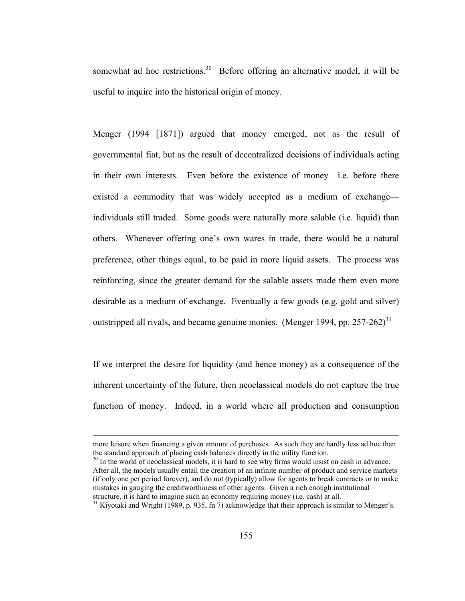somewhat ad hoc restrictions.<sup>30</sup> Before offering an alternative model, it will be useful to inquire into the historical origin of money.

Menger (1994 [1871]) argued that money emerged, not as the result of governmental fiat, but as the result of decentralized decisions of individuals acting in their own interests. Even before the existence of money—i.e. before there existed a commodity that was widely accepted as a medium of exchange individuals still traded. Some goods were naturally more salable (i.e. liquid) than others. Whenever offering one's own wares in trade, there would be a natural preference, other things equal, to be paid in more liquid assets. The process was reinforcing, since the greater demand for the salable assets made them even more desirable as a medium of exchange. Eventually a few goods (e.g. gold and silver) outstripped all rivals, and became genuine monies. (Menger 1994, pp. 257-262)<sup>31</sup>

If we interpret the desire for liquidity (and hence money) as a consequence of the inherent uncertainty of the future, then neoclassical models do not capture the true function of money. Indeed, in a world where all production and consumption

<sup>30</sup> In the world of neoclassical models, it is hard to see why firms would insist on cash in advance. After all, the models usually entail the creation of an infinite number of product and service markets (if only one per period forever), and do not (typically) allow for agents to break contracts or to make mistakes in gauging the creditworthiness of other agents. Given a rich enough institutional structure, it is hard to imagine such an economy requiring money (i.e. cash) at all.

 $31$  Kivotaki and Wright (1989, p. 935, fn 7) acknowledge that their approach is similar to Menger's.

more leisure when financing a given amount of purchases. As such they are hardly less ad hoc than the standard approach of placing cash balances directly in the utility function.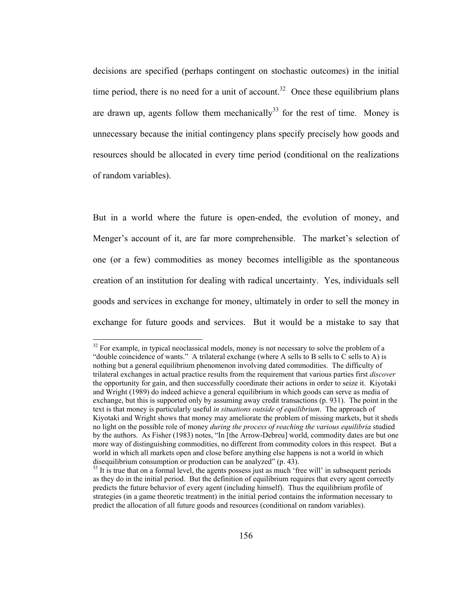decisions are specified (perhaps contingent on stochastic outcomes) in the initial time period, there is no need for a unit of account.<sup>32</sup> Once these equilibrium plans are drawn up, agents follow them mechanically<sup>33</sup> for the rest of time. Money is unnecessary because the initial contingency plans specify precisely how goods and resources should be allocated in every time period (conditional on the realizations of random variables).

But in a world where the future is open-ended, the evolution of money, and Menger's account of it, are far more comprehensible. The market's selection of one (or a few) commodities as money becomes intelligible as the spontaneous creation of an institution for dealing with radical uncertainty. Yes, individuals sell goods and services in exchange for money, ultimately in order to sell the money in exchange for future goods and services. But it would be a mistake to say that

 $32$  For example, in typical neoclassical models, money is not necessary to solve the problem of a "double coincidence of wants." A trilateral exchange (where A sells to B sells to C sells to A) is nothing but a general equilibrium phenomenon involving dated commodities. The difficulty of trilateral exchanges in actual practice results from the requirement that various parties first *discover* the opportunity for gain, and then successfully coordinate their actions in order to seize it. Kiyotaki and Wright (1989) do indeed achieve a general equilibrium in which goods can serve as media of exchange, but this is supported only by assuming away credit transactions (p. 931). The point in the text is that money is particularly useful *in situations outside of equilibrium*. The approach of Kiyotaki and Wright shows that money may ameliorate the problem of missing markets, but it sheds no light on the possible role of money *during the process of reaching the various equilibria* studied by the authors. As Fisher (1983) notes, "In [the Arrow-Debreu] world, commodity dates are but one more way of distinguishing commodities, no different from commodity colors in this respect. But a world in which all markets open and close before anything else happens is not a world in which disequilibrium consumption or production can be analyzed" (p. 43).

 $33$  It is true that on a formal level, the agents possess just as much 'free will' in subsequent periods as they do in the initial period. But the definition of equilibrium requires that every agent correctly predicts the future behavior of every agent (including himself). Thus the equilibrium profile of strategies (in a game theoretic treatment) in the initial period contains the information necessary to predict the allocation of all future goods and resources (conditional on random variables).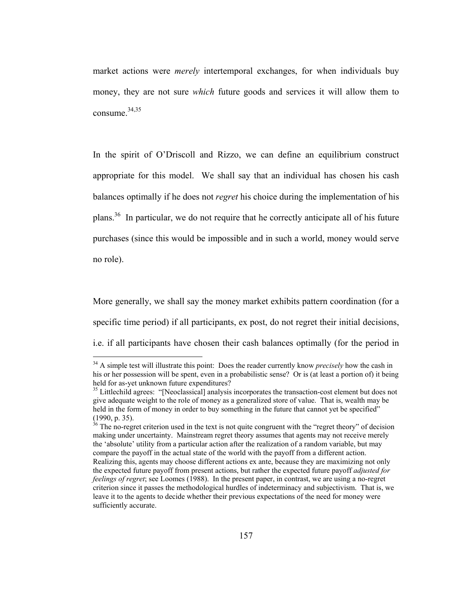market actions were *merely* intertemporal exchanges, for when individuals buy money, they are not sure *which* future goods and services it will allow them to consume.<sup>34,35</sup>

In the spirit of O'Driscoll and Rizzo, we can define an equilibrium construct appropriate for this model. We shall say that an individual has chosen his cash balances optimally if he does not *regret* his choice during the implementation of his plans.36 In particular, we do not require that he correctly anticipate all of his future purchases (since this would be impossible and in such a world, money would serve no role).

More generally, we shall say the money market exhibits pattern coordination (for a specific time period) if all participants, ex post, do not regret their initial decisions, i.e. if all participants have chosen their cash balances optimally (for the period in

<sup>34</sup> A simple test will illustrate this point: Does the reader currently know *precisely* how the cash in his or her possession will be spent, even in a probabilistic sense? Or is (at least a portion of) it being held for as-yet unknown future expenditures?

<sup>&</sup>lt;sup>35</sup> Littlechild agrees: "[Neoclassical] analysis incorporates the transaction-cost element but does not give adequate weight to the role of money as a generalized store of value. That is, wealth may be held in the form of money in order to buy something in the future that cannot yet be specified" (1990, p. 35).

 $36$  The no-regret criterion used in the text is not quite congruent with the "regret theory" of decision making under uncertainty. Mainstream regret theory assumes that agents may not receive merely the 'absolute' utility from a particular action after the realization of a random variable, but may compare the payoff in the actual state of the world with the payoff from a different action. Realizing this, agents may choose different actions ex ante, because they are maximizing not only the expected future payoff from present actions, but rather the expected future payoff *adjusted for feelings of regret*; see Loomes (1988). In the present paper, in contrast, we are using a no-regret criterion since it passes the methodological hurdles of indeterminacy and subjectivism. That is, we leave it to the agents to decide whether their previous expectations of the need for money were sufficiently accurate.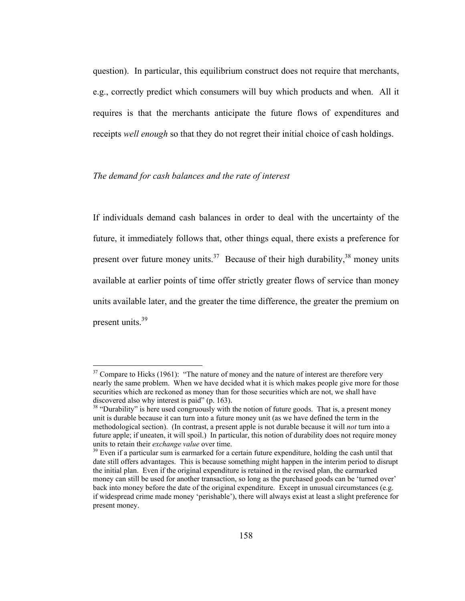question). In particular, this equilibrium construct does not require that merchants, e.g., correctly predict which consumers will buy which products and when. All it requires is that the merchants anticipate the future flows of expenditures and receipts *well enough* so that they do not regret their initial choice of cash holdings.

#### *The demand for cash balances and the rate of interest*

 $\overline{a}$ 

If individuals demand cash balances in order to deal with the uncertainty of the future, it immediately follows that, other things equal, there exists a preference for present over future money units.<sup>37</sup> Because of their high durability,<sup>38</sup> money units available at earlier points of time offer strictly greater flows of service than money units available later, and the greater the time difference, the greater the premium on present units.<sup>39</sup>

 $37$  Compare to Hicks (1961): "The nature of money and the nature of interest are therefore very nearly the same problem. When we have decided what it is which makes people give more for those securities which are reckoned as money than for those securities which are not, we shall have discovered also why interest is paid" (p. 163).

<sup>&</sup>lt;sup>38</sup> "Durability" is here used congruously with the notion of future goods. That is, a present money unit is durable because it can turn into a future money unit (as we have defined the term in the methodological section). (In contrast, a present apple is not durable because it will *not* turn into a future apple; if uneaten, it will spoil.) In particular, this notion of durability does not require money units to retain their *exchange value* over time.<br><sup>39</sup> Even if a particular sum is earmarked for a certain future expenditure, holding the cash until that

date still offers advantages. This is because something might happen in the interim period to disrupt the initial plan. Even if the original expenditure is retained in the revised plan, the earmarked money can still be used for another transaction, so long as the purchased goods can be 'turned over' back into money before the date of the original expenditure. Except in unusual circumstances (e.g. if widespread crime made money 'perishable'), there will always exist at least a slight preference for present money.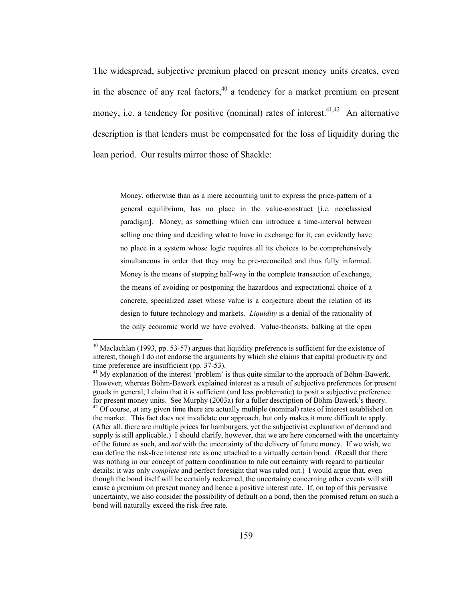The widespread, subjective premium placed on present money units creates, even in the absence of any real factors,<sup>40</sup> a tendency for a market premium on present money, i.e. a tendency for positive (nominal) rates of interest.<sup>41,42</sup> An alternative description is that lenders must be compensated for the loss of liquidity during the loan period. Our results mirror those of Shackle:

Money, otherwise than as a mere accounting unit to express the price-pattern of a general equilibrium, has no place in the value-construct [i.e. neoclassical paradigm]. Money, as something which can introduce a time-interval between selling one thing and deciding what to have in exchange for it, can evidently have no place in a system whose logic requires all its choices to be comprehensively simultaneous in order that they may be pre-reconciled and thus fully informed. Money is the means of stopping half-way in the complete transaction of exchange, the means of avoiding or postponing the hazardous and expectational choice of a concrete, specialized asset whose value is a conjecture about the relation of its design to future technology and markets. *Liquidity* is a denial of the rationality of the only economic world we have evolved. Value-theorists, balking at the open

 $40$  Maclachlan (1993, pp. 53-57) argues that liquidity preference is sufficient for the existence of interest, though I do not endorse the arguments by which she claims that capital productivity and time preference are insufficient (pp. 37-53).

 $41$  My explanation of the interest 'problem' is thus quite similar to the approach of Böhm-Bawerk. However, whereas Böhm-Bawerk explained interest as a result of subjective preferences for present goods in general, I claim that it is sufficient (and less problematic) to posit a subjective preference for present money units. See Murphy (2003a) for a fuller description of Böhm-Bawerk's theory.  $42$  Of course, at any given time there are actually multiple (nominal) rates of interest established on the market. This fact does not invalidate our approach, but only makes it more difficult to apply. (After all, there are multiple prices for hamburgers, yet the subjectivist explanation of demand and supply is still applicable.) I should clarify, however, that we are here concerned with the uncertainty of the future as such, and *not* with the uncertainty of the delivery of future money. If we wish, we can define the risk-free interest rate as one attached to a virtually certain bond. (Recall that there was nothing in our concept of pattern coordination to rule out certainty with regard to particular details; it was only *complete* and perfect foresight that was ruled out.) I would argue that, even though the bond itself will be certainly redeemed, the uncertainty concerning other events will still cause a premium on present money and hence a positive interest rate. If, on top of this pervasive uncertainty, we also consider the possibility of default on a bond, then the promised return on such a bond will naturally exceed the risk-free rate.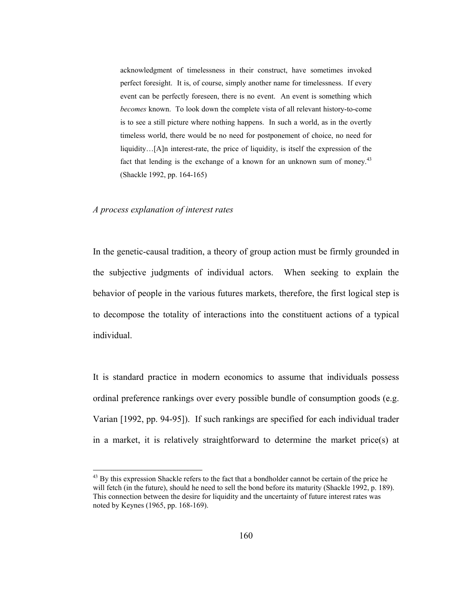acknowledgment of timelessness in their construct, have sometimes invoked perfect foresight. It is, of course, simply another name for timelessness. If every event can be perfectly foreseen, there is no event. An event is something which *becomes* known. To look down the complete vista of all relevant history-to-come is to see a still picture where nothing happens. In such a world, as in the overtly timeless world, there would be no need for postponement of choice, no need for liquidity…[A]n interest-rate, the price of liquidity, is itself the expression of the fact that lending is the exchange of a known for an unknown sum of money.<sup>43</sup> (Shackle 1992, pp. 164-165)

#### *A process explanation of interest rates*

 $\overline{a}$ 

In the genetic-causal tradition, a theory of group action must be firmly grounded in the subjective judgments of individual actors. When seeking to explain the behavior of people in the various futures markets, therefore, the first logical step is to decompose the totality of interactions into the constituent actions of a typical individual.

It is standard practice in modern economics to assume that individuals possess ordinal preference rankings over every possible bundle of consumption goods (e.g. Varian [1992, pp. 94-95]). If such rankings are specified for each individual trader in a market, it is relatively straightforward to determine the market price(s) at

<sup>&</sup>lt;sup>43</sup> By this expression Shackle refers to the fact that a bondholder cannot be certain of the price he will fetch (in the future), should he need to sell the bond before its maturity (Shackle 1992, p. 189). This connection between the desire for liquidity and the uncertainty of future interest rates was noted by Keynes (1965, pp. 168-169).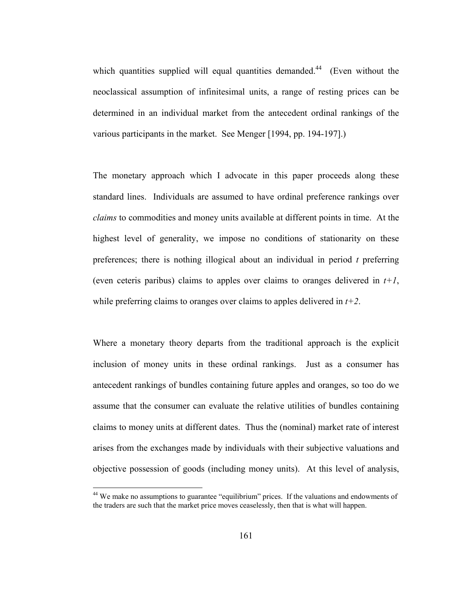which quantities supplied will equal quantities demanded.<sup>44</sup> (Even without the neoclassical assumption of infinitesimal units, a range of resting prices can be determined in an individual market from the antecedent ordinal rankings of the various participants in the market. See Menger [1994, pp. 194-197].)

The monetary approach which I advocate in this paper proceeds along these standard lines. Individuals are assumed to have ordinal preference rankings over *claims* to commodities and money units available at different points in time. At the highest level of generality, we impose no conditions of stationarity on these preferences; there is nothing illogical about an individual in period *t* preferring (even ceteris paribus) claims to apples over claims to oranges delivered in  $t+1$ , while preferring claims to oranges over claims to apples delivered in *t+2*.

Where a monetary theory departs from the traditional approach is the explicit inclusion of money units in these ordinal rankings. Just as a consumer has antecedent rankings of bundles containing future apples and oranges, so too do we assume that the consumer can evaluate the relative utilities of bundles containing claims to money units at different dates. Thus the (nominal) market rate of interest arises from the exchanges made by individuals with their subjective valuations and objective possession of goods (including money units). At this level of analysis,

<sup>&</sup>lt;sup>44</sup> We make no assumptions to guarantee "equilibrium" prices. If the valuations and endowments of the traders are such that the market price moves ceaselessly, then that is what will happen.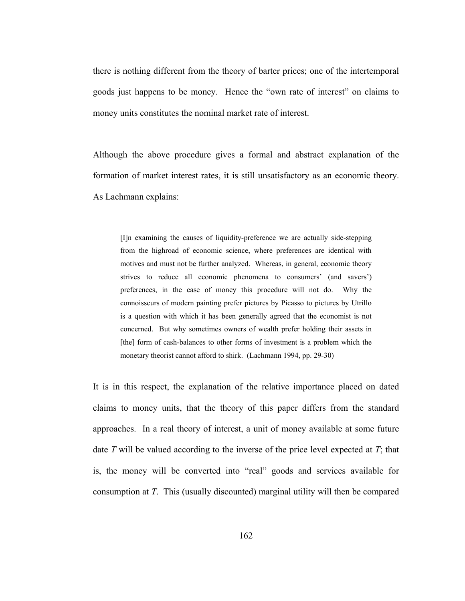there is nothing different from the theory of barter prices; one of the intertemporal goods just happens to be money. Hence the "own rate of interest" on claims to money units constitutes the nominal market rate of interest.

Although the above procedure gives a formal and abstract explanation of the formation of market interest rates, it is still unsatisfactory as an economic theory. As Lachmann explains:

[I]n examining the causes of liquidity-preference we are actually side-stepping from the highroad of economic science, where preferences are identical with motives and must not be further analyzed. Whereas, in general, economic theory strives to reduce all economic phenomena to consumers' (and savers') preferences, in the case of money this procedure will not do. Why the connoisseurs of modern painting prefer pictures by Picasso to pictures by Utrillo is a question with which it has been generally agreed that the economist is not concerned. But why sometimes owners of wealth prefer holding their assets in [the] form of cash-balances to other forms of investment is a problem which the monetary theorist cannot afford to shirk. (Lachmann 1994, pp. 29-30)

It is in this respect, the explanation of the relative importance placed on dated claims to money units, that the theory of this paper differs from the standard approaches. In a real theory of interest, a unit of money available at some future date *T* will be valued according to the inverse of the price level expected at *T*; that is, the money will be converted into "real" goods and services available for consumption at *T*. This (usually discounted) marginal utility will then be compared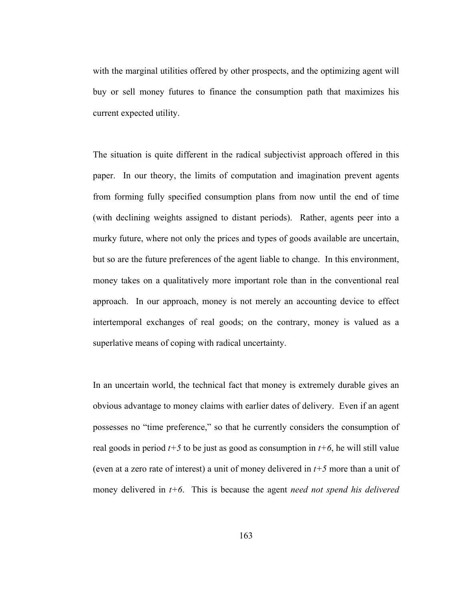with the marginal utilities offered by other prospects, and the optimizing agent will buy or sell money futures to finance the consumption path that maximizes his current expected utility.

The situation is quite different in the radical subjectivist approach offered in this paper. In our theory, the limits of computation and imagination prevent agents from forming fully specified consumption plans from now until the end of time (with declining weights assigned to distant periods). Rather, agents peer into a murky future, where not only the prices and types of goods available are uncertain, but so are the future preferences of the agent liable to change. In this environment, money takes on a qualitatively more important role than in the conventional real approach. In our approach, money is not merely an accounting device to effect intertemporal exchanges of real goods; on the contrary, money is valued as a superlative means of coping with radical uncertainty.

In an uncertain world, the technical fact that money is extremely durable gives an obvious advantage to money claims with earlier dates of delivery. Even if an agent possesses no "time preference," so that he currently considers the consumption of real goods in period *t+5* to be just as good as consumption in *t+6*, he will still value (even at a zero rate of interest) a unit of money delivered in *t+5* more than a unit of money delivered in *t+6*. This is because the agent *need not spend his delivered*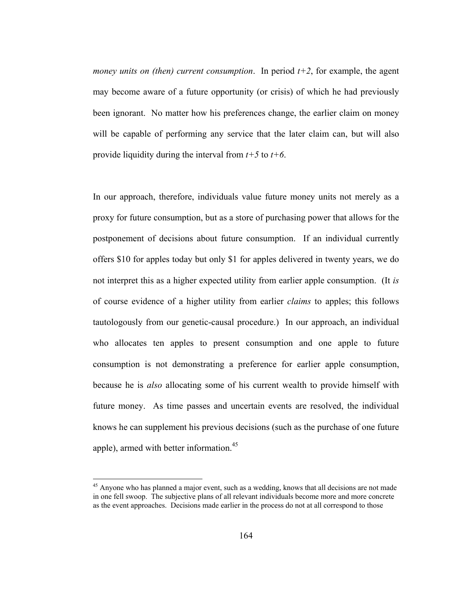*money units on (then) current consumption.* In period  $t+2$ , for example, the agent may become aware of a future opportunity (or crisis) of which he had previously been ignorant. No matter how his preferences change, the earlier claim on money will be capable of performing any service that the later claim can, but will also provide liquidity during the interval from *t+5* to *t+6*.

In our approach, therefore, individuals value future money units not merely as a proxy for future consumption, but as a store of purchasing power that allows for the postponement of decisions about future consumption. If an individual currently offers \$10 for apples today but only \$1 for apples delivered in twenty years, we do not interpret this as a higher expected utility from earlier apple consumption. (It *is* of course evidence of a higher utility from earlier *claims* to apples; this follows tautologously from our genetic-causal procedure.) In our approach, an individual who allocates ten apples to present consumption and one apple to future consumption is not demonstrating a preference for earlier apple consumption, because he is *also* allocating some of his current wealth to provide himself with future money. As time passes and uncertain events are resolved, the individual knows he can supplement his previous decisions (such as the purchase of one future apple), armed with better information.<sup>45</sup>

<sup>&</sup>lt;sup>45</sup> Anyone who has planned a major event, such as a wedding, knows that all decisions are not made in one fell swoop. The subjective plans of all relevant individuals become more and more concrete as the event approaches. Decisions made earlier in the process do not at all correspond to those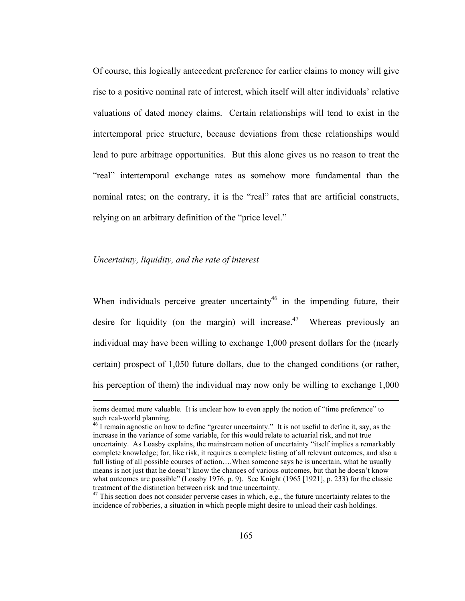Of course, this logically antecedent preference for earlier claims to money will give rise to a positive nominal rate of interest, which itself will alter individuals' relative valuations of dated money claims. Certain relationships will tend to exist in the intertemporal price structure, because deviations from these relationships would lead to pure arbitrage opportunities. But this alone gives us no reason to treat the "real" intertemporal exchange rates as somehow more fundamental than the nominal rates; on the contrary, it is the "real" rates that are artificial constructs, relying on an arbitrary definition of the "price level."

#### *Uncertainty, liquidity, and the rate of interest*

When individuals perceive greater uncertainty<sup>46</sup> in the impending future, their desire for liquidity (on the margin) will increase.<sup>47</sup> Whereas previously an individual may have been willing to exchange 1,000 present dollars for the (nearly certain) prospect of 1,050 future dollars, due to the changed conditions (or rather, his perception of them) the individual may now only be willing to exchange 1,000

items deemed more valuable. It is unclear how to even apply the notion of "time preference" to such real-world planning.

<sup>&</sup>lt;sup>46</sup> I remain agnostic on how to define "greater uncertainty." It is not useful to define it, say, as the increase in the variance of some variable, for this would relate to actuarial risk, and not true uncertainty. As Loasby explains, the mainstream notion of uncertainty "itself implies a remarkably complete knowledge; for, like risk, it requires a complete listing of all relevant outcomes, and also a full listing of all possible courses of action....When someone says he is uncertain, what he usually means is not just that he doesn't know the chances of various outcomes, but that he doesn't know what outcomes are possible" (Loasby 1976, p. 9). See Knight (1965 [1921], p. 233) for the classic treatment of the distinction between risk and true uncertainty.

<sup>&</sup>lt;sup>47</sup> This section does not consider perverse cases in which, e.g., the future uncertainty relates to the incidence of robberies, a situation in which people might desire to unload their cash holdings.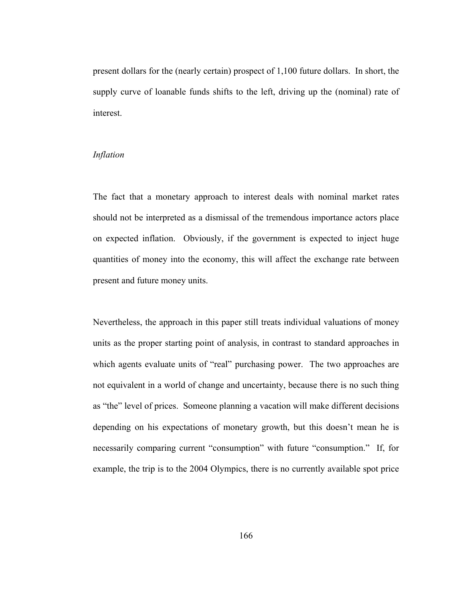present dollars for the (nearly certain) prospect of 1,100 future dollars. In short, the supply curve of loanable funds shifts to the left, driving up the (nominal) rate of interest.

## *Inflation*

The fact that a monetary approach to interest deals with nominal market rates should not be interpreted as a dismissal of the tremendous importance actors place on expected inflation. Obviously, if the government is expected to inject huge quantities of money into the economy, this will affect the exchange rate between present and future money units.

Nevertheless, the approach in this paper still treats individual valuations of money units as the proper starting point of analysis, in contrast to standard approaches in which agents evaluate units of "real" purchasing power. The two approaches are not equivalent in a world of change and uncertainty, because there is no such thing as "the" level of prices. Someone planning a vacation will make different decisions depending on his expectations of monetary growth, but this doesn't mean he is necessarily comparing current "consumption" with future "consumption." If, for example, the trip is to the 2004 Olympics, there is no currently available spot price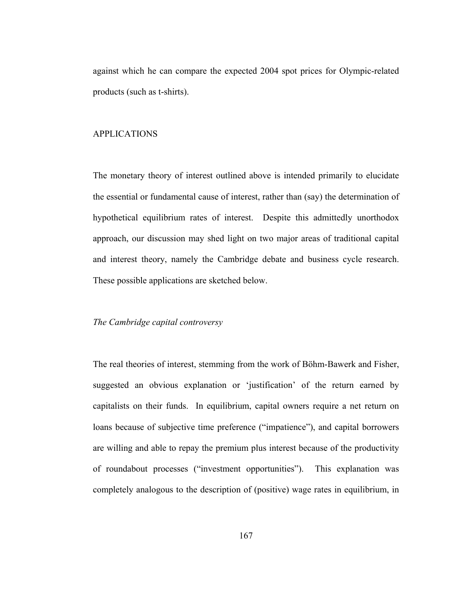against which he can compare the expected 2004 spot prices for Olympic-related products (such as t-shirts).

# APPLICATIONS

The monetary theory of interest outlined above is intended primarily to elucidate the essential or fundamental cause of interest, rather than (say) the determination of hypothetical equilibrium rates of interest. Despite this admittedly unorthodox approach, our discussion may shed light on two major areas of traditional capital and interest theory, namely the Cambridge debate and business cycle research. These possible applications are sketched below.

## *The Cambridge capital controversy*

The real theories of interest, stemming from the work of Böhm-Bawerk and Fisher, suggested an obvious explanation or 'justification' of the return earned by capitalists on their funds. In equilibrium, capital owners require a net return on loans because of subjective time preference ("impatience"), and capital borrowers are willing and able to repay the premium plus interest because of the productivity of roundabout processes ("investment opportunities"). This explanation was completely analogous to the description of (positive) wage rates in equilibrium, in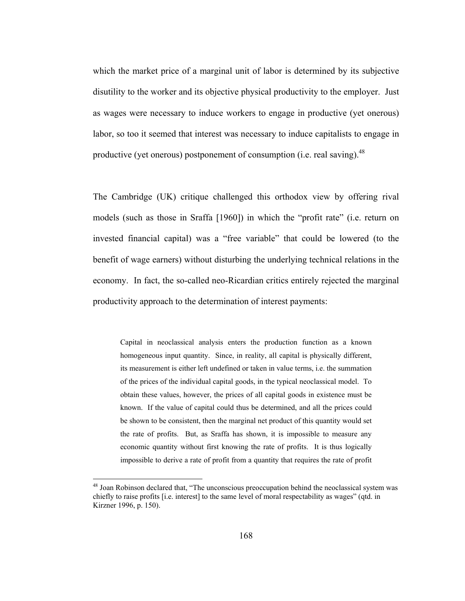which the market price of a marginal unit of labor is determined by its subjective disutility to the worker and its objective physical productivity to the employer. Just as wages were necessary to induce workers to engage in productive (yet onerous) labor, so too it seemed that interest was necessary to induce capitalists to engage in productive (yet onerous) postponement of consumption (i.e. real saving).  $48$ 

The Cambridge (UK) critique challenged this orthodox view by offering rival models (such as those in Sraffa [1960]) in which the "profit rate" (i.e. return on invested financial capital) was a "free variable" that could be lowered (to the benefit of wage earners) without disturbing the underlying technical relations in the economy. In fact, the so-called neo-Ricardian critics entirely rejected the marginal productivity approach to the determination of interest payments:

Capital in neoclassical analysis enters the production function as a known homogeneous input quantity. Since, in reality, all capital is physically different, its measurement is either left undefined or taken in value terms, i.e. the summation of the prices of the individual capital goods, in the typical neoclassical model. To obtain these values, however, the prices of all capital goods in existence must be known. If the value of capital could thus be determined, and all the prices could be shown to be consistent, then the marginal net product of this quantity would set the rate of profits. But, as Sraffa has shown, it is impossible to measure any economic quantity without first knowing the rate of profits. It is thus logically impossible to derive a rate of profit from a quantity that requires the rate of profit

<sup>&</sup>lt;sup>48</sup> Joan Robinson declared that, "The unconscious preoccupation behind the neoclassical system was chiefly to raise profits [i.e. interest] to the same level of moral respectability as wages" (qtd. in Kirzner 1996, p. 150).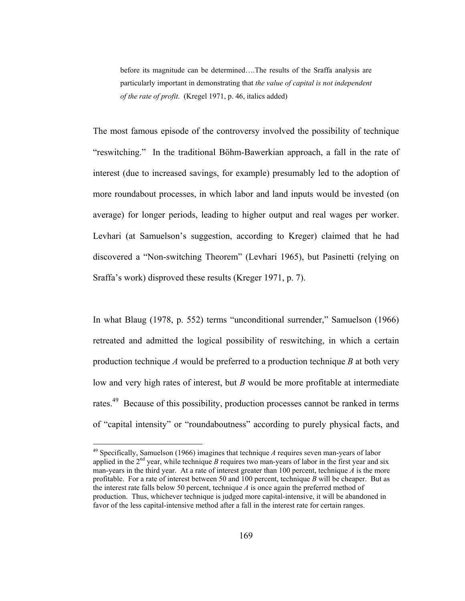before its magnitude can be determined….The results of the Sraffa analysis are particularly important in demonstrating that *the value of capital is not independent of the rate of profit*. (Kregel 1971, p. 46, italics added)

The most famous episode of the controversy involved the possibility of technique "reswitching." In the traditional Böhm-Bawerkian approach, a fall in the rate of interest (due to increased savings, for example) presumably led to the adoption of more roundabout processes, in which labor and land inputs would be invested (on average) for longer periods, leading to higher output and real wages per worker. Levhari (at Samuelson's suggestion, according to Kreger) claimed that he had discovered a "Non-switching Theorem" (Levhari 1965), but Pasinetti (relying on Sraffa's work) disproved these results (Kreger 1971, p. 7).

In what Blaug (1978, p. 552) terms "unconditional surrender," Samuelson (1966) retreated and admitted the logical possibility of reswitching, in which a certain production technique *A* would be preferred to a production technique *B* at both very low and very high rates of interest, but *B* would be more profitable at intermediate rates.<sup>49</sup> Because of this possibility, production processes cannot be ranked in terms of "capital intensity" or "roundaboutness" according to purely physical facts, and

<sup>49</sup> Specifically, Samuelson (1966) imagines that technique *A* requires seven man-years of labor applied in the  $2<sup>nd</sup>$  year, while technique *B* requires two man-years of labor in the first year and six man-years in the third year. At a rate of interest greater than 100 percent, technique *A* is the more profitable. For a rate of interest between 50 and 100 percent, technique *B* will be cheaper. But as the interest rate falls below 50 percent, technique *A* is once again the preferred method of production. Thus, whichever technique is judged more capital-intensive, it will be abandoned in favor of the less capital-intensive method after a fall in the interest rate for certain ranges.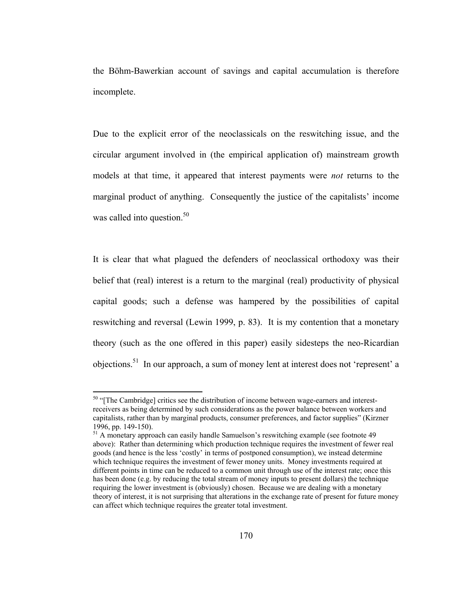the Böhm-Bawerkian account of savings and capital accumulation is therefore incomplete.

Due to the explicit error of the neoclassicals on the reswitching issue, and the circular argument involved in (the empirical application of) mainstream growth models at that time, it appeared that interest payments were *not* returns to the marginal product of anything. Consequently the justice of the capitalists' income was called into question. $50$ 

It is clear that what plagued the defenders of neoclassical orthodoxy was their belief that (real) interest is a return to the marginal (real) productivity of physical capital goods; such a defense was hampered by the possibilities of capital reswitching and reversal (Lewin 1999, p. 83). It is my contention that a monetary theory (such as the one offered in this paper) easily sidesteps the neo-Ricardian objections.51 In our approach, a sum of money lent at interest does not 'represent' a

<sup>&</sup>lt;sup>50</sup> "[The Cambridge] critics see the distribution of income between wage-earners and interestreceivers as being determined by such considerations as the power balance between workers and capitalists, rather than by marginal products, consumer preferences, and factor supplies" (Kirzner 1996, pp. 149-150).

<sup>&</sup>lt;sup>51</sup> A monetary approach can easily handle Samuelson's reswitching example (see footnote 49 above): Rather than determining which production technique requires the investment of fewer real goods (and hence is the less 'costly' in terms of postponed consumption), we instead determine which technique requires the investment of fewer money units. Money investments required at different points in time can be reduced to a common unit through use of the interest rate; once this has been done (e.g. by reducing the total stream of money inputs to present dollars) the technique requiring the lower investment is (obviously) chosen. Because we are dealing with a monetary theory of interest, it is not surprising that alterations in the exchange rate of present for future money can affect which technique requires the greater total investment.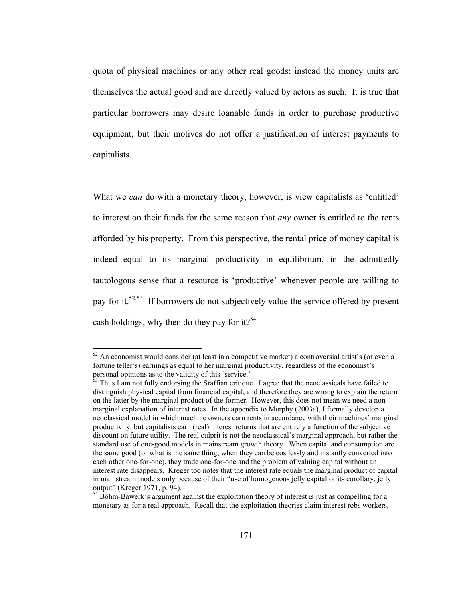quota of physical machines or any other real goods; instead the money units are themselves the actual good and are directly valued by actors as such. It is true that particular borrowers may desire loanable funds in order to purchase productive equipment, but their motives do not offer a justification of interest payments to capitalists.

What we *can* do with a monetary theory, however, is view capitalists as 'entitled' to interest on their funds for the same reason that *any* owner is entitled to the rents afforded by his property. From this perspective, the rental price of money capital is indeed equal to its marginal productivity in equilibrium, in the admittedly tautologous sense that a resource is 'productive' whenever people are willing to pay for it.52,53 If borrowers do not subjectively value the service offered by present cash holdings, why then do they pay for it?<sup>54</sup>

 $52$  An economist would consider (at least in a competitive market) a controversial artist's (or even a fortune teller's) earnings as equal to her marginal productivity, regardless of the economist's personal opinions as to the validity of this 'service.'

 $\frac{33}{10}$  Thus I am not fully endorsing the Sraffian critique. I agree that the neoclassicals have failed to distinguish physical capital from financial capital, and therefore they are wrong to explain the return on the latter by the marginal product of the former. However, this does not mean we need a nonmarginal explanation of interest rates. In the appendix to Murphy (2003a), I formally develop a neoclassical model in which machine owners earn rents in accordance with their machines' marginal productivity, but capitalists earn (real) interest returns that are entirely a function of the subjective discount on future utility. The real culprit is not the neoclassical's marginal approach, but rather the standard use of one-good models in mainstream growth theory. When capital and consumption are the same good (or what is the same thing, when they can be costlessly and instantly converted into each other one-for-one), they trade one-for-one and the problem of valuing capital without an interest rate disappears. Kreger too notes that the interest rate equals the marginal product of capital in mainstream models only because of their "use of homogenous jelly capital or its corollary, jelly output" (Kreger 1971, p. 94).

<sup>&</sup>lt;sup>54</sup> Böhm-Bawerk's argument against the exploitation theory of interest is just as compelling for a monetary as for a real approach. Recall that the exploitation theories claim interest robs workers,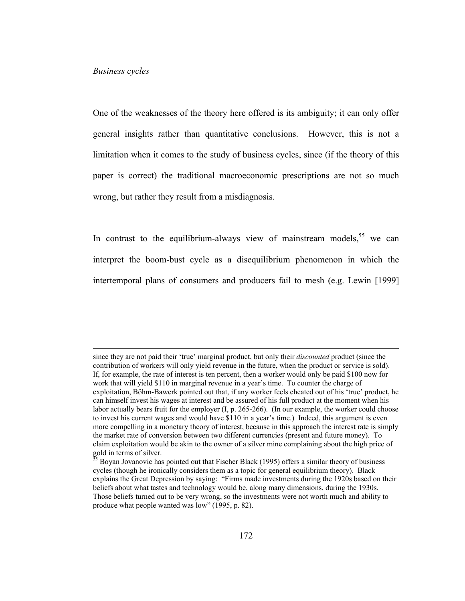One of the weaknesses of the theory here offered is its ambiguity; it can only offer general insights rather than quantitative conclusions. However, this is not a limitation when it comes to the study of business cycles, since (if the theory of this paper is correct) the traditional macroeconomic prescriptions are not so much wrong, but rather they result from a misdiagnosis.

In contrast to the equilibrium-always view of mainstream models,  $55$  we can interpret the boom-bust cycle as a disequilibrium phenomenon in which the intertemporal plans of consumers and producers fail to mesh (e.g. Lewin [1999]

since they are not paid their 'true' marginal product, but only their *discounted* product (since the contribution of workers will only yield revenue in the future, when the product or service is sold). If, for example, the rate of interest is ten percent, then a worker would only be paid \$100 now for work that will yield \$110 in marginal revenue in a year's time. To counter the charge of exploitation, Böhm-Bawerk pointed out that, if any worker feels cheated out of his 'true' product, he can himself invest his wages at interest and be assured of his full product at the moment when his labor actually bears fruit for the employer (I, p. 265-266). (In our example, the worker could choose to invest his current wages and would have \$110 in a year's time.) Indeed, this argument is even more compelling in a monetary theory of interest, because in this approach the interest rate is simply the market rate of conversion between two different currencies (present and future money). To claim exploitation would be akin to the owner of a silver mine complaining about the high price of gold in terms of silver.

 $\frac{55}{25}$  Boyan Jovanovic has pointed out that Fischer Black (1995) offers a similar theory of business cycles (though he ironically considers them as a topic for general equilibrium theory). Black explains the Great Depression by saying: "Firms made investments during the 1920s based on their beliefs about what tastes and technology would be, along many dimensions, during the 1930s. Those beliefs turned out to be very wrong, so the investments were not worth much and ability to produce what people wanted was low" (1995, p. 82).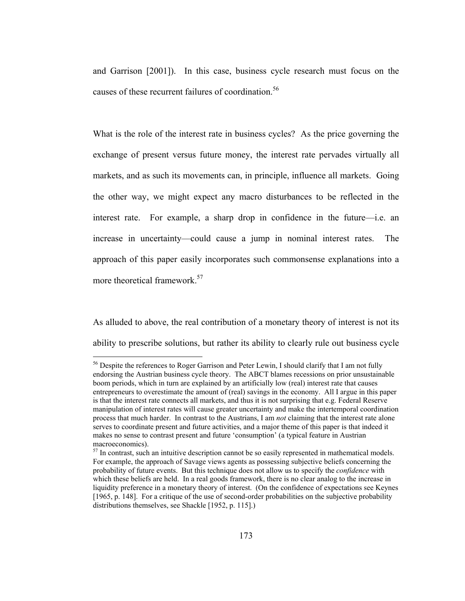and Garrison [2001]). In this case, business cycle research must focus on the causes of these recurrent failures of coordination.<sup>56</sup>

What is the role of the interest rate in business cycles? As the price governing the exchange of present versus future money, the interest rate pervades virtually all markets, and as such its movements can, in principle, influence all markets. Going the other way, we might expect any macro disturbances to be reflected in the interest rate. For example, a sharp drop in confidence in the future—i.e. an increase in uncertainty—could cause a jump in nominal interest rates. The approach of this paper easily incorporates such commonsense explanations into a more theoretical framework.<sup>57</sup>

As alluded to above, the real contribution of a monetary theory of interest is not its ability to prescribe solutions, but rather its ability to clearly rule out business cycle

 $\overline{a}$ 

<sup>&</sup>lt;sup>56</sup> Despite the references to Roger Garrison and Peter Lewin, I should clarify that I am not fully endorsing the Austrian business cycle theory. The ABCT blames recessions on prior unsustainable boom periods, which in turn are explained by an artificially low (real) interest rate that causes entrepreneurs to overestimate the amount of (real) savings in the economy. All I argue in this paper is that the interest rate connects all markets, and thus it is not surprising that e.g. Federal Reserve manipulation of interest rates will cause greater uncertainty and make the intertemporal coordination process that much harder. In contrast to the Austrians, I am *not* claiming that the interest rate alone serves to coordinate present and future activities, and a major theme of this paper is that indeed it makes no sense to contrast present and future 'consumption' (a typical feature in Austrian macroeconomics).

 $57$  In contrast, such an intuitive description cannot be so easily represented in mathematical models. For example, the approach of Savage views agents as possessing subjective beliefs concerning the probability of future events. But this technique does not allow us to specify the *confidence* with which these beliefs are held. In a real goods framework, there is no clear analog to the increase in liquidity preference in a monetary theory of interest. (On the confidence of expectations see Keynes [1965, p. 148]. For a critique of the use of second-order probabilities on the subjective probability distributions themselves, see Shackle [1952, p. 115].)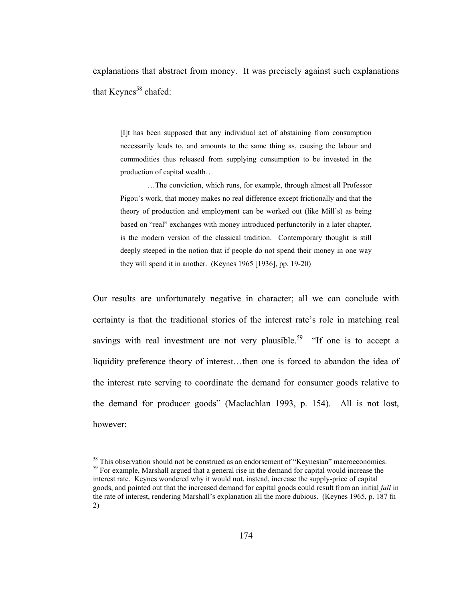explanations that abstract from money. It was precisely against such explanations that Keynes<sup>58</sup> chafed:

[I]t has been supposed that any individual act of abstaining from consumption necessarily leads to, and amounts to the same thing as, causing the labour and commodities thus released from supplying consumption to be invested in the production of capital wealth…

 …The conviction, which runs, for example, through almost all Professor Pigou's work, that money makes no real difference except frictionally and that the theory of production and employment can be worked out (like Mill's) as being based on "real" exchanges with money introduced perfunctorily in a later chapter, is the modern version of the classical tradition. Contemporary thought is still deeply steeped in the notion that if people do not spend their money in one way they will spend it in another. (Keynes 1965 [1936], pp. 19-20)

Our results are unfortunately negative in character; all we can conclude with certainty is that the traditional stories of the interest rate's role in matching real savings with real investment are not very plausible.<sup>59</sup> "If one is to accept a liquidity preference theory of interest…then one is forced to abandon the idea of the interest rate serving to coordinate the demand for consumer goods relative to the demand for producer goods" (Maclachlan 1993, p. 154). All is not lost, however:

<sup>&</sup>lt;sup>58</sup> This observation should not be construed as an endorsement of "Keynesian" macroeconomics.  $<sup>59</sup>$  For example, Marshall argued that a general rise in the demand for capital would increase the</sup> interest rate. Keynes wondered why it would not, instead, increase the supply-price of capital goods, and pointed out that the increased demand for capital goods could result from an initial *fall* in the rate of interest, rendering Marshall's explanation all the more dubious. (Keynes 1965, p. 187 fn 2)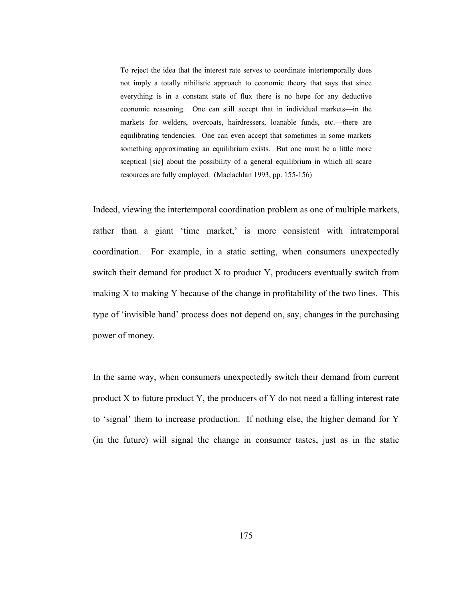To reject the idea that the interest rate serves to coordinate intertemporally does not imply a totally nihilistic approach to economic theory that says that since everything is in a constant state of flux there is no hope for any deductive economic reasoning. One can still accept that in individual markets—in the markets for welders, overcoats, hairdressers, loanable funds, etc.—there are equilibrating tendencies. One can even accept that sometimes in some markets something approximating an equilibrium exists. But one must be a little more sceptical [sic] about the possibility of a general equilibrium in which all scare resources are fully employed. (Maclachlan 1993, pp. 155-156)

Indeed, viewing the intertemporal coordination problem as one of multiple markets, rather than a giant 'time market,' is more consistent with intratemporal coordination. For example, in a static setting, when consumers unexpectedly switch their demand for product X to product Y, producers eventually switch from making X to making Y because of the change in profitability of the two lines. This type of 'invisible hand' process does not depend on, say, changes in the purchasing power of money.

In the same way, when consumers unexpectedly switch their demand from current product X to future product Y, the producers of Y do not need a falling interest rate to 'signal' them to increase production. If nothing else, the higher demand for Y (in the future) will signal the change in consumer tastes, just as in the static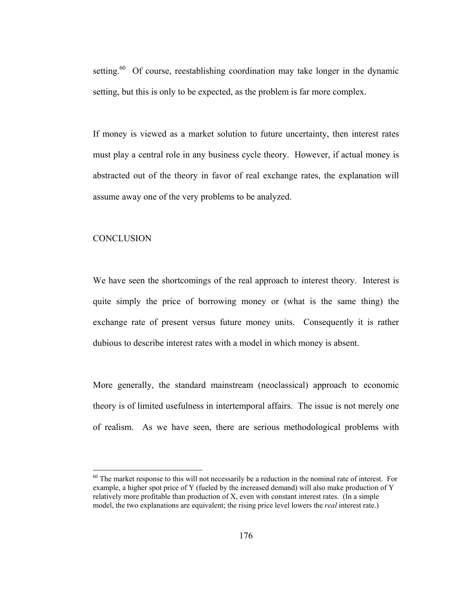setting. $60$  Of course, reestablishing coordination may take longer in the dynamic setting, but this is only to be expected, as the problem is far more complex.

If money is viewed as a market solution to future uncertainty, then interest rates must play a central role in any business cycle theory. However, if actual money is abstracted out of the theory in favor of real exchange rates, the explanation will assume away one of the very problems to be analyzed.

# **CONCLUSION**

 $\overline{a}$ 

We have seen the shortcomings of the real approach to interest theory. Interest is quite simply the price of borrowing money or (what is the same thing) the exchange rate of present versus future money units. Consequently it is rather dubious to describe interest rates with a model in which money is absent.

More generally, the standard mainstream (neoclassical) approach to economic theory is of limited usefulness in intertemporal affairs. The issue is not merely one of realism. As we have seen, there are serious methodological problems with

 $60$  The market response to this will not necessarily be a reduction in the nominal rate of interest. For example, a higher spot price of Y (fueled by the increased demand) will also make production of Y relatively more profitable than production of X, even with constant interest rates. (In a simple model, the two explanations are equivalent; the rising price level lowers the *real* interest rate.)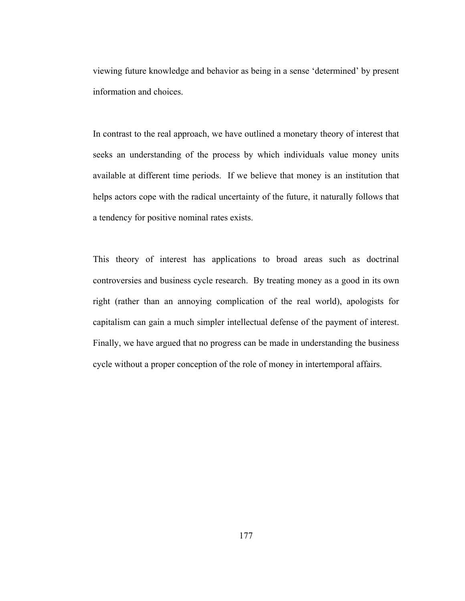viewing future knowledge and behavior as being in a sense 'determined' by present information and choices.

In contrast to the real approach, we have outlined a monetary theory of interest that seeks an understanding of the process by which individuals value money units available at different time periods. If we believe that money is an institution that helps actors cope with the radical uncertainty of the future, it naturally follows that a tendency for positive nominal rates exists.

This theory of interest has applications to broad areas such as doctrinal controversies and business cycle research. By treating money as a good in its own right (rather than an annoying complication of the real world), apologists for capitalism can gain a much simpler intellectual defense of the payment of interest. Finally, we have argued that no progress can be made in understanding the business cycle without a proper conception of the role of money in intertemporal affairs.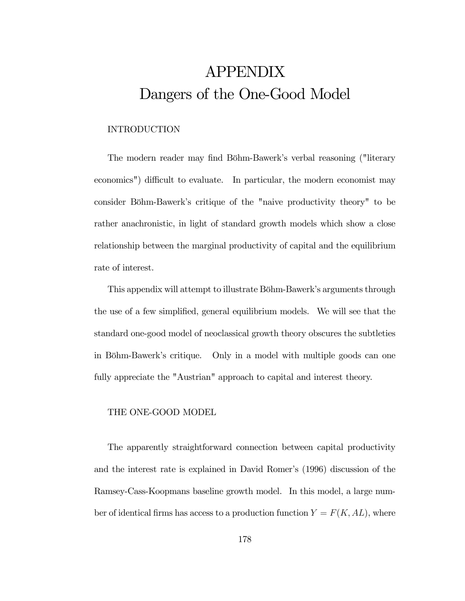# APPENDIX Dangers of the One-Good Model

# INTRODUCTION

The modern reader may find Böhm-Bawerk's verbal reasoning ("literary economics") difficult to evaluate. In particular, the modern economist may consider Böhm-Bawerk's critique of the "naive productivity theory" to be rather anachronistic, in light of standard growth models which show a close relationship between the marginal productivity of capital and the equilibrium rate of interest.

This appendix will attempt to illustrate Böhm-Bawerk's arguments through the use of a few simplified, general equilibrium models. We will see that the standard one-good model of neoclassical growth theory obscures the subtleties in Böhm-Bawerk's critique. Only in a model with multiple goods can one fully appreciate the "Austrian" approach to capital and interest theory.

## THE ONE-GOOD MODEL

The apparently straightforward connection between capital productivity and the interest rate is explained in David Romer's (1996) discussion of the Ramsey-Cass-Koopmans baseline growth model. In this model, a large number of identical firms has access to a production function  $Y = F(K, AL)$ , where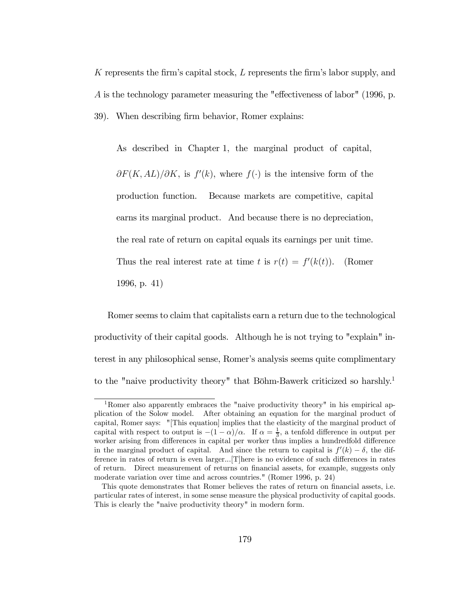K represents the firm's capital stock, L represents the firm's labor supply, and A is the technology parameter measuring the "effectiveness of labor" (1996, p. 39). When describing firm behavior, Romer explains:

As described in Chapter 1, the marginal product of capital,  $\partial F(K, AL)/\partial K$ , is  $f'(k)$ , where  $f(\cdot)$  is the intensive form of the production function. Because markets are competitive, capital earns its marginal product. And because there is no depreciation, the real rate of return on capital equals its earnings per unit time. Thus the real interest rate at time t is  $r(t) = f'(k(t))$ . (Romer 1996, p. 41)

Romer seems to claim that capitalists earn a return due to the technological productivity of their capital goods. Although he is not trying to "explain" interest in any philosophical sense, Romer's analysis seems quite complimentary to the "naive productivity theory" that Böhm-Bawerk criticized so harshly.1

<sup>&</sup>lt;sup>1</sup>Romer also apparently embraces the "naive productivity theory" in his empirical application of the Solow model. After obtaining an equation for the marginal product of capital, Romer says: "[This equation] implies that the elasticity of the marginal product of capital with respect to output is  $-(1 - \alpha)/\alpha$ . If  $\alpha = \frac{1}{3}$ , a tenfold difference in output per worker arising from differences in capital per worker thus implies a hundredfold difference in the marginal product of capital. And since the return to capital is  $f'(k) - \delta$ , the difference in rates of return is even larger...[T]here is no evidence of such differences in rates of return. Direct measurement of returns on financial assets, for example, suggests only moderate variation over time and across countries." (Romer 1996, p. 24)

This quote demonstrates that Romer believes the rates of return on financial assets, i.e. particular rates of interest, in some sense measure the physical productivity of capital goods. This is clearly the "naive productivity theory" in modern form.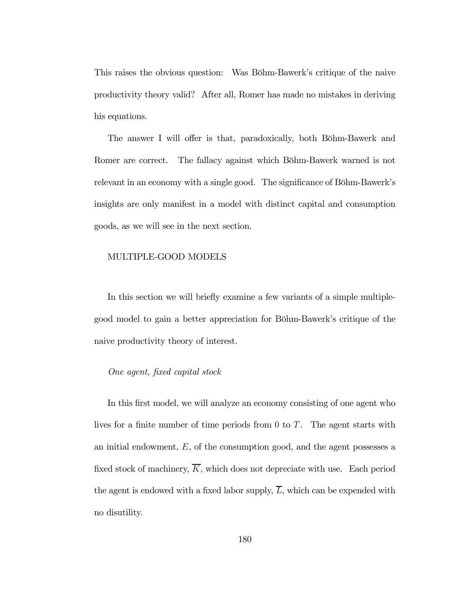This raises the obvious question: Was Böhm-Bawerk's critique of the naive productivity theory valid? After all, Romer has made no mistakes in deriving his equations.

The answer I will offer is that, paradoxically, both Böhm-Bawerk and Romer are correct. The fallacy against which Böhm-Bawerk warned is not relevant in an economy with a single good. The significance of Böhm-Bawerk's insights are only manifest in a model with distinct capital and consumption goods, as we will see in the next section.

### MULTIPLE-GOOD MODELS

In this section we will briefly examine a few variants of a simple multiplegood model to gain a better appreciation for Böhm-Bawerk's critique of the naive productivity theory of interest.

### One agent, fixed capital stock

In this first model, we will analyze an economy consisting of one agent who lives for a finite number of time periods from 0 to T. The agent starts with an initial endowment,  $E$ , of the consumption good, and the agent possesses a fixed stock of machinery,  $\overline{K}$ , which does not depreciate with use. Each period the agent is endowed with a fixed labor supply,  $\overline{L}$ , which can be expended with no disutility.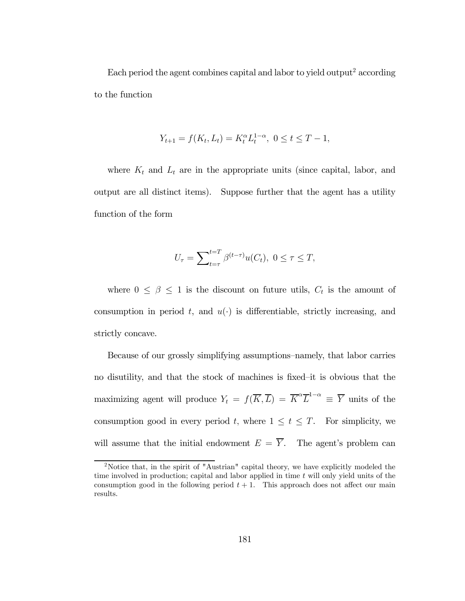Each period the agent combines capital and labor to yield output<sup>2</sup> according to the function

$$
Y_{t+1} = f(K_t, L_t) = K_t^{\alpha} L_t^{1-\alpha}, \ 0 \le t \le T - 1,
$$

where  $K_t$  and  $L_t$  are in the appropriate units (since capital, labor, and output are all distinct items). Suppose further that the agent has a utility function of the form

$$
U_{\tau} = \sum_{t=\tau}^{t=T} \beta^{(t-\tau)} u(C_t), \ 0 \le \tau \le T,
$$

where  $0 \leq \beta \leq 1$  is the discount on future utils,  $C_t$  is the amount of consumption in period t, and  $u(\cdot)$  is differentiable, strictly increasing, and strictly concave.

Because of our grossly simplifying assumptions—namely, that labor carries no disutility, and that the stock of machines is fixed—it is obvious that the maximizing agent will produce  $Y_t = f(\overline{K}, \overline{L}) = \overline{K}^{\alpha} \overline{L}^{1-\alpha} \equiv \overline{Y}$  units of the consumption good in every period t, where  $1 \leq t \leq T$ . For simplicity, we will assume that the initial endowment  $E = \overline{Y}$ . The agent's problem can

<sup>&</sup>lt;sup>2</sup>Notice that, in the spirit of "Austrian" capital theory, we have explicitly modeled the time involved in production; capital and labor applied in time  $t$  will only yield units of the consumption good in the following period  $t + 1$ . This approach does not affect our main results.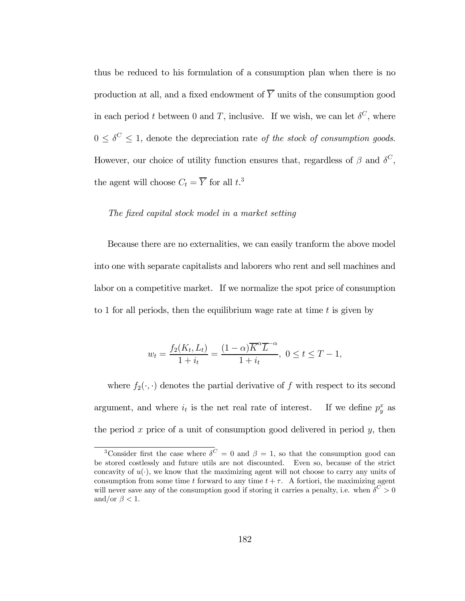thus be reduced to his formulation of a consumption plan when there is no production at all, and a fixed endowment of  $\overline{Y}$  units of the consumption good in each period t between 0 and T, inclusive. If we wish, we can let  $\delta^C$ , where  $0 \leq \delta^C \leq 1$ , denote the depreciation rate of the stock of consumption goods. However, our choice of utility function ensures that, regardless of  $\beta$  and  $\delta^C$ , the agent will choose  $C_t = \overline{Y}$  for all  $t^3$ .

## The fixed capital stock model in a market setting

Because there are no externalities, we can easily tranform the above model into one with separate capitalists and laborers who rent and sell machines and labor on a competitive market. If we normalize the spot price of consumption to 1 for all periods, then the equilibrium wage rate at time  $t$  is given by

$$
w_t = \frac{f_2(K_t, L_t)}{1 + i_t} = \frac{(1 - \alpha)\overline{K}^{\alpha}\overline{L}^{-\alpha}}{1 + i_t}, \ 0 \le t \le T - 1,
$$

where  $f_2(\cdot, \cdot)$  denotes the partial derivative of f with respect to its second argument, and where  $i_t$  is the net real rate of interest. If we define  $p_y^x$  as the period  $x$  price of a unit of consumption good delivered in period  $y$ , then

<sup>&</sup>lt;sup>3</sup>Consider first the case where  $\delta^C = 0$  and  $\beta = 1$ , so that the consumption good can be stored costlessly and future utils are not discounted. Even so, because of the strict concavity of  $u(\cdot)$ , we know that the maximizing agent will not choose to carry any units of consumption from some time t forward to any time  $t + \tau$ . A fortiori, the maximizing agent will never save any of the consumption good if storing it carries a penalty, i.e. when  $\delta^C > 0$ and/or  $\beta < 1$ .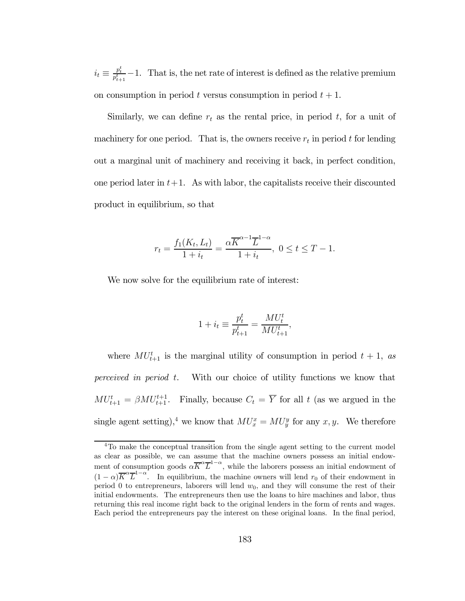$i_t \equiv \frac{p_t^t}{p_{t+1}^t} - 1$ . That is, the net rate of interest is defined as the relative premium on consumption in period t versus consumption in period  $t + 1$ .

Similarly, we can define  $r_t$  as the rental price, in period t, for a unit of machinery for one period. That is, the owners receive  $r_t$  in period t for lending out a marginal unit of machinery and receiving it back, in perfect condition, one period later in  $t+1$ . As with labor, the capitalists receive their discounted product in equilibrium, so that

$$
r_{t} = \frac{f_{1}(K_{t}, L_{t})}{1 + i_{t}} = \frac{\alpha \overline{K}^{\alpha - 1} \overline{L}^{1 - \alpha}}{1 + i_{t}}, \ 0 \leq t \leq T - 1.
$$

We now solve for the equilibrium rate of interest:

$$
1 + i_t \equiv \frac{p_t^t}{p_{t+1}^t} = \frac{MU_t^t}{MU_{t+1}^t},
$$

where  $MU_{t+1}^t$  is the marginal utility of consumption in period  $t + 1$ , as perceived in period t. With our choice of utility functions we know that  $MU_{t+1}^t = \beta MU_{t+1}^{t+1}$ . Finally, because  $C_t = \overline{Y}$  for all t (as we argued in the single agent setting),<sup>4</sup> we know that  $MU_x^x = MU_y^y$  for any x, y. We therefore

<sup>&</sup>lt;sup>4</sup>To make the conceptual transition from the single agent setting to the current model as clear as possible, we can assume that the machine owners possess an initial endowment of consumption goods  $\alpha \overline{K}^{\alpha} \overline{L}^{1-\alpha}$ , while the laborers possess an initial endowment of  $(1-\alpha)\overline{K}^{\alpha}\overline{L}^{1-\alpha}$ . In equilibrium, the machine owners will lend  $r_0$  of their endowment in period 0 to entrepreneurs, laborers will lend  $w_0$ , and they will consume the rest of their initial endowments. The entrepreneurs then use the loans to hire machines and labor, thus returning this real income right back to the original lenders in the form of rents and wages. Each period the entrepreneurs pay the interest on these original loans. In the final period,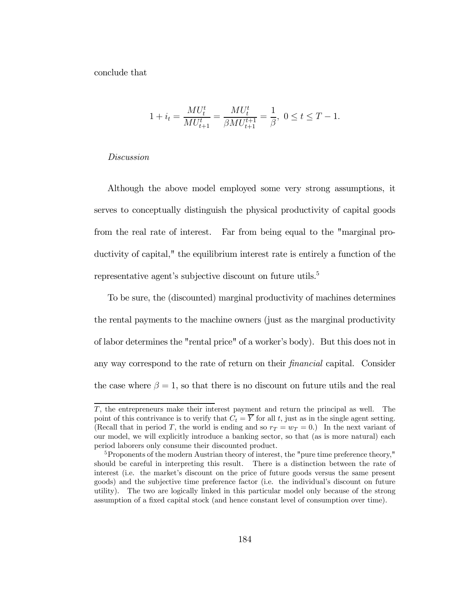conclude that

$$
1 + i_t = \frac{M U_t^t}{M U_{t+1}^t} = \frac{M U_t^t}{\beta M U_{t+1}^{t+1}} = \frac{1}{\beta}, \ 0 \le t \le T - 1.
$$

#### Discussion

Although the above model employed some very strong assumptions, it serves to conceptually distinguish the physical productivity of capital goods from the real rate of interest. Far from being equal to the "marginal productivity of capital," the equilibrium interest rate is entirely a function of the representative agent's subjective discount on future utils.<sup>5</sup>

To be sure, the (discounted) marginal productivity of machines determines the rental payments to the machine owners (just as the marginal productivity of labor determines the "rental price" of a worker's body). But this does not in any way correspond to the rate of return on their financial capital. Consider the case where  $\beta = 1$ , so that there is no discount on future utils and the real

T, the entrepreneurs make their interest payment and return the principal as well. The point of this contrivance is to verify that  $C_t = \overline{Y}$  for all t, just as in the single agent setting. (Recall that in period T, the world is ending and so  $r_T = w_T = 0$ .) In the next variant of our model, we will explicitly introduce a banking sector, so that (as is more natural) each period laborers only consume their discounted product.

 $5P$ roponents of the modern Austrian theory of interest, the "pure time preference theory," should be careful in interpreting this result. There is a distinction between the rate of interest (i.e. the market's discount on the price of future goods versus the same present goods) and the subjective time preference factor (i.e. the individual's discount on future utility). The two are logically linked in this particular model only because of the strong assumption of a fixed capital stock (and hence constant level of consumption over time).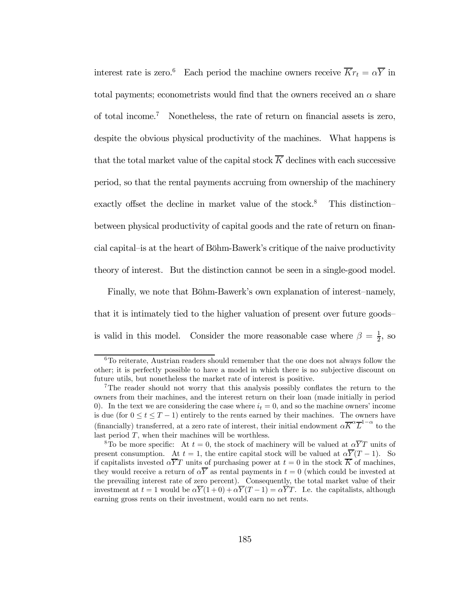interest rate is zero.<sup>6</sup> Each period the machine owners receive  $\overline{K}r_t = \alpha \overline{Y}$  in total payments; econometrists would find that the owners received an  $\alpha$  share of total income.7 Nonetheless, the rate of return on financial assets is zero, despite the obvious physical productivity of the machines. What happens is that the total market value of the capital stock  $\overline{K}$  declines with each successive period, so that the rental payments accruing from ownership of the machinery exactly offset the decline in market value of the stock.<sup>8</sup> This distinction– between physical productivity of capital goods and the rate of return on financial capital—is at the heart of Böhm-Bawerk's critique of the naive productivity theory of interest. But the distinction cannot be seen in a single-good model.

Finally, we note that Böhm-Bawerk's own explanation of interest—namely, that it is intimately tied to the higher valuation of present over future goods is valid in this model. Consider the more reasonable case where  $\beta = \frac{1}{2}$ , so

 $6T<sub>0</sub>$  reiterate, Austrian readers should remember that the one does not always follow the other; it is perfectly possible to have a model in which there is no subjective discount on future utils, but nonetheless the market rate of interest is positive.

<sup>7</sup>The reader should not worry that this analysis possibly conflates the return to the owners from their machines, and the interest return on their loan (made initially in period 0). In the text we are considering the case where  $i_t = 0$ , and so the machine owners' income is due (for  $0 \le t \le T-1$ ) entirely to the rents earned by their machines. The owners have (financially) transferred, at a zero rate of interest, their initial endowment  $\alpha \overline{K}^{\alpha} \overline{L}^{1-\alpha}$  to the last period  $T$ , when their machines will be worthless.

<sup>&</sup>lt;sup>8</sup>To be more specific: At  $t = 0$ , the stock of machinery will be valued at  $\alpha \overline{Y}T$  units of present consumption. At  $t = 1$ , the entire capital stock will be valued at  $\alpha \overline{Y}(T-1)$ . So if capitalists invested  $\alpha \overline{Y}T$  units of purchasing power at  $t = 0$  in the stock  $\overline{K}$  of machines, they would receive a return of  $\alpha \overline{Y}$  as rental payments in  $t = 0$  (which could be invested at the prevailing interest rate of zero percent). Consequently, the total market value of their investment at  $t = 1$  would be  $\alpha \overline{Y}(1+0) + \alpha \overline{Y}(T-1) = \alpha \overline{Y}T$ . I.e. the capitalists, although earning gross rents on their investment, would earn no net rents.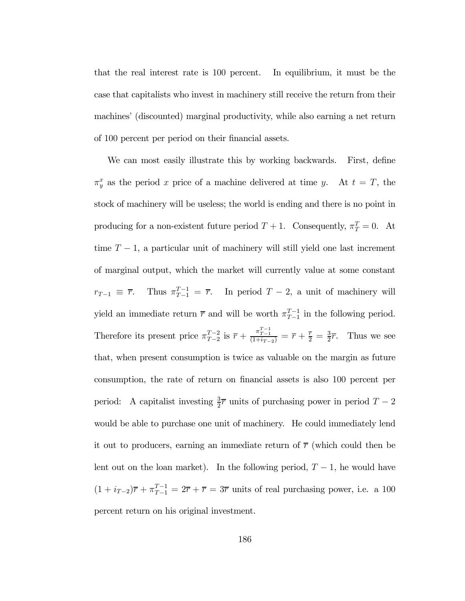that the real interest rate is 100 percent. In equilibrium, it must be the case that capitalists who invest in machinery still receive the return from their machines' (discounted) marginal productivity, while also earning a net return of 100 percent per period on their financial assets.

We can most easily illustrate this by working backwards. First, define  $\pi_y^x$  as the period x price of a machine delivered at time y. At  $t = T$ , the stock of machinery will be useless; the world is ending and there is no point in producing for a non-existent future period  $T + 1$ . Consequently,  $\pi_T^T = 0$ . At time  $T-1$ , a particular unit of machinery will still yield one last increment of marginal output, which the market will currently value at some constant  $r_{T-1} \equiv \overline{r}$ . Thus  $\pi_{T-1}^{T-1} = \overline{r}$ . In period  $T-2$ , a unit of machinery will yield an immediate return  $\bar{r}$  and will be worth  $\pi_{T-1}^{T-1}$  in the following period. Therefore its present price  $\pi_{T-2}^{T-2}$  is  $\overline{r} + \frac{\pi_{T-1}^{T-1}}{(1+i_{T-2})} = \overline{r} + \frac{\overline{r}}{2} = \frac{3}{2}\overline{r}$ . Thus we see that, when present consumption is twice as valuable on the margin as future consumption, the rate of return on financial assets is also 100 percent per period: A capitalist investing  $\frac{3}{2}\overline{r}$  units of purchasing power in period  $T-2$ would be able to purchase one unit of machinery. He could immediately lend it out to producers, earning an immediate return of  $\bar{r}$  (which could then be lent out on the loan market). In the following period,  $T-1$ , he would have  $(1 + i_{T-2})\overline{r} + \pi_{T-1}^{T-1} = 2\overline{r} + \overline{r} = 3\overline{r}$  units of real purchasing power, i.e. a 100 percent return on his original investment.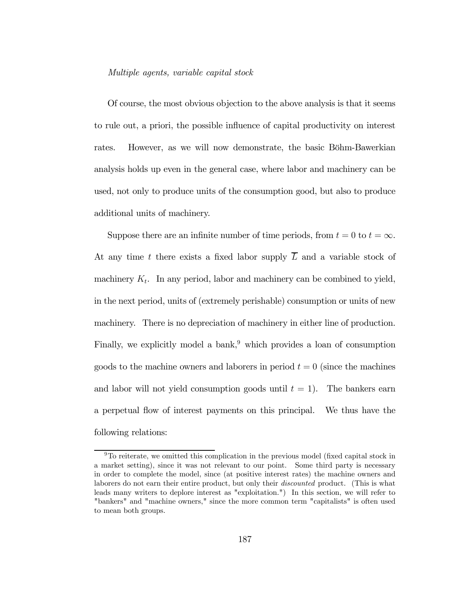#### Multiple agents, variable capital stock

Of course, the most obvious objection to the above analysis is that it seems to rule out, a priori, the possible influence of capital productivity on interest rates. However, as we will now demonstrate, the basic Böhm-Bawerkian analysis holds up even in the general case, where labor and machinery can be used, not only to produce units of the consumption good, but also to produce additional units of machinery.

Suppose there are an infinite number of time periods, from  $t = 0$  to  $t = \infty$ . At any time t there exists a fixed labor supply  $\overline{L}$  and a variable stock of machinery  $K_t$ . In any period, labor and machinery can be combined to yield, in the next period, units of (extremely perishable) consumption or units of new machinery. There is no depreciation of machinery in either line of production. Finally, we explicitly model a bank, $9$  which provides a loan of consumption goods to the machine owners and laborers in period  $t = 0$  (since the machines and labor will not yield consumption goods until  $t = 1$ . The bankers earn a perpetual flow of interest payments on this principal. We thus have the following relations:

<sup>&</sup>lt;sup>9</sup>To reiterate, we omitted this complication in the previous model (fixed capital stock in a market setting), since it was not relevant to our point. Some third party is necessary in order to complete the model, since (at positive interest rates) the machine owners and laborers do not earn their entire product, but only their *discounted* product. (This is what leads many writers to deplore interest as "exploitation.") In this section, we will refer to "bankers" and "machine owners," since the more common term "capitalists" is often used to mean both groups.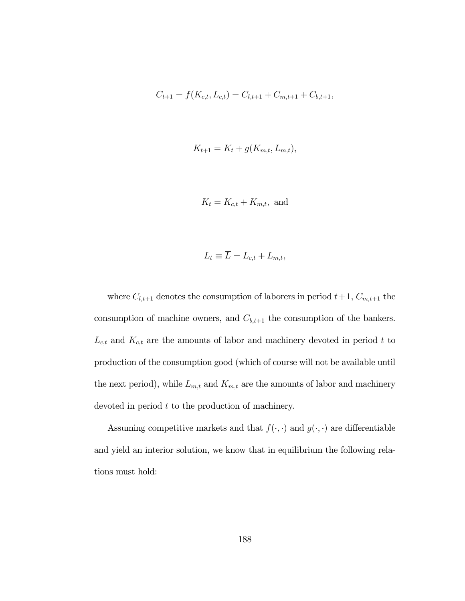$$
C_{t+1} = f(K_{c,t}, L_{c,t}) = C_{l,t+1} + C_{m,t+1} + C_{b,t+1},
$$

$$
K_{t+1} = K_t + g(K_{m,t}, L_{m,t}),
$$

$$
K_t = K_{c,t} + K_{m,t}, \text{ and}
$$

$$
L_t \equiv L = L_{c,t} + L_{m,t},
$$

where  $C_{l,t+1}$  denotes the consumption of laborers in period  $t+1$ ,  $C_{m,t+1}$  the consumption of machine owners, and  $C_{b,t+1}$  the consumption of the bankers.  $L_{c,t}$  and  $K_{c,t}$  are the amounts of labor and machinery devoted in period t to production of the consumption good (which of course will not be available until the next period), while  $L_{m,t}$  and  $K_{m,t}$  are the amounts of labor and machinery devoted in period  $t$  to the production of machinery.

Assuming competitive markets and that  $f(\cdot,\cdot)$  and  $g(\cdot,\cdot)$  are differentiable and yield an interior solution, we know that in equilibrium the following relations must hold: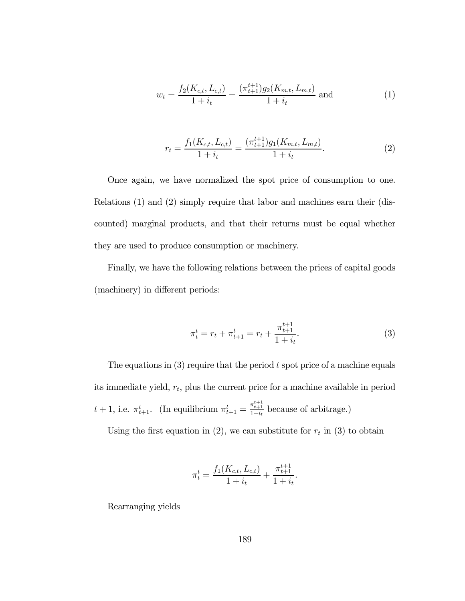$$
w_t = \frac{f_2(K_{c,t}, L_{c,t})}{1 + i_t} = \frac{(\pi_{t+1}^{t+1})g_2(K_{m,t}, L_{m,t})}{1 + i_t} \text{ and } (1)
$$

$$
r_{t} = \frac{f_{1}(K_{c,t}, L_{c,t})}{1 + i_{t}} = \frac{(\pi_{t+1}^{t+1})g_{1}(K_{m,t}, L_{m,t})}{1 + i_{t}}.
$$
\n(2)

Once again, we have normalized the spot price of consumption to one. Relations (1) and (2) simply require that labor and machines earn their (discounted) marginal products, and that their returns must be equal whether they are used to produce consumption or machinery.

Finally, we have the following relations between the prices of capital goods (machinery) in different periods:

$$
\pi_t^t = r_t + \pi_{t+1}^t = r_t + \frac{\pi_{t+1}^{t+1}}{1 + i_t}.\tag{3}
$$

The equations in  $(3)$  require that the period t spot price of a machine equals its immediate yield,  $r_t$ , plus the current price for a machine available in period  $t+1$ , i.e.  $\pi_{t+1}^t$ . (In equilibrium  $\pi_{t+1}^t = \frac{\pi_{t+1}^{t+1}}{1+i_t}$  because of arbitrage.)

Using the first equation in (2), we can substitute for  $r_t$  in (3) to obtain

$$
\pi_t^t = \frac{f_1(K_{c,t}, L_{c,t})}{1 + i_t} + \frac{\pi_{t+1}^{t+1}}{1 + i_t}.
$$

Rearranging yields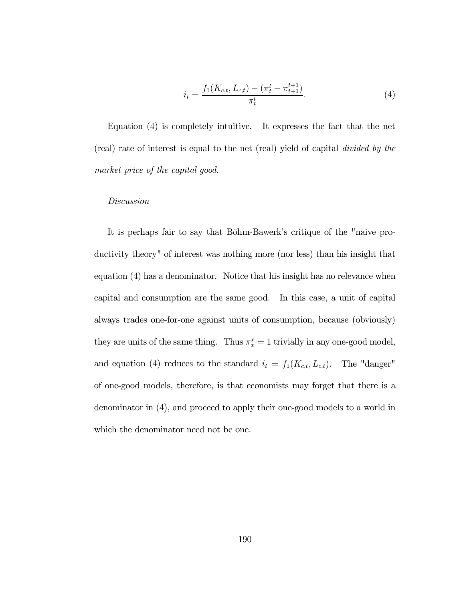$$
i_t = \frac{f_1(K_{c,t}, L_{c,t}) - (\pi_t^t - \pi_{t+1}^{t+1})}{\pi_t^t}.
$$
\n(4)

Equation (4) is completely intuitive. It expresses the fact that the net (real) rate of interest is equal to the net (real) yield of capital divided by the market price of the capital good.

#### Discussion

It is perhaps fair to say that Böhm-Bawerk's critique of the "naive productivity theory" of interest was nothing more (nor less) than his insight that equation (4) has a denominator. Notice that his insight has no relevance when capital and consumption are the same good. In this case, a unit of capital always trades one-for-one against units of consumption, because (obviously) they are units of the same thing. Thus  $\pi_x^x = 1$  trivially in any one-good model, and equation (4) reduces to the standard  $i_t = f_1(K_{c,t}, L_{c,t})$ . The "danger" of one-good models, therefore, is that economists may forget that there is a denominator in (4), and proceed to apply their one-good models to a world in which the denominator need not be one.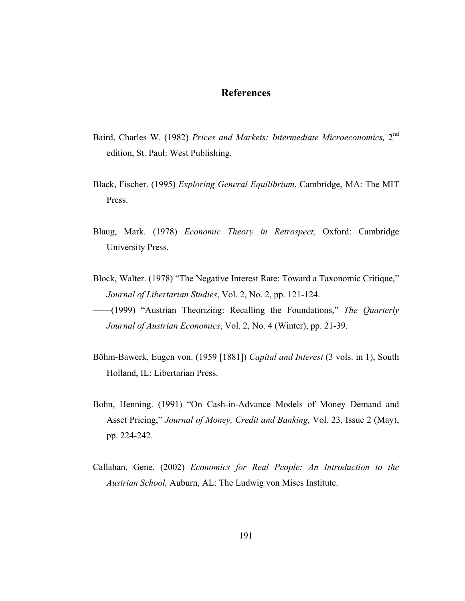# **References**

- Baird, Charles W. (1982) *Prices and Markets: Intermediate Microeconomics,* 2nd edition, St. Paul: West Publishing.
- Black, Fischer. (1995) *Exploring General Equilibrium*, Cambridge, MA: The MIT Press.
- Blaug, Mark. (1978) *Economic Theory in Retrospect,* Oxford: Cambridge University Press.
- Block, Walter. (1978) "The Negative Interest Rate: Toward a Taxonomic Critique," *Journal of Libertarian Studies*, Vol. 2, No. 2, pp. 121-124.
- ——(1999) "Austrian Theorizing: Recalling the Foundations," *The Quarterly Journal of Austrian Economics*, Vol. 2, No. 4 (Winter), pp. 21-39.
- Böhm-Bawerk, Eugen von. (1959 [1881]) *Capital and Interest* (3 vols. in 1), South Holland, IL: Libertarian Press.
- Bohn, Henning. (1991) "On Cash-in-Advance Models of Money Demand and Asset Pricing," *Journal of Money, Credit and Banking,* Vol. 23, Issue 2 (May), pp. 224-242.
- Callahan, Gene. (2002) *Economics for Real People: An Introduction to the Austrian School,* Auburn, AL: The Ludwig von Mises Institute.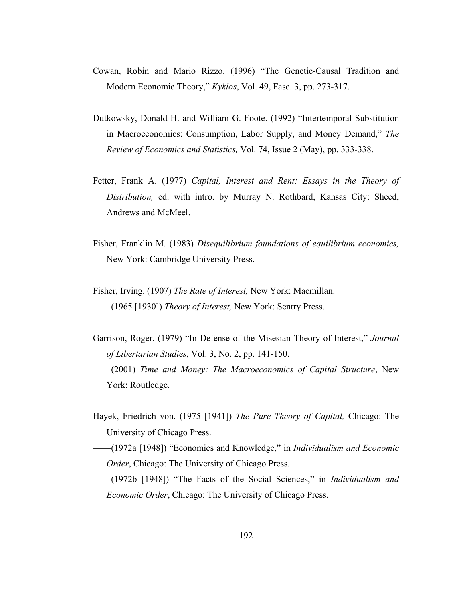- Cowan, Robin and Mario Rizzo. (1996) "The Genetic-Causal Tradition and Modern Economic Theory," *Kyklos*, Vol. 49, Fasc. 3, pp. 273-317.
- Dutkowsky, Donald H. and William G. Foote. (1992) "Intertemporal Substitution in Macroeconomics: Consumption, Labor Supply, and Money Demand," *The Review of Economics and Statistics,* Vol. 74, Issue 2 (May), pp. 333-338.
- Fetter, Frank A. (1977) *Capital, Interest and Rent: Essays in the Theory of Distribution,* ed. with intro. by Murray N. Rothbard, Kansas City: Sheed, Andrews and McMeel.
- Fisher, Franklin M. (1983) *Disequilibrium foundations of equilibrium economics,* New York: Cambridge University Press.

Fisher, Irving. (1907) *The Rate of Interest,* New York: Macmillan. ——(1965 [1930]) *Theory of Interest,* New York: Sentry Press.

- Garrison, Roger. (1979) "In Defense of the Misesian Theory of Interest," *Journal of Libertarian Studies*, Vol. 3, No. 2, pp. 141-150.
- ——(2001) *Time and Money: The Macroeconomics of Capital Structure*, New York: Routledge.
- Hayek, Friedrich von. (1975 [1941]) *The Pure Theory of Capital,* Chicago: The University of Chicago Press.
- ——(1972a [1948]) "Economics and Knowledge," in *Individualism and Economic Order*, Chicago: The University of Chicago Press.
- ——(1972b [1948]) "The Facts of the Social Sciences," in *Individualism and Economic Order*, Chicago: The University of Chicago Press.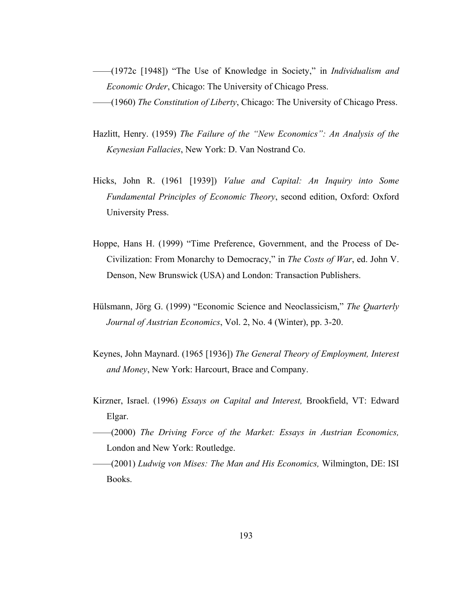- ——(1972c [1948]) "The Use of Knowledge in Society," in *Individualism and Economic Order*, Chicago: The University of Chicago Press. ——(1960) *The Constitution of Liberty*, Chicago: The University of Chicago Press.
- Hazlitt, Henry. (1959) *The Failure of the "New Economics": An Analysis of the Keynesian Fallacies*, New York: D. Van Nostrand Co.
- Hicks, John R. (1961 [1939]) *Value and Capital: An Inquiry into Some Fundamental Principles of Economic Theory*, second edition, Oxford: Oxford University Press.
- Hoppe, Hans H. (1999) "Time Preference, Government, and the Process of De-Civilization: From Monarchy to Democracy," in *The Costs of War*, ed. John V. Denson, New Brunswick (USA) and London: Transaction Publishers.
- Hülsmann, Jörg G. (1999) "Economic Science and Neoclassicism," *The Quarterly Journal of Austrian Economics*, Vol. 2, No. 4 (Winter), pp. 3-20.
- Keynes, John Maynard. (1965 [1936]) *The General Theory of Employment, Interest and Money*, New York: Harcourt, Brace and Company.
- Kirzner, Israel. (1996) *Essays on Capital and Interest,* Brookfield, VT: Edward Elgar.
- ——(2000) *The Driving Force of the Market: Essays in Austrian Economics,*  London and New York: Routledge.
- ——(2001) *Ludwig von Mises: The Man and His Economics,* Wilmington, DE: ISI Books.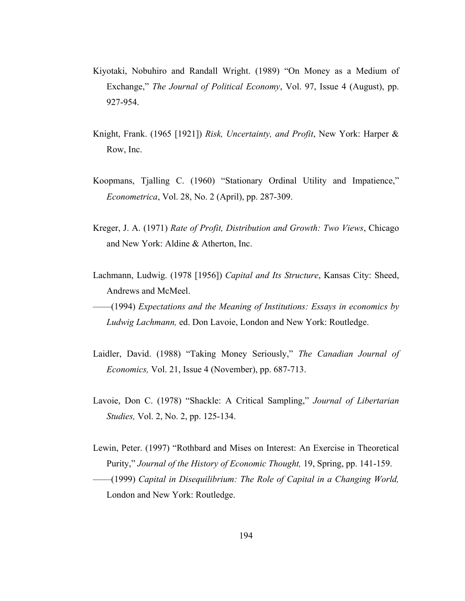- Kiyotaki, Nobuhiro and Randall Wright. (1989) "On Money as a Medium of Exchange," *The Journal of Political Economy*, Vol. 97, Issue 4 (August), pp. 927-954.
- Knight, Frank. (1965 [1921]) *Risk, Uncertainty, and Profit*, New York: Harper & Row, Inc.
- Koopmans, Tjalling C. (1960) "Stationary Ordinal Utility and Impatience," *Econometrica*, Vol. 28, No. 2 (April), pp. 287-309.
- Kreger, J. A. (1971) *Rate of Profit, Distribution and Growth: Two Views*, Chicago and New York: Aldine & Atherton, Inc.
- Lachmann, Ludwig. (1978 [1956]) *Capital and Its Structure*, Kansas City: Sheed, Andrews and McMeel.
- ——(1994) *Expectations and the Meaning of Institutions: Essays in economics by Ludwig Lachmann,* ed. Don Lavoie, London and New York: Routledge.
- Laidler, David. (1988) "Taking Money Seriously," *The Canadian Journal of Economics,* Vol. 21, Issue 4 (November), pp. 687-713.
- Lavoie, Don C. (1978) "Shackle: A Critical Sampling," *Journal of Libertarian Studies,* Vol. 2, No. 2, pp. 125-134.
- Lewin, Peter. (1997) "Rothbard and Mises on Interest: An Exercise in Theoretical Purity," *Journal of the History of Economic Thought,* 19, Spring, pp. 141-159.
- ——(1999) *Capital in Disequilibrium: The Role of Capital in a Changing World,*  London and New York: Routledge.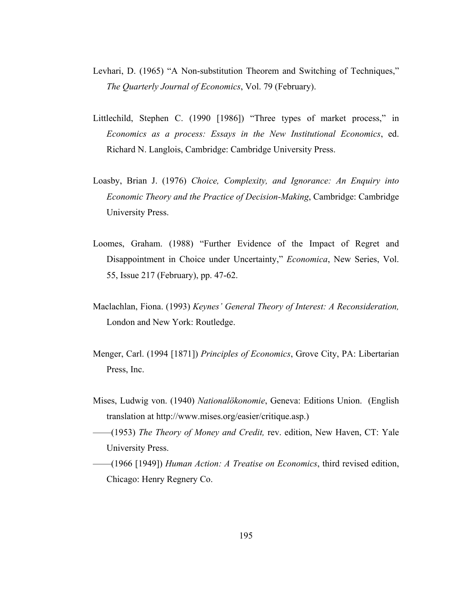- Levhari, D. (1965) "A Non-substitution Theorem and Switching of Techniques," *The Quarterly Journal of Economics*, Vol. 79 (February).
- Littlechild, Stephen C. (1990 [1986]) "Three types of market process," in *Economics as a process: Essays in the New Institutional Economics*, ed. Richard N. Langlois, Cambridge: Cambridge University Press.
- Loasby, Brian J. (1976) *Choice, Complexity, and Ignorance: An Enquiry into Economic Theory and the Practice of Decision-Making*, Cambridge: Cambridge University Press.
- Loomes, Graham. (1988) "Further Evidence of the Impact of Regret and Disappointment in Choice under Uncertainty," *Economica*, New Series, Vol. 55, Issue 217 (February), pp. 47-62.
- Maclachlan, Fiona. (1993) *Keynes' General Theory of Interest: A Reconsideration,*  London and New York: Routledge.
- Menger, Carl. (1994 [1871]) *Principles of Economics*, Grove City, PA: Libertarian Press, Inc.
- Mises, Ludwig von. (1940) *Nationalökonomie*, Geneva: Editions Union. (English translation at http://www.mises.org/easier/critique.asp.)
- ——(1953) *The Theory of Money and Credit,* rev. edition, New Haven, CT: Yale University Press.
- ——(1966 [1949]) *Human Action: A Treatise on Economics*, third revised edition, Chicago: Henry Regnery Co.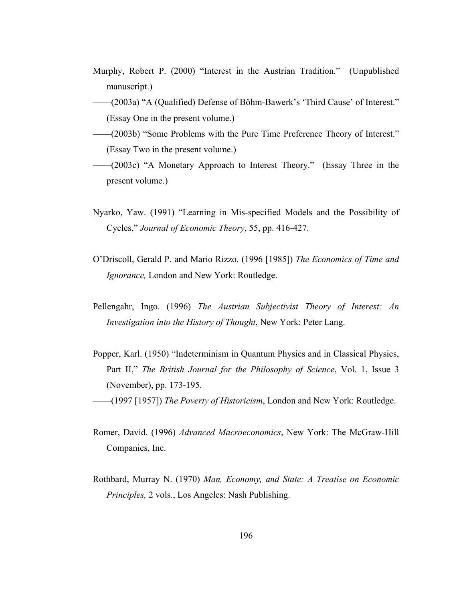- Murphy, Robert P. (2000) "Interest in the Austrian Tradition." (Unpublished manuscript.)
- ——(2003a) "A (Qualified) Defense of Böhm-Bawerk's 'Third Cause' of Interest." (Essay One in the present volume.)
- ——(2003b) "Some Problems with the Pure Time Preference Theory of Interest." (Essay Two in the present volume.)
- ——(2003c) "A Monetary Approach to Interest Theory." (Essay Three in the present volume.)
- Nyarko, Yaw. (1991) "Learning in Mis-specified Models and the Possibility of Cycles," *Journal of Economic Theory*, 55, pp. 416-427.
- O'Driscoll, Gerald P. and Mario Rizzo. (1996 [1985]) *The Economics of Time and Ignorance,* London and New York: Routledge.
- Pellengahr, Ingo. (1996) *The Austrian Subjectivist Theory of Interest: An Investigation into the History of Thought*, New York: Peter Lang.
- Popper, Karl. (1950) "Indeterminism in Quantum Physics and in Classical Physics, Part II," *The British Journal for the Philosophy of Science*, Vol. 1, Issue 3 (November), pp. 173-195. ——(1997 [1957]) *The Poverty of Historicism*, London and New York: Routledge.
- Romer, David. (1996) *Advanced Macroeconomics*, New York: The McGraw-Hill Companies, Inc.
- Rothbard, Murray N. (1970) *Man, Economy, and State: A Treatise on Economic Principles,* 2 vols., Los Angeles: Nash Publishing.